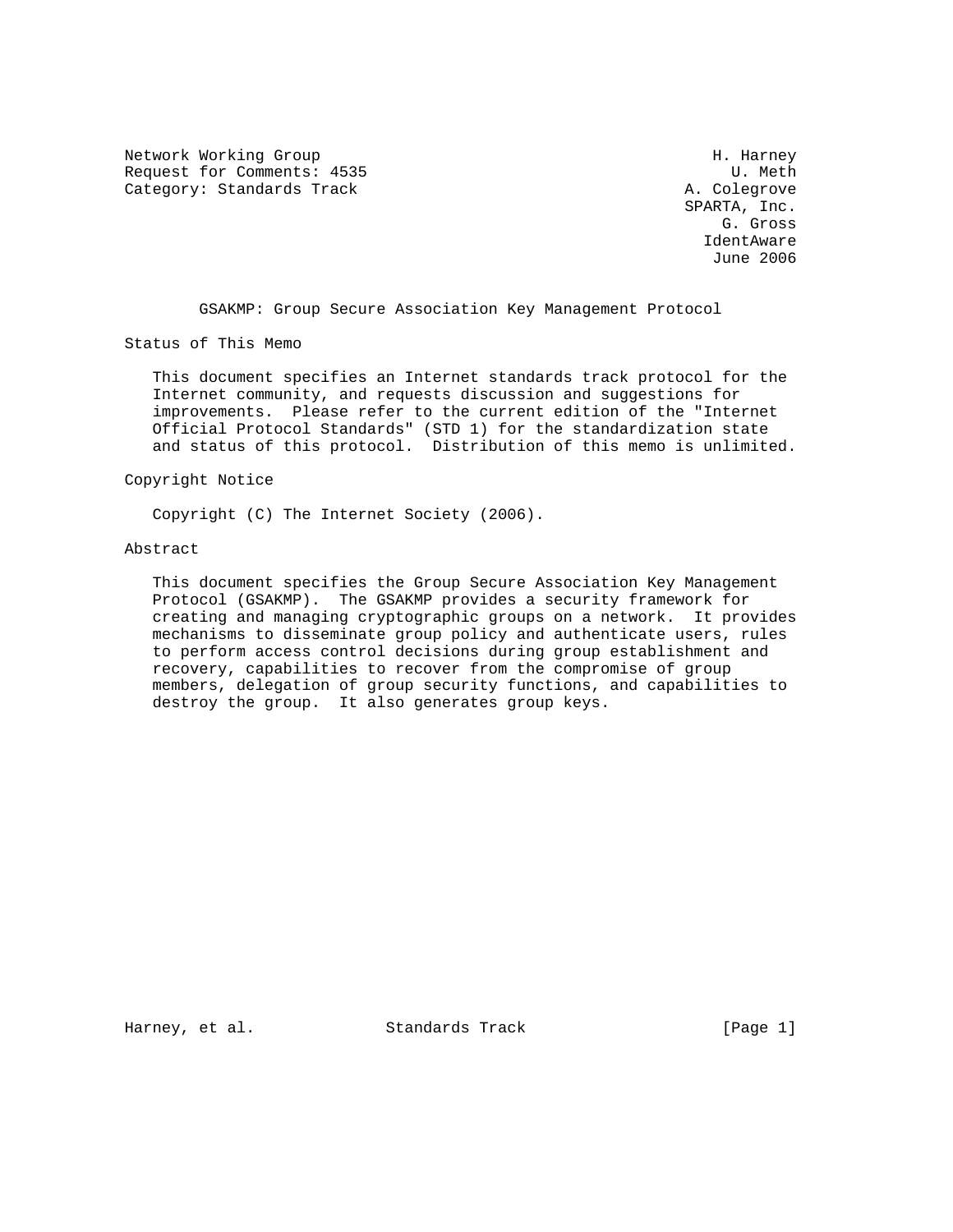Network Working Group Network Working Group H. Harney Request for Comments: 4535 U. Meth Category: Standards Track A. Colegrove

 SPARTA, Inc. G. Gross IdentAware June 2006

GSAKMP: Group Secure Association Key Management Protocol

Status of This Memo

 This document specifies an Internet standards track protocol for the Internet community, and requests discussion and suggestions for improvements. Please refer to the current edition of the "Internet Official Protocol Standards" (STD 1) for the standardization state and status of this protocol. Distribution of this memo is unlimited.

### Copyright Notice

Copyright (C) The Internet Society (2006).

### Abstract

 This document specifies the Group Secure Association Key Management Protocol (GSAKMP). The GSAKMP provides a security framework for creating and managing cryptographic groups on a network. It provides mechanisms to disseminate group policy and authenticate users, rules to perform access control decisions during group establishment and recovery, capabilities to recover from the compromise of group members, delegation of group security functions, and capabilities to destroy the group. It also generates group keys.

Harney, et al. Standards Track [Page 1]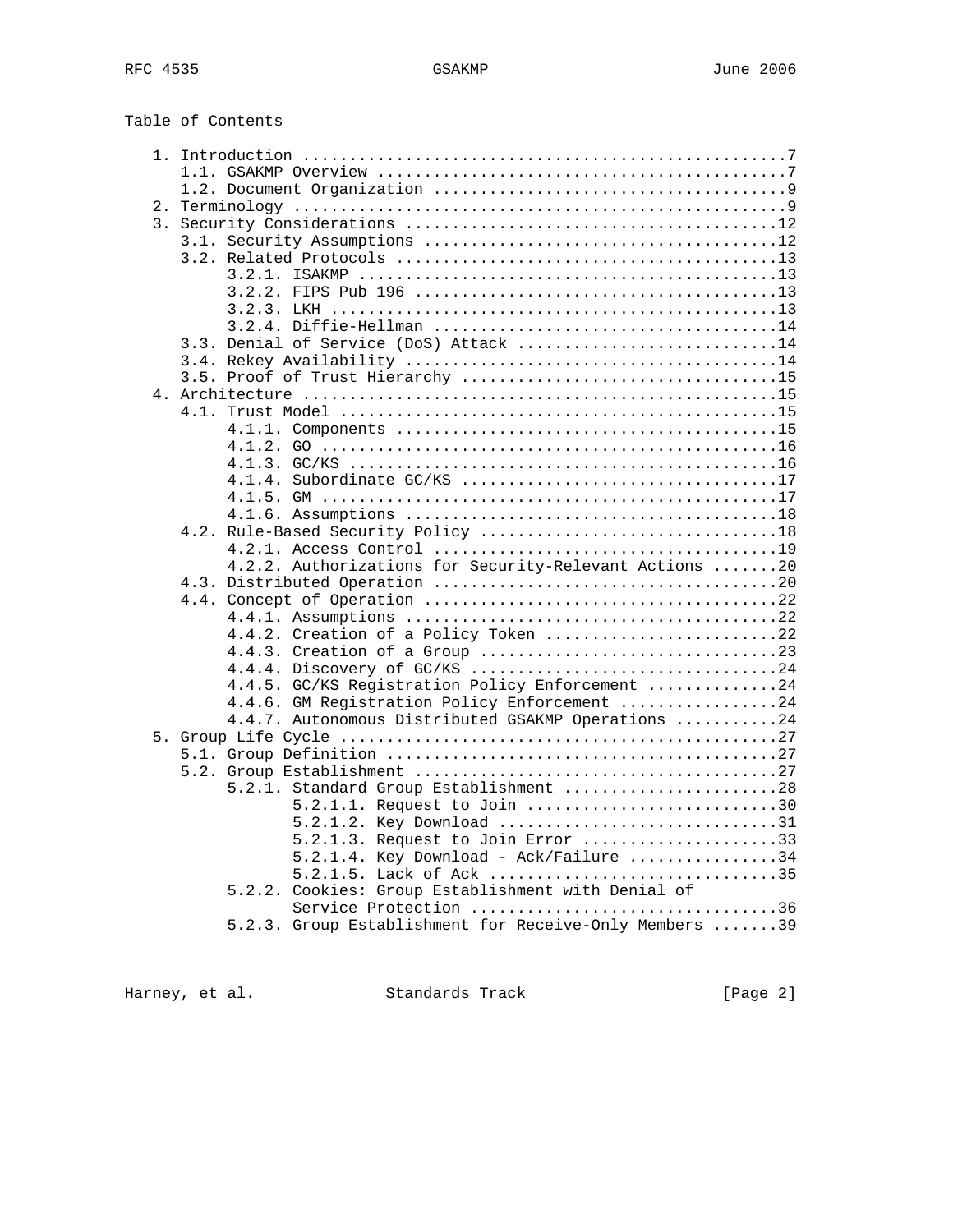| Table of Contents |  |
|-------------------|--|
|-------------------|--|

| 3.3. Denial of Service (DoS) Attack 14                               |  |
|----------------------------------------------------------------------|--|
|                                                                      |  |
|                                                                      |  |
|                                                                      |  |
|                                                                      |  |
|                                                                      |  |
|                                                                      |  |
|                                                                      |  |
| 4.1.4. Subordinate GC/KS 17                                          |  |
|                                                                      |  |
|                                                                      |  |
|                                                                      |  |
|                                                                      |  |
| 4.2.2. Authorizations for Security-Relevant Actions 20               |  |
|                                                                      |  |
|                                                                      |  |
|                                                                      |  |
| 4.4.2. Creation of a Policy Token 22                                 |  |
|                                                                      |  |
|                                                                      |  |
| 4.4.5. GC/KS Registration Policy Enforcement 24                      |  |
| 4.4.6. GM Registration Policy Enforcement 24                         |  |
| 4.4.7. Autonomous Distributed GSAKMP Operations 24                   |  |
|                                                                      |  |
|                                                                      |  |
|                                                                      |  |
| 5.2.1. Standard Group Establishment 28                               |  |
| 5.2.1.1. Request to Join 30                                          |  |
| 5.2.1.2. Key Download 31                                             |  |
| 5.2.1.3. Request to Join Error 33                                    |  |
| $5.2.1.4$ . Key Download - Ack/Failure 34<br>5.2.1.5. Lack of Ack 35 |  |
| 5.2.2. Cookies: Group Establishment with Denial of                   |  |
| Service Protection 36                                                |  |
| 5.2.3. Group Establishment for Receive-Only Members 39               |  |
|                                                                      |  |

Harney, et al. Standards Track [Page 2]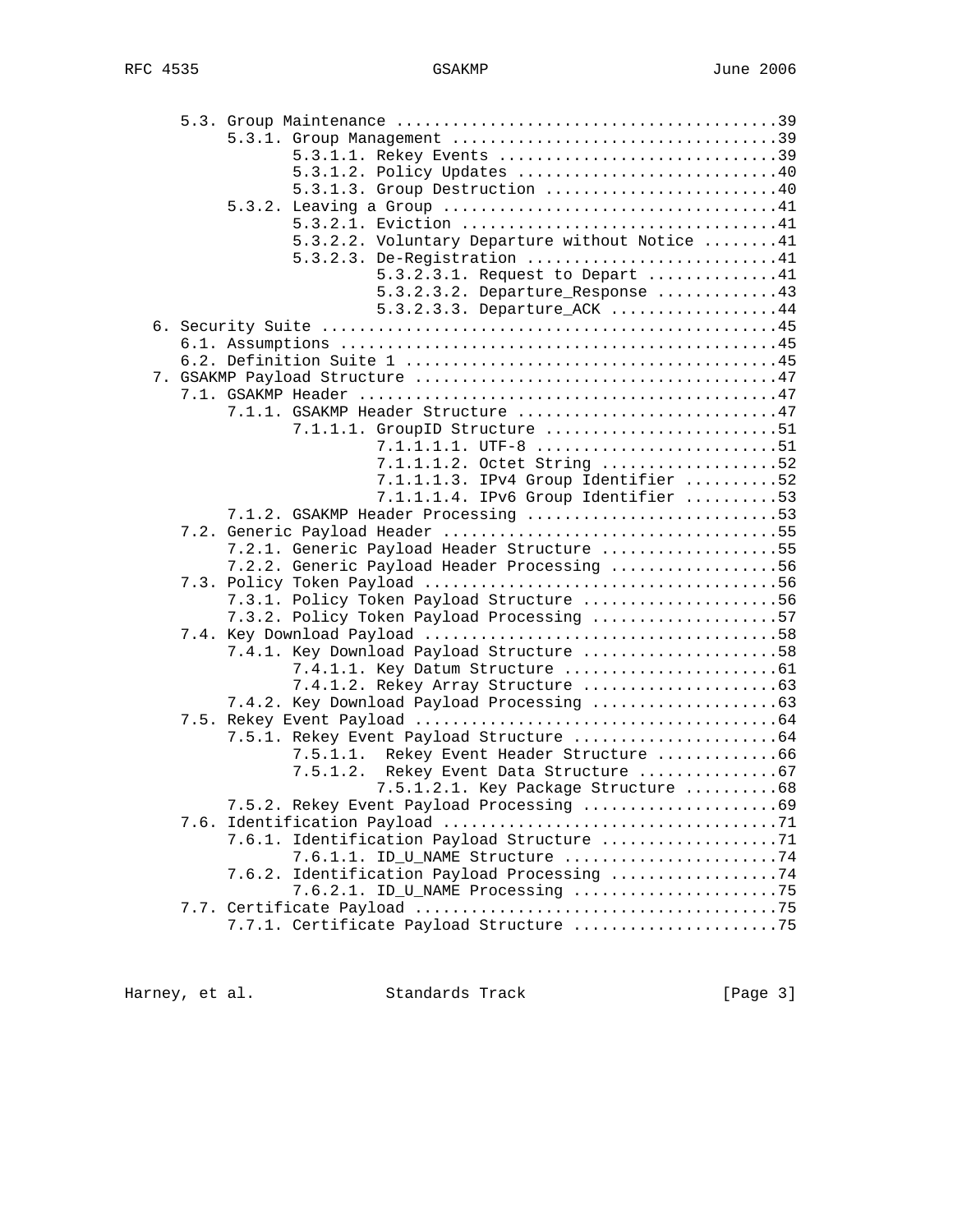|  | 5.3.1.1. Rekey Events 39                       |  |
|--|------------------------------------------------|--|
|  | 5.3.1.2. Policy Updates 40                     |  |
|  | 5.3.1.3. Group Destruction 40                  |  |
|  |                                                |  |
|  |                                                |  |
|  | 5.3.2.2. Voluntary Departure without Notice 41 |  |
|  | 5.3.2.3. De-Registration 41                    |  |
|  | $5.3.2.3.1.$ Request to Depart 41              |  |
|  | $5.3.2.3.2.$ Departure_Response 43             |  |
|  | 5.3.2.3.3. Departure_ACK 44                    |  |
|  |                                                |  |
|  |                                                |  |
|  |                                                |  |
|  |                                                |  |
|  |                                                |  |
|  | 7.1.1. GSAKMP Header Structure 47              |  |
|  | 7.1.1.1. GroupID Structure 51                  |  |
|  | $7.1.1.1.1.$ UTF-8 51                          |  |
|  | 7.1.1.1.2. Octet String 52                     |  |
|  | 7.1.1.1.3. IPv4 Group Identifier 52            |  |
|  | 7.1.1.1.4. IPv6 Group Identifier 53            |  |
|  | 7.1.2. GSAKMP Header Processing 53             |  |
|  |                                                |  |
|  | 7.2.1. Generic Payload Header Structure 55     |  |
|  | 7.2.2. Generic Payload Header Processing 56    |  |
|  |                                                |  |
|  | 7.3.1. Policy Token Payload Structure 56       |  |
|  | 7.3.2. Policy Token Payload Processing 57      |  |
|  |                                                |  |
|  | 7.4.1. Key Download Payload Structure 58       |  |
|  |                                                |  |
|  |                                                |  |
|  |                                                |  |
|  |                                                |  |
|  |                                                |  |
|  | 7.5.1.1. Rekey Event Header Structure 66       |  |
|  | 7.5.1.2. Rekey Event Data Structure 67         |  |
|  | 7.5.1.2.1. Key Package Structure 68            |  |
|  |                                                |  |
|  |                                                |  |
|  | 7.6.1. Identification Payload Structure 71     |  |
|  | 7.6.1.1. ID_U_NAME Structure 74                |  |
|  | 7.6.2. Identification Payload Processing 74    |  |
|  | 7.6.2.1. ID_U_NAME Processing 75               |  |
|  |                                                |  |
|  | 7.7.1. Certificate Payload Structure 75        |  |

Harney, et al. Standards Track Frack [Page 3]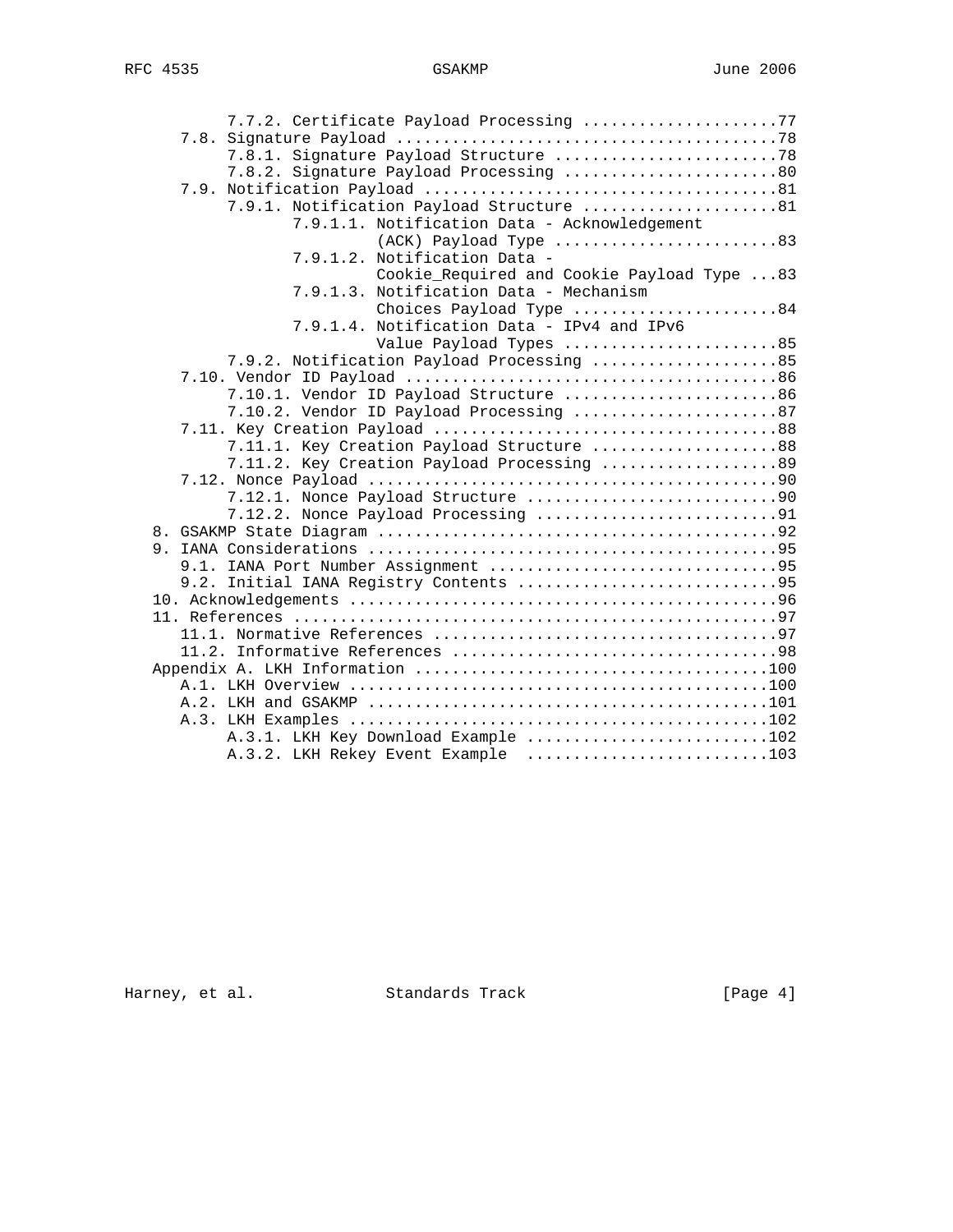| 7.7.2. Certificate Payload Processing 77      |
|-----------------------------------------------|
|                                               |
|                                               |
| 7.8.2. Signature Payload Processing 80        |
|                                               |
| 7.9.1. Notification Payload Structure 81      |
| 7.9.1.1. Notification Data - Acknowledgement  |
| (ACK) Payload Type 83                         |
| 7.9.1.2. Notification Data -                  |
| Cookie_Required and Cookie Payload Type 83    |
| 7.9.1.3. Notification Data - Mechanism        |
| Choices Payload Type 84                       |
| Notification Data - IPv4 and IPv6<br>7.9.1.4. |
| Value Payload Types 85                        |
| 7.9.2. Notification Payload Processing 85     |
|                                               |
| 7.10.1. Vendor ID Payload Structure 86        |
| 7.10.2. Vendor ID Payload Processing 87       |
|                                               |
| 7.11.1. Key Creation Payload Structure 88     |
| 7.11.2. Key Creation Payload Processing 89    |
|                                               |
|                                               |
| 7.12.2. Nonce Payload Processing 91           |
|                                               |
|                                               |
|                                               |
|                                               |
|                                               |
|                                               |
|                                               |
|                                               |
|                                               |
|                                               |
|                                               |
|                                               |
| A.3.1. LKH Key Download Example 102           |
| A.3.2. LKH Rekey Event Example 103            |

Harney, et al. Standards Track [Page 4]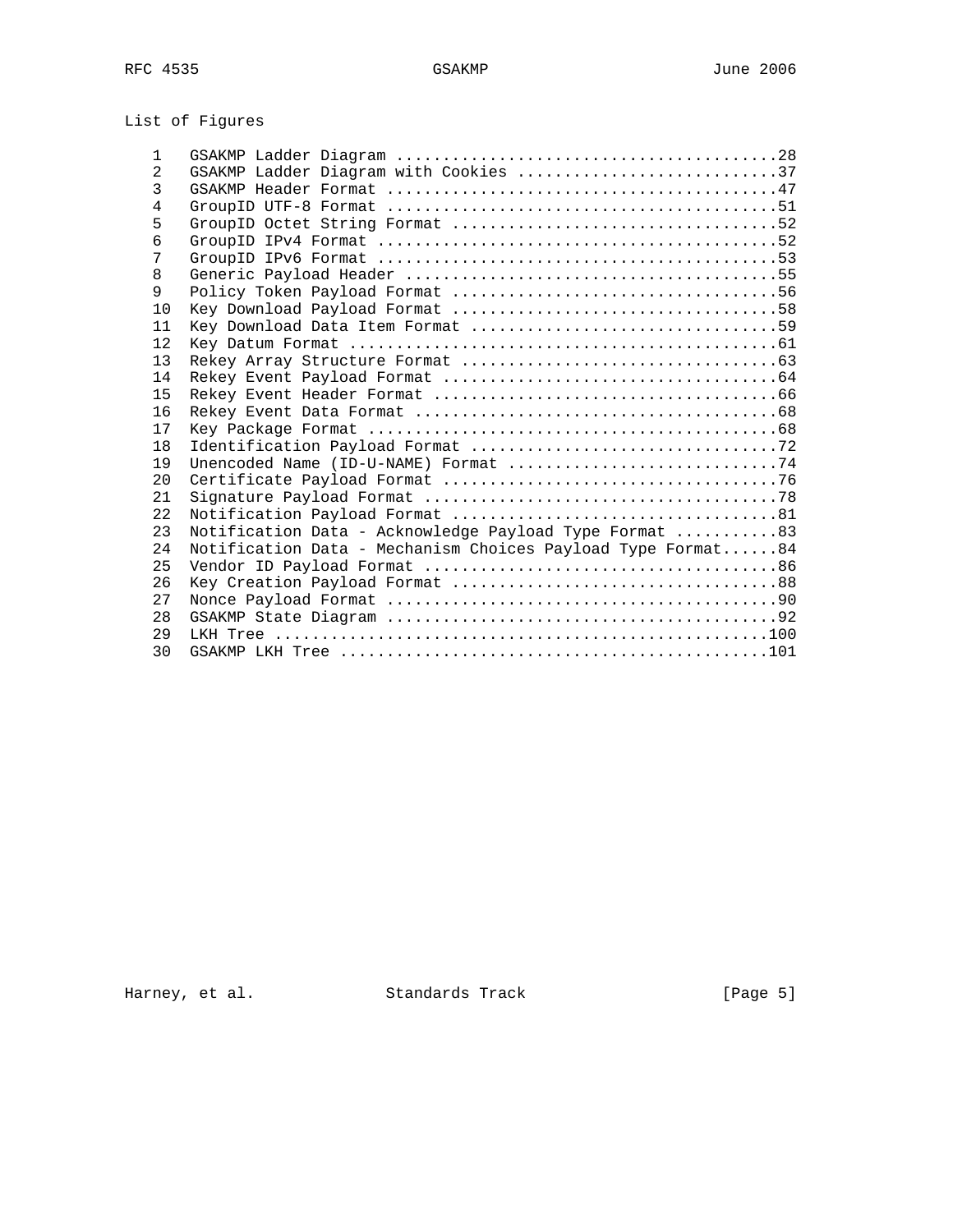# List of Figures

| 1              |                                                                                                           |
|----------------|-----------------------------------------------------------------------------------------------------------|
| $\overline{2}$ | GSAKMP Ladder Diagram with Cookies 37                                                                     |
| 3              |                                                                                                           |
| 4              | GroupID UTF-8 Format $\ldots, \ldots, \ldots, \ldots, \ldots, \ldots, \ldots, \ldots, \ldots, \ldots, 51$ |
| 5              |                                                                                                           |
| 6              |                                                                                                           |
| 7              |                                                                                                           |
| 8              |                                                                                                           |
| 9              |                                                                                                           |
| 10             |                                                                                                           |
| 11             |                                                                                                           |
| 12.            |                                                                                                           |
| 13             |                                                                                                           |
| 14             |                                                                                                           |
| 15             |                                                                                                           |
| 16             |                                                                                                           |
| 17             |                                                                                                           |
| 18             |                                                                                                           |
| 19             | Unencoded Name (ID-U-NAME) Format $\ldots \ldots \ldots \ldots \ldots \ldots \ldots \ldots \ldots$        |
| 20             |                                                                                                           |
| 2.1            |                                                                                                           |
| 2.2.           |                                                                                                           |
| 23             | Notification Data - Acknowledge Payload Type Format 83                                                    |
| 2.4            | Notification Data - Mechanism Choices Payload Type Format84                                               |
| 25             |                                                                                                           |
| 26             |                                                                                                           |
| 27             |                                                                                                           |
| 28             |                                                                                                           |
| 2.9            |                                                                                                           |
| 30             |                                                                                                           |

Harney, et al. Standards Track Frack [Page 5]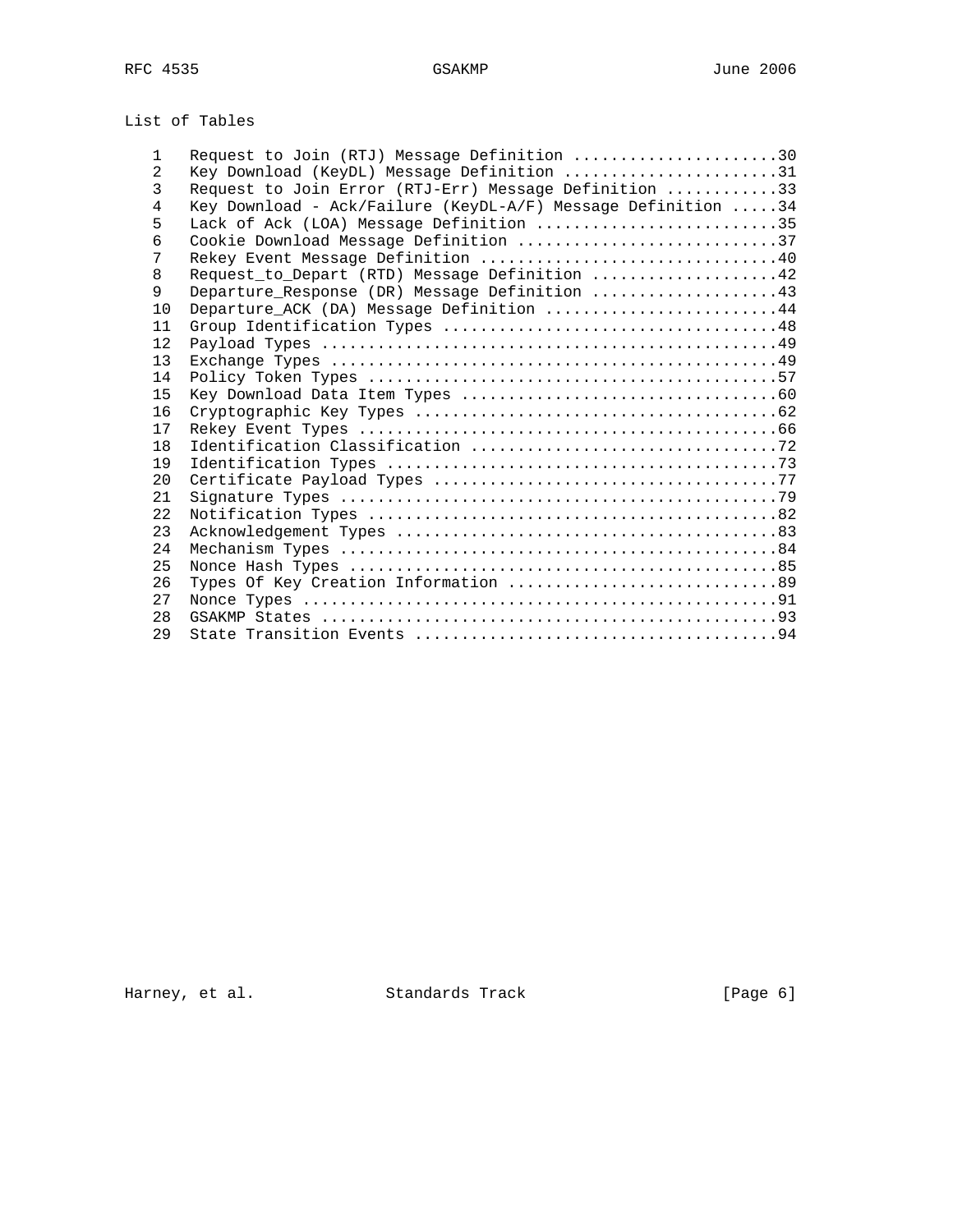# List of Tables

| $\mathbf{1}$   | Request to Join (RTJ) Message Definition 30                  |
|----------------|--------------------------------------------------------------|
| $\overline{2}$ | Key Download (KeyDL) Message Definition 31                   |
| 3              | Request to Join Error (RTJ-Err) Message Definition 33        |
| 4              | Key Download - Ack/Failure (KeyDL-A/F) Message Definition 34 |
| 5              | Lack of Ack (LOA) Message Definition 35                      |
| 6              | Cookie Download Message Definition 37                        |
| 7              | Rekey Event Message Definition 40                            |
| 8              | Request_to_Depart (RTD) Message Definition 42                |
| 9              | Departure_Response (DR) Message Definition 43                |
| 10             | Departure_ACK (DA) Message Definition 44                     |
| 11             |                                                              |
| 12             |                                                              |
| 13             |                                                              |
| 14             |                                                              |
| 15             |                                                              |
| 16             |                                                              |
| 17             |                                                              |
| 18             |                                                              |
| 19             |                                                              |
| 20             |                                                              |
| 21             |                                                              |
| 2.2.           |                                                              |
| 23             |                                                              |
| 24             |                                                              |
| 25             |                                                              |
| 26             | Types Of Key Creation Information 89                         |
| 27             |                                                              |
| 28             |                                                              |
| 29             |                                                              |

Harney, et al. Standards Track [Page 6]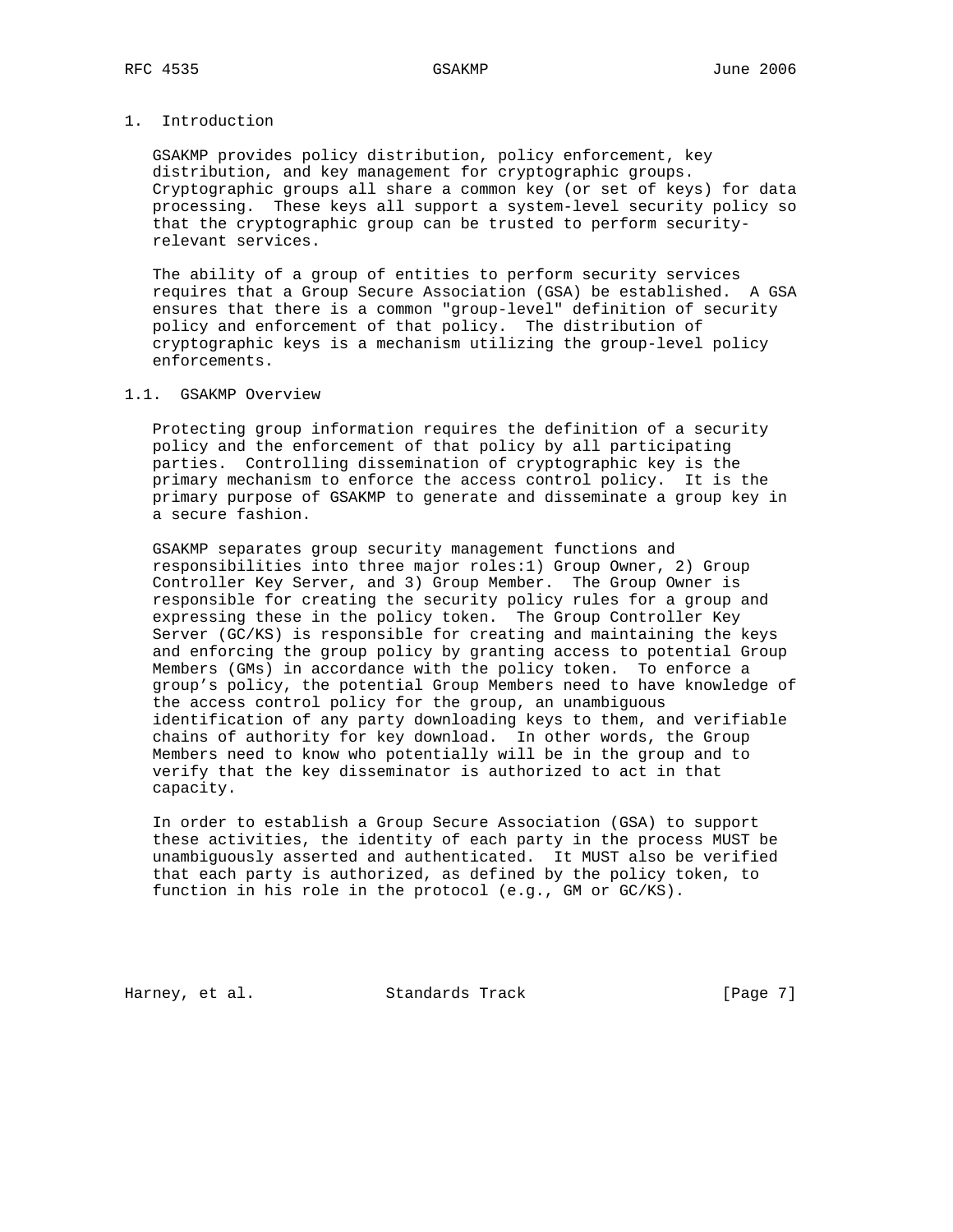# 1. Introduction

 GSAKMP provides policy distribution, policy enforcement, key distribution, and key management for cryptographic groups. Cryptographic groups all share a common key (or set of keys) for data processing. These keys all support a system-level security policy so that the cryptographic group can be trusted to perform security relevant services.

 The ability of a group of entities to perform security services requires that a Group Secure Association (GSA) be established. A GSA ensures that there is a common "group-level" definition of security policy and enforcement of that policy. The distribution of cryptographic keys is a mechanism utilizing the group-level policy enforcements.

### 1.1. GSAKMP Overview

 Protecting group information requires the definition of a security policy and the enforcement of that policy by all participating parties. Controlling dissemination of cryptographic key is the primary mechanism to enforce the access control policy. It is the primary purpose of GSAKMP to generate and disseminate a group key in a secure fashion.

 GSAKMP separates group security management functions and responsibilities into three major roles:1) Group Owner, 2) Group Controller Key Server, and 3) Group Member. The Group Owner is responsible for creating the security policy rules for a group and expressing these in the policy token. The Group Controller Key Server (GC/KS) is responsible for creating and maintaining the keys and enforcing the group policy by granting access to potential Group Members (GMs) in accordance with the policy token. To enforce a group's policy, the potential Group Members need to have knowledge of the access control policy for the group, an unambiguous identification of any party downloading keys to them, and verifiable chains of authority for key download. In other words, the Group Members need to know who potentially will be in the group and to verify that the key disseminator is authorized to act in that capacity.

 In order to establish a Group Secure Association (GSA) to support these activities, the identity of each party in the process MUST be unambiguously asserted and authenticated. It MUST also be verified that each party is authorized, as defined by the policy token, to function in his role in the protocol (e.g., GM or GC/KS).

Harney, et al. Standards Track [Page 7]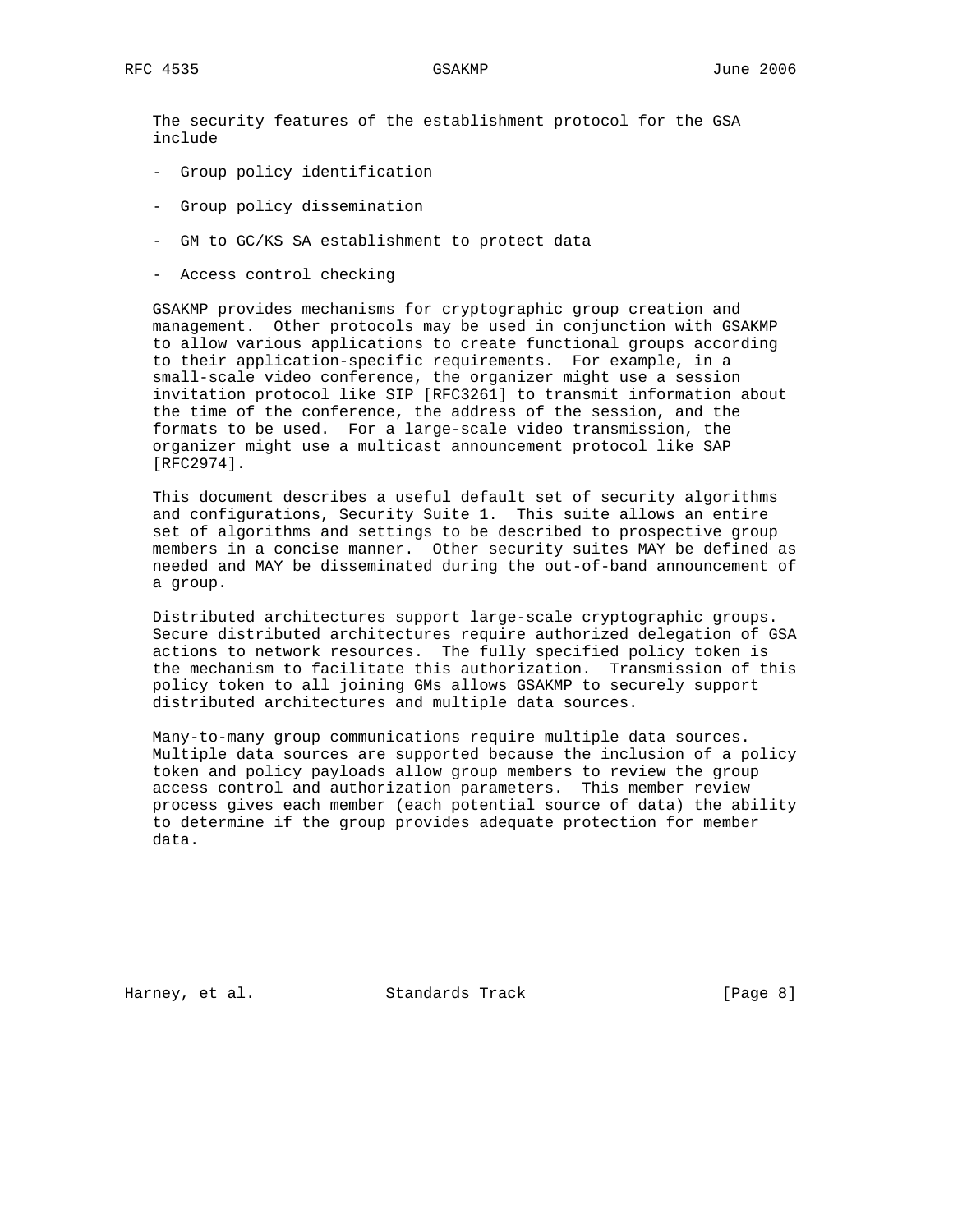The security features of the establishment protocol for the GSA include

- Group policy identification
- Group policy dissemination
- GM to GC/KS SA establishment to protect data
- Access control checking

 GSAKMP provides mechanisms for cryptographic group creation and management. Other protocols may be used in conjunction with GSAKMP to allow various applications to create functional groups according to their application-specific requirements. For example, in a small-scale video conference, the organizer might use a session invitation protocol like SIP [RFC3261] to transmit information about the time of the conference, the address of the session, and the formats to be used. For a large-scale video transmission, the organizer might use a multicast announcement protocol like SAP [RFC2974].

 This document describes a useful default set of security algorithms and configurations, Security Suite 1. This suite allows an entire set of algorithms and settings to be described to prospective group members in a concise manner. Other security suites MAY be defined as needed and MAY be disseminated during the out-of-band announcement of a group.

 Distributed architectures support large-scale cryptographic groups. Secure distributed architectures require authorized delegation of GSA actions to network resources. The fully specified policy token is the mechanism to facilitate this authorization. Transmission of this policy token to all joining GMs allows GSAKMP to securely support distributed architectures and multiple data sources.

 Many-to-many group communications require multiple data sources. Multiple data sources are supported because the inclusion of a policy token and policy payloads allow group members to review the group access control and authorization parameters. This member review process gives each member (each potential source of data) the ability to determine if the group provides adequate protection for member data.

Harney, et al. Standards Track [Page 8]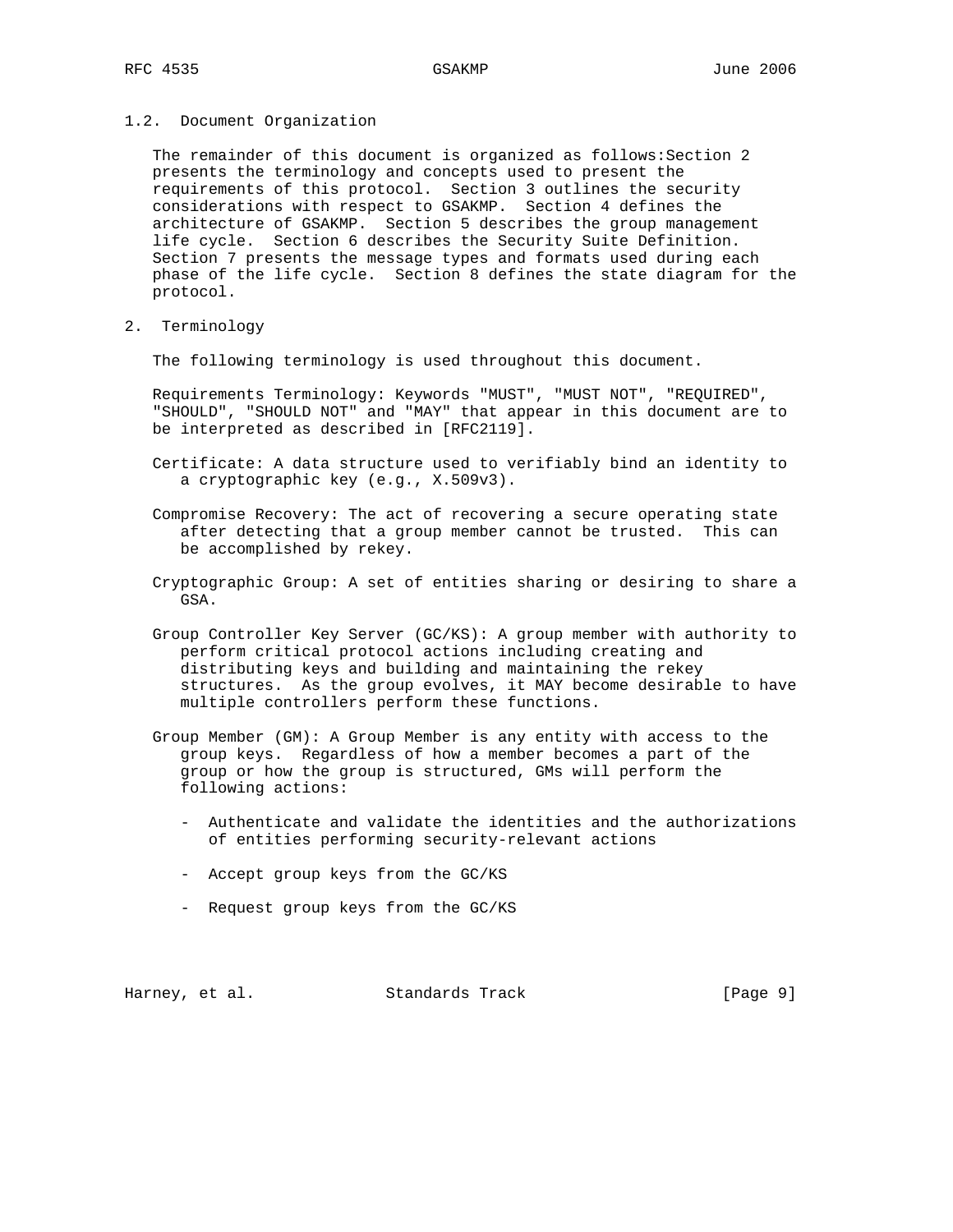1.2. Document Organization

The remainder of this document is organized as follows: Section 2 presents the terminology and concepts used to present the requirements of this protocol. Section 3 outlines the security considerations with respect to GSAKMP. Section 4 defines the architecture of GSAKMP. Section 5 describes the group management life cycle. Section 6 describes the Security Suite Definition. Section 7 presents the message types and formats used during each phase of the life cycle. Section 8 defines the state diagram for the protocol.

2. Terminology

The following terminology is used throughout this document.

 Requirements Terminology: Keywords "MUST", "MUST NOT", "REQUIRED", "SHOULD", "SHOULD NOT" and "MAY" that appear in this document are to be interpreted as described in [RFC2119].

- Certificate: A data structure used to verifiably bind an identity to a cryptographic key (e.g., X.509v3).
- Compromise Recovery: The act of recovering a secure operating state after detecting that a group member cannot be trusted. This can be accomplished by rekey.
- Cryptographic Group: A set of entities sharing or desiring to share a GSA.
- Group Controller Key Server (GC/KS): A group member with authority to perform critical protocol actions including creating and distributing keys and building and maintaining the rekey structures. As the group evolves, it MAY become desirable to have multiple controllers perform these functions.
- Group Member (GM): A Group Member is any entity with access to the group keys. Regardless of how a member becomes a part of the group or how the group is structured, GMs will perform the following actions:
	- Authenticate and validate the identities and the authorizations of entities performing security-relevant actions
	- Accept group keys from the GC/KS
	- Request group keys from the GC/KS

Harney, et al. Standards Track [Page 9]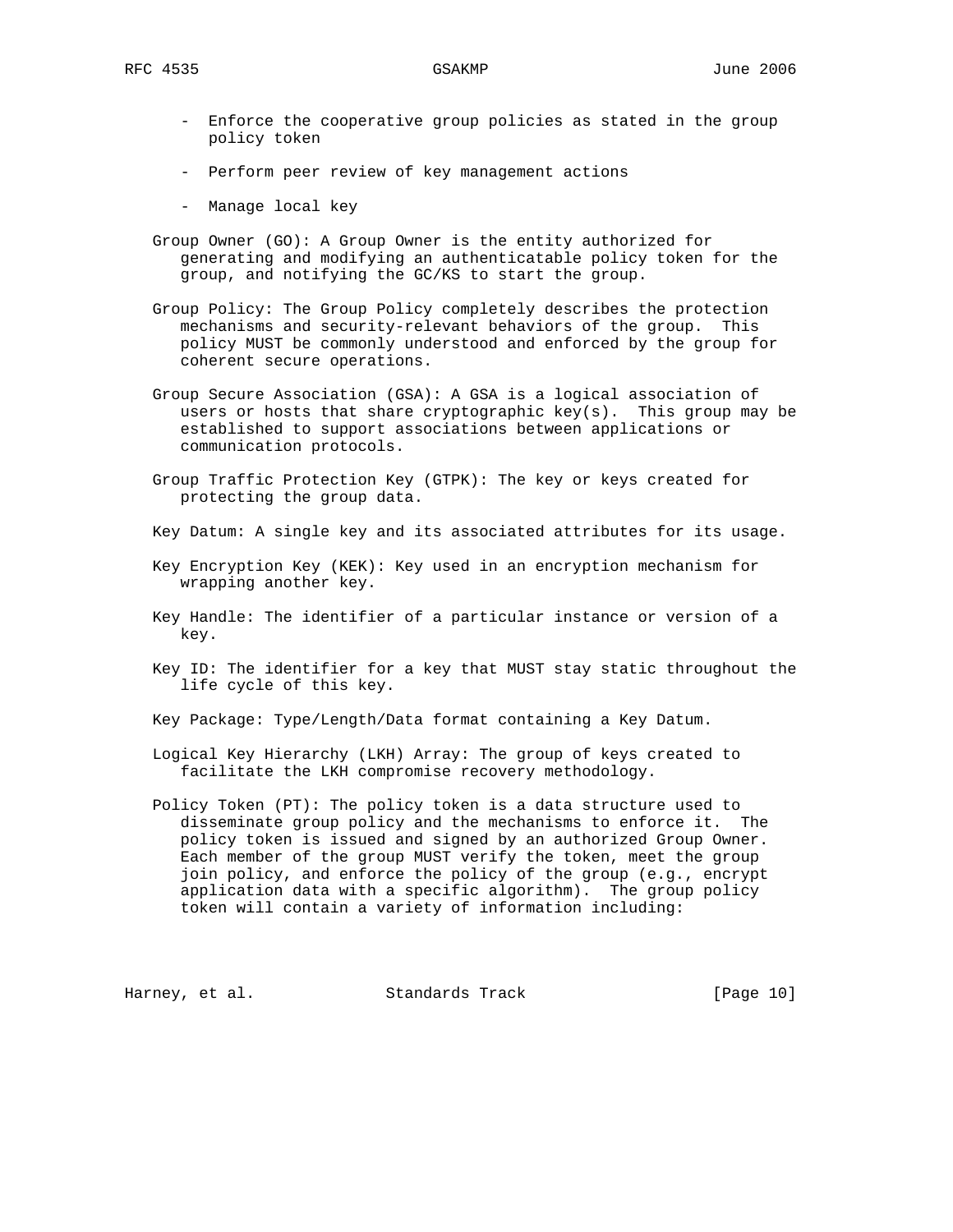- Enforce the cooperative group policies as stated in the group policy token
- Perform peer review of key management actions
- Manage local key
- Group Owner (GO): A Group Owner is the entity authorized for generating and modifying an authenticatable policy token for the group, and notifying the GC/KS to start the group.
- Group Policy: The Group Policy completely describes the protection mechanisms and security-relevant behaviors of the group. This policy MUST be commonly understood and enforced by the group for coherent secure operations.
- Group Secure Association (GSA): A GSA is a logical association of users or hosts that share cryptographic  $key(s)$ . This group may be established to support associations between applications or communication protocols.
- Group Traffic Protection Key (GTPK): The key or keys created for protecting the group data.
- Key Datum: A single key and its associated attributes for its usage.
- Key Encryption Key (KEK): Key used in an encryption mechanism for wrapping another key.
- Key Handle: The identifier of a particular instance or version of a key.
- Key ID: The identifier for a key that MUST stay static throughout the life cycle of this key.
- Key Package: Type/Length/Data format containing a Key Datum.
- Logical Key Hierarchy (LKH) Array: The group of keys created to facilitate the LKH compromise recovery methodology.
- Policy Token (PT): The policy token is a data structure used to disseminate group policy and the mechanisms to enforce it. The policy token is issued and signed by an authorized Group Owner. Each member of the group MUST verify the token, meet the group join policy, and enforce the policy of the group (e.g., encrypt application data with a specific algorithm). The group policy token will contain a variety of information including:

Harney, et al. Standards Track [Page 10]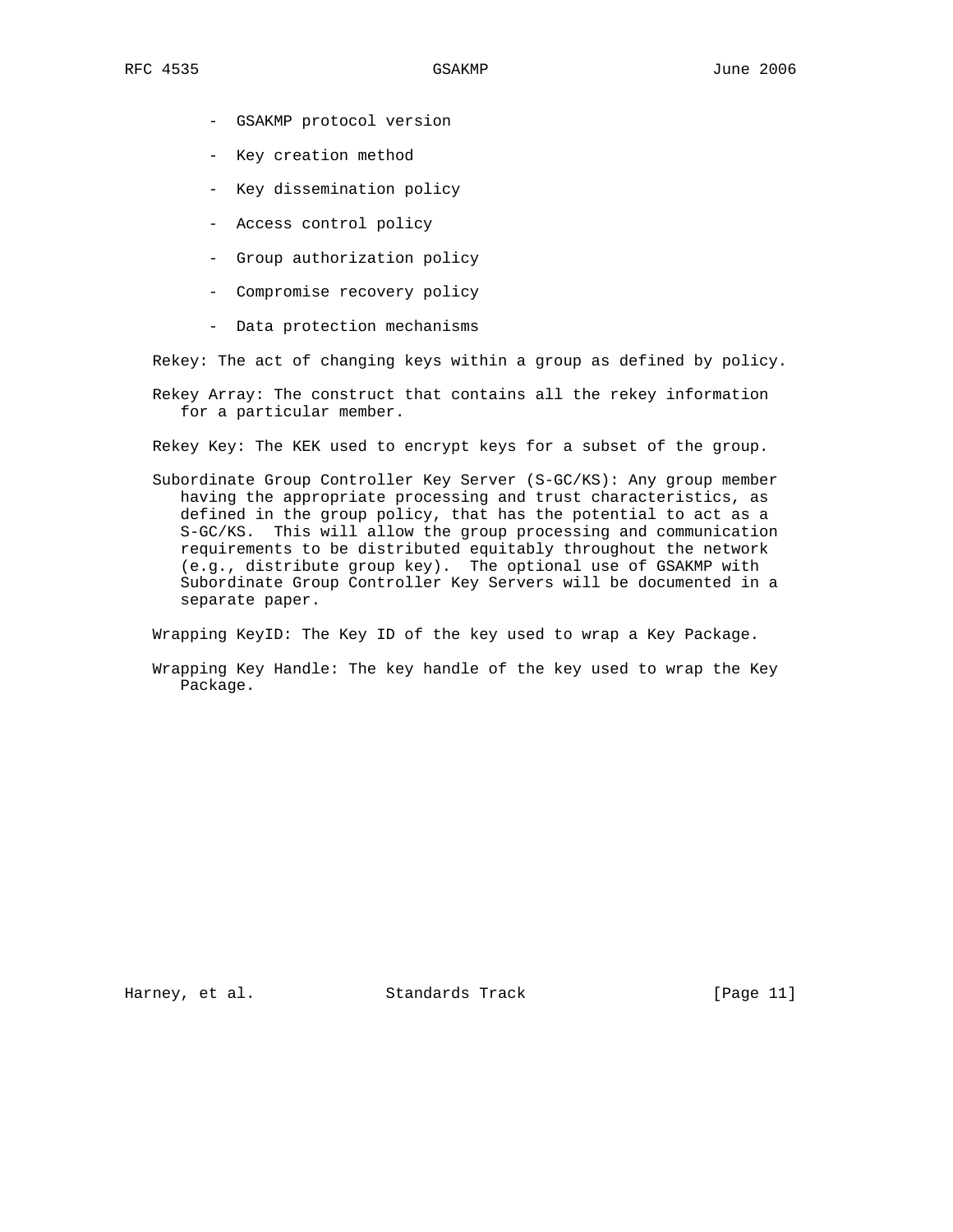- GSAKMP protocol version
- Key creation method
- Key dissemination policy
- Access control policy
- Group authorization policy
- Compromise recovery policy
- Data protection mechanisms

Rekey: The act of changing keys within a group as defined by policy.

 Rekey Array: The construct that contains all the rekey information for a particular member.

Rekey Key: The KEK used to encrypt keys for a subset of the group.

 Subordinate Group Controller Key Server (S-GC/KS): Any group member having the appropriate processing and trust characteristics, as defined in the group policy, that has the potential to act as a S-GC/KS. This will allow the group processing and communication requirements to be distributed equitably throughout the network (e.g., distribute group key). The optional use of GSAKMP with Subordinate Group Controller Key Servers will be documented in a separate paper.

Wrapping KeyID: The Key ID of the key used to wrap a Key Package.

 Wrapping Key Handle: The key handle of the key used to wrap the Key Package.

Harney, et al. Standards Track [Page 11]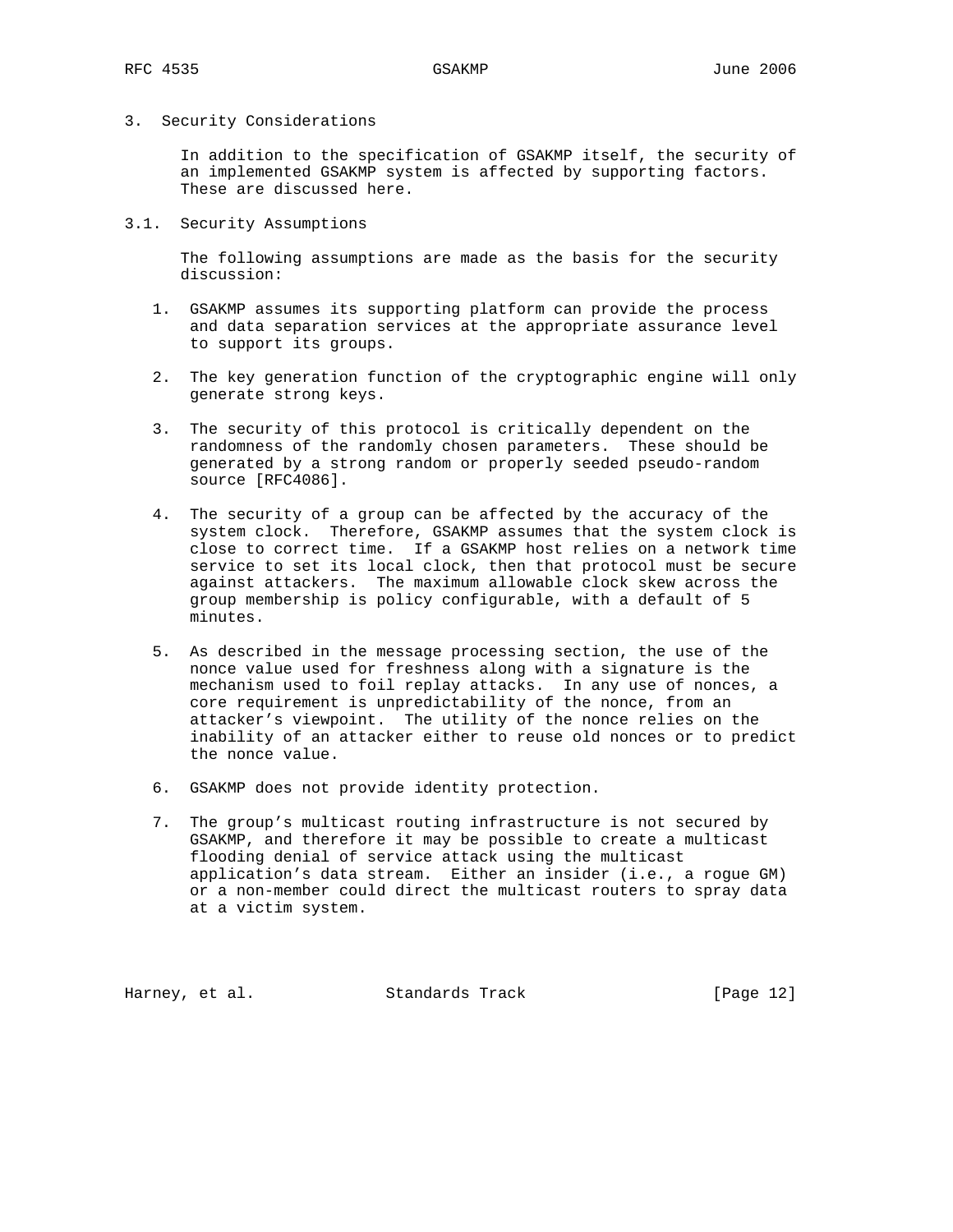# 3. Security Considerations

 In addition to the specification of GSAKMP itself, the security of an implemented GSAKMP system is affected by supporting factors. These are discussed here.

3.1. Security Assumptions

 The following assumptions are made as the basis for the security discussion:

- 1. GSAKMP assumes its supporting platform can provide the process and data separation services at the appropriate assurance level to support its groups.
- 2. The key generation function of the cryptographic engine will only generate strong keys.
- 3. The security of this protocol is critically dependent on the randomness of the randomly chosen parameters. These should be generated by a strong random or properly seeded pseudo-random source [RFC4086].
- 4. The security of a group can be affected by the accuracy of the system clock. Therefore, GSAKMP assumes that the system clock is close to correct time. If a GSAKMP host relies on a network time service to set its local clock, then that protocol must be secure against attackers. The maximum allowable clock skew across the group membership is policy configurable, with a default of 5 minutes.
- 5. As described in the message processing section, the use of the nonce value used for freshness along with a signature is the mechanism used to foil replay attacks. In any use of nonces, a core requirement is unpredictability of the nonce, from an attacker's viewpoint. The utility of the nonce relies on the inability of an attacker either to reuse old nonces or to predict the nonce value.
- 6. GSAKMP does not provide identity protection.
- 7. The group's multicast routing infrastructure is not secured by GSAKMP, and therefore it may be possible to create a multicast flooding denial of service attack using the multicast application's data stream. Either an insider (i.e., a rogue GM) or a non-member could direct the multicast routers to spray data at a victim system.

Harney, et al. Standards Track [Page 12]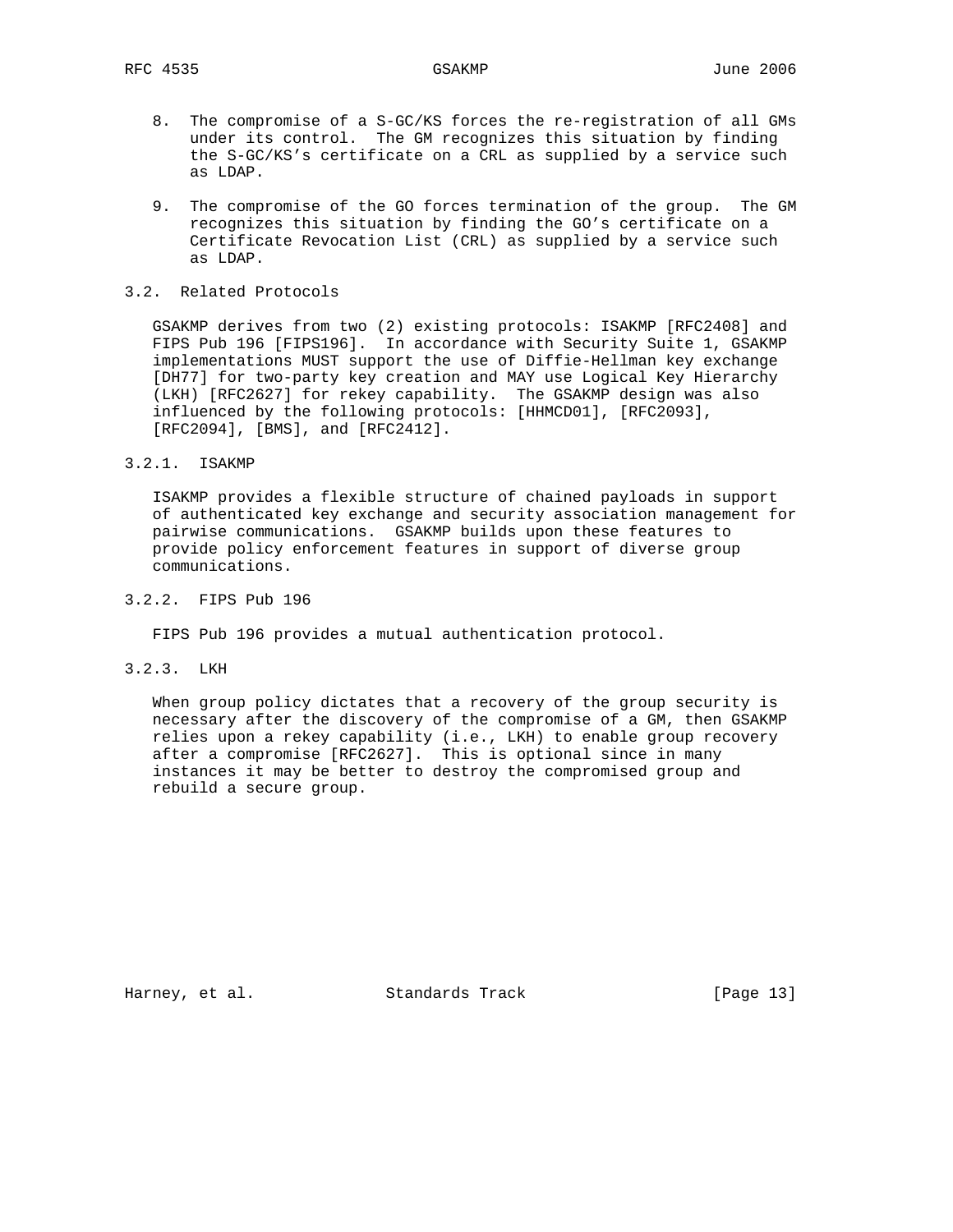- 8. The compromise of a S-GC/KS forces the re-registration of all GMs under its control. The GM recognizes this situation by finding the S-GC/KS's certificate on a CRL as supplied by a service such as LDAP.
- 9. The compromise of the GO forces termination of the group. The GM recognizes this situation by finding the GO's certificate on a Certificate Revocation List (CRL) as supplied by a service such as LDAP.

### 3.2. Related Protocols

 GSAKMP derives from two (2) existing protocols: ISAKMP [RFC2408] and FIPS Pub 196 [FIPS196]. In accordance with Security Suite 1, GSAKMP implementations MUST support the use of Diffie-Hellman key exchange [DH77] for two-party key creation and MAY use Logical Key Hierarchy (LKH) [RFC2627] for rekey capability. The GSAKMP design was also influenced by the following protocols: [HHMCD01], [RFC2093], [RFC2094], [BMS], and [RFC2412].

# 3.2.1. ISAKMP

 ISAKMP provides a flexible structure of chained payloads in support of authenticated key exchange and security association management for pairwise communications. GSAKMP builds upon these features to provide policy enforcement features in support of diverse group communications.

# 3.2.2. FIPS Pub 196

FIPS Pub 196 provides a mutual authentication protocol.

3.2.3. LKH

 When group policy dictates that a recovery of the group security is necessary after the discovery of the compromise of a GM, then GSAKMP relies upon a rekey capability (i.e., LKH) to enable group recovery after a compromise [RFC2627]. This is optional since in many instances it may be better to destroy the compromised group and rebuild a secure group.

Harney, et al. Standards Track [Page 13]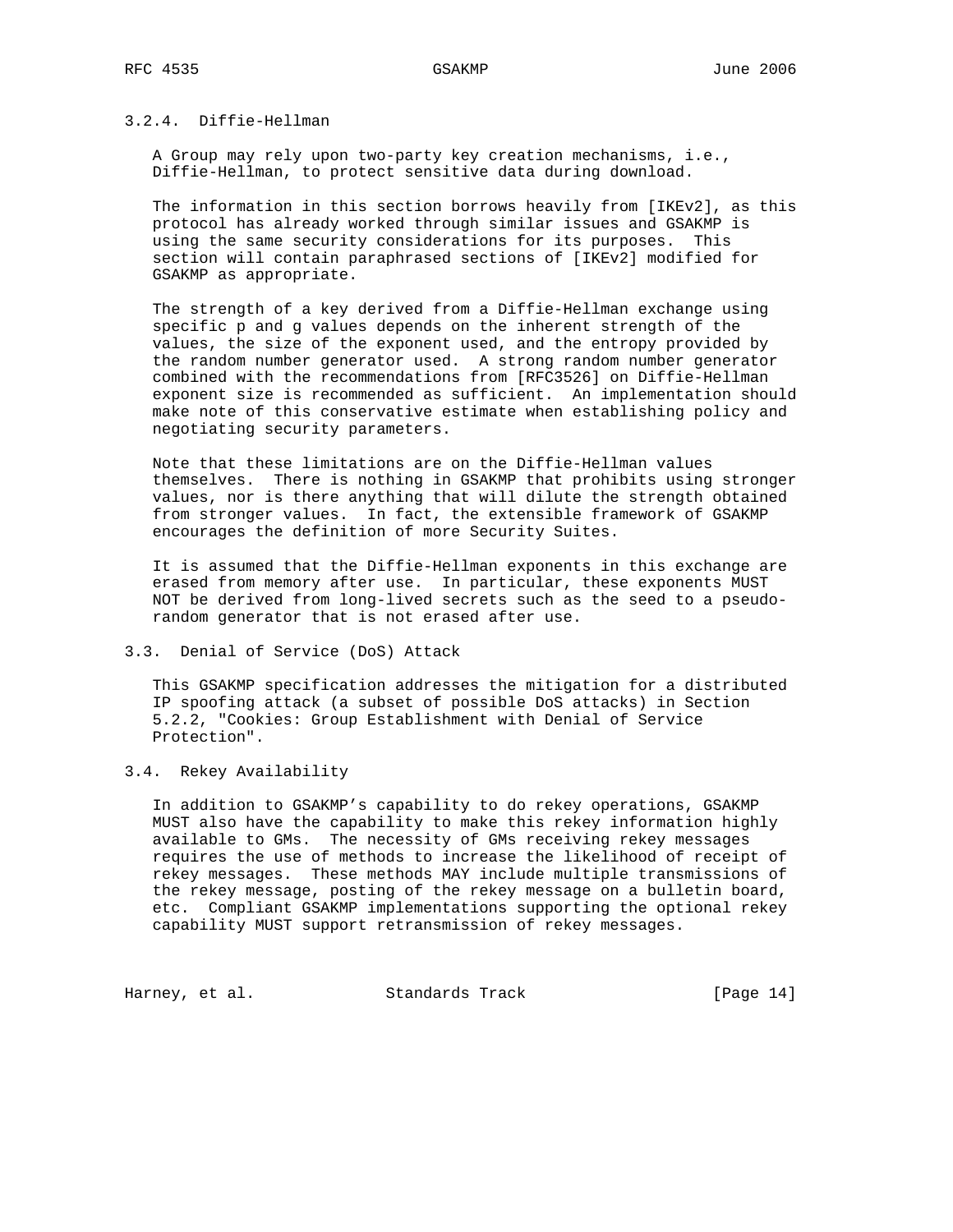# 3.2.4. Diffie-Hellman

 A Group may rely upon two-party key creation mechanisms, i.e., Diffie-Hellman, to protect sensitive data during download.

 The information in this section borrows heavily from [IKEv2], as this protocol has already worked through similar issues and GSAKMP is using the same security considerations for its purposes. This section will contain paraphrased sections of [IKEv2] modified for GSAKMP as appropriate.

 The strength of a key derived from a Diffie-Hellman exchange using specific p and g values depends on the inherent strength of the values, the size of the exponent used, and the entropy provided by the random number generator used. A strong random number generator combined with the recommendations from [RFC3526] on Diffie-Hellman exponent size is recommended as sufficient. An implementation should make note of this conservative estimate when establishing policy and negotiating security parameters.

 Note that these limitations are on the Diffie-Hellman values themselves. There is nothing in GSAKMP that prohibits using stronger values, nor is there anything that will dilute the strength obtained from stronger values. In fact, the extensible framework of GSAKMP encourages the definition of more Security Suites.

 It is assumed that the Diffie-Hellman exponents in this exchange are erased from memory after use. In particular, these exponents MUST NOT be derived from long-lived secrets such as the seed to a pseudo random generator that is not erased after use.

### 3.3. Denial of Service (DoS) Attack

 This GSAKMP specification addresses the mitigation for a distributed IP spoofing attack (a subset of possible DoS attacks) in Section 5.2.2, "Cookies: Group Establishment with Denial of Service Protection".

# 3.4. Rekey Availability

 In addition to GSAKMP's capability to do rekey operations, GSAKMP MUST also have the capability to make this rekey information highly available to GMs. The necessity of GMs receiving rekey messages requires the use of methods to increase the likelihood of receipt of rekey messages. These methods MAY include multiple transmissions of the rekey message, posting of the rekey message on a bulletin board, etc. Compliant GSAKMP implementations supporting the optional rekey capability MUST support retransmission of rekey messages.

Harney, et al. Standards Track [Page 14]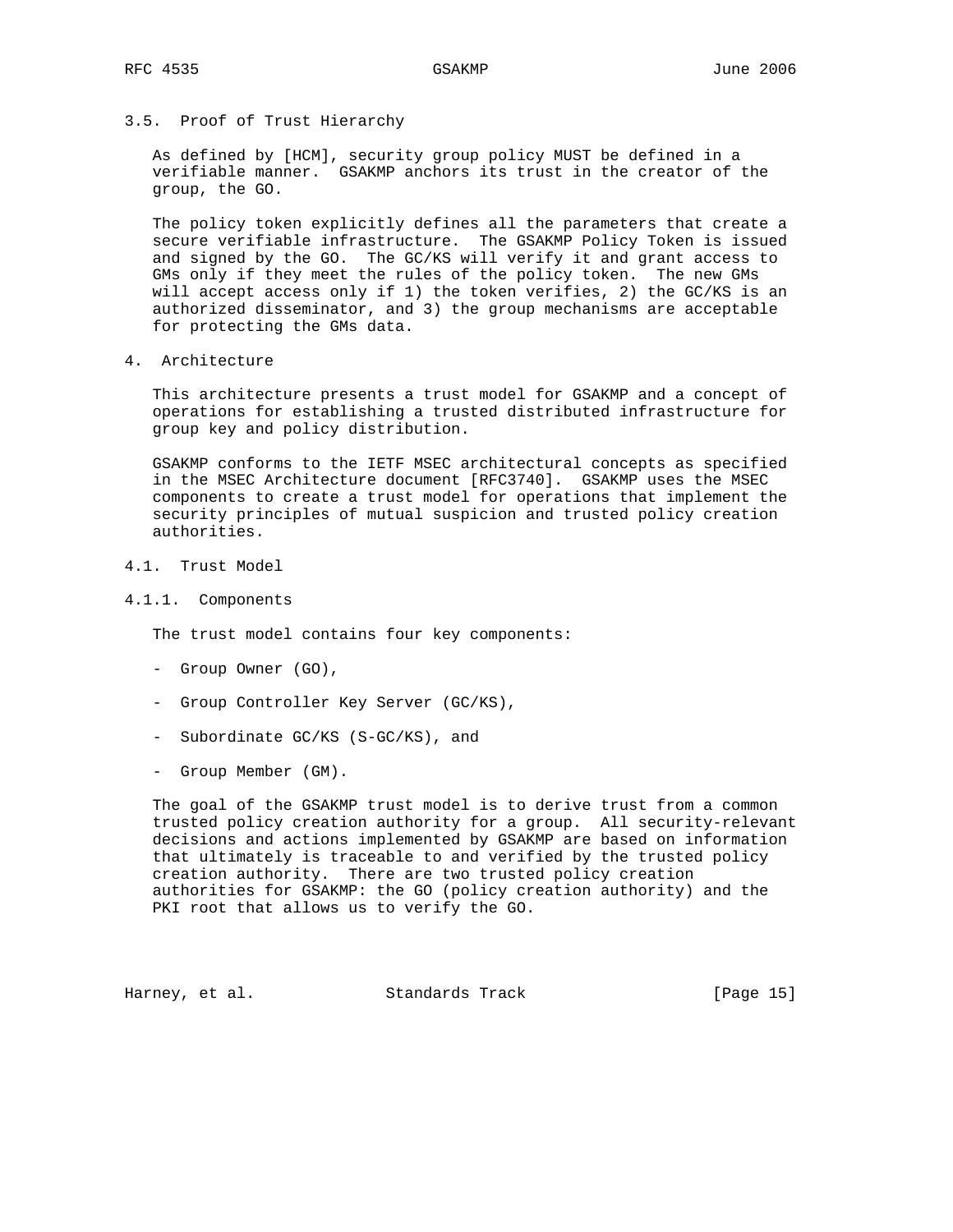3.5. Proof of Trust Hierarchy

 As defined by [HCM], security group policy MUST be defined in a verifiable manner. GSAKMP anchors its trust in the creator of the group, the GO.

 The policy token explicitly defines all the parameters that create a secure verifiable infrastructure. The GSAKMP Policy Token is issued and signed by the GO. The GC/KS will verify it and grant access to GMs only if they meet the rules of the policy token. The new GMs will accept access only if 1) the token verifies, 2) the GC/KS is an authorized disseminator, and 3) the group mechanisms are acceptable for protecting the GMs data.

4. Architecture

 This architecture presents a trust model for GSAKMP and a concept of operations for establishing a trusted distributed infrastructure for group key and policy distribution.

 GSAKMP conforms to the IETF MSEC architectural concepts as specified in the MSEC Architecture document [RFC3740]. GSAKMP uses the MSEC components to create a trust model for operations that implement the security principles of mutual suspicion and trusted policy creation authorities.

- 4.1. Trust Model
- 4.1.1. Components

The trust model contains four key components:

- Group Owner (GO),
- Group Controller Key Server (GC/KS),
- Subordinate GC/KS (S-GC/KS), and
- Group Member (GM).

 The goal of the GSAKMP trust model is to derive trust from a common trusted policy creation authority for a group. All security-relevant decisions and actions implemented by GSAKMP are based on information that ultimately is traceable to and verified by the trusted policy creation authority. There are two trusted policy creation authorities for GSAKMP: the GO (policy creation authority) and the PKI root that allows us to verify the GO.

Harney, et al. Standards Track [Page 15]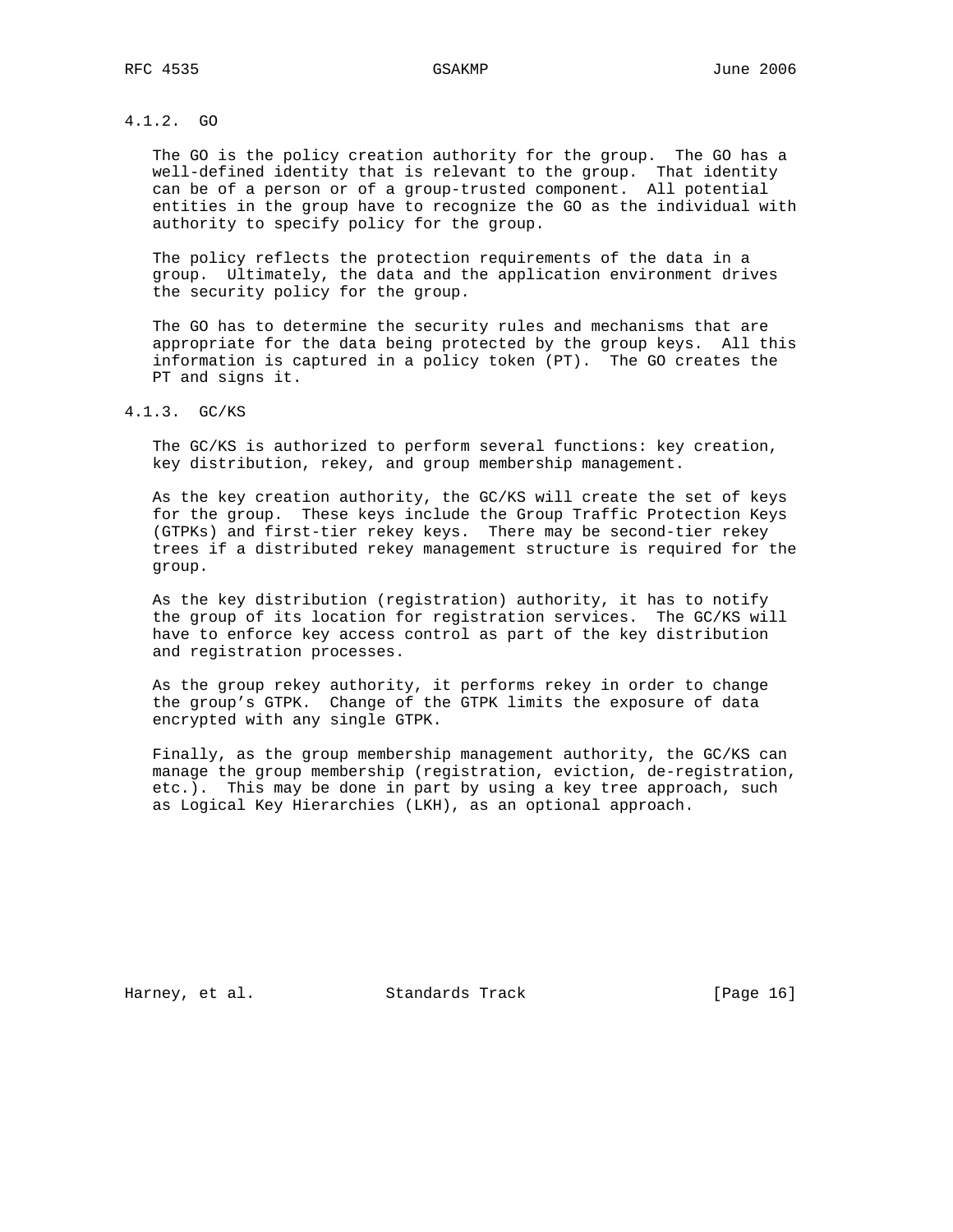# 4.1.2. GO

 The GO is the policy creation authority for the group. The GO has a well-defined identity that is relevant to the group. That identity can be of a person or of a group-trusted component. All potential entities in the group have to recognize the GO as the individual with authority to specify policy for the group.

 The policy reflects the protection requirements of the data in a group. Ultimately, the data and the application environment drives the security policy for the group.

 The GO has to determine the security rules and mechanisms that are appropriate for the data being protected by the group keys. All this information is captured in a policy token (PT). The GO creates the PT and signs it.

# 4.1.3. GC/KS

 The GC/KS is authorized to perform several functions: key creation, key distribution, rekey, and group membership management.

 As the key creation authority, the GC/KS will create the set of keys for the group. These keys include the Group Traffic Protection Keys (GTPKs) and first-tier rekey keys. There may be second-tier rekey trees if a distributed rekey management structure is required for the group.

 As the key distribution (registration) authority, it has to notify the group of its location for registration services. The GC/KS will have to enforce key access control as part of the key distribution and registration processes.

 As the group rekey authority, it performs rekey in order to change the group's GTPK. Change of the GTPK limits the exposure of data encrypted with any single GTPK.

 Finally, as the group membership management authority, the GC/KS can manage the group membership (registration, eviction, de-registration, etc.). This may be done in part by using a key tree approach, such as Logical Key Hierarchies (LKH), as an optional approach.

Harney, et al. Standards Track [Page 16]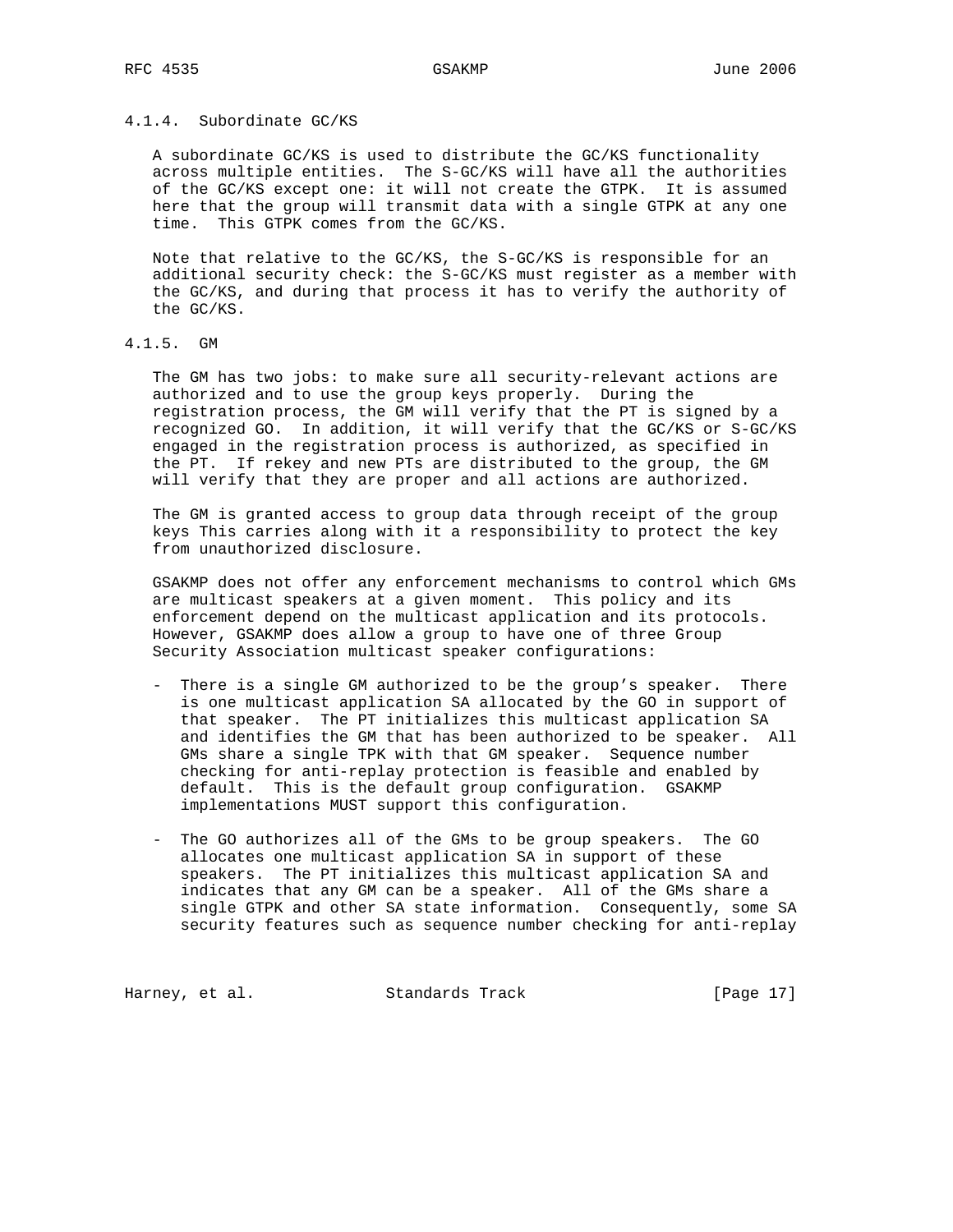# 4.1.4. Subordinate GC/KS

 A subordinate GC/KS is used to distribute the GC/KS functionality across multiple entities. The S-GC/KS will have all the authorities of the GC/KS except one: it will not create the GTPK. It is assumed here that the group will transmit data with a single GTPK at any one time. This GTPK comes from the GC/KS.

 Note that relative to the GC/KS, the S-GC/KS is responsible for an additional security check: the S-GC/KS must register as a member with the GC/KS, and during that process it has to verify the authority of the GC/KS.

4.1.5. GM

 The GM has two jobs: to make sure all security-relevant actions are authorized and to use the group keys properly. During the registration process, the GM will verify that the PT is signed by a recognized GO. In addition, it will verify that the GC/KS or S-GC/KS engaged in the registration process is authorized, as specified in the PT. If rekey and new PTs are distributed to the group, the GM will verify that they are proper and all actions are authorized.

 The GM is granted access to group data through receipt of the group keys This carries along with it a responsibility to protect the key from unauthorized disclosure.

 GSAKMP does not offer any enforcement mechanisms to control which GMs are multicast speakers at a given moment. This policy and its enforcement depend on the multicast application and its protocols. However, GSAKMP does allow a group to have one of three Group Security Association multicast speaker configurations:

- There is a single GM authorized to be the group's speaker. There is one multicast application SA allocated by the GO in support of that speaker. The PT initializes this multicast application SA and identifies the GM that has been authorized to be speaker. All GMs share a single TPK with that GM speaker. Sequence number checking for anti-replay protection is feasible and enabled by default. This is the default group configuration. GSAKMP implementations MUST support this configuration.
- The GO authorizes all of the GMs to be group speakers. The GO allocates one multicast application SA in support of these speakers. The PT initializes this multicast application SA and indicates that any GM can be a speaker. All of the GMs share a single GTPK and other SA state information. Consequently, some SA security features such as sequence number checking for anti-replay

Harney, et al. Standards Track [Page 17]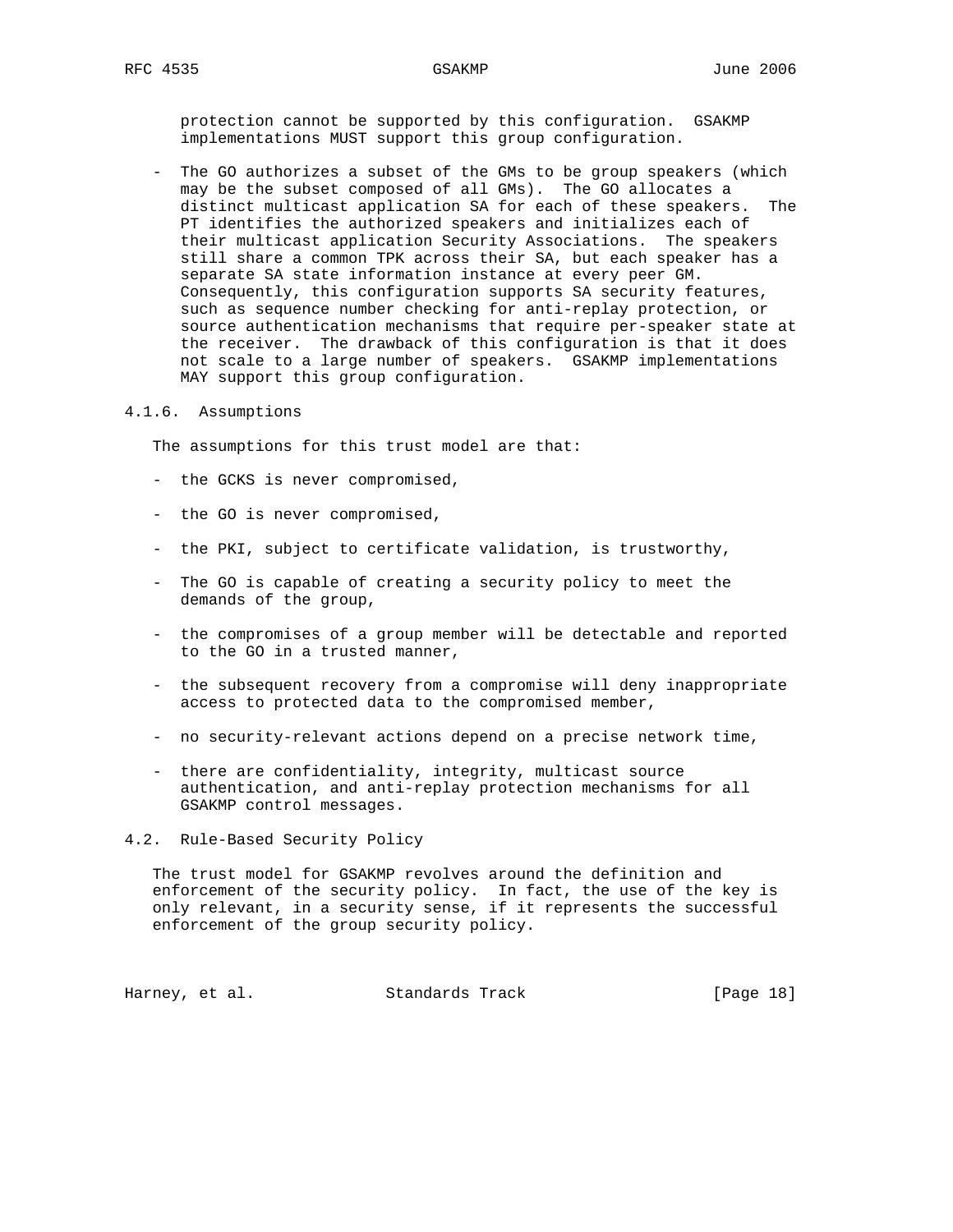protection cannot be supported by this configuration. GSAKMP implementations MUST support this group configuration.

 - The GO authorizes a subset of the GMs to be group speakers (which may be the subset composed of all GMs). The GO allocates a distinct multicast application SA for each of these speakers. The PT identifies the authorized speakers and initializes each of their multicast application Security Associations. The speakers still share a common TPK across their SA, but each speaker has a separate SA state information instance at every peer GM. Consequently, this configuration supports SA security features, such as sequence number checking for anti-replay protection, or source authentication mechanisms that require per-speaker state at the receiver. The drawback of this configuration is that it does not scale to a large number of speakers. GSAKMP implementations MAY support this group configuration.

### 4.1.6. Assumptions

The assumptions for this trust model are that:

- the GCKS is never compromised,
- the GO is never compromised,
- the PKI, subject to certificate validation, is trustworthy,
- The GO is capable of creating a security policy to meet the demands of the group,
- the compromises of a group member will be detectable and reported to the GO in a trusted manner,
- the subsequent recovery from a compromise will deny inappropriate access to protected data to the compromised member,
- no security-relevant actions depend on a precise network time,
- there are confidentiality, integrity, multicast source authentication, and anti-replay protection mechanisms for all GSAKMP control messages.

4.2. Rule-Based Security Policy

 The trust model for GSAKMP revolves around the definition and enforcement of the security policy. In fact, the use of the key is only relevant, in a security sense, if it represents the successful enforcement of the group security policy.

Harney, et al. Standards Track [Page 18]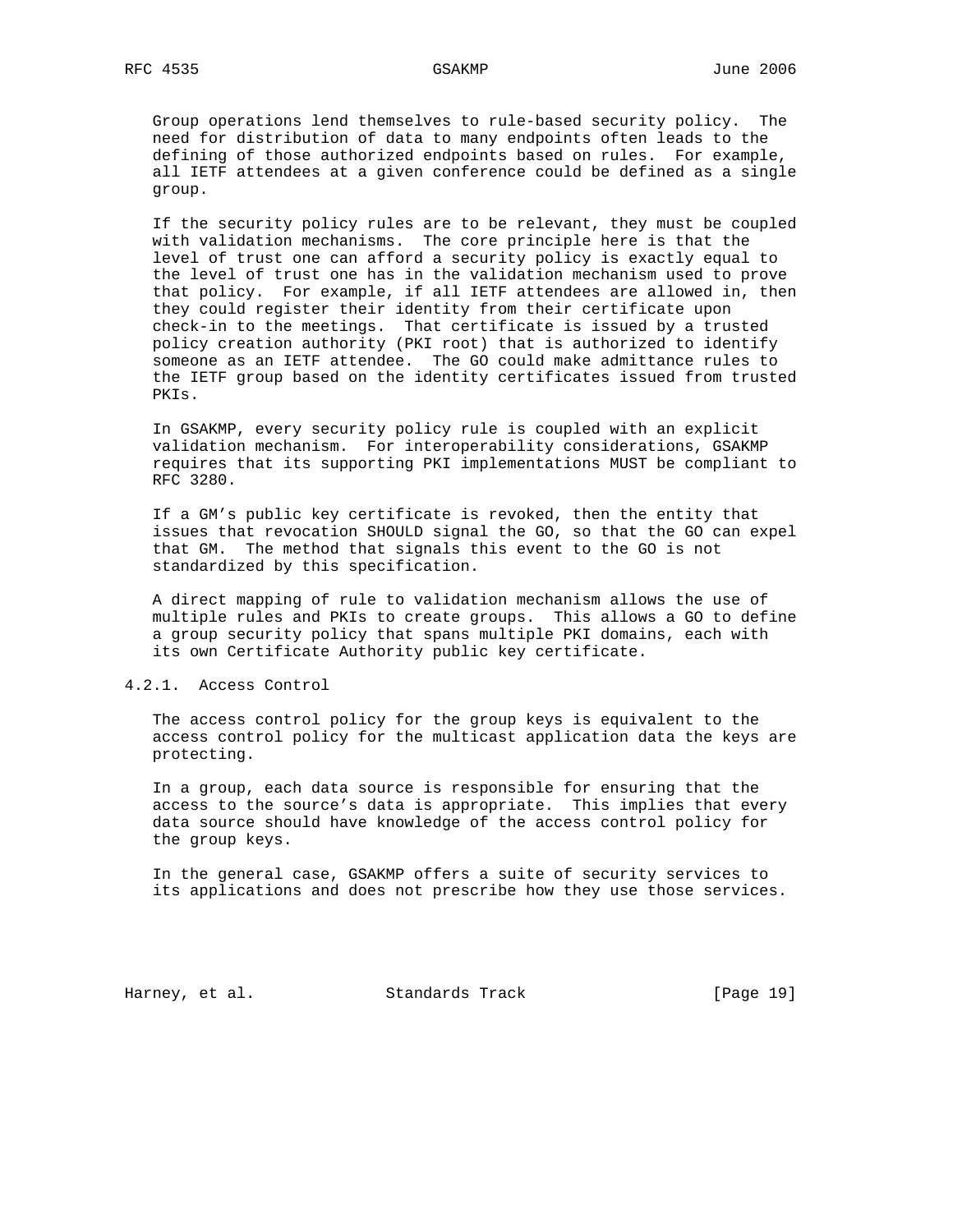Group operations lend themselves to rule-based security policy. The need for distribution of data to many endpoints often leads to the defining of those authorized endpoints based on rules. For example, all IETF attendees at a given conference could be defined as a single group.

 If the security policy rules are to be relevant, they must be coupled with validation mechanisms. The core principle here is that the level of trust one can afford a security policy is exactly equal to the level of trust one has in the validation mechanism used to prove that policy. For example, if all IETF attendees are allowed in, then they could register their identity from their certificate upon check-in to the meetings. That certificate is issued by a trusted policy creation authority (PKI root) that is authorized to identify someone as an IETF attendee. The GO could make admittance rules to the IETF group based on the identity certificates issued from trusted PKIs.

 In GSAKMP, every security policy rule is coupled with an explicit validation mechanism. For interoperability considerations, GSAKMP requires that its supporting PKI implementations MUST be compliant to RFC 3280.

 If a GM's public key certificate is revoked, then the entity that issues that revocation SHOULD signal the GO, so that the GO can expel that GM. The method that signals this event to the GO is not standardized by this specification.

 A direct mapping of rule to validation mechanism allows the use of multiple rules and PKIs to create groups. This allows a GO to define a group security policy that spans multiple PKI domains, each with its own Certificate Authority public key certificate.

4.2.1. Access Control

 The access control policy for the group keys is equivalent to the access control policy for the multicast application data the keys are protecting.

 In a group, each data source is responsible for ensuring that the access to the source's data is appropriate. This implies that every data source should have knowledge of the access control policy for the group keys.

 In the general case, GSAKMP offers a suite of security services to its applications and does not prescribe how they use those services.

Harney, et al. Standards Track [Page 19]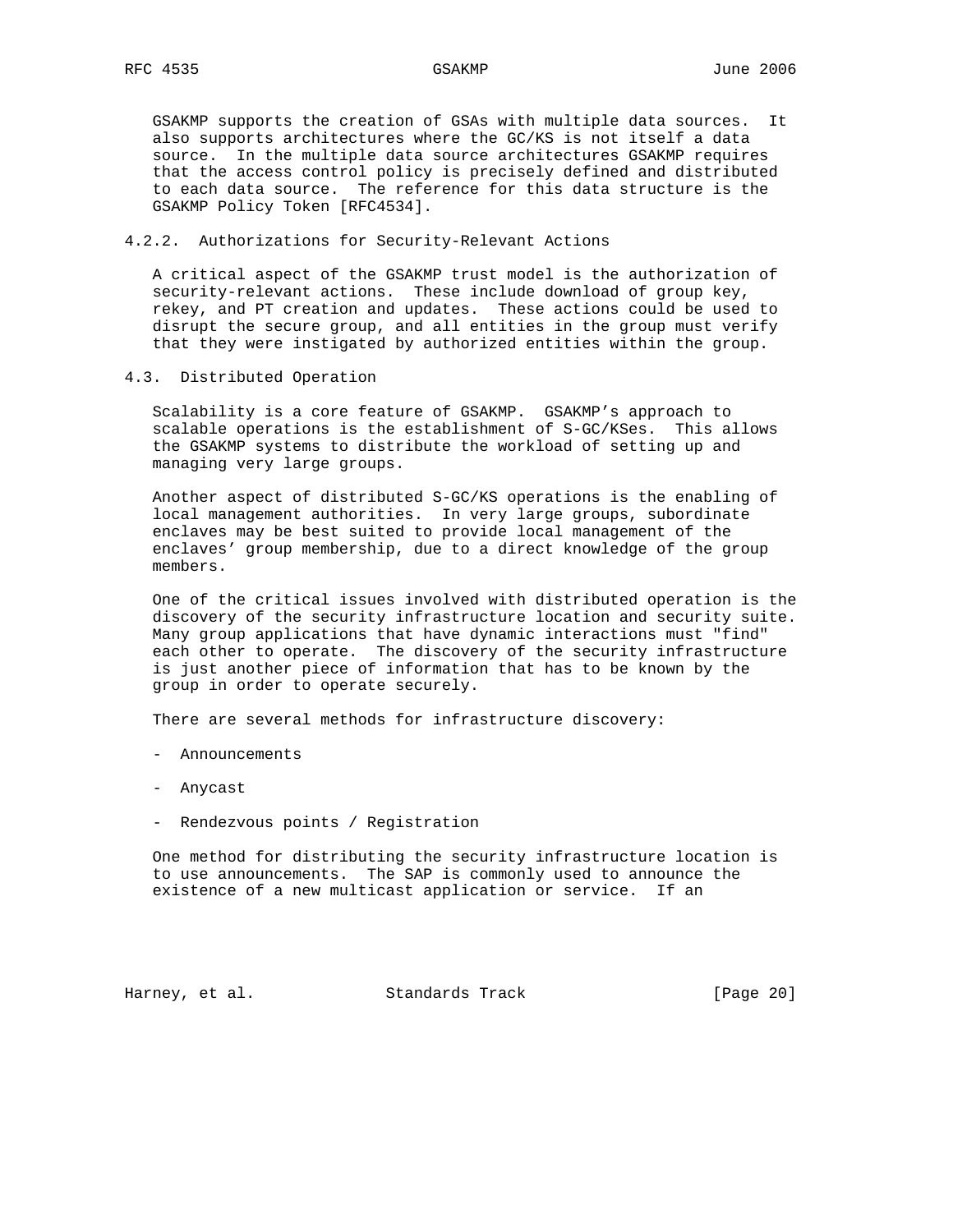GSAKMP supports the creation of GSAs with multiple data sources. It also supports architectures where the GC/KS is not itself a data source. In the multiple data source architectures GSAKMP requires that the access control policy is precisely defined and distributed to each data source. The reference for this data structure is the GSAKMP Policy Token [RFC4534].

4.2.2. Authorizations for Security-Relevant Actions

 A critical aspect of the GSAKMP trust model is the authorization of security-relevant actions. These include download of group key, rekey, and PT creation and updates. These actions could be used to disrupt the secure group, and all entities in the group must verify that they were instigated by authorized entities within the group.

4.3. Distributed Operation

 Scalability is a core feature of GSAKMP. GSAKMP's approach to scalable operations is the establishment of S-GC/KSes. This allows the GSAKMP systems to distribute the workload of setting up and managing very large groups.

 Another aspect of distributed S-GC/KS operations is the enabling of local management authorities. In very large groups, subordinate enclaves may be best suited to provide local management of the enclaves' group membership, due to a direct knowledge of the group members.

 One of the critical issues involved with distributed operation is the discovery of the security infrastructure location and security suite. Many group applications that have dynamic interactions must "find" each other to operate. The discovery of the security infrastructure is just another piece of information that has to be known by the group in order to operate securely.

There are several methods for infrastructure discovery:

- Announcements
- Anycast
- Rendezvous points / Registration

 One method for distributing the security infrastructure location is to use announcements. The SAP is commonly used to announce the existence of a new multicast application or service. If an

Harney, et al. Standards Track [Page 20]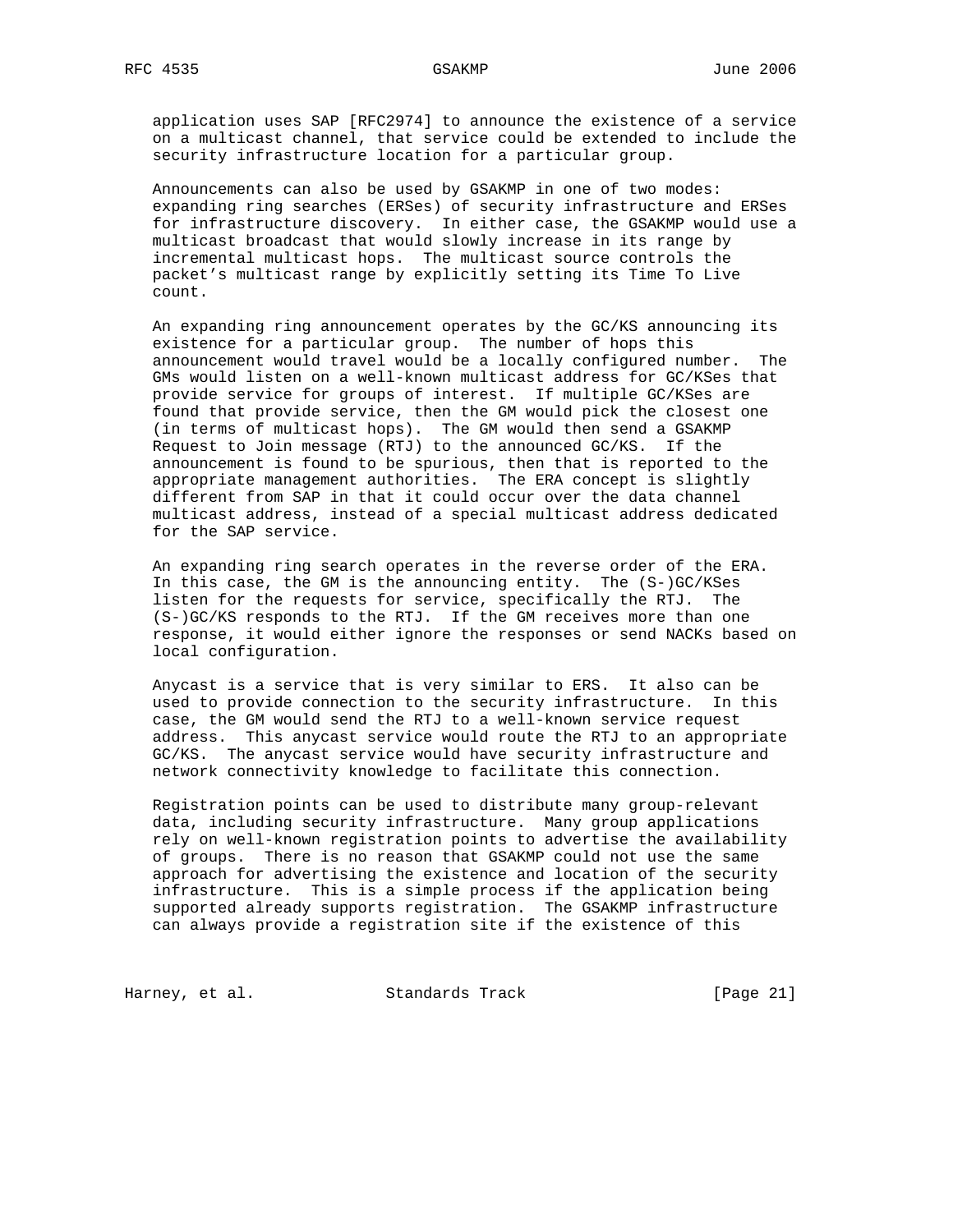application uses SAP [RFC2974] to announce the existence of a service on a multicast channel, that service could be extended to include the security infrastructure location for a particular group.

 Announcements can also be used by GSAKMP in one of two modes: expanding ring searches (ERSes) of security infrastructure and ERSes for infrastructure discovery. In either case, the GSAKMP would use a multicast broadcast that would slowly increase in its range by incremental multicast hops. The multicast source controls the packet's multicast range by explicitly setting its Time To Live count.

 An expanding ring announcement operates by the GC/KS announcing its existence for a particular group. The number of hops this announcement would travel would be a locally configured number. The GMs would listen on a well-known multicast address for GC/KSes that provide service for groups of interest. If multiple GC/KSes are found that provide service, then the GM would pick the closest one (in terms of multicast hops). The GM would then send a GSAKMP Request to Join message (RTJ) to the announced GC/KS. If the announcement is found to be spurious, then that is reported to the appropriate management authorities. The ERA concept is slightly different from SAP in that it could occur over the data channel multicast address, instead of a special multicast address dedicated for the SAP service.

 An expanding ring search operates in the reverse order of the ERA. In this case, the GM is the announcing entity. The (S-)GC/KSes listen for the requests for service, specifically the RTJ. The (S-)GC/KS responds to the RTJ. If the GM receives more than one response, it would either ignore the responses or send NACKs based on local configuration.

 Anycast is a service that is very similar to ERS. It also can be used to provide connection to the security infrastructure. In this case, the GM would send the RTJ to a well-known service request address. This anycast service would route the RTJ to an appropriate GC/KS. The anycast service would have security infrastructure and network connectivity knowledge to facilitate this connection.

 Registration points can be used to distribute many group-relevant data, including security infrastructure. Many group applications rely on well-known registration points to advertise the availability of groups. There is no reason that GSAKMP could not use the same approach for advertising the existence and location of the security infrastructure. This is a simple process if the application being supported already supports registration. The GSAKMP infrastructure can always provide a registration site if the existence of this

Harney, et al. Standards Track [Page 21]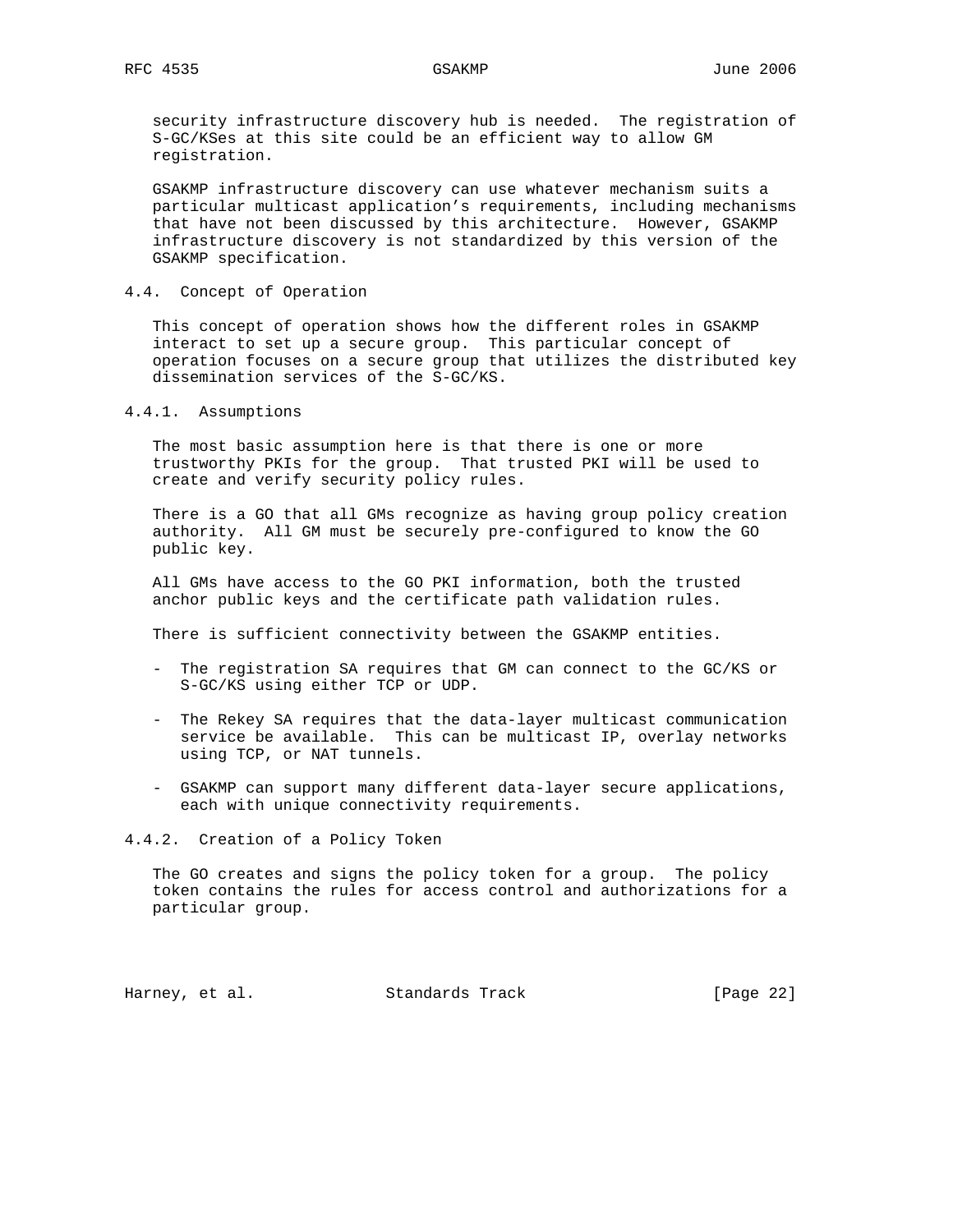security infrastructure discovery hub is needed. The registration of S-GC/KSes at this site could be an efficient way to allow GM registration.

 GSAKMP infrastructure discovery can use whatever mechanism suits a particular multicast application's requirements, including mechanisms that have not been discussed by this architecture. However, GSAKMP infrastructure discovery is not standardized by this version of the GSAKMP specification.

# 4.4. Concept of Operation

 This concept of operation shows how the different roles in GSAKMP interact to set up a secure group. This particular concept of operation focuses on a secure group that utilizes the distributed key dissemination services of the S-GC/KS.

# 4.4.1. Assumptions

 The most basic assumption here is that there is one or more trustworthy PKIs for the group. That trusted PKI will be used to create and verify security policy rules.

 There is a GO that all GMs recognize as having group policy creation authority. All GM must be securely pre-configured to know the GO public key.

 All GMs have access to the GO PKI information, both the trusted anchor public keys and the certificate path validation rules.

There is sufficient connectivity between the GSAKMP entities.

- The registration SA requires that GM can connect to the GC/KS or S-GC/KS using either TCP or UDP.
- The Rekey SA requires that the data-layer multicast communication service be available. This can be multicast IP, overlay networks using TCP, or NAT tunnels.
- GSAKMP can support many different data-layer secure applications, each with unique connectivity requirements.

# 4.4.2. Creation of a Policy Token

 The GO creates and signs the policy token for a group. The policy token contains the rules for access control and authorizations for a particular group.

Harney, et al. Standards Track [Page 22]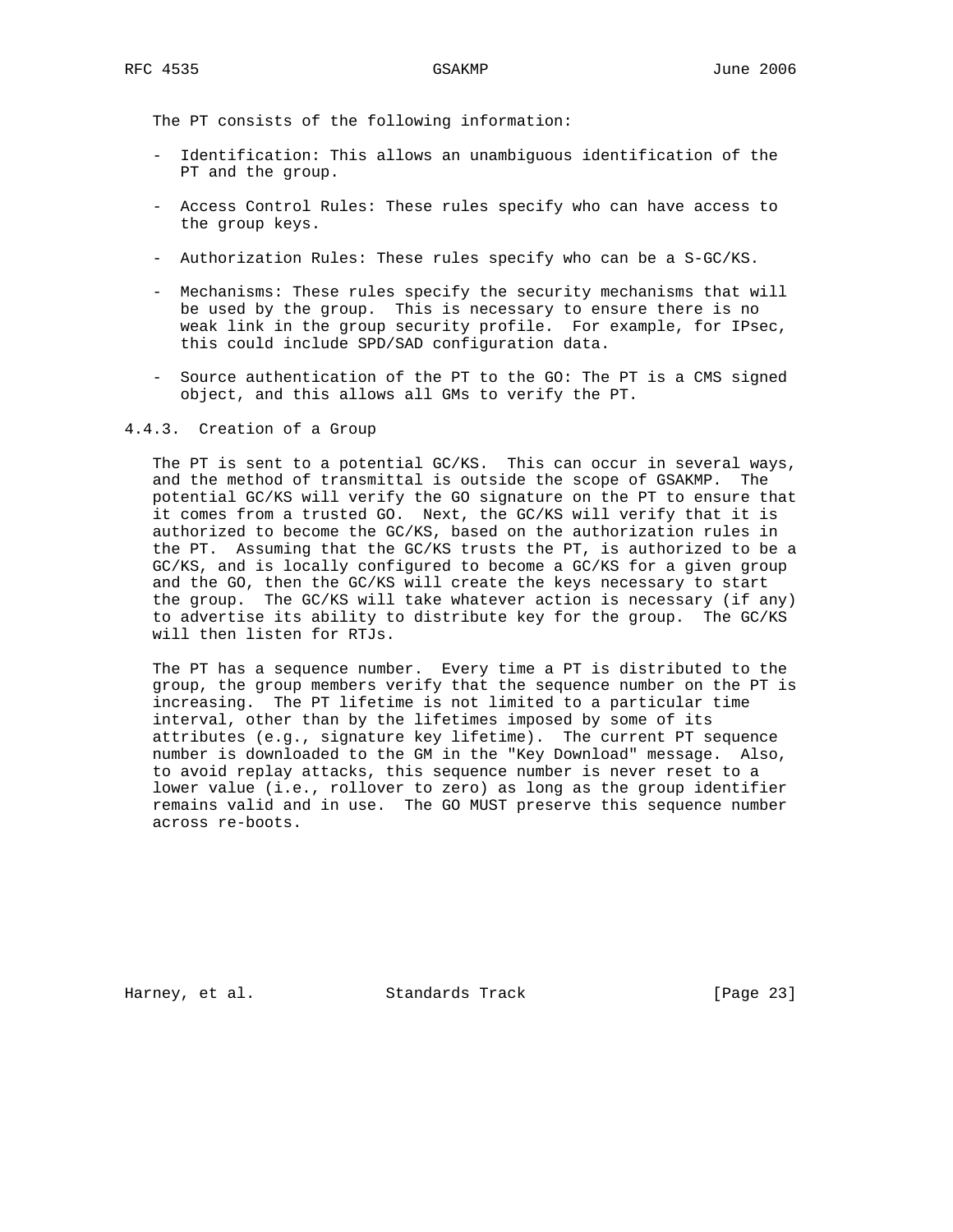The PT consists of the following information:

- Identification: This allows an unambiguous identification of the PT and the group.
- Access Control Rules: These rules specify who can have access to the group keys.
- Authorization Rules: These rules specify who can be a S-GC/KS.
- Mechanisms: These rules specify the security mechanisms that will be used by the group. This is necessary to ensure there is no weak link in the group security profile. For example, for IPsec, this could include SPD/SAD configuration data.
- Source authentication of the PT to the GO: The PT is a CMS signed object, and this allows all GMs to verify the PT.

4.4.3. Creation of a Group

 The PT is sent to a potential GC/KS. This can occur in several ways, and the method of transmittal is outside the scope of GSAKMP. The potential GC/KS will verify the GO signature on the PT to ensure that it comes from a trusted GO. Next, the GC/KS will verify that it is authorized to become the GC/KS, based on the authorization rules in the PT. Assuming that the GC/KS trusts the PT, is authorized to be a GC/KS, and is locally configured to become a GC/KS for a given group and the GO, then the GC/KS will create the keys necessary to start the group. The GC/KS will take whatever action is necessary (if any) to advertise its ability to distribute key for the group. The GC/KS will then listen for RTJs.

 The PT has a sequence number. Every time a PT is distributed to the group, the group members verify that the sequence number on the PT is increasing. The PT lifetime is not limited to a particular time interval, other than by the lifetimes imposed by some of its attributes (e.g., signature key lifetime). The current PT sequence number is downloaded to the GM in the "Key Download" message. Also, to avoid replay attacks, this sequence number is never reset to a lower value (i.e., rollover to zero) as long as the group identifier remains valid and in use. The GO MUST preserve this sequence number across re-boots.

Harney, et al. Standards Track [Page 23]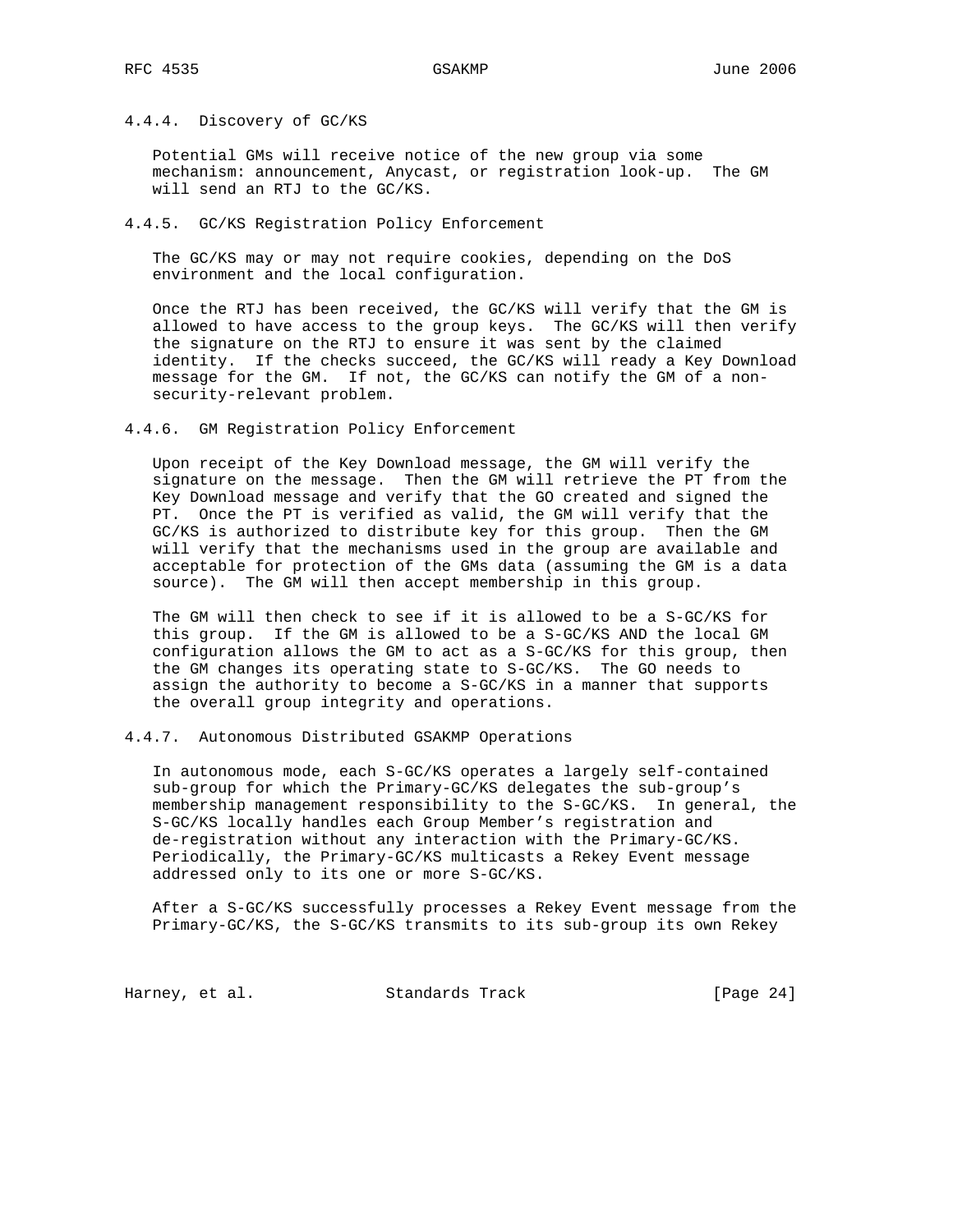# 4.4.4. Discovery of GC/KS

 Potential GMs will receive notice of the new group via some mechanism: announcement, Anycast, or registration look-up. The GM will send an RTJ to the GC/KS.

# 4.4.5. GC/KS Registration Policy Enforcement

 The GC/KS may or may not require cookies, depending on the DoS environment and the local configuration.

 Once the RTJ has been received, the GC/KS will verify that the GM is allowed to have access to the group keys. The GC/KS will then verify the signature on the RTJ to ensure it was sent by the claimed identity. If the checks succeed, the GC/KS will ready a Key Download message for the GM. If not, the GC/KS can notify the GM of a non security-relevant problem.

### 4.4.6. GM Registration Policy Enforcement

 Upon receipt of the Key Download message, the GM will verify the signature on the message. Then the GM will retrieve the PT from the Key Download message and verify that the GO created and signed the PT. Once the PT is verified as valid, the GM will verify that the GC/KS is authorized to distribute key for this group. Then the GM will verify that the mechanisms used in the group are available and acceptable for protection of the GMs data (assuming the GM is a data source). The GM will then accept membership in this group.

 The GM will then check to see if it is allowed to be a S-GC/KS for this group. If the GM is allowed to be a S-GC/KS AND the local GM configuration allows the GM to act as a S-GC/KS for this group, then the GM changes its operating state to S-GC/KS. The GO needs to assign the authority to become a S-GC/KS in a manner that supports the overall group integrity and operations.

# 4.4.7. Autonomous Distributed GSAKMP Operations

 In autonomous mode, each S-GC/KS operates a largely self-contained sub-group for which the Primary-GC/KS delegates the sub-group's membership management responsibility to the S-GC/KS. In general, the S-GC/KS locally handles each Group Member's registration and de-registration without any interaction with the Primary-GC/KS. Periodically, the Primary-GC/KS multicasts a Rekey Event message addressed only to its one or more S-GC/KS.

 After a S-GC/KS successfully processes a Rekey Event message from the Primary-GC/KS, the S-GC/KS transmits to its sub-group its own Rekey

Harney, et al. Standards Track [Page 24]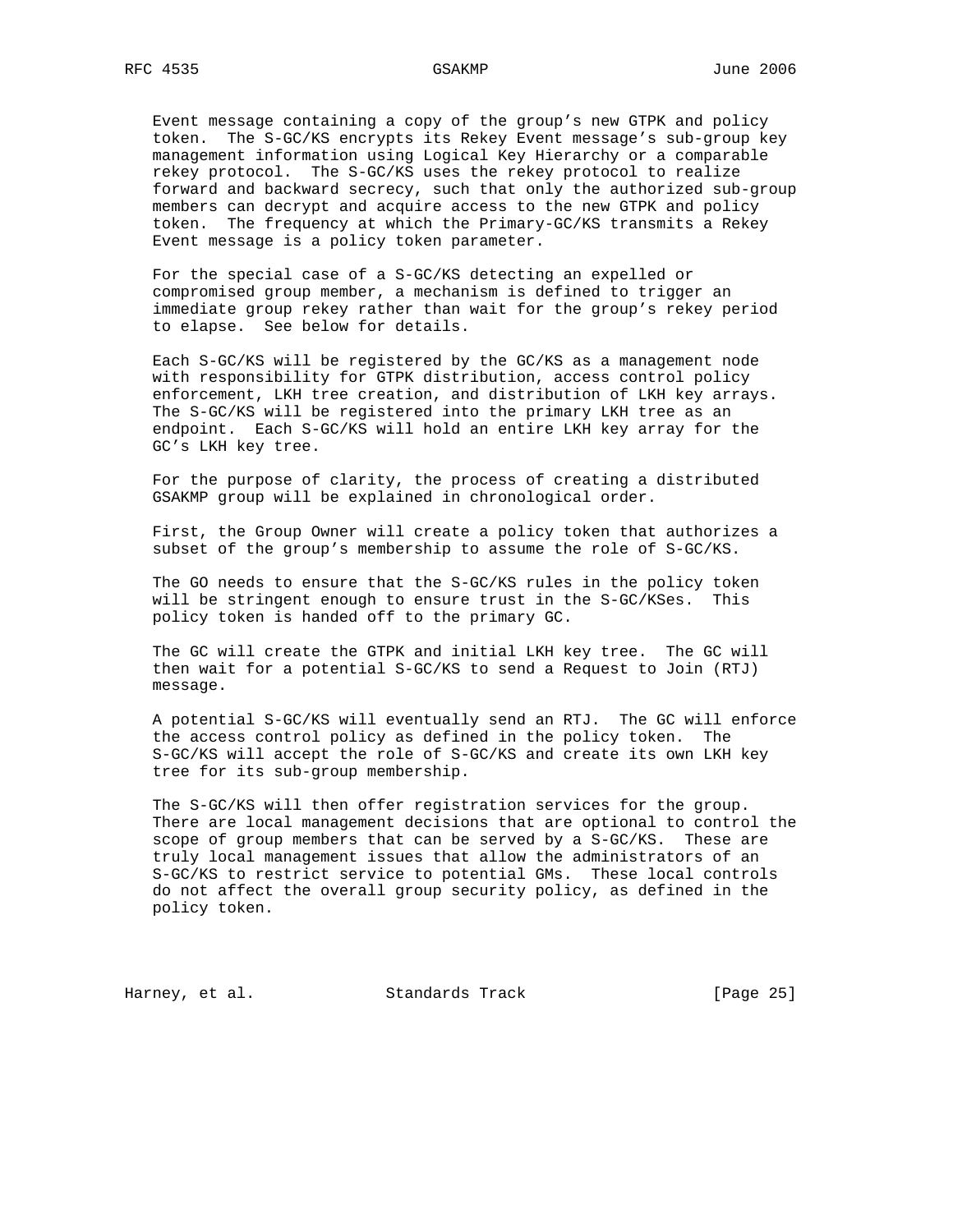Event message containing a copy of the group's new GTPK and policy token. The S-GC/KS encrypts its Rekey Event message's sub-group key management information using Logical Key Hierarchy or a comparable rekey protocol. The S-GC/KS uses the rekey protocol to realize forward and backward secrecy, such that only the authorized sub-group members can decrypt and acquire access to the new GTPK and policy token. The frequency at which the Primary-GC/KS transmits a Rekey Event message is a policy token parameter.

 For the special case of a S-GC/KS detecting an expelled or compromised group member, a mechanism is defined to trigger an immediate group rekey rather than wait for the group's rekey period to elapse. See below for details.

 Each S-GC/KS will be registered by the GC/KS as a management node with responsibility for GTPK distribution, access control policy enforcement, LKH tree creation, and distribution of LKH key arrays. The S-GC/KS will be registered into the primary LKH tree as an endpoint. Each S-GC/KS will hold an entire LKH key array for the GC's LKH key tree.

 For the purpose of clarity, the process of creating a distributed GSAKMP group will be explained in chronological order.

 First, the Group Owner will create a policy token that authorizes a subset of the group's membership to assume the role of S-GC/KS.

 The GO needs to ensure that the S-GC/KS rules in the policy token will be stringent enough to ensure trust in the S-GC/KSes. This policy token is handed off to the primary GC.

 The GC will create the GTPK and initial LKH key tree. The GC will then wait for a potential S-GC/KS to send a Request to Join (RTJ) message.

 A potential S-GC/KS will eventually send an RTJ. The GC will enforce the access control policy as defined in the policy token. The S-GC/KS will accept the role of S-GC/KS and create its own LKH key tree for its sub-group membership.

 The S-GC/KS will then offer registration services for the group. There are local management decisions that are optional to control the scope of group members that can be served by a S-GC/KS. These are truly local management issues that allow the administrators of an S-GC/KS to restrict service to potential GMs. These local controls do not affect the overall group security policy, as defined in the policy token.

Harney, et al. Standards Track [Page 25]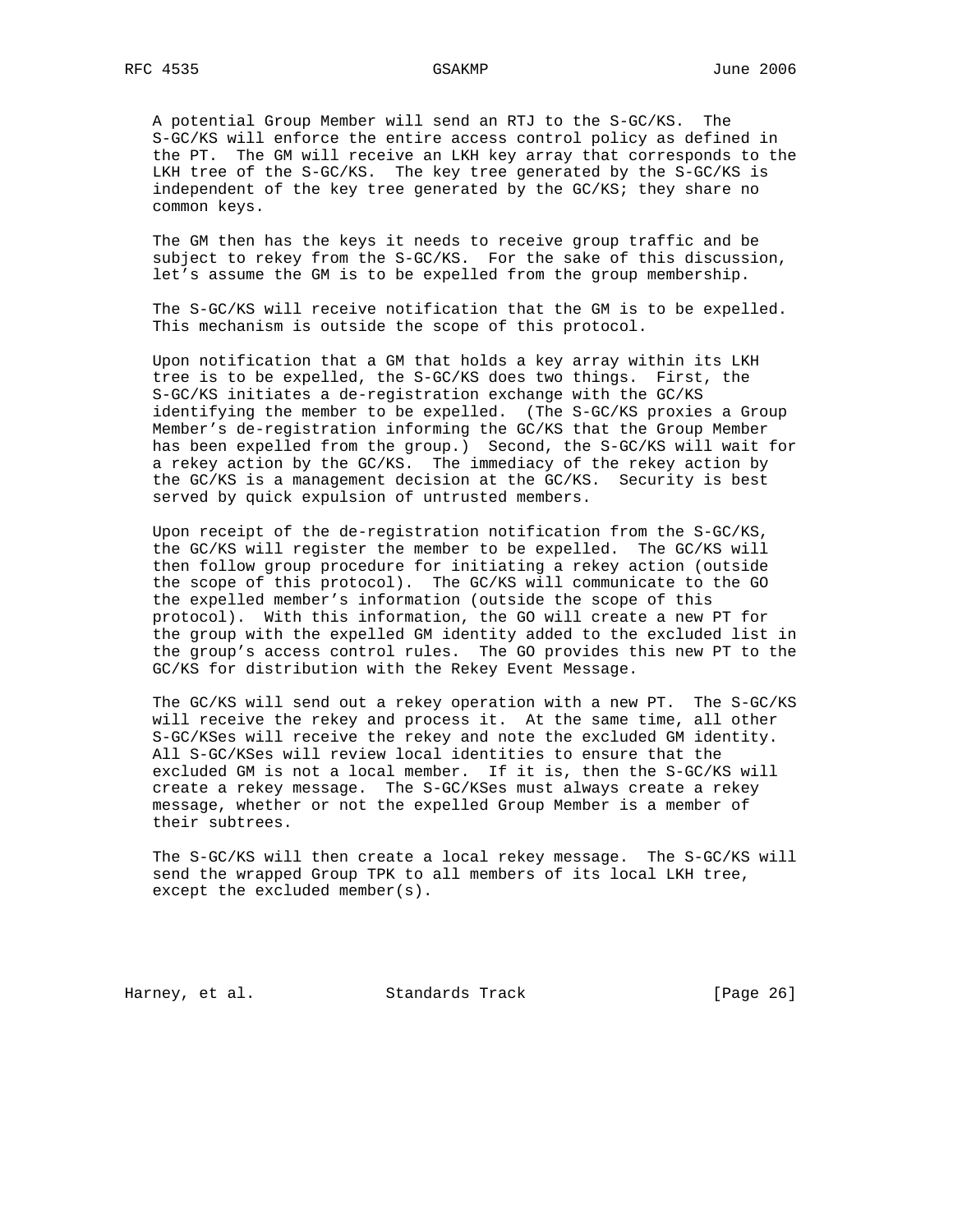A potential Group Member will send an RTJ to the S-GC/KS. The S-GC/KS will enforce the entire access control policy as defined in the PT. The GM will receive an LKH key array that corresponds to the LKH tree of the S-GC/KS. The key tree generated by the S-GC/KS is independent of the key tree generated by the GC/KS; they share no common keys.

 The GM then has the keys it needs to receive group traffic and be subject to rekey from the S-GC/KS. For the sake of this discussion, let's assume the GM is to be expelled from the group membership.

 The S-GC/KS will receive notification that the GM is to be expelled. This mechanism is outside the scope of this protocol.

 Upon notification that a GM that holds a key array within its LKH tree is to be expelled, the S-GC/KS does two things. First, the S-GC/KS initiates a de-registration exchange with the GC/KS identifying the member to be expelled. (The S-GC/KS proxies a Group Member's de-registration informing the GC/KS that the Group Member has been expelled from the group.) Second, the S-GC/KS will wait for a rekey action by the GC/KS. The immediacy of the rekey action by the GC/KS is a management decision at the GC/KS. Security is best served by quick expulsion of untrusted members.

 Upon receipt of the de-registration notification from the S-GC/KS, the GC/KS will register the member to be expelled. The GC/KS will then follow group procedure for initiating a rekey action (outside the scope of this protocol). The GC/KS will communicate to the GO the expelled member's information (outside the scope of this protocol). With this information, the GO will create a new PT for the group with the expelled GM identity added to the excluded list in the group's access control rules. The GO provides this new PT to the GC/KS for distribution with the Rekey Event Message.

 The GC/KS will send out a rekey operation with a new PT. The S-GC/KS will receive the rekey and process it. At the same time, all other S-GC/KSes will receive the rekey and note the excluded GM identity. All S-GC/KSes will review local identities to ensure that the excluded GM is not a local member. If it is, then the S-GC/KS will create a rekey message. The S-GC/KSes must always create a rekey message, whether or not the expelled Group Member is a member of their subtrees.

 The S-GC/KS will then create a local rekey message. The S-GC/KS will send the wrapped Group TPK to all members of its local LKH tree, except the excluded member(s).

Harney, et al. Standards Track [Page 26]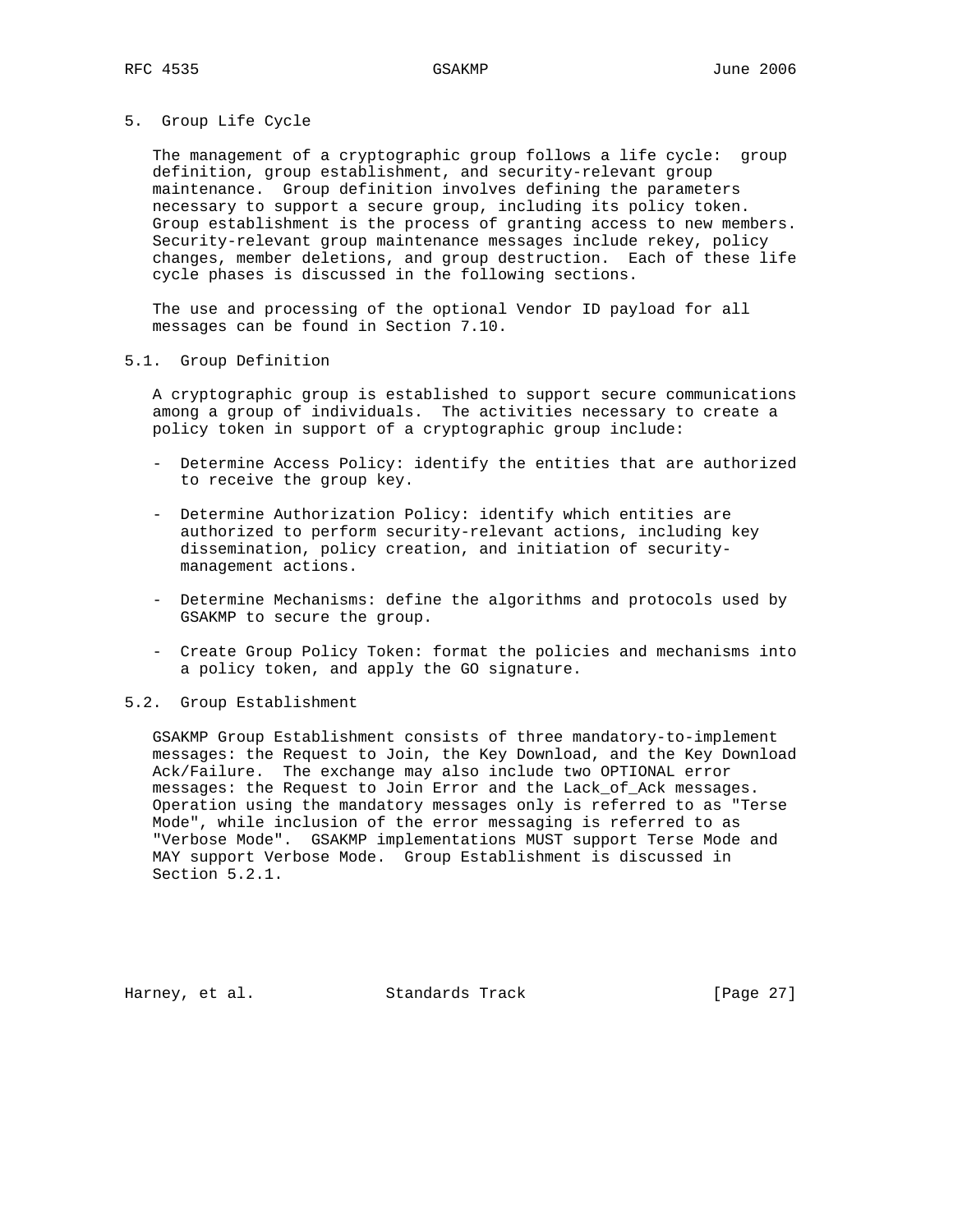## 5. Group Life Cycle

 The management of a cryptographic group follows a life cycle: group definition, group establishment, and security-relevant group maintenance. Group definition involves defining the parameters necessary to support a secure group, including its policy token. Group establishment is the process of granting access to new members. Security-relevant group maintenance messages include rekey, policy changes, member deletions, and group destruction. Each of these life cycle phases is discussed in the following sections.

 The use and processing of the optional Vendor ID payload for all messages can be found in Section 7.10.

# 5.1. Group Definition

 A cryptographic group is established to support secure communications among a group of individuals. The activities necessary to create a policy token in support of a cryptographic group include:

- Determine Access Policy: identify the entities that are authorized to receive the group key.
- Determine Authorization Policy: identify which entities are authorized to perform security-relevant actions, including key dissemination, policy creation, and initiation of security management actions.
- Determine Mechanisms: define the algorithms and protocols used by GSAKMP to secure the group.
- Create Group Policy Token: format the policies and mechanisms into a policy token, and apply the GO signature.

### 5.2. Group Establishment

 GSAKMP Group Establishment consists of three mandatory-to-implement messages: the Request to Join, the Key Download, and the Key Download Ack/Failure. The exchange may also include two OPTIONAL error messages: the Request to Join Error and the Lack\_of\_Ack messages. Operation using the mandatory messages only is referred to as "Terse Mode", while inclusion of the error messaging is referred to as "Verbose Mode". GSAKMP implementations MUST support Terse Mode and MAY support Verbose Mode. Group Establishment is discussed in Section 5.2.1.

Harney, et al. Standards Track [Page 27]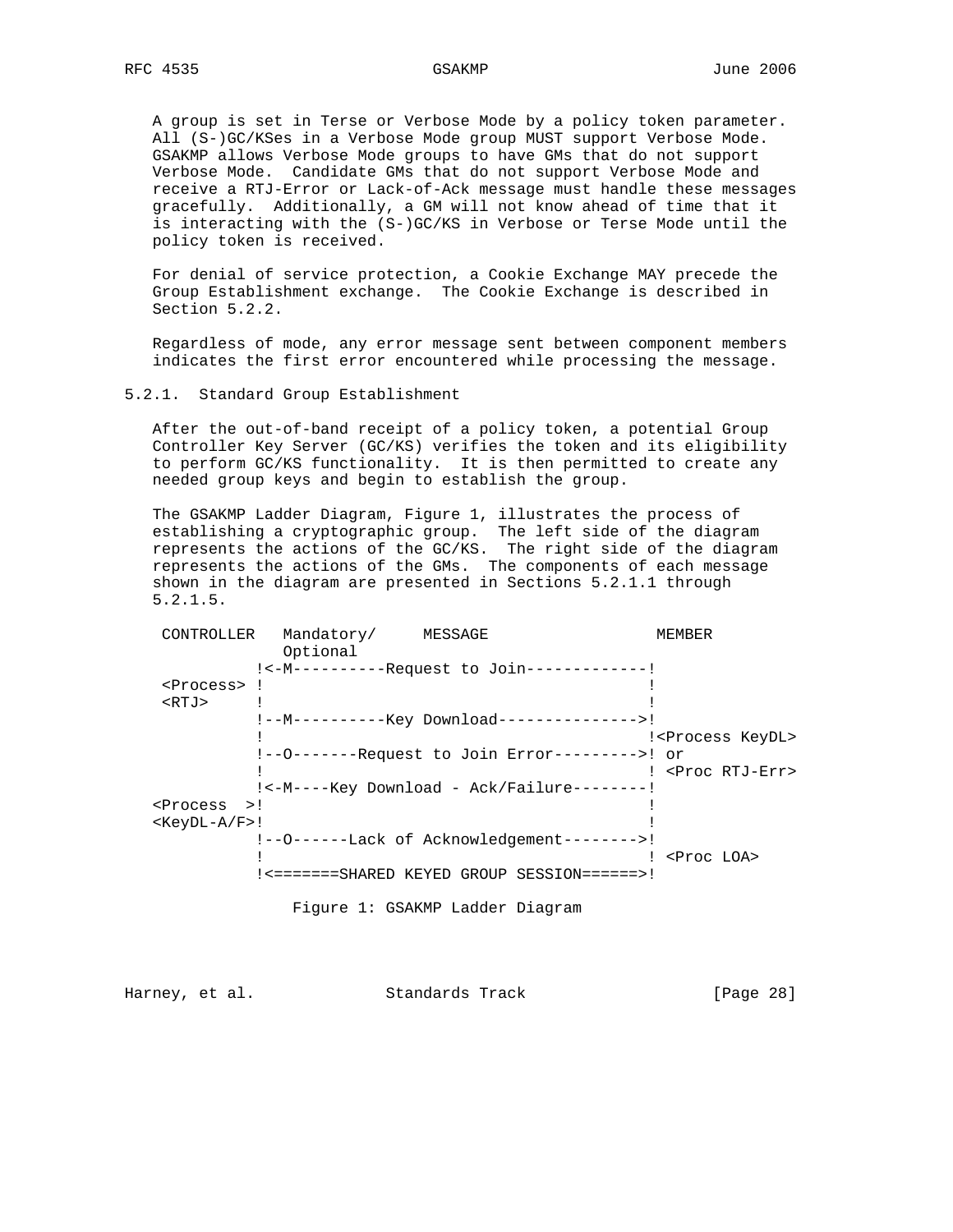A group is set in Terse or Verbose Mode by a policy token parameter. All (S-)GC/KSes in a Verbose Mode group MUST support Verbose Mode. GSAKMP allows Verbose Mode groups to have GMs that do not support Verbose Mode. Candidate GMs that do not support Verbose Mode and receive a RTJ-Error or Lack-of-Ack message must handle these messages gracefully. Additionally, a GM will not know ahead of time that it is interacting with the (S-)GC/KS in Verbose or Terse Mode until the policy token is received.

 For denial of service protection, a Cookie Exchange MAY precede the Group Establishment exchange. The Cookie Exchange is described in Section 5.2.2.

 Regardless of mode, any error message sent between component members indicates the first error encountered while processing the message.

### 5.2.1. Standard Group Establishment

 After the out-of-band receipt of a policy token, a potential Group Controller Key Server (GC/KS) verifies the token and its eligibility to perform GC/KS functionality. It is then permitted to create any needed group keys and begin to establish the group.

 The GSAKMP Ladder Diagram, Figure 1, illustrates the process of establishing a cryptographic group. The left side of the diagram represents the actions of the GC/KS. The right side of the diagram represents the actions of the GMs. The components of each message shown in the diagram are presented in Sections 5.2.1.1 through 5.2.1.5.

| CONTROLLER            | Mandatory/ MESSAGE<br>Optional |                                                | <b>MEMBER</b>                  |
|-----------------------|--------------------------------|------------------------------------------------|--------------------------------|
|                       |                                | !<-M-----------Request to Join-------------!   |                                |
| <process> !</process> |                                |                                                |                                |
| $<$ RTJ $>$           |                                |                                                |                                |
|                       |                                | !--M----------Key Download--------------->!    |                                |
|                       |                                |                                                | ! <process keydl=""></process> |
|                       |                                | !--0-------Request to Join Error--------->! or |                                |
|                       |                                |                                                | ! <proc rtj-err=""></proc>     |
|                       |                                | $!<$ -M----Key Download - Ack/Failure--------! |                                |
| <process>!</process>  |                                |                                                |                                |
| $<$ KeyDL-A/F>!       |                                |                                                |                                |
|                       |                                | !--0------Lack of Acknowledgement-------->!    |                                |
|                       |                                |                                                | ! <proc loa=""></proc>         |
|                       |                                | !<=======SHARED KEYED GROUP SESSION======>!    |                                |
|                       |                                |                                                |                                |

Figure 1: GSAKMP Ladder Diagram

Harney, et al. Standards Track [Page 28]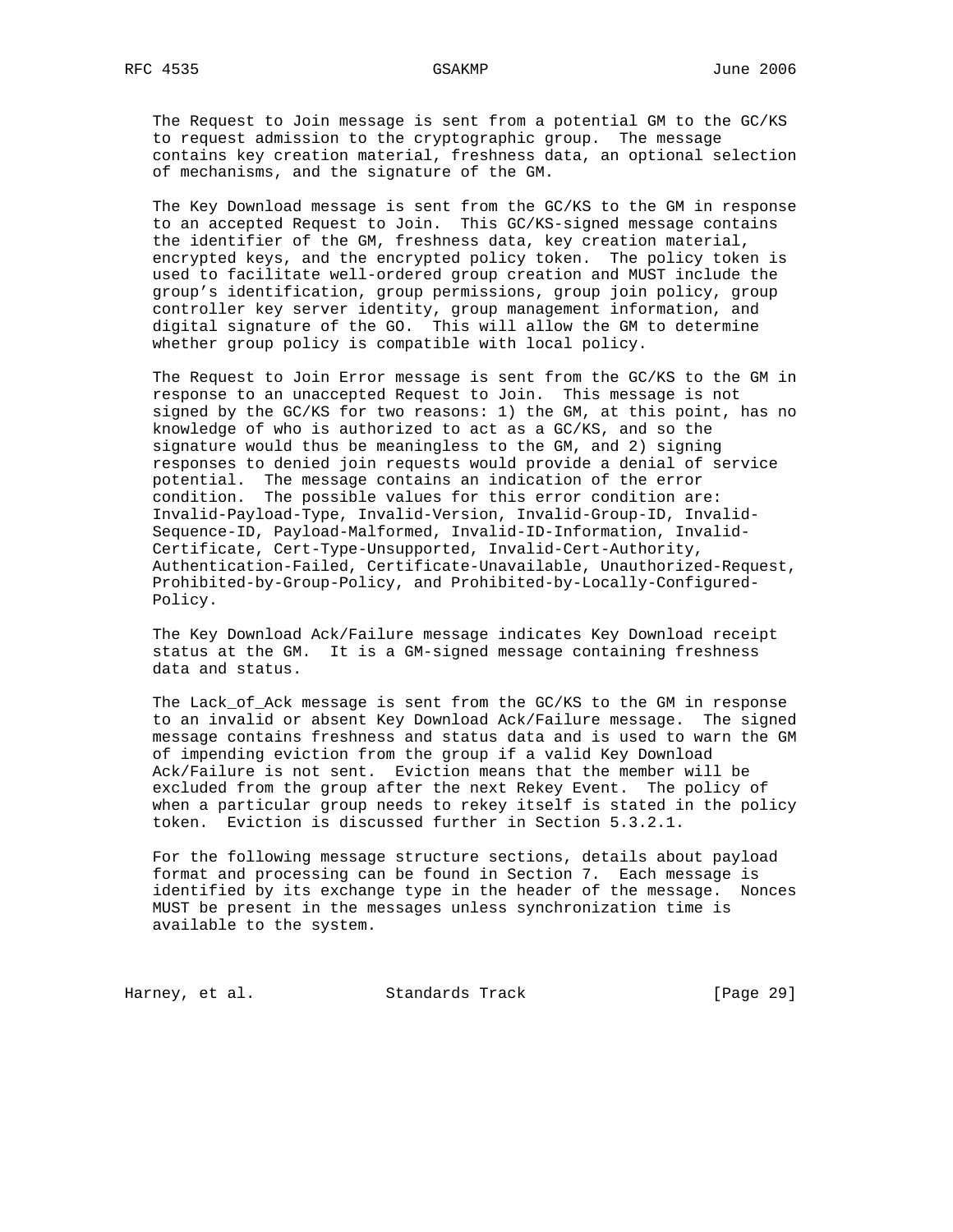The Request to Join message is sent from a potential GM to the GC/KS to request admission to the cryptographic group. The message contains key creation material, freshness data, an optional selection of mechanisms, and the signature of the GM.

 The Key Download message is sent from the GC/KS to the GM in response to an accepted Request to Join. This GC/KS-signed message contains the identifier of the GM, freshness data, key creation material, encrypted keys, and the encrypted policy token. The policy token is used to facilitate well-ordered group creation and MUST include the group's identification, group permissions, group join policy, group controller key server identity, group management information, and digital signature of the GO. This will allow the GM to determine whether group policy is compatible with local policy.

 The Request to Join Error message is sent from the GC/KS to the GM in response to an unaccepted Request to Join. This message is not signed by the GC/KS for two reasons: 1) the GM, at this point, has no knowledge of who is authorized to act as a GC/KS, and so the signature would thus be meaningless to the GM, and 2) signing responses to denied join requests would provide a denial of service potential. The message contains an indication of the error condition. The possible values for this error condition are: Invalid-Payload-Type, Invalid-Version, Invalid-Group-ID, Invalid- Sequence-ID, Payload-Malformed, Invalid-ID-Information, Invalid- Certificate, Cert-Type-Unsupported, Invalid-Cert-Authority, Authentication-Failed, Certificate-Unavailable, Unauthorized-Request, Prohibited-by-Group-Policy, and Prohibited-by-Locally-Configured- Policy.

 The Key Download Ack/Failure message indicates Key Download receipt status at the GM. It is a GM-signed message containing freshness data and status.

 The Lack\_of\_Ack message is sent from the GC/KS to the GM in response to an invalid or absent Key Download Ack/Failure message. The signed message contains freshness and status data and is used to warn the GM of impending eviction from the group if a valid Key Download Ack/Failure is not sent. Eviction means that the member will be excluded from the group after the next Rekey Event. The policy of when a particular group needs to rekey itself is stated in the policy token. Eviction is discussed further in Section 5.3.2.1.

 For the following message structure sections, details about payload format and processing can be found in Section 7. Each message is identified by its exchange type in the header of the message. Nonces MUST be present in the messages unless synchronization time is available to the system.

Harney, et al. Standards Track [Page 29]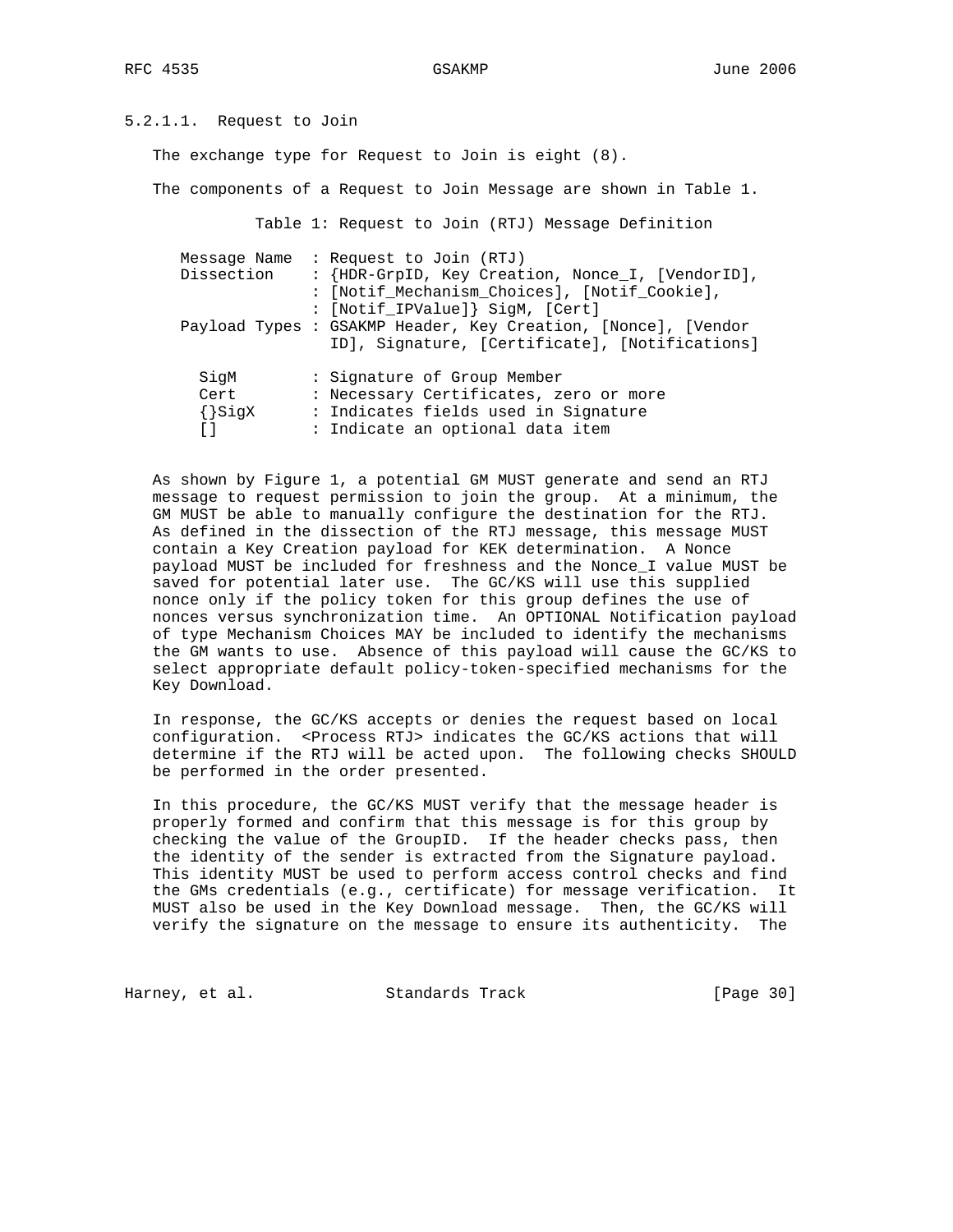# 5.2.1.1. Request to Join

The exchange type for Request to Join is eight (8).

The components of a Request to Join Message are shown in Table 1.

Table 1: Request to Join (RTJ) Message Definition

| Message Name<br>Dissection            | : Request to Join (RTJ)<br>: {HDR-GrpID, Key Creation, Nonce_I, [VendorID],<br>: [Notif_Mechanism_Choices], [Notif_Cookie],<br>: [Notif_IPValue]} SigM, [Cert] |
|---------------------------------------|----------------------------------------------------------------------------------------------------------------------------------------------------------------|
|                                       | Payload Types : GSAKMP Header, Key Creation, [Nonce], [Vendor<br>ID], Signature, [Certificate], [Notifications]                                                |
| SigM<br>Cert<br>$\{\}$ SigX<br>$\Box$ | : Signature of Group Member<br>: Necessary Certificates, zero or more<br>: Indicates fields used in Signature<br>: Indicate an optional data item              |

 As shown by Figure 1, a potential GM MUST generate and send an RTJ message to request permission to join the group. At a minimum, the GM MUST be able to manually configure the destination for the RTJ. As defined in the dissection of the RTJ message, this message MUST contain a Key Creation payload for KEK determination. A Nonce payload MUST be included for freshness and the Nonce\_I value MUST be saved for potential later use. The GC/KS will use this supplied nonce only if the policy token for this group defines the use of nonces versus synchronization time. An OPTIONAL Notification payload of type Mechanism Choices MAY be included to identify the mechanisms the GM wants to use. Absence of this payload will cause the GC/KS to select appropriate default policy-token-specified mechanisms for the Key Download.

 In response, the GC/KS accepts or denies the request based on local configuration. <Process RTJ> indicates the GC/KS actions that will determine if the RTJ will be acted upon. The following checks SHOULD be performed in the order presented.

 In this procedure, the GC/KS MUST verify that the message header is properly formed and confirm that this message is for this group by checking the value of the GroupID. If the header checks pass, then the identity of the sender is extracted from the Signature payload. This identity MUST be used to perform access control checks and find the GMs credentials (e.g., certificate) for message verification. It MUST also be used in the Key Download message. Then, the GC/KS will verify the signature on the message to ensure its authenticity. The

Harney, et al. Standards Track [Page 30]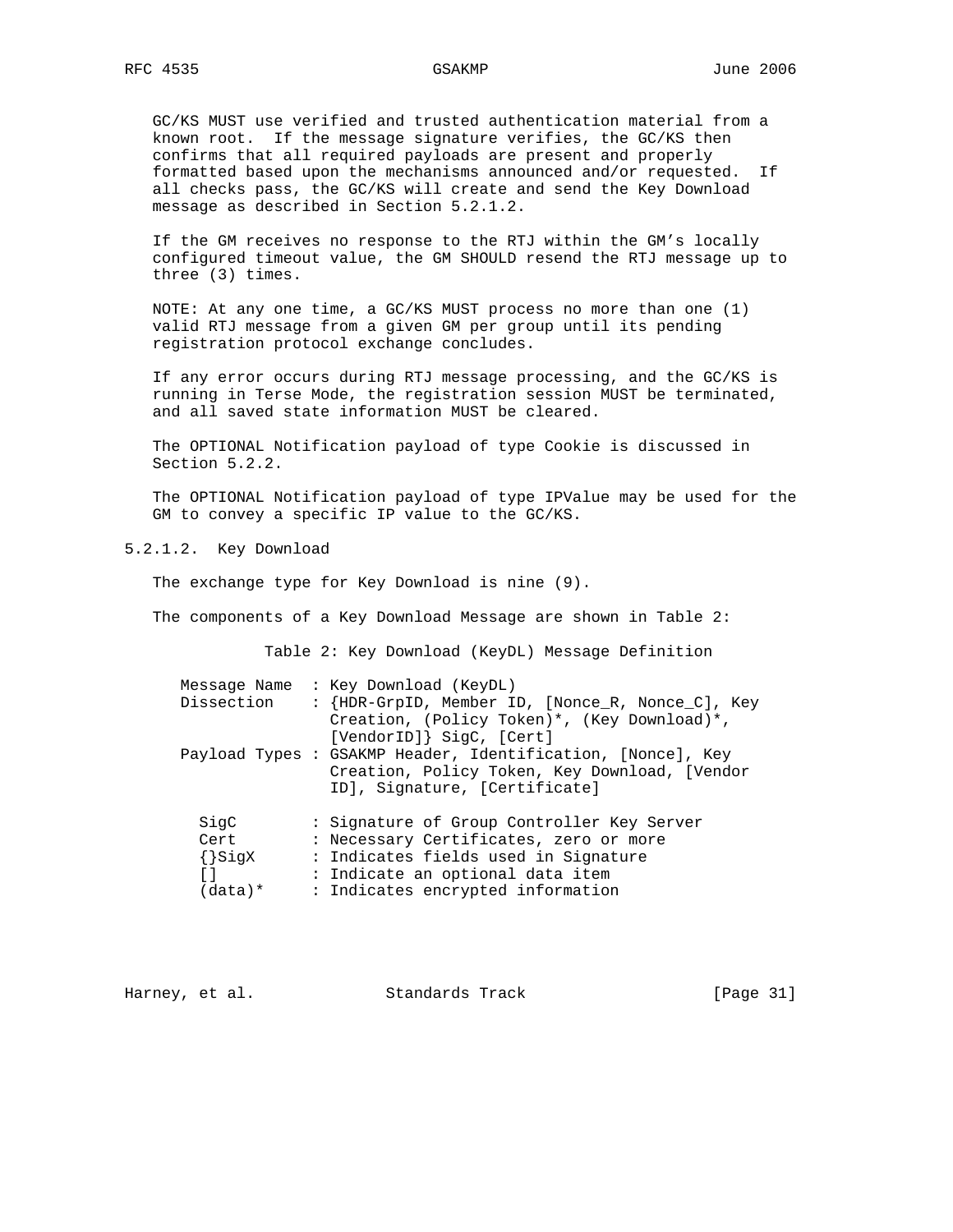GC/KS MUST use verified and trusted authentication material from a known root. If the message signature verifies, the GC/KS then confirms that all required payloads are present and properly formatted based upon the mechanisms announced and/or requested. If all checks pass, the GC/KS will create and send the Key Download message as described in Section 5.2.1.2.

 If the GM receives no response to the RTJ within the GM's locally configured timeout value, the GM SHOULD resend the RTJ message up to three (3) times.

 NOTE: At any one time, a GC/KS MUST process no more than one (1) valid RTJ message from a given GM per group until its pending registration protocol exchange concludes.

 If any error occurs during RTJ message processing, and the GC/KS is running in Terse Mode, the registration session MUST be terminated, and all saved state information MUST be cleared.

 The OPTIONAL Notification payload of type Cookie is discussed in Section 5.2.2.

 The OPTIONAL Notification payload of type IPValue may be used for the GM to convey a specific IP value to the GC/KS.

5.2.1.2. Key Download

The exchange type for Key Download is nine (9).

The components of a Key Download Message are shown in Table 2:

Table 2: Key Download (KeyDL) Message Definition

| Dissection  | Message Name : Key Download (KeyDL)<br>: {HDR-GrpID, Member ID, [Nonce_R, Nonce_C], Key<br>Creation, (Policy Token)*, (Key Download)*,<br>[VendorID]} SigC, [Cert]<br>Payload Types : GSAKMP Header, Identification, [Nonce], Key<br>Creation, Policy Token, Key Download, [Vendor |
|-------------|------------------------------------------------------------------------------------------------------------------------------------------------------------------------------------------------------------------------------------------------------------------------------------|
|             | ID], Signature, [Certificate]                                                                                                                                                                                                                                                      |
| SigC        | : Signature of Group Controller Key Server                                                                                                                                                                                                                                         |
| Cert        | : Necessary Certificates, zero or more                                                                                                                                                                                                                                             |
| $\{\}$ SigX | : Indicates fields used in Signature                                                                                                                                                                                                                                               |
| $\lceil$ 1  | : Indicate an optional data item                                                                                                                                                                                                                                                   |
| (data)*     | : Indicates encrypted information                                                                                                                                                                                                                                                  |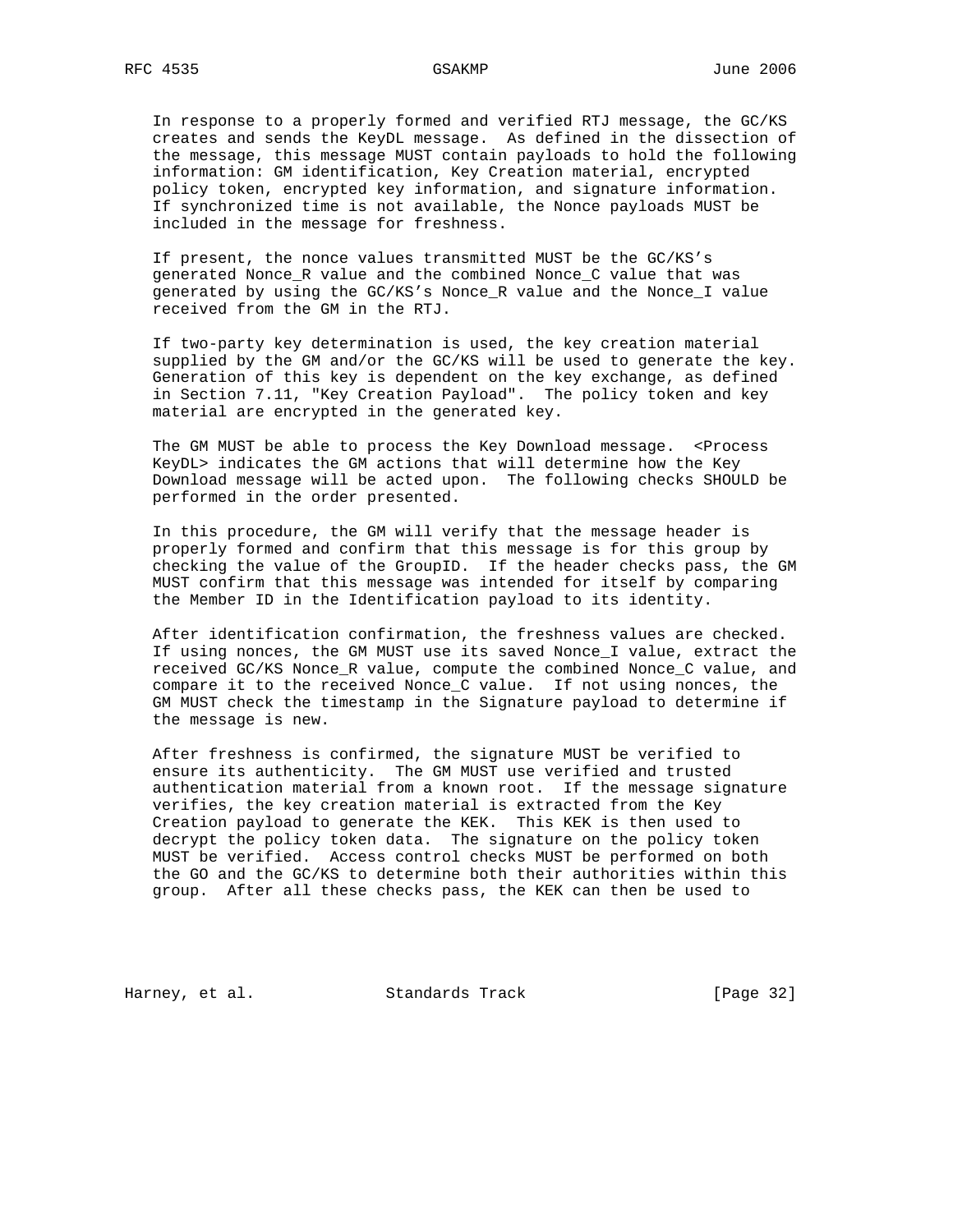In response to a properly formed and verified RTJ message, the GC/KS creates and sends the KeyDL message. As defined in the dissection of the message, this message MUST contain payloads to hold the following information: GM identification, Key Creation material, encrypted policy token, encrypted key information, and signature information. If synchronized time is not available, the Nonce payloads MUST be included in the message for freshness.

 If present, the nonce values transmitted MUST be the GC/KS's generated Nonce\_R value and the combined Nonce\_C value that was generated by using the GC/KS's Nonce\_R value and the Nonce\_I value received from the GM in the RTJ.

 If two-party key determination is used, the key creation material supplied by the GM and/or the GC/KS will be used to generate the key. Generation of this key is dependent on the key exchange, as defined in Section 7.11, "Key Creation Payload". The policy token and key material are encrypted in the generated key.

The GM MUST be able to process the Key Download message. <Process KeyDL> indicates the GM actions that will determine how the Key Download message will be acted upon. The following checks SHOULD be performed in the order presented.

 In this procedure, the GM will verify that the message header is properly formed and confirm that this message is for this group by checking the value of the GroupID. If the header checks pass, the GM MUST confirm that this message was intended for itself by comparing the Member ID in the Identification payload to its identity.

 After identification confirmation, the freshness values are checked. If using nonces, the GM MUST use its saved Nonce\_I value, extract the received GC/KS Nonce\_R value, compute the combined Nonce\_C value, and compare it to the received Nonce\_C value. If not using nonces, the GM MUST check the timestamp in the Signature payload to determine if the message is new.

 After freshness is confirmed, the signature MUST be verified to ensure its authenticity. The GM MUST use verified and trusted authentication material from a known root. If the message signature verifies, the key creation material is extracted from the Key Creation payload to generate the KEK. This KEK is then used to decrypt the policy token data. The signature on the policy token MUST be verified. Access control checks MUST be performed on both the GO and the GC/KS to determine both their authorities within this group. After all these checks pass, the KEK can then be used to

Harney, et al. Standards Track [Page 32]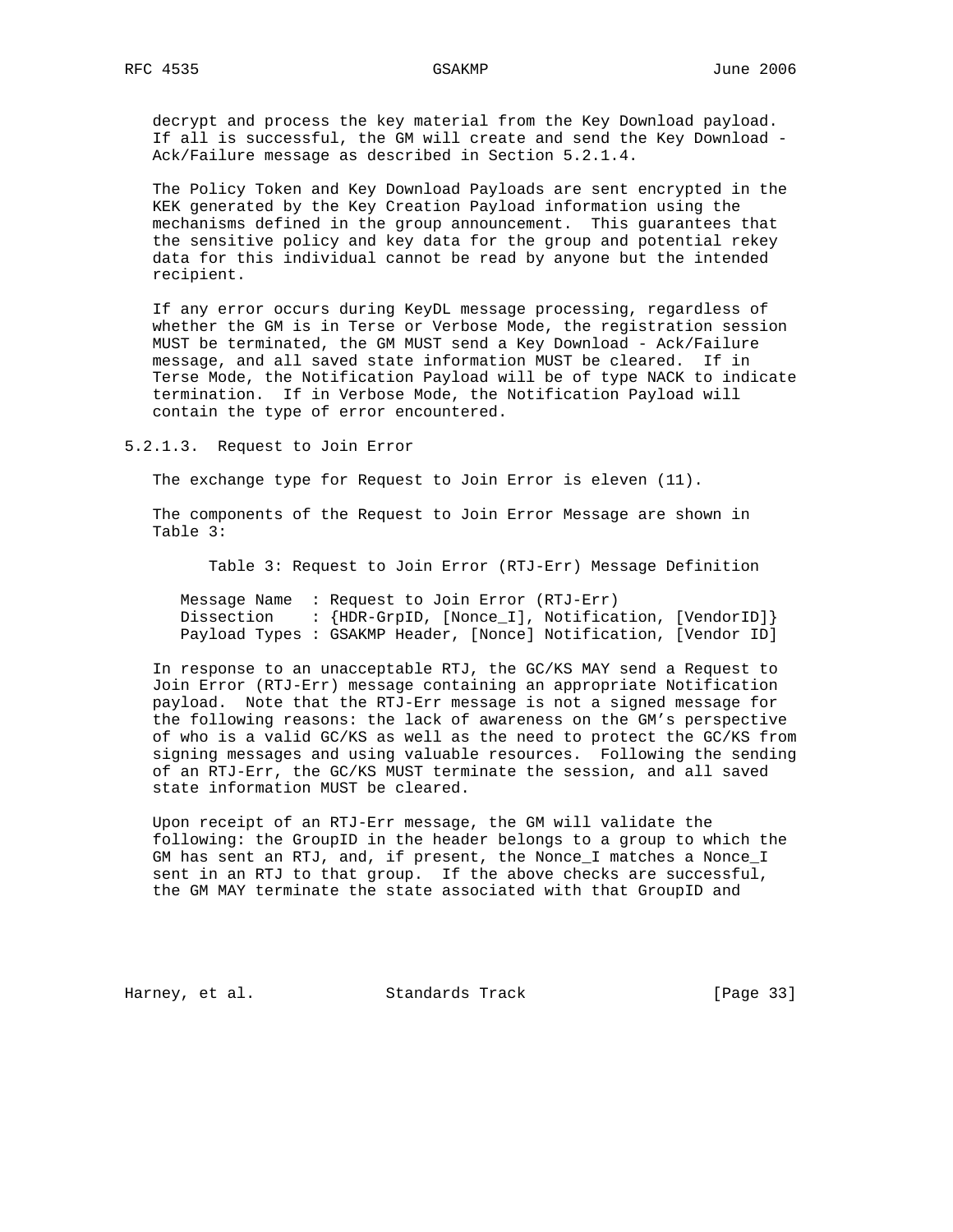decrypt and process the key material from the Key Download payload. If all is successful, the GM will create and send the Key Download - Ack/Failure message as described in Section 5.2.1.4.

 The Policy Token and Key Download Payloads are sent encrypted in the KEK generated by the Key Creation Payload information using the mechanisms defined in the group announcement. This guarantees that the sensitive policy and key data for the group and potential rekey data for this individual cannot be read by anyone but the intended recipient.

 If any error occurs during KeyDL message processing, regardless of whether the GM is in Terse or Verbose Mode, the registration session MUST be terminated, the GM MUST send a Key Download - Ack/Failure message, and all saved state information MUST be cleared. If in Terse Mode, the Notification Payload will be of type NACK to indicate termination. If in Verbose Mode, the Notification Payload will contain the type of error encountered.

5.2.1.3. Request to Join Error

The exchange type for Request to Join Error is eleven (11).

 The components of the Request to Join Error Message are shown in Table 3:

Table 3: Request to Join Error (RTJ-Err) Message Definition

 Message Name : Request to Join Error (RTJ-Err) Dissection : {HDR-GrpID, [Nonce\_I], Notification, [VendorID]} Payload Types : GSAKMP Header, [Nonce] Notification, [Vendor ID]

 In response to an unacceptable RTJ, the GC/KS MAY send a Request to Join Error (RTJ-Err) message containing an appropriate Notification payload. Note that the RTJ-Err message is not a signed message for the following reasons: the lack of awareness on the GM's perspective of who is a valid GC/KS as well as the need to protect the GC/KS from signing messages and using valuable resources. Following the sending of an RTJ-Err, the GC/KS MUST terminate the session, and all saved state information MUST be cleared.

 Upon receipt of an RTJ-Err message, the GM will validate the following: the GroupID in the header belongs to a group to which the GM has sent an RTJ, and, if present, the Nonce\_I matches a Nonce\_I sent in an RTJ to that group. If the above checks are successful, the GM MAY terminate the state associated with that GroupID and

Harney, et al. Standards Track [Page 33]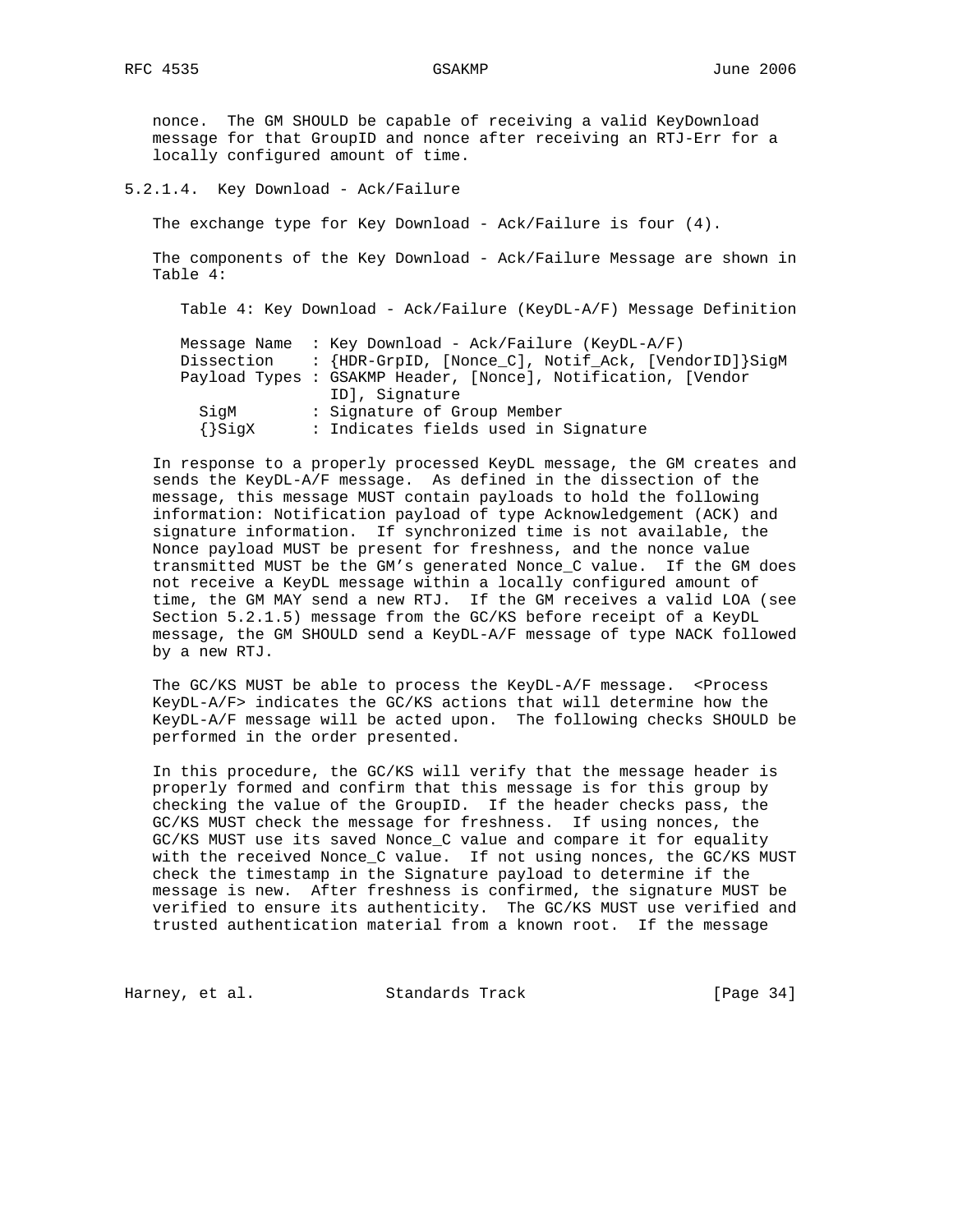nonce. The GM SHOULD be capable of receiving a valid KeyDownload message for that GroupID and nonce after receiving an RTJ-Err for a locally configured amount of time.

5.2.1.4. Key Download - Ack/Failure

The exchange type for Key Download - Ack/Failure is four (4).

 The components of the Key Download - Ack/Failure Message are shown in Table 4:

Table 4: Key Download - Ack/Failure (KeyDL-A/F) Message Definition

|             | Message Name : Key Download - Ack/Failure (KeyDL-A/F)         |
|-------------|---------------------------------------------------------------|
| Dissection  | : {HDR-GrpID, [Nonce_C], Notif_Ack, [VendorID]}SigM           |
|             | Payload Types : GSAKMP Header, [Nonce], Notification, [Vendor |
|             | ID], Signature                                                |
| SiqM        | : Signature of Group Member                                   |
| $\{\}$ SiqX | : Indicates fields used in Signature                          |

 In response to a properly processed KeyDL message, the GM creates and sends the KeyDL-A/F message. As defined in the dissection of the message, this message MUST contain payloads to hold the following information: Notification payload of type Acknowledgement (ACK) and signature information. If synchronized time is not available, the Nonce payload MUST be present for freshness, and the nonce value transmitted MUST be the GM's generated Nonce\_C value. If the GM does not receive a KeyDL message within a locally configured amount of time, the GM MAY send a new RTJ. If the GM receives a valid LOA (see Section 5.2.1.5) message from the GC/KS before receipt of a KeyDL message, the GM SHOULD send a KeyDL-A/F message of type NACK followed by a new RTJ.

The  $GC/KS$  MUST be able to process the  $KeyDL-A/F$  message. <Process KeyDL-A/F> indicates the GC/KS actions that will determine how the KeyDL-A/F message will be acted upon. The following checks SHOULD be performed in the order presented.

 In this procedure, the GC/KS will verify that the message header is properly formed and confirm that this message is for this group by checking the value of the GroupID. If the header checks pass, the GC/KS MUST check the message for freshness. If using nonces, the GC/KS MUST use its saved Nonce\_C value and compare it for equality with the received Nonce\_C value. If not using nonces, the GC/KS MUST check the timestamp in the Signature payload to determine if the message is new. After freshness is confirmed, the signature MUST be verified to ensure its authenticity. The GC/KS MUST use verified and trusted authentication material from a known root. If the message

Harney, et al. Standards Track [Page 34]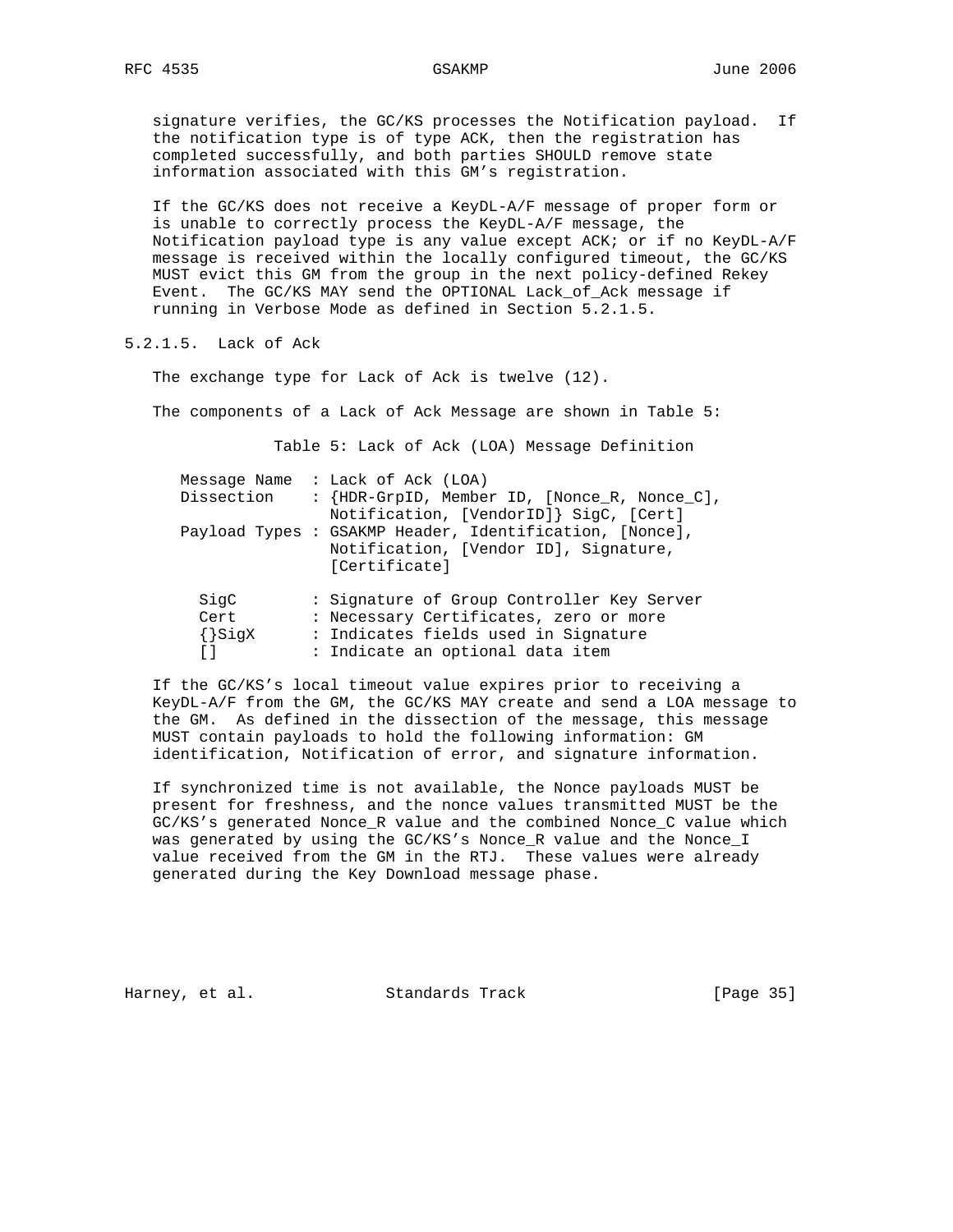signature verifies, the GC/KS processes the Notification payload. If the notification type is of type ACK, then the registration has completed successfully, and both parties SHOULD remove state information associated with this GM's registration.

 If the GC/KS does not receive a KeyDL-A/F message of proper form or is unable to correctly process the KeyDL-A/F message, the Notification payload type is any value except ACK; or if no KeyDL-A/F message is received within the locally configured timeout, the GC/KS MUST evict this GM from the group in the next policy-defined Rekey Event. The GC/KS MAY send the OPTIONAL Lack\_of\_Ack message if running in Verbose Mode as defined in Section 5.2.1.5.

5.2.1.5. Lack of Ack

The exchange type for Lack of Ack is twelve (12).

The components of a Lack of Ack Message are shown in Table 5:

Table 5: Lack of Ack (LOA) Message Definition

| Dissection                  | Message Name : Lack of Ack (LOA)<br>: {HDR-GrpID, Member ID, [Nonce_R, Nonce_C],<br>Notification, [VendorID]} SigC, [Cert]                                       |
|-----------------------------|------------------------------------------------------------------------------------------------------------------------------------------------------------------|
|                             | Payload Types : GSAKMP Header, Identification, [Nonce],<br>Notification, [Vendor ID], Signature,<br>[Certificate]                                                |
| SigC<br>Cert<br>$\{\}$ SigX | : Signature of Group Controller Key Server<br>: Necessary Certificates, zero or more<br>: Indicates fields used in Signature<br>: Indicate an optional data item |

 If the GC/KS's local timeout value expires prior to receiving a KeyDL-A/F from the GM, the GC/KS MAY create and send a LOA message to the GM. As defined in the dissection of the message, this message MUST contain payloads to hold the following information: GM identification, Notification of error, and signature information.

 If synchronized time is not available, the Nonce payloads MUST be present for freshness, and the nonce values transmitted MUST be the GC/KS's generated Nonce\_R value and the combined Nonce\_C value which was generated by using the GC/KS's Nonce\_R value and the Nonce\_I value received from the GM in the RTJ. These values were already generated during the Key Download message phase.

Harney, et al. Standards Track [Page 35]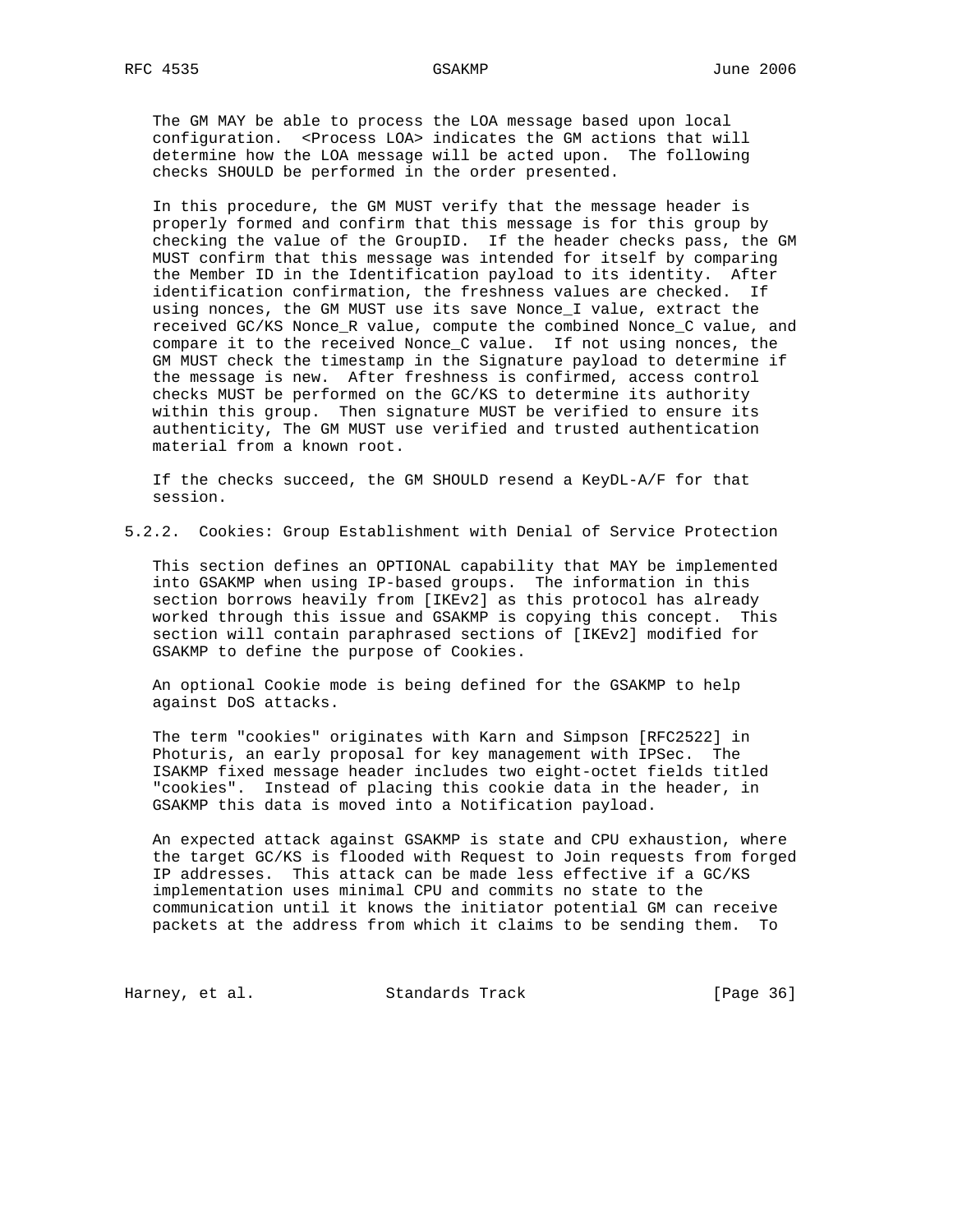The GM MAY be able to process the LOA message based upon local configuration. <Process LOA> indicates the GM actions that will determine how the LOA message will be acted upon. The following checks SHOULD be performed in the order presented.

 In this procedure, the GM MUST verify that the message header is properly formed and confirm that this message is for this group by checking the value of the GroupID. If the header checks pass, the GM MUST confirm that this message was intended for itself by comparing the Member ID in the Identification payload to its identity. After identification confirmation, the freshness values are checked. If using nonces, the GM MUST use its save Nonce\_I value, extract the received GC/KS Nonce\_R value, compute the combined Nonce\_C value, and compare it to the received Nonce\_C value. If not using nonces, the GM MUST check the timestamp in the Signature payload to determine if the message is new. After freshness is confirmed, access control checks MUST be performed on the GC/KS to determine its authority within this group. Then signature MUST be verified to ensure its authenticity, The GM MUST use verified and trusted authentication material from a known root.

 If the checks succeed, the GM SHOULD resend a KeyDL-A/F for that session.

5.2.2. Cookies: Group Establishment with Denial of Service Protection

 This section defines an OPTIONAL capability that MAY be implemented into GSAKMP when using IP-based groups. The information in this section borrows heavily from [IKEv2] as this protocol has already worked through this issue and GSAKMP is copying this concept. This section will contain paraphrased sections of [IKEv2] modified for GSAKMP to define the purpose of Cookies.

 An optional Cookie mode is being defined for the GSAKMP to help against DoS attacks.

 The term "cookies" originates with Karn and Simpson [RFC2522] in Photuris, an early proposal for key management with IPSec. The ISAKMP fixed message header includes two eight-octet fields titled "cookies". Instead of placing this cookie data in the header, in GSAKMP this data is moved into a Notification payload.

 An expected attack against GSAKMP is state and CPU exhaustion, where the target GC/KS is flooded with Request to Join requests from forged IP addresses. This attack can be made less effective if a GC/KS implementation uses minimal CPU and commits no state to the communication until it knows the initiator potential GM can receive packets at the address from which it claims to be sending them. To

Harney, et al. Standards Track [Page 36]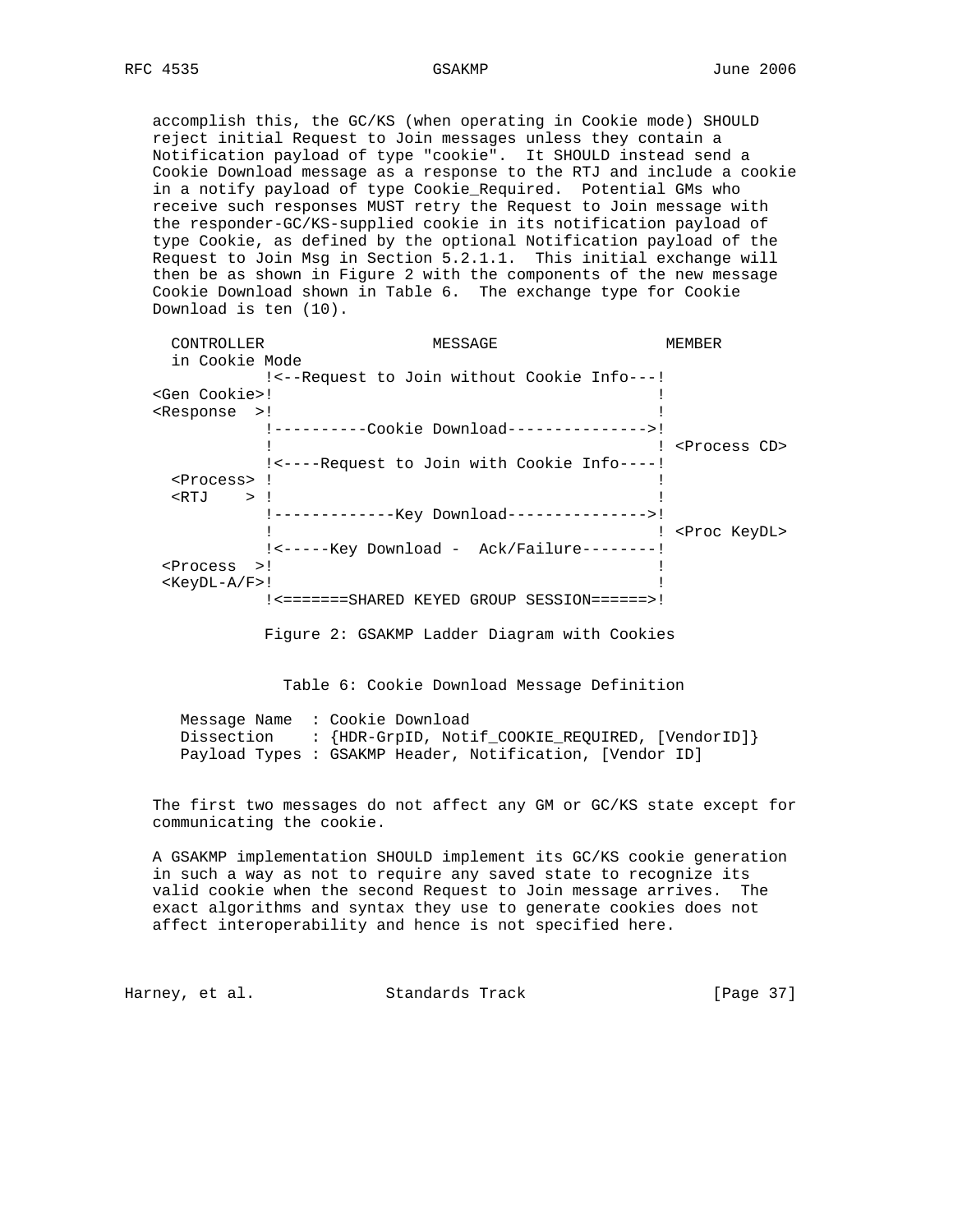accomplish this, the GC/KS (when operating in Cookie mode) SHOULD reject initial Request to Join messages unless they contain a Notification payload of type "cookie". It SHOULD instead send a Cookie Download message as a response to the RTJ and include a cookie in a notify payload of type Cookie\_Required. Potential GMs who receive such responses MUST retry the Request to Join message with the responder-GC/KS-supplied cookie in its notification payload of type Cookie, as defined by the optional Notification payload of the Request to Join Msg in Section 5.2.1.1. This initial exchange will then be as shown in Figure 2 with the components of the new message Cookie Download shown in Table 6. The exchange type for Cookie Download is ten (10).

| CONTROLLER                       | MESSAGE                                       | MEMBER                    |
|----------------------------------|-----------------------------------------------|---------------------------|
| in Cookie Mode                   |                                               |                           |
|                                  | ! <-- Request to Join without Cookie Info---! |                           |
| <gen cookie="">!</gen>           |                                               |                           |
| <response>!</response>           |                                               |                           |
|                                  | !----------Cookie Download---------------->!  |                           |
|                                  |                                               | <process cd=""></process> |
|                                  | !<----Request to Join with Cookie Info----!   |                           |
| <process> !</process>            |                                               |                           |
| $\langle \text{RTJ} \rangle$ > ! |                                               |                           |
|                                  |                                               |                           |
|                                  |                                               | ! <proc keydl=""></proc>  |
|                                  | ! <------Key Download - Ack/Failure--------!  |                           |
| $<$ Process $>!$                 |                                               |                           |
| $<$ KeyDL-A/F>!                  |                                               |                           |
|                                  | !<=======SHARED KEYED GROUP SESSION======>!   |                           |

Figure 2: GSAKMP Ladder Diagram with Cookies

Table 6: Cookie Download Message Definition

 Message Name : Cookie Download Dissection : {HDR-GrpID, Notif\_COOKIE\_REQUIRED, [VendorID]} Payload Types : GSAKMP Header, Notification, [Vendor ID]

 The first two messages do not affect any GM or GC/KS state except for communicating the cookie.

 A GSAKMP implementation SHOULD implement its GC/KS cookie generation in such a way as not to require any saved state to recognize its valid cookie when the second Request to Join message arrives. The exact algorithms and syntax they use to generate cookies does not affect interoperability and hence is not specified here.

Harney, et al. Standards Track [Page 37]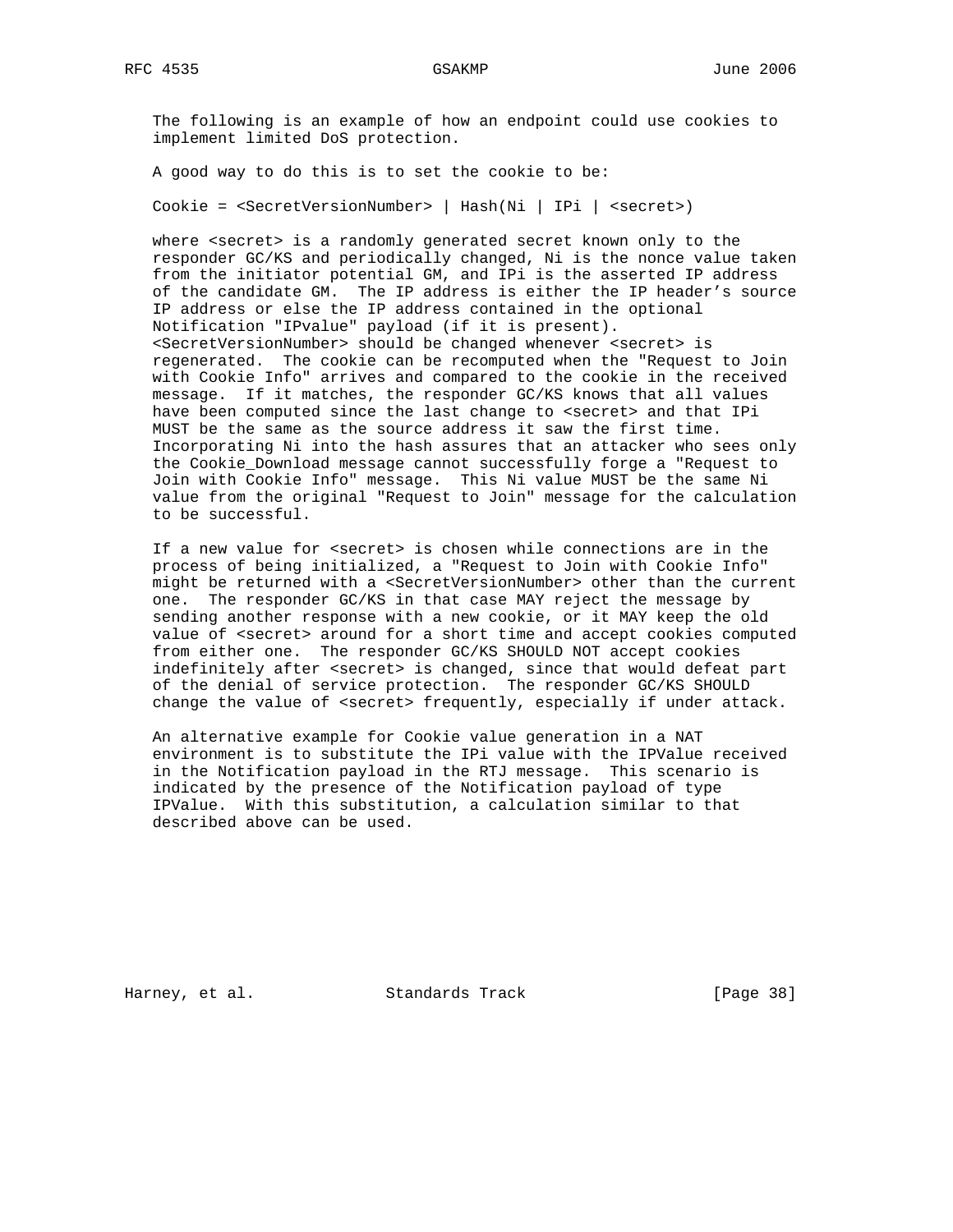The following is an example of how an endpoint could use cookies to implement limited DoS protection.

A good way to do this is to set the cookie to be:

Cookie = <SecretVersionNumber> | Hash(Ni | IPi | <secret>)

where <secret> is a randomly generated secret known only to the responder GC/KS and periodically changed, Ni is the nonce value taken from the initiator potential GM, and IPi is the asserted IP address of the candidate GM. The IP address is either the IP header's source IP address or else the IP address contained in the optional Notification "IPvalue" payload (if it is present). <SecretVersionNumber> should be changed whenever <secret> is regenerated. The cookie can be recomputed when the "Request to Join with Cookie Info" arrives and compared to the cookie in the received message. If it matches, the responder GC/KS knows that all values have been computed since the last change to <secret> and that IPi MUST be the same as the source address it saw the first time. Incorporating Ni into the hash assures that an attacker who sees only the Cookie\_Download message cannot successfully forge a "Request to Join with Cookie Info" message. This Ni value MUST be the same Ni value from the original "Request to Join" message for the calculation to be successful.

 If a new value for <secret> is chosen while connections are in the process of being initialized, a "Request to Join with Cookie Info" might be returned with a <SecretVersionNumber> other than the current one. The responder GC/KS in that case MAY reject the message by sending another response with a new cookie, or it MAY keep the old value of <secret> around for a short time and accept cookies computed from either one. The responder GC/KS SHOULD NOT accept cookies indefinitely after <secret> is changed, since that would defeat part of the denial of service protection. The responder GC/KS SHOULD change the value of <secret> frequently, especially if under attack.

 An alternative example for Cookie value generation in a NAT environment is to substitute the IPi value with the IPValue received in the Notification payload in the RTJ message. This scenario is indicated by the presence of the Notification payload of type IPValue. With this substitution, a calculation similar to that described above can be used.

Harney, et al. Standards Track [Page 38]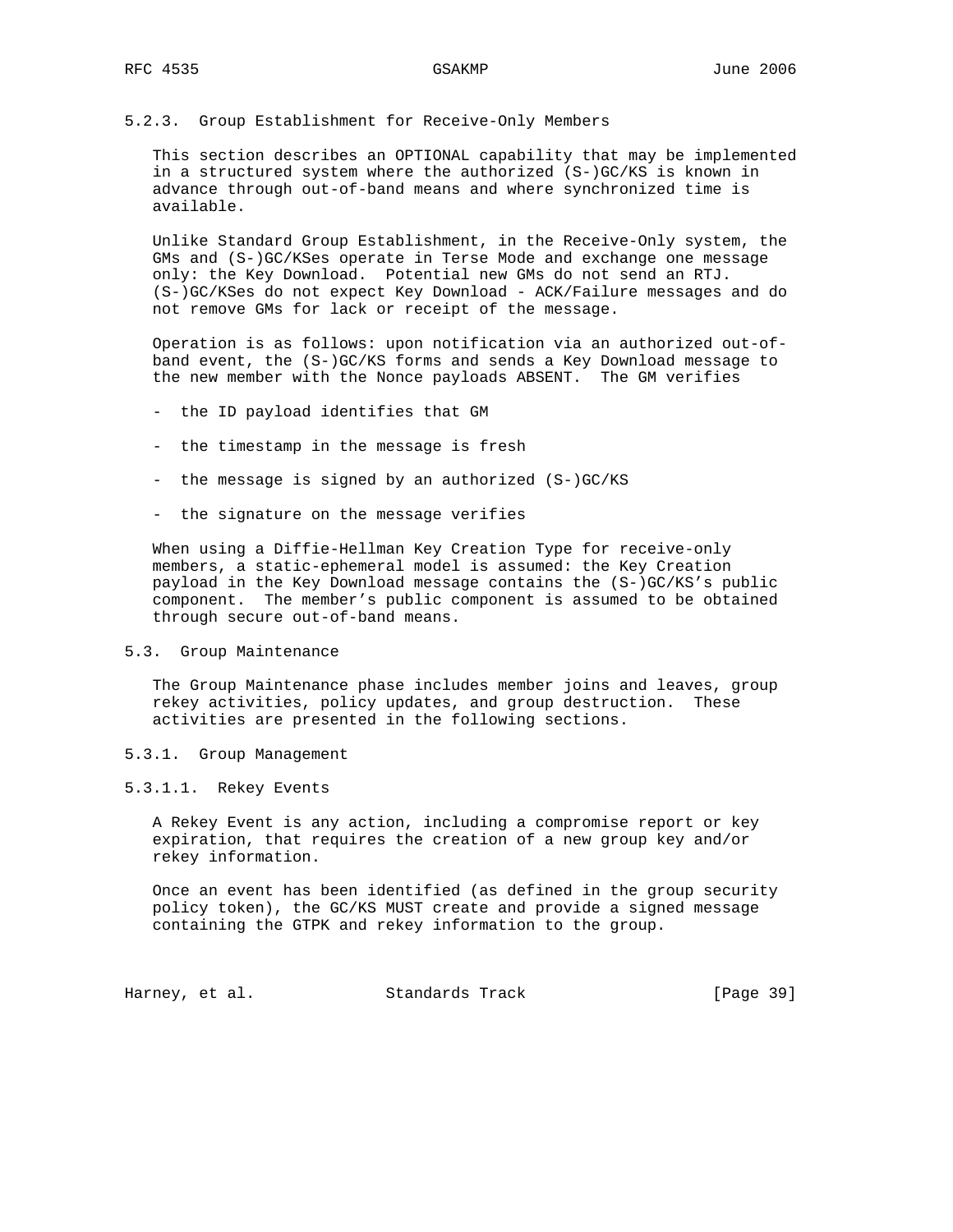### 5.2.3. Group Establishment for Receive-Only Members

 This section describes an OPTIONAL capability that may be implemented in a structured system where the authorized (S-)GC/KS is known in advance through out-of-band means and where synchronized time is available.

 Unlike Standard Group Establishment, in the Receive-Only system, the GMs and (S-)GC/KSes operate in Terse Mode and exchange one message only: the Key Download. Potential new GMs do not send an RTJ. (S-)GC/KSes do not expect Key Download - ACK/Failure messages and do not remove GMs for lack or receipt of the message.

 Operation is as follows: upon notification via an authorized out-of band event, the (S-)GC/KS forms and sends a Key Download message to the new member with the Nonce payloads ABSENT. The GM verifies

- the ID payload identifies that GM
- the timestamp in the message is fresh
- the message is signed by an authorized (S-)GC/KS
- the signature on the message verifies

 When using a Diffie-Hellman Key Creation Type for receive-only members, a static-ephemeral model is assumed: the Key Creation payload in the Key Download message contains the (S-)GC/KS's public component. The member's public component is assumed to be obtained through secure out-of-band means.

#### 5.3. Group Maintenance

 The Group Maintenance phase includes member joins and leaves, group rekey activities, policy updates, and group destruction. These activities are presented in the following sections.

#### 5.3.1. Group Management

#### 5.3.1.1. Rekey Events

 A Rekey Event is any action, including a compromise report or key expiration, that requires the creation of a new group key and/or rekey information.

 Once an event has been identified (as defined in the group security policy token), the GC/KS MUST create and provide a signed message containing the GTPK and rekey information to the group.

Harney, et al. Standards Track [Page 39]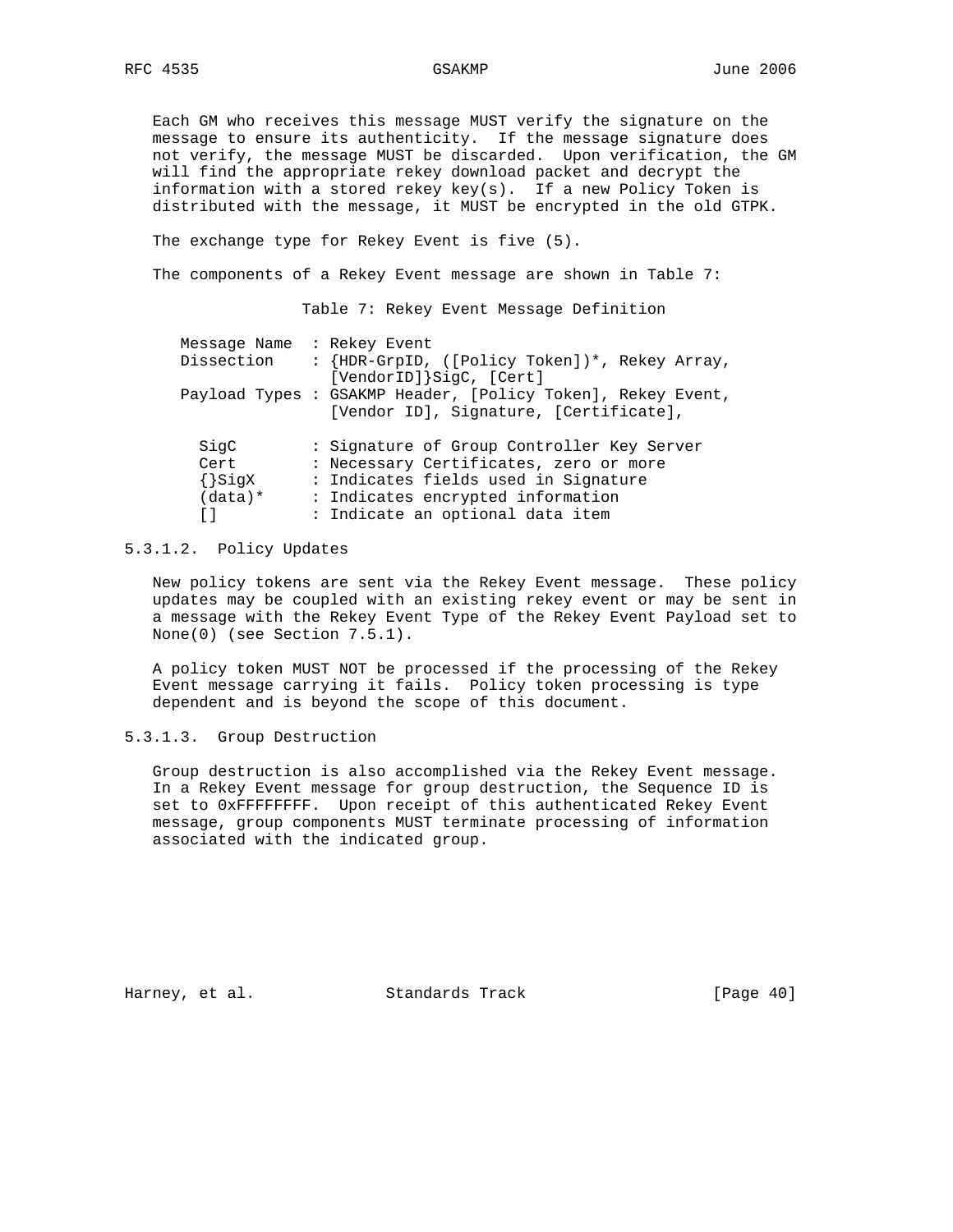Each GM who receives this message MUST verify the signature on the message to ensure its authenticity. If the message signature does not verify, the message MUST be discarded. Upon verification, the GM will find the appropriate rekey download packet and decrypt the information with a stored rekey key(s). If a new Policy Token is distributed with the message, it MUST be encrypted in the old GTPK.

The exchange type for Rekey Event is five (5).

The components of a Rekey Event message are shown in Table 7:

Table 7: Rekey Event Message Definition

| Message Name : Rekey Event |                                                                                                       |
|----------------------------|-------------------------------------------------------------------------------------------------------|
| Dissection                 | : {HDR-GrpID, ([Policy Token])*, Rekey Array,<br>[VendorID] SigC, [Cert]                              |
|                            | Payload Types : GSAKMP Header, [Policy Token], Rekey Event,<br>[Vendor ID], Signature, [Certificate], |
| SiqC                       | : Signature of Group Controller Key Server                                                            |
|                            |                                                                                                       |
| Cert                       | : Necessary Certificates, zero or more                                                                |
| $\{\}$ SigX                | : Indicates fields used in Signature                                                                  |
| $(data)*$                  | : Indicates encrypted information                                                                     |
| ו ז                        | : Indicate an optional data item                                                                      |

### 5.3.1.2. Policy Updates

 New policy tokens are sent via the Rekey Event message. These policy updates may be coupled with an existing rekey event or may be sent in a message with the Rekey Event Type of the Rekey Event Payload set to None(0) (see Section 7.5.1).

 A policy token MUST NOT be processed if the processing of the Rekey Event message carrying it fails. Policy token processing is type dependent and is beyond the scope of this document.

# 5.3.1.3. Group Destruction

 Group destruction is also accomplished via the Rekey Event message. In a Rekey Event message for group destruction, the Sequence ID is set to 0xFFFFFFFF. Upon receipt of this authenticated Rekey Event message, group components MUST terminate processing of information associated with the indicated group.

Harney, et al. Standards Track [Page 40]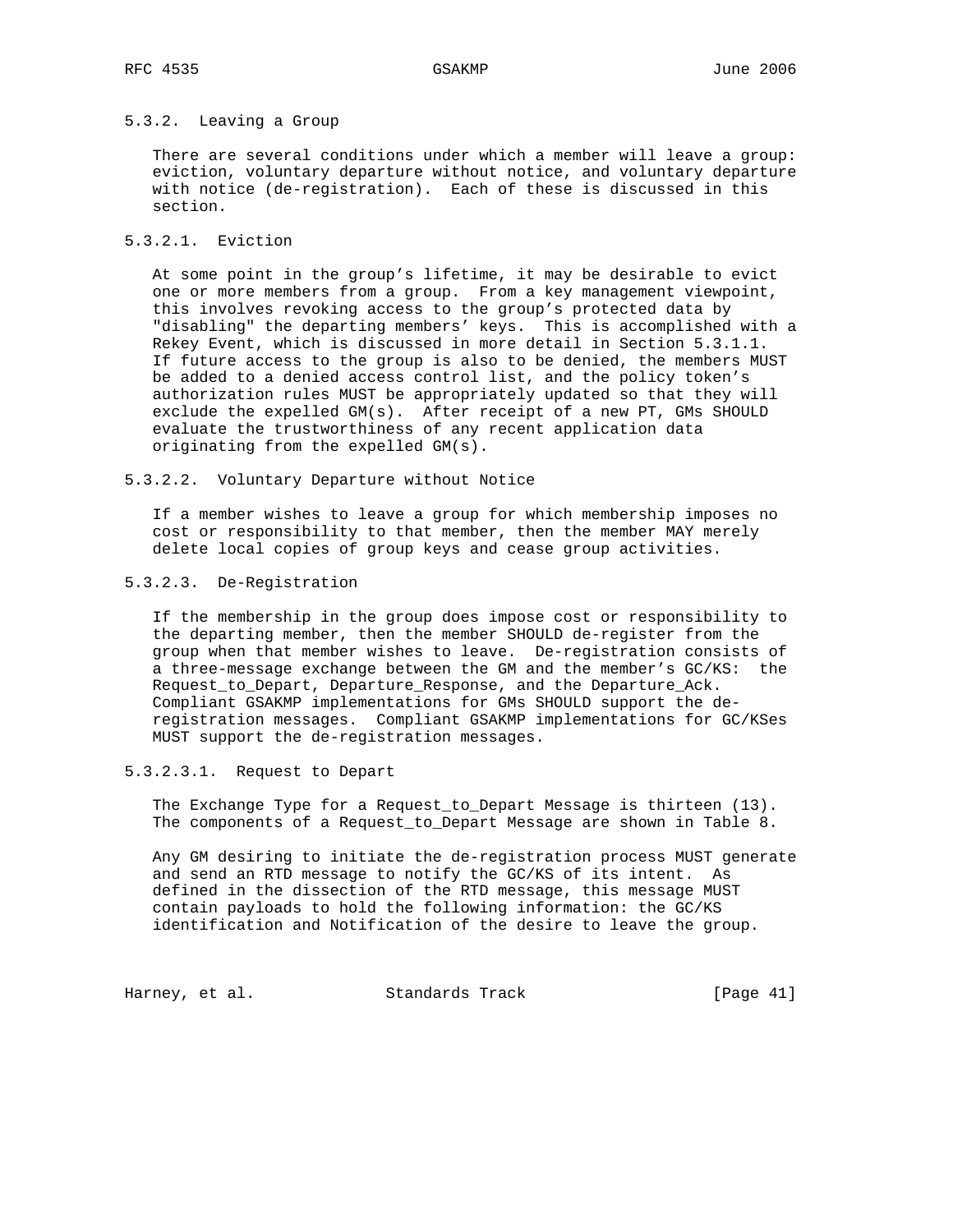### 5.3.2. Leaving a Group

 There are several conditions under which a member will leave a group: eviction, voluntary departure without notice, and voluntary departure with notice (de-registration). Each of these is discussed in this section.

### 5.3.2.1. Eviction

 At some point in the group's lifetime, it may be desirable to evict one or more members from a group. From a key management viewpoint, this involves revoking access to the group's protected data by "disabling" the departing members' keys. This is accomplished with a Rekey Event, which is discussed in more detail in Section 5.3.1.1. If future access to the group is also to be denied, the members MUST be added to a denied access control list, and the policy token's authorization rules MUST be appropriately updated so that they will exclude the expelled GM(s). After receipt of a new PT, GMs SHOULD evaluate the trustworthiness of any recent application data originating from the expelled GM(s).

### 5.3.2.2. Voluntary Departure without Notice

 If a member wishes to leave a group for which membership imposes no cost or responsibility to that member, then the member MAY merely delete local copies of group keys and cease group activities.

### 5.3.2.3. De-Registration

 If the membership in the group does impose cost or responsibility to the departing member, then the member SHOULD de-register from the group when that member wishes to leave. De-registration consists of a three-message exchange between the GM and the member's GC/KS: the Request to Depart, Departure Response, and the Departure Ack. Compliant GSAKMP implementations for GMs SHOULD support the de registration messages. Compliant GSAKMP implementations for GC/KSes MUST support the de-registration messages.

## 5.3.2.3.1. Request to Depart

 The Exchange Type for a Request\_to\_Depart Message is thirteen (13). The components of a Request\_to\_Depart Message are shown in Table 8.

 Any GM desiring to initiate the de-registration process MUST generate and send an RTD message to notify the GC/KS of its intent. As defined in the dissection of the RTD message, this message MUST contain payloads to hold the following information: the GC/KS identification and Notification of the desire to leave the group.

Harney, et al. Standards Track [Page 41]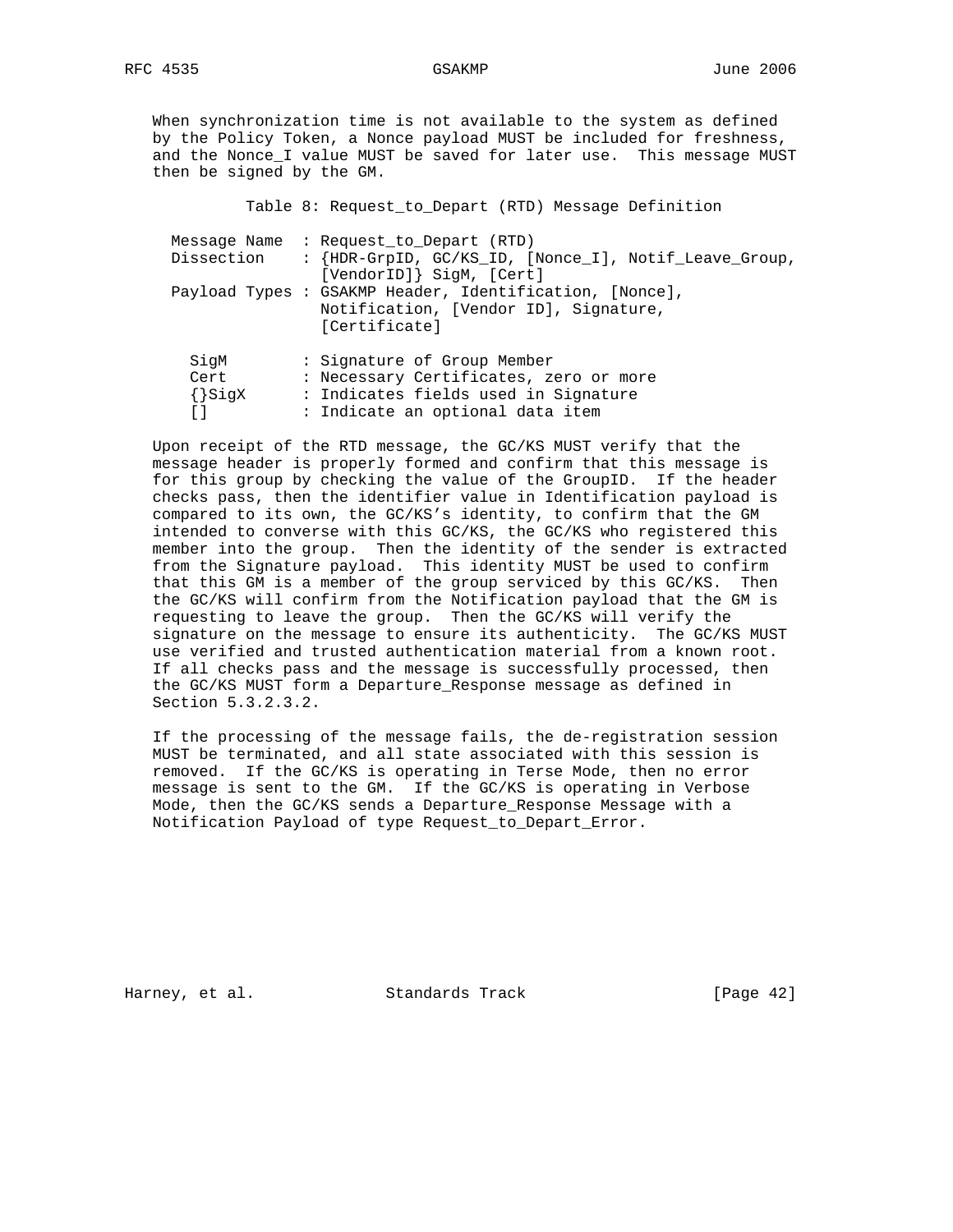When synchronization time is not available to the system as defined by the Policy Token, a Nonce payload MUST be included for freshness, and the Nonce\_I value MUST be saved for later use. This message MUST then be signed by the GM.

|             | Table 8: Request_to_Depart (RTD) Message Definition                                                               |
|-------------|-------------------------------------------------------------------------------------------------------------------|
|             | Message Name : Request to Depart (RTD)                                                                            |
| Dissection  | : {HDR-GrpID, GC/KS_ID, [Nonce_I], Notif_Leave_Group,<br>[VendorID]} SigM, [Cert]                                 |
|             | Payload Types : GSAKMP Header, Identification, [Nonce],<br>Notification, [Vendor ID], Signature,<br>[Certificate] |
| SigM        | : Signature of Group Member                                                                                       |
| Cert        | : Necessary Certificates, zero or more                                                                            |
| $\{\}$ SiqX | : Indicates fields used in Signature                                                                              |
|             | : Indicate an optional data item                                                                                  |

 Upon receipt of the RTD message, the GC/KS MUST verify that the message header is properly formed and confirm that this message is for this group by checking the value of the GroupID. If the header checks pass, then the identifier value in Identification payload is compared to its own, the GC/KS's identity, to confirm that the GM intended to converse with this GC/KS, the GC/KS who registered this member into the group. Then the identity of the sender is extracted from the Signature payload. This identity MUST be used to confirm that this GM is a member of the group serviced by this GC/KS. Then the GC/KS will confirm from the Notification payload that the GM is requesting to leave the group. Then the GC/KS will verify the signature on the message to ensure its authenticity. The GC/KS MUST use verified and trusted authentication material from a known root. If all checks pass and the message is successfully processed, then the GC/KS MUST form a Departure\_Response message as defined in Section 5.3.2.3.2.

 If the processing of the message fails, the de-registration session MUST be terminated, and all state associated with this session is removed. If the GC/KS is operating in Terse Mode, then no error message is sent to the GM. If the GC/KS is operating in Verbose Mode, then the GC/KS sends a Departure\_Response Message with a Notification Payload of type Request\_to\_Depart\_Error.

Harney, et al. Standards Track [Page 42]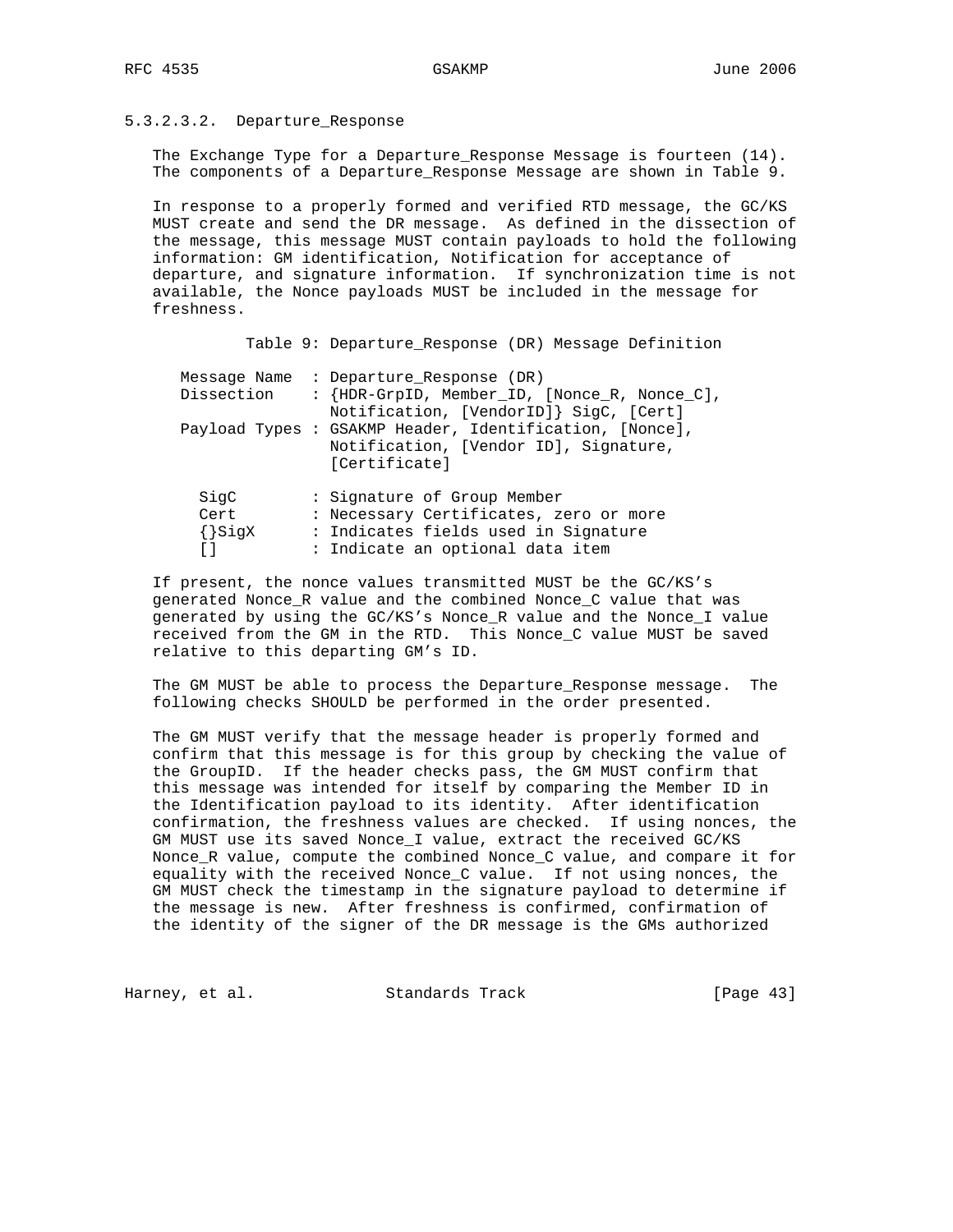# 5.3.2.3.2. Departure\_Response

 The Exchange Type for a Departure\_Response Message is fourteen (14). The components of a Departure\_Response Message are shown in Table 9.

 In response to a properly formed and verified RTD message, the GC/KS MUST create and send the DR message. As defined in the dissection of the message, this message MUST contain payloads to hold the following information: GM identification, Notification for acceptance of departure, and signature information. If synchronization time is not available, the Nonce payloads MUST be included in the message for freshness.

Table 9: Departure\_Response (DR) Message Definition

| Dissection                         | Message Name : Departure Response (DR)<br>: {HDR-GrpID, Member_ID, [Nonce_R, Nonce_C],<br>Notification, [VendorID]} SigC, [Cert]                  |
|------------------------------------|---------------------------------------------------------------------------------------------------------------------------------------------------|
|                                    | Payload Types : GSAKMP Header, Identification, [Nonce],<br>Notification, [Vendor ID], Signature,<br>[Certificate]                                 |
| SigC<br>Cert<br>$\{\}$ SigX<br>L J | : Signature of Group Member<br>: Necessary Certificates, zero or more<br>: Indicates fields used in Signature<br>: Indicate an optional data item |

 If present, the nonce values transmitted MUST be the GC/KS's generated Nonce\_R value and the combined Nonce\_C value that was generated by using the GC/KS's Nonce\_R value and the Nonce\_I value received from the GM in the RTD. This Nonce\_C value MUST be saved relative to this departing GM's ID.

The GM MUST be able to process the Departure Response message. The following checks SHOULD be performed in the order presented.

 The GM MUST verify that the message header is properly formed and confirm that this message is for this group by checking the value of the GroupID. If the header checks pass, the GM MUST confirm that this message was intended for itself by comparing the Member ID in the Identification payload to its identity. After identification confirmation, the freshness values are checked. If using nonces, the GM MUST use its saved Nonce\_I value, extract the received GC/KS Nonce\_R value, compute the combined Nonce\_C value, and compare it for equality with the received Nonce\_C value. If not using nonces, the GM MUST check the timestamp in the signature payload to determine if the message is new. After freshness is confirmed, confirmation of the identity of the signer of the DR message is the GMs authorized

Harney, et al. Standards Track [Page 43]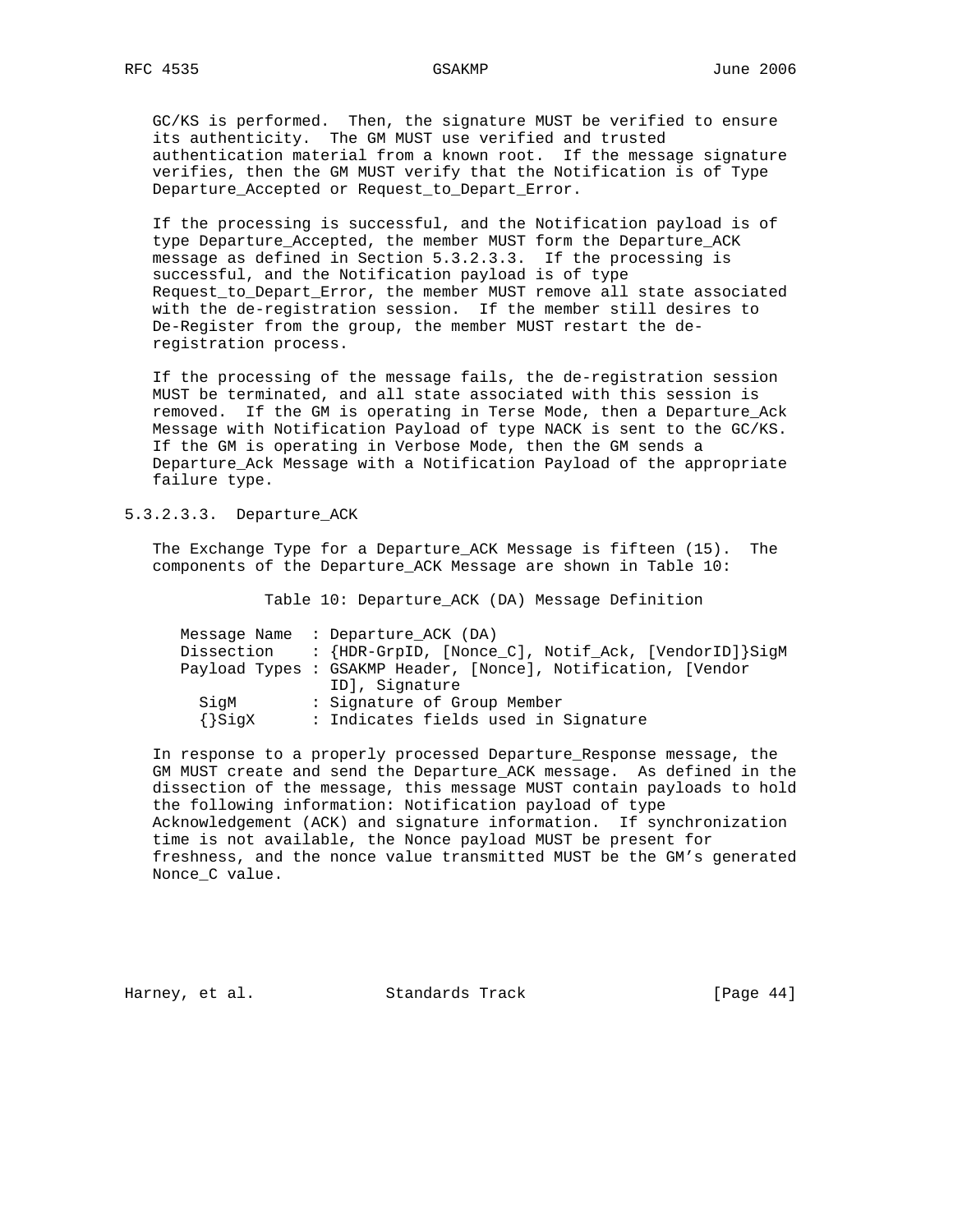GC/KS is performed. Then, the signature MUST be verified to ensure its authenticity. The GM MUST use verified and trusted authentication material from a known root. If the message signature verifies, then the GM MUST verify that the Notification is of Type Departure\_Accepted or Request\_to\_Depart\_Error.

 If the processing is successful, and the Notification payload is of type Departure\_Accepted, the member MUST form the Departure\_ACK message as defined in Section 5.3.2.3.3. If the processing is successful, and the Notification payload is of type Request\_to\_Depart\_Error, the member MUST remove all state associated with the de-registration session. If the member still desires to De-Register from the group, the member MUST restart the de registration process.

 If the processing of the message fails, the de-registration session MUST be terminated, and all state associated with this session is removed. If the GM is operating in Terse Mode, then a Departure\_Ack Message with Notification Payload of type NACK is sent to the GC/KS. If the GM is operating in Verbose Mode, then the GM sends a Departure\_Ack Message with a Notification Payload of the appropriate failure type.

## 5.3.2.3.3. Departure\_ACK

 The Exchange Type for a Departure\_ACK Message is fifteen (15). The components of the Departure\_ACK Message are shown in Table 10:

Table 10: Departure\_ACK (DA) Message Definition

|            | Message Name : Departure ACK (DA)                             |
|------------|---------------------------------------------------------------|
| Dissection | : {HDR-GrpID, [Nonce_C], Notif_Ack, [VendorID]}SigM           |
|            | Payload Types : GSAKMP Header, [Nonce], Notification, [Vendor |
|            | ID], Signature                                                |
| SiqM       | : Signature of Group Member                                   |
| {}SigX     | : Indicates fields used in Signature                          |

 In response to a properly processed Departure\_Response message, the GM MUST create and send the Departure\_ACK message. As defined in the dissection of the message, this message MUST contain payloads to hold the following information: Notification payload of type Acknowledgement (ACK) and signature information. If synchronization time is not available, the Nonce payload MUST be present for freshness, and the nonce value transmitted MUST be the GM's generated Nonce\_C value.

Harney, et al. Standards Track [Page 44]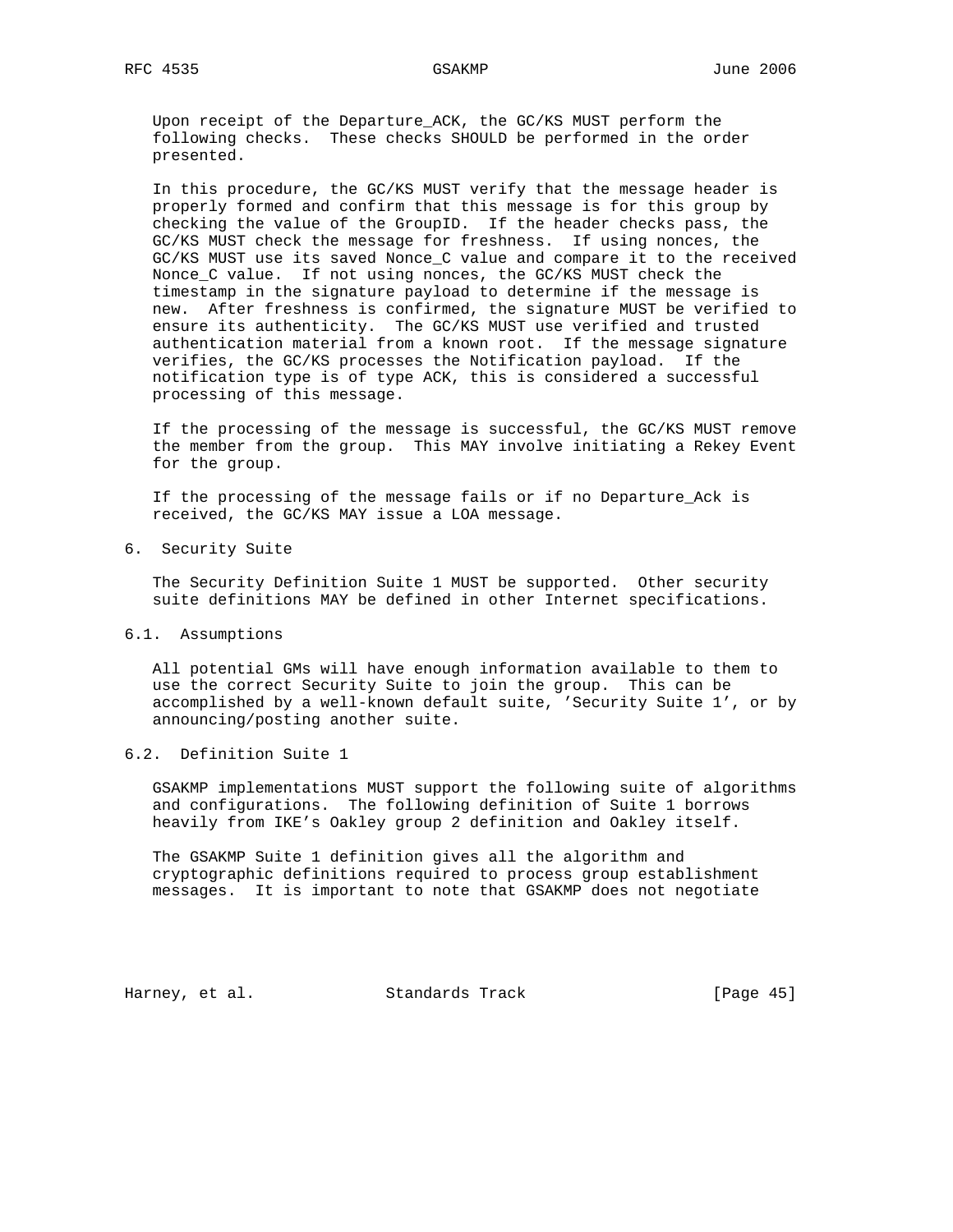Upon receipt of the Departure\_ACK, the GC/KS MUST perform the following checks. These checks SHOULD be performed in the order presented.

 In this procedure, the GC/KS MUST verify that the message header is properly formed and confirm that this message is for this group by checking the value of the GroupID. If the header checks pass, the GC/KS MUST check the message for freshness. If using nonces, the GC/KS MUST use its saved Nonce\_C value and compare it to the received Nonce\_C value. If not using nonces, the GC/KS MUST check the timestamp in the signature payload to determine if the message is new. After freshness is confirmed, the signature MUST be verified to ensure its authenticity. The GC/KS MUST use verified and trusted authentication material from a known root. If the message signature verifies, the GC/KS processes the Notification payload. If the notification type is of type ACK, this is considered a successful processing of this message.

 If the processing of the message is successful, the GC/KS MUST remove the member from the group. This MAY involve initiating a Rekey Event for the group.

 If the processing of the message fails or if no Departure\_Ack is received, the GC/KS MAY issue a LOA message.

6. Security Suite

 The Security Definition Suite 1 MUST be supported. Other security suite definitions MAY be defined in other Internet specifications.

### 6.1. Assumptions

 All potential GMs will have enough information available to them to use the correct Security Suite to join the group. This can be accomplished by a well-known default suite, 'Security Suite 1', or by announcing/posting another suite.

## 6.2. Definition Suite 1

 GSAKMP implementations MUST support the following suite of algorithms and configurations. The following definition of Suite 1 borrows heavily from IKE's Oakley group 2 definition and Oakley itself.

 The GSAKMP Suite 1 definition gives all the algorithm and cryptographic definitions required to process group establishment messages. It is important to note that GSAKMP does not negotiate

Harney, et al. Standards Track [Page 45]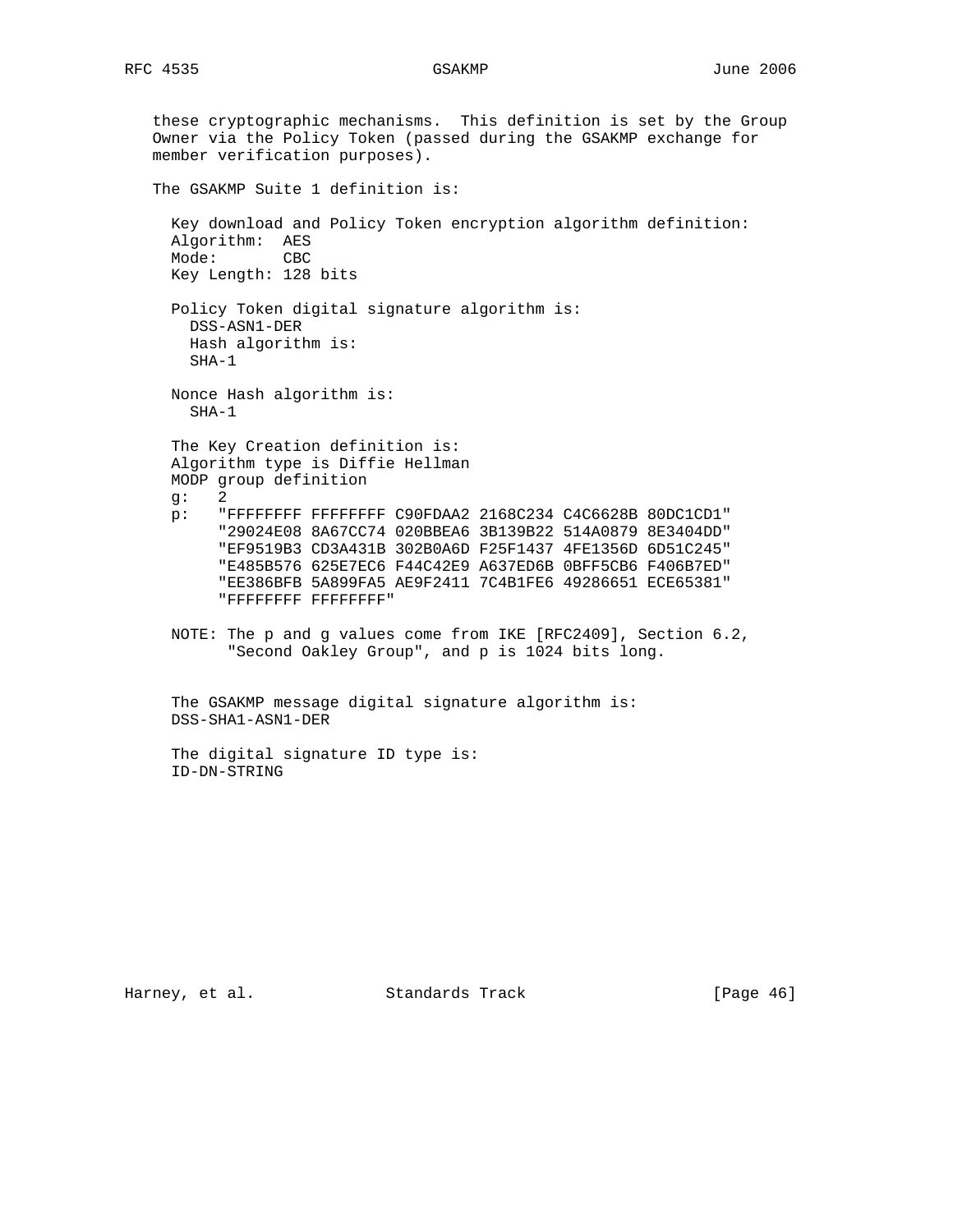```
 these cryptographic mechanisms. This definition is set by the Group
Owner via the Policy Token (passed during the GSAKMP exchange for
member verification purposes).
The GSAKMP Suite 1 definition is:
 Key download and Policy Token encryption algorithm definition:
 Algorithm: AES
 Mode: CBC
 Key Length: 128 bits
 Policy Token digital signature algorithm is:
   DSS-ASN1-DER
   Hash algorithm is:
   SHA-1
 Nonce Hash algorithm is:
   SHA-1
 The Key Creation definition is:
 Algorithm type is Diffie Hellman
 MODP group definition
 g: 2
 p: "FFFFFFFF FFFFFFFF C90FDAA2 2168C234 C4C6628B 80DC1CD1"
       "29024E08 8A67CC74 020BBEA6 3B139B22 514A0879 8E3404DD"
       "EF9519B3 CD3A431B 302B0A6D F25F1437 4FE1356D 6D51C245"
       "E485B576 625E7EC6 F44C42E9 A637ED6B 0BFF5CB6 F406B7ED"
       "EE386BFB 5A899FA5 AE9F2411 7C4B1FE6 49286651 ECE65381"
       "FFFFFFFF FFFFFFFF"
 NOTE: The p and g values come from IKE [RFC2409], Section 6.2,
        "Second Oakley Group", and p is 1024 bits long.
 The GSAKMP message digital signature algorithm is:
 DSS-SHA1-ASN1-DER
  The digital signature ID type is:
  ID-DN-STRING
```
Harney, et al. Standards Track [Page 46]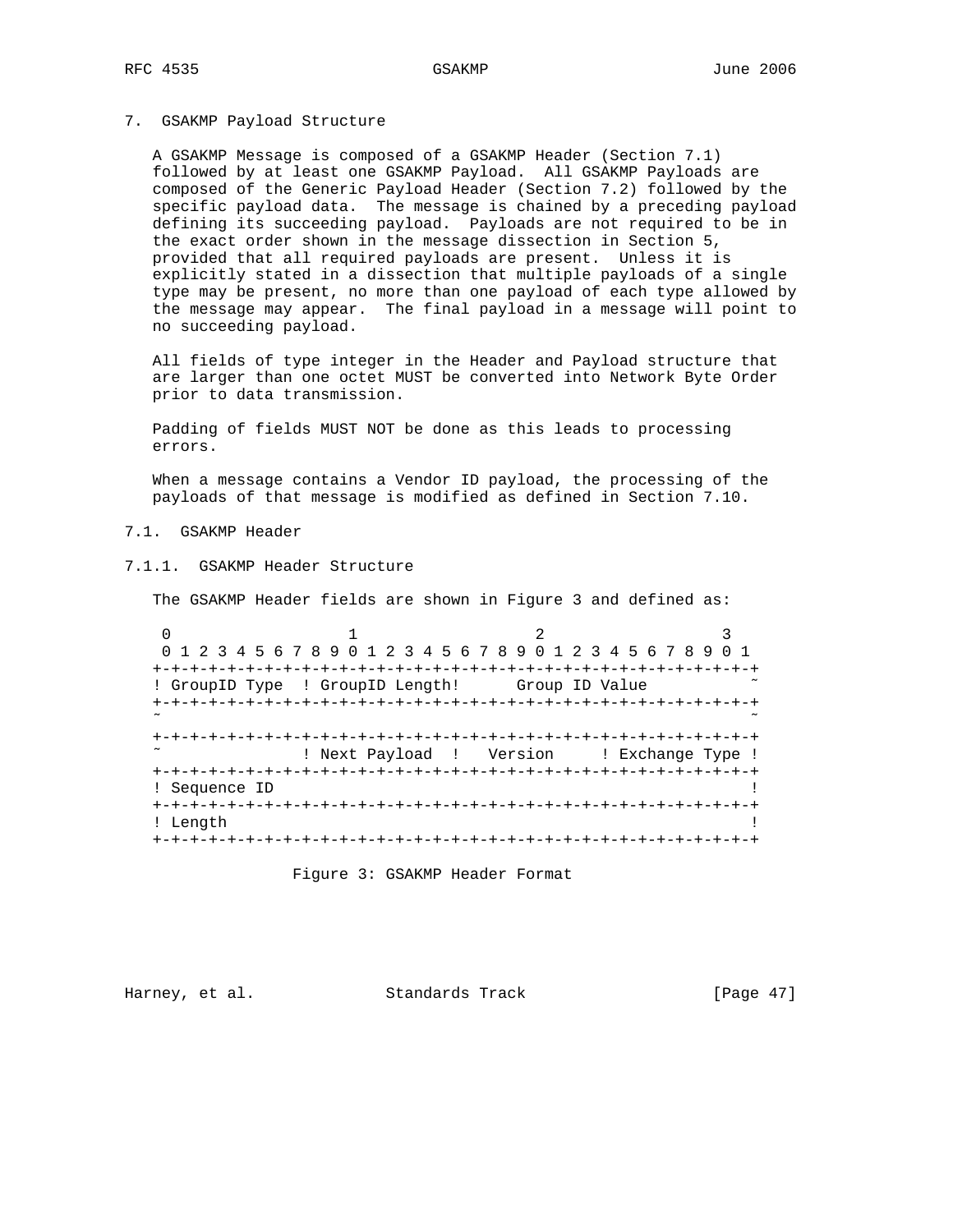7. GSAKMP Payload Structure

 A GSAKMP Message is composed of a GSAKMP Header (Section 7.1) followed by at least one GSAKMP Payload. All GSAKMP Payloads are composed of the Generic Payload Header (Section 7.2) followed by the specific payload data. The message is chained by a preceding payload defining its succeeding payload. Payloads are not required to be in the exact order shown in the message dissection in Section 5, provided that all required payloads are present. Unless it is explicitly stated in a dissection that multiple payloads of a single type may be present, no more than one payload of each type allowed by the message may appear. The final payload in a message will point to no succeeding payload.

 All fields of type integer in the Header and Payload structure that are larger than one octet MUST be converted into Network Byte Order prior to data transmission.

 Padding of fields MUST NOT be done as this leads to processing errors.

 When a message contains a Vendor ID payload, the processing of the payloads of that message is modified as defined in Section 7.10.

7.1. GSAKMP Header

7.1.1. GSAKMP Header Structure

The GSAKMP Header fields are shown in Figure 3 and defined as:

0  $1$  2 3 0 1 2 3 4 5 6 7 8 9 0 1 2 3 4 5 6 7 8 9 0 1 2 3 4 5 6 7 8 9 0 1 +-+-+-+-+-+-+-+-+-+-+-+-+-+-+-+-+-+-+-+-+-+-+-+-+-+-+-+-+-+-+-+-+ ! GroupID Type ! GroupID Length! Group ID Value +-+-+-+-+-+-+-+-+-+-+-+-+-+-+-+-+-+-+-+-+-+-+-+-+-+-+-+-+-+-+-+-+ ˜ ˜ +-+-+-+-+-+-+-+-+-+-+-+-+-+-+-+-+-+-+-+-+-+-+-+-+-+-+-+-+-+-+-+-+ ! Next Payload ! Version ! Exchange Type ! +-+-+-+-+-+-+-+-+-+-+-+-+-+-+-+-+-+-+-+-+-+-+-+-+-+-+-+-+-+-+-+-+ ! Sequence ID +-+-+-+-+-+-+-+-+-+-+-+-+-+-+-+-+-+-+-+-+-+-+-+-+-+-+-+-+-+-+-+-+ ! Length ! +-+-+-+-+-+-+-+-+-+-+-+-+-+-+-+-+-+-+-+-+-+-+-+-+-+-+-+-+-+-+-+-+

Figure 3: GSAKMP Header Format

Harney, et al. Standards Track [Page 47]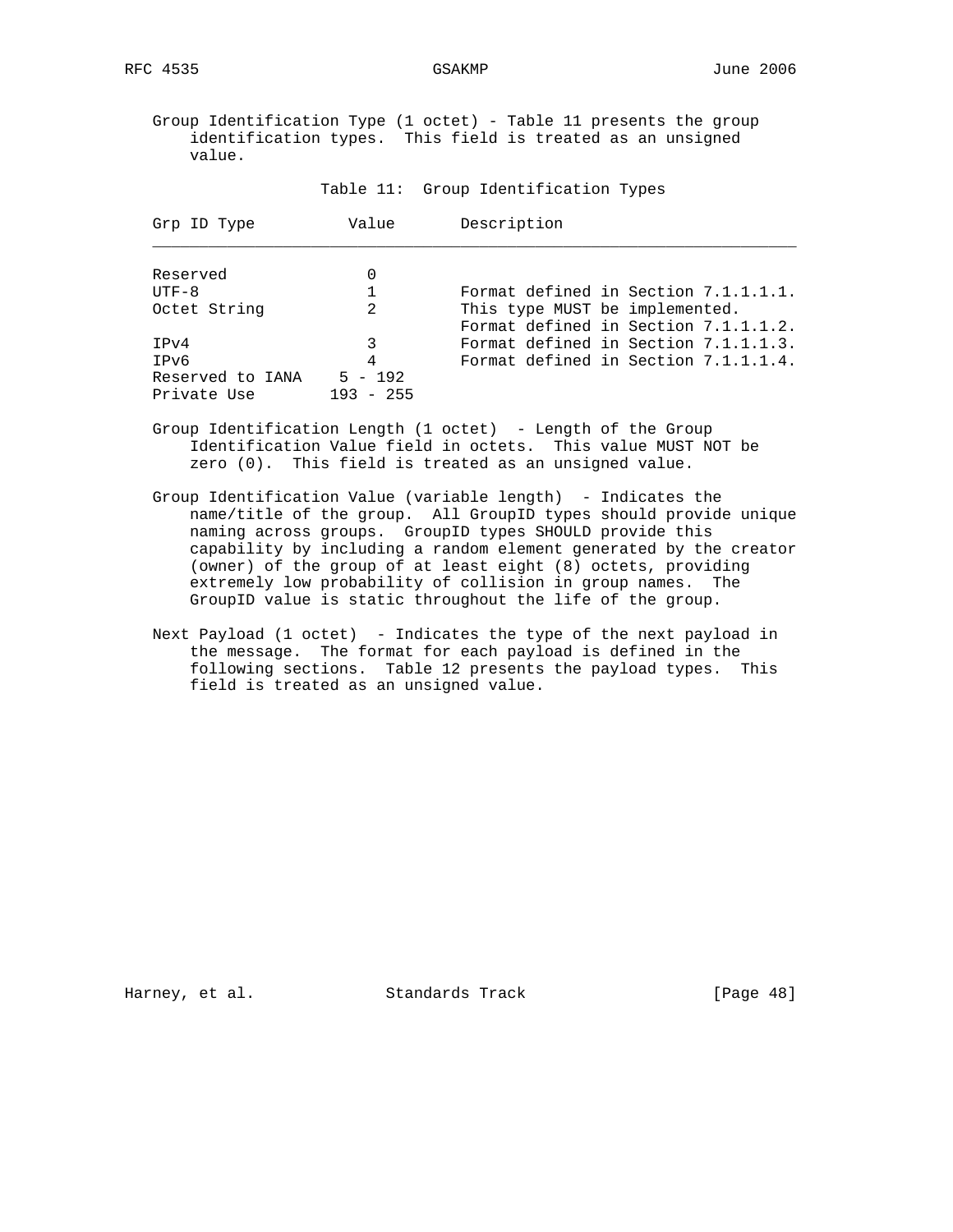Group Identification Type (1 octet) - Table 11 presents the group identification types. This field is treated as an unsigned value.

Table 11: Group Identification Types

| Grp ID Type                     | Value                    | Description                                                            |  |  |  |  |  |  |  |  |  |  |  |
|---------------------------------|--------------------------|------------------------------------------------------------------------|--|--|--|--|--|--|--|--|--|--|--|
| Reserved                        |                          |                                                                        |  |  |  |  |  |  |  |  |  |  |  |
| $UTF-8$                         |                          | Format defined in Section 7.1.1.1.1.                                   |  |  |  |  |  |  |  |  |  |  |  |
| Octet String                    | 2                        | This type MUST be implemented.<br>Format defined in Section 7.1.1.1.2. |  |  |  |  |  |  |  |  |  |  |  |
| TPv4                            | 3                        | Format defined in Section 7.1.1.1.3.                                   |  |  |  |  |  |  |  |  |  |  |  |
| IPv6                            | 4                        | Format defined in Section 7.1.1.1.4.                                   |  |  |  |  |  |  |  |  |  |  |  |
| Reserved to IANA<br>Private Use | $5 - 192$<br>$193 - 255$ |                                                                        |  |  |  |  |  |  |  |  |  |  |  |

- Group Identification Length (1 octet) Length of the Group Identification Value field in octets. This value MUST NOT be zero (0). This field is treated as an unsigned value.
- Group Identification Value (variable length) Indicates the name/title of the group. All GroupID types should provide unique naming across groups. GroupID types SHOULD provide this capability by including a random element generated by the creator (owner) of the group of at least eight (8) octets, providing extremely low probability of collision in group names. The GroupID value is static throughout the life of the group.
- Next Payload (1 octet) Indicates the type of the next payload in the message. The format for each payload is defined in the following sections. Table 12 presents the payload types. This field is treated as an unsigned value.

Harney, et al. Standards Track [Page 48]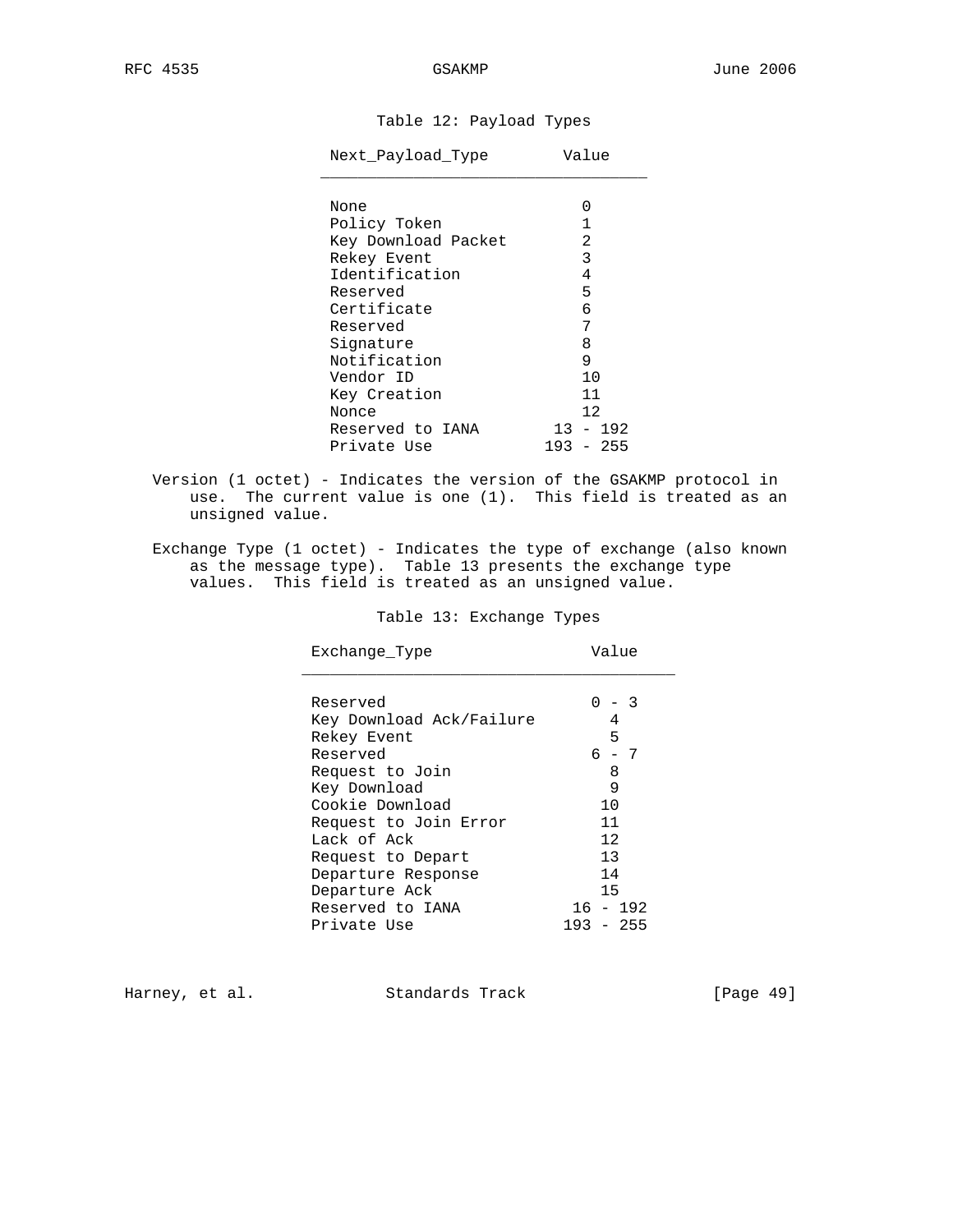# Table 12: Payload Types

| Next Payload Type                 | Value |
|-----------------------------------|-------|
| None                              |       |
| $D = 1$ $\frac{1}{2}$ and $D = 1$ |       |

| Policy Token        |     |                                  |
|---------------------|-----|----------------------------------|
| Key Download Packet |     | 2                                |
| Rekey Event         |     | 3                                |
| Identification      |     | 4                                |
| Reserved            |     | 5                                |
| Certificate         |     | 6                                |
| Reserved            |     | 7                                |
| Signature           |     | 8                                |
| Notification        |     | 9                                |
| Vendor ID           |     | 10                               |
| Key Creation        |     | 11                               |
| Nonce               |     | 12                               |
| Reserved to IANA    | 13  | $-192$                           |
| Private Use         | 193 | -255<br>$\overline{\phantom{0}}$ |

- Version (1 octet) Indicates the version of the GSAKMP protocol in use. The current value is one (1). This field is treated as an unsigned value.
- Exchange Type (1 octet) Indicates the type of exchange (also known as the message type). Table 13 presents the exchange type values. This field is treated as an unsigned value.

## Table 13: Exchange Types

| Exchange Type            | Value       |
|--------------------------|-------------|
|                          |             |
| Reserved                 | - 3         |
| Key Download Ack/Failure | 4           |
| Rekey Event              | 5           |
| Reserved                 | 6 - 7       |
| Request to Join          | 8           |
| Key Download             | 9           |
| Cookie Download          | 10          |
| Request to Join Error    | 11          |
| Lack of Ack              | 12          |
| Request to Depart        | 13          |
| Departure Response       | 14          |
| Departure Ack            | 15          |
| Reserved to IANA         | $16 - 192$  |
| Private Use              | $193 - 255$ |

Harney, et al. Standards Track [Page 49]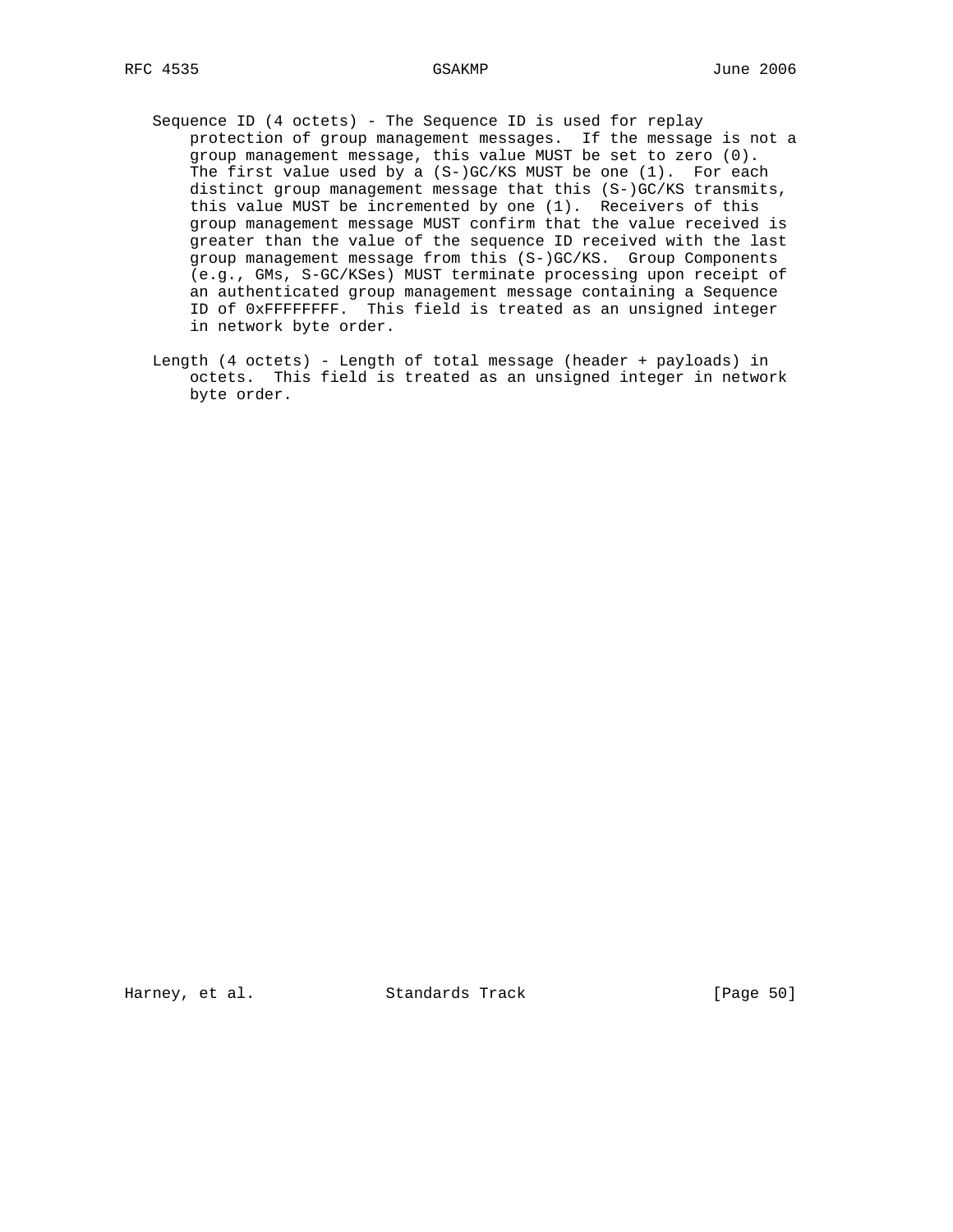- - Sequence ID (4 octets) The Sequence ID is used for replay protection of group management messages. If the message is not a group management message, this value MUST be set to zero (0). The first value used by a (S-)GC/KS MUST be one (1). For each distinct group management message that this (S-)GC/KS transmits, this value MUST be incremented by one (1). Receivers of this group management message MUST confirm that the value received is greater than the value of the sequence ID received with the last group management message from this (S-)GC/KS. Group Components (e.g., GMs, S-GC/KSes) MUST terminate processing upon receipt of an authenticated group management message containing a Sequence ID of 0xFFFFFFFF. This field is treated as an unsigned integer in network byte order.
	- Length (4 octets) Length of total message (header + payloads) in octets. This field is treated as an unsigned integer in network byte order.

Harney, et al. Standards Track [Page 50]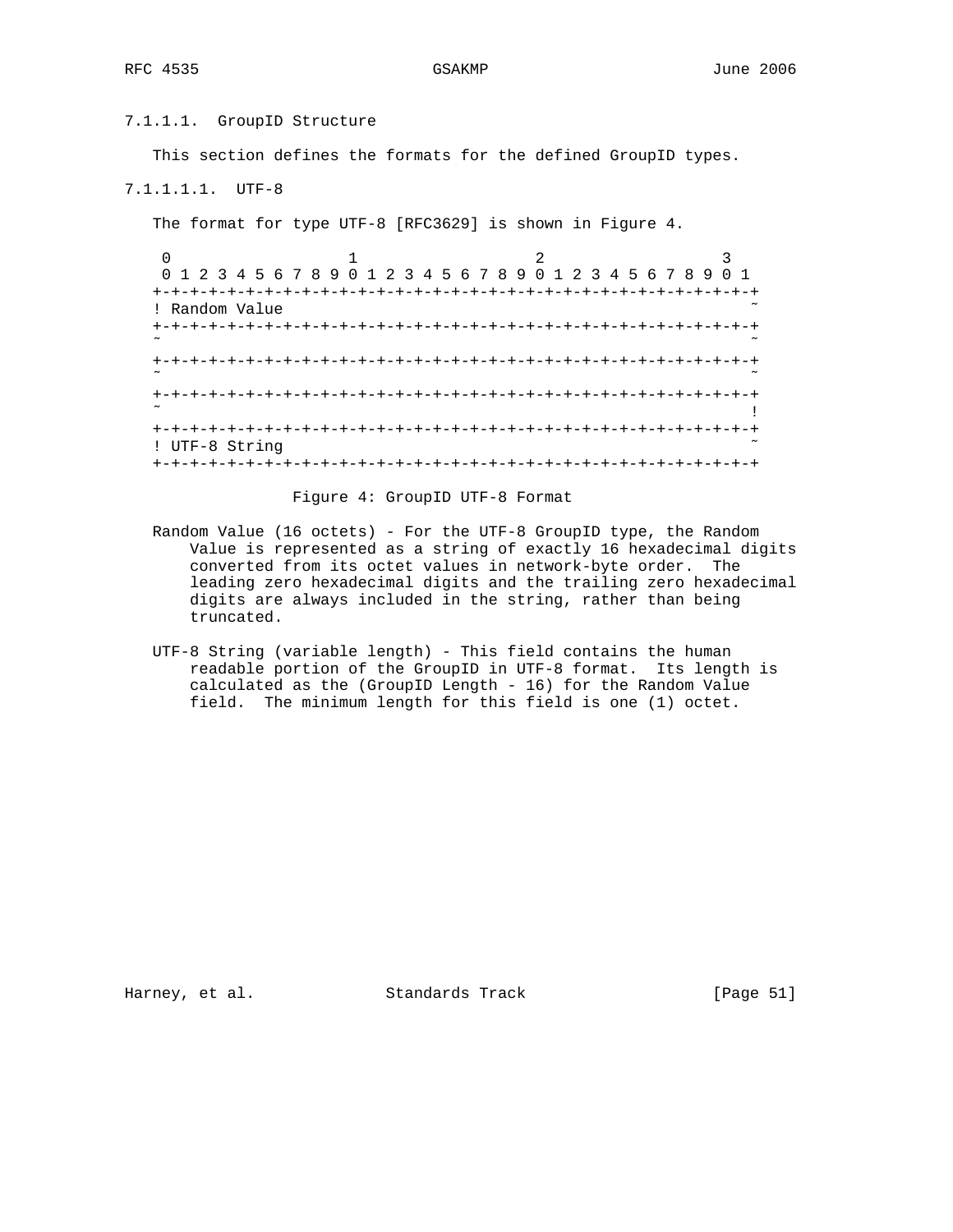## 7.1.1.1. GroupID Structure

This section defines the formats for the defined GroupID types.

# 7.1.1.1.1. UTF-8

The format for type UTF-8 [RFC3629] is shown in Figure 4.

|                | 0 1 2 3 4 5 6 7 8 9 0 1 2 3 4 5 6 7 8 9 0 1 2 3 4 5 6 7 8 9 |  |
|----------------|-------------------------------------------------------------|--|
|                | -+-+-+-+-+-+-+-+-+-+-+-+-+-+-+-+-+-                         |  |
| ! Random Value |                                                             |  |
|                |                                                             |  |
|                |                                                             |  |
|                |                                                             |  |
| ! UTF-8 String |                                                             |  |
|                |                                                             |  |

## Figure 4: GroupID UTF-8 Format

- Random Value (16 octets) For the UTF-8 GroupID type, the Random Value is represented as a string of exactly 16 hexadecimal digits converted from its octet values in network-byte order. The leading zero hexadecimal digits and the trailing zero hexadecimal digits are always included in the string, rather than being truncated.
- UTF-8 String (variable length) This field contains the human readable portion of the GroupID in UTF-8 format. Its length is calculated as the (GroupID Length - 16) for the Random Value field. The minimum length for this field is one (1) octet.

Harney, et al. Standards Track [Page 51]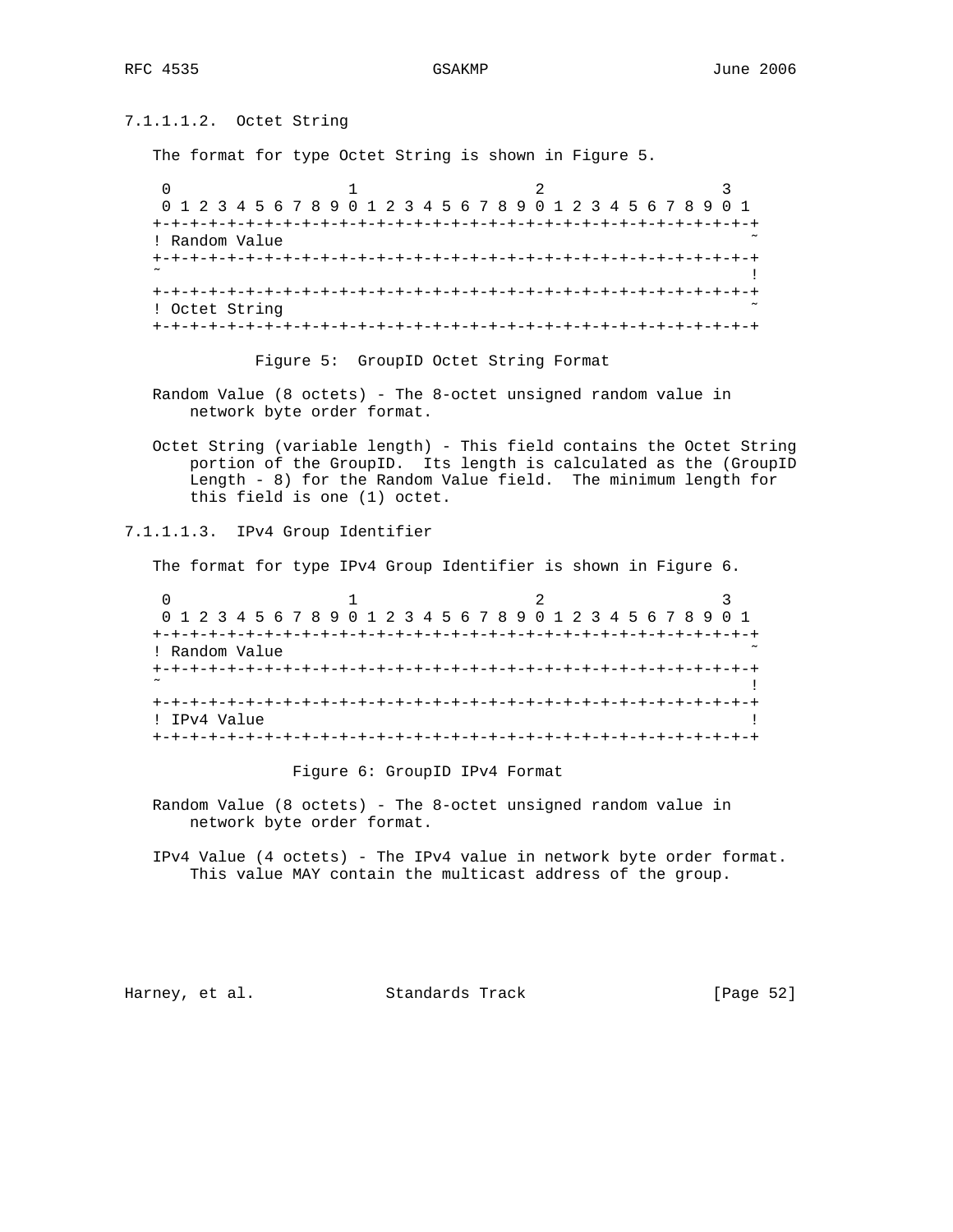7.1.1.1.2. Octet String The format for type Octet String is shown in Figure 5. 0  $1$  2 3 0 1 2 3 4 5 6 7 8 9 0 1 2 3 4 5 6 7 8 9 0 1 2 3 4 5 6 7 8 9 0 1 +-+-+-+-+-+-+-+-+-+-+-+-+-+-+-+-+-+-+-+-+-+-+-+-+-+-+-+-+-+-+-+-+ ! Random Value +-+-+-+-+-+-+-+-+-+-+-+-+-+-+-+-+-+-+-+-+-+-+-+-+-+-+-+-+-+-+-+-+ ˜ ! +-+-+-+-+-+-+-+-+-+-+-+-+-+-+-+-+-+-+-+-+-+-+-+-+-+-+-+-+-+-+-+-+ ! Octet String +-+-+-+-+-+-+-+-+-+-+-+-+-+-+-+-+-+-+-+-+-+-+-+-+-+-+-+-+-+-+-+-+

Figure 5: GroupID Octet String Format

 Random Value (8 octets) - The 8-octet unsigned random value in network byte order format.

 Octet String (variable length) - This field contains the Octet String portion of the GroupID. Its length is calculated as the (GroupID Length - 8) for the Random Value field. The minimum length for this field is one (1) octet.

## 7.1.1.1.3. IPv4 Group Identifier

The format for type IPv4 Group Identifier is shown in Figure 6.

|              |                | 0 1 2 3 4 5 6 7 8 9 0 1 2 3 4 5 6 7 8 9 0 1 2 3 4 5 6 7 8 9 0 1 |  |
|--------------|----------------|-----------------------------------------------------------------|--|
|              |                |                                                                 |  |
|              | ! Random Value |                                                                 |  |
|              |                |                                                                 |  |
|              |                |                                                                 |  |
|              |                |                                                                 |  |
| ! TPv4 Value |                |                                                                 |  |
|              |                |                                                                 |  |

Figure 6: GroupID IPv4 Format

 Random Value (8 octets) - The 8-octet unsigned random value in network byte order format.

 IPv4 Value (4 octets) - The IPv4 value in network byte order format. This value MAY contain the multicast address of the group.

Harney, et al. Standards Track [Page 52]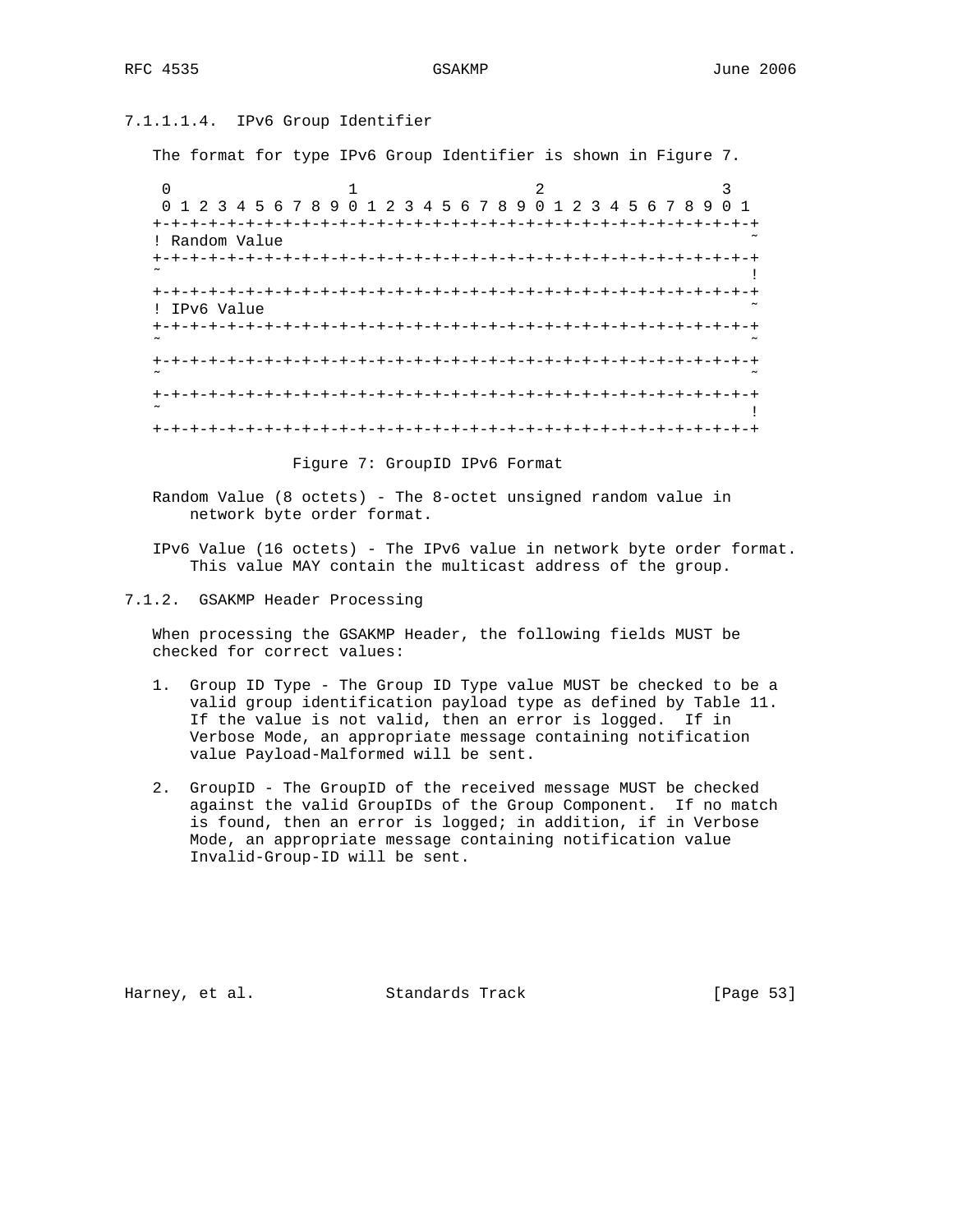# 7.1.1.1.4. IPv6 Group Identifier

The format for type IPv6 Group Identifier is shown in Figure 7.

0  $1$  2 3 0 1 2 3 4 5 6 7 8 9 0 1 2 3 4 5 6 7 8 9 0 1 2 3 4 5 6 7 8 9 0 1 +-+-+-+-+-+-+-+-+-+-+-+-+-+-+-+-+-+-+-+-+-+-+-+-+-+-+-+-+-+-+-+-+ ! Random Value +-+-+-+-+-+-+-+-+-+-+-+-+-+-+-+-+-+-+-+-+-+-+-+-+-+-+-+-+-+-+-+-+ ˜ ! +-+-+-+-+-+-+-+-+-+-+-+-+-+-+-+-+-+-+-+-+-+-+-+-+-+-+-+-+-+-+-+-+ ! IPv6 Value +-+-+-+-+-+-+-+-+-+-+-+-+-+-+-+-+-+-+-+-+-+-+-+-+-+-+-+-+-+-+-+-+ ˜ ˜ +-+-+-+-+-+-+-+-+-+-+-+-+-+-+-+-+-+-+-+-+-+-+-+-+-+-+-+-+-+-+-+-+ ˜ ˜ +-+-+-+-+-+-+-+-+-+-+-+-+-+-+-+-+-+-+-+-+-+-+-+-+-+-+-+-+-+-+-+-+ ˜ ! +-+-+-+-+-+-+-+-+-+-+-+-+-+-+-+-+-+-+-+-+-+-+-+-+-+-+-+-+-+-+-+-+

Figure 7: GroupID IPv6 Format

 Random Value (8 octets) - The 8-octet unsigned random value in network byte order format.

 IPv6 Value (16 octets) - The IPv6 value in network byte order format. This value MAY contain the multicast address of the group.

7.1.2. GSAKMP Header Processing

 When processing the GSAKMP Header, the following fields MUST be checked for correct values:

- 1. Group ID Type The Group ID Type value MUST be checked to be a valid group identification payload type as defined by Table 11. If the value is not valid, then an error is logged. If in Verbose Mode, an appropriate message containing notification value Payload-Malformed will be sent.
- 2. GroupID The GroupID of the received message MUST be checked against the valid GroupIDs of the Group Component. If no match is found, then an error is logged; in addition, if in Verbose Mode, an appropriate message containing notification value Invalid-Group-ID will be sent.

Harney, et al. Standards Track [Page 53]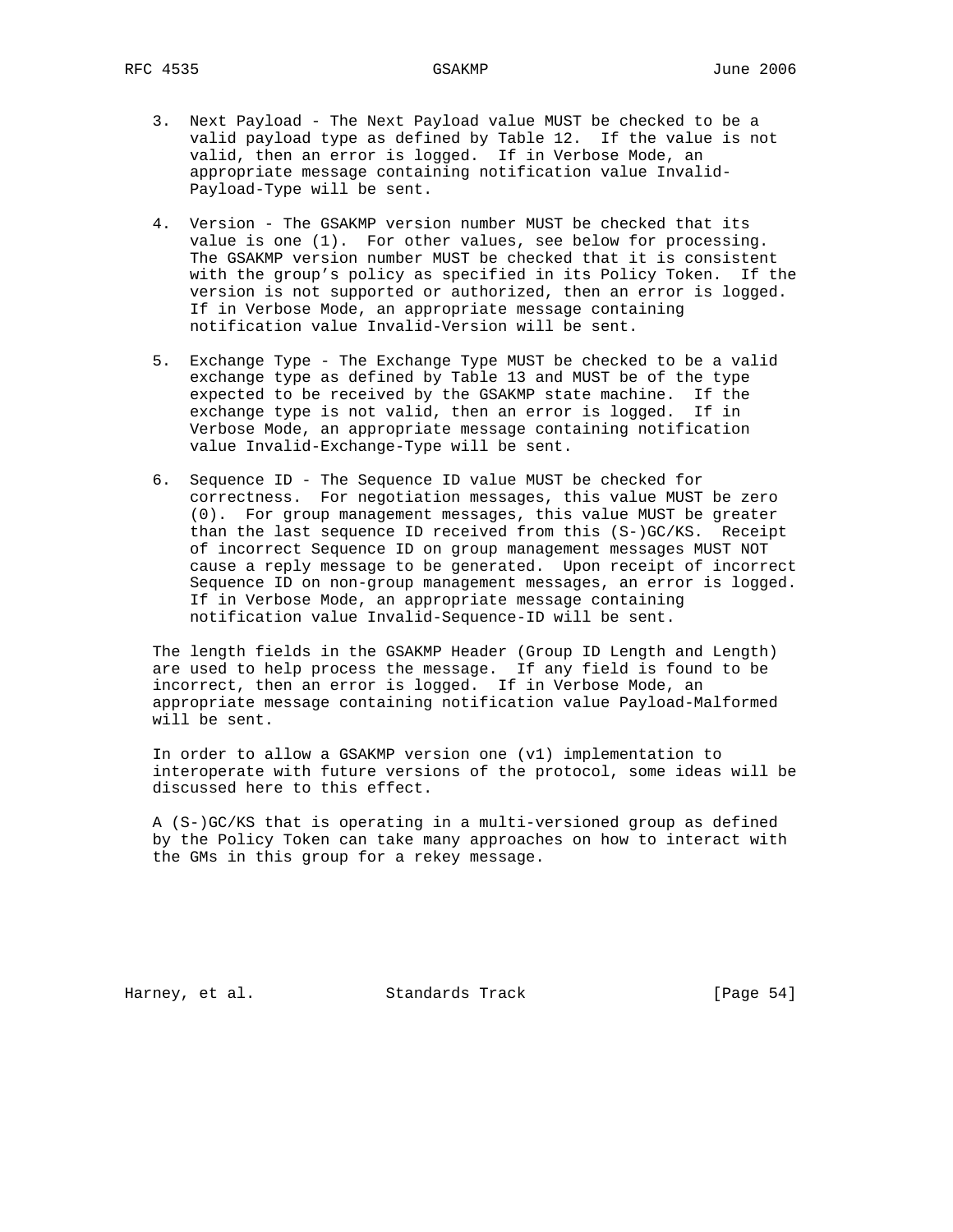- 3. Next Payload The Next Payload value MUST be checked to be a valid payload type as defined by Table 12. If the value is not valid, then an error is logged. If in Verbose Mode, an appropriate message containing notification value Invalid- Payload-Type will be sent.
- 4. Version The GSAKMP version number MUST be checked that its value is one (1). For other values, see below for processing. The GSAKMP version number MUST be checked that it is consistent with the group's policy as specified in its Policy Token. If the version is not supported or authorized, then an error is logged. If in Verbose Mode, an appropriate message containing notification value Invalid-Version will be sent.
- 5. Exchange Type The Exchange Type MUST be checked to be a valid exchange type as defined by Table 13 and MUST be of the type expected to be received by the GSAKMP state machine. If the exchange type is not valid, then an error is logged. If in Verbose Mode, an appropriate message containing notification value Invalid-Exchange-Type will be sent.
- 6. Sequence ID The Sequence ID value MUST be checked for correctness. For negotiation messages, this value MUST be zero (0). For group management messages, this value MUST be greater than the last sequence ID received from this (S-)GC/KS. Receipt of incorrect Sequence ID on group management messages MUST NOT cause a reply message to be generated. Upon receipt of incorrect Sequence ID on non-group management messages, an error is logged. If in Verbose Mode, an appropriate message containing notification value Invalid-Sequence-ID will be sent.

 The length fields in the GSAKMP Header (Group ID Length and Length) are used to help process the message. If any field is found to be incorrect, then an error is logged. If in Verbose Mode, an appropriate message containing notification value Payload-Malformed will be sent.

 In order to allow a GSAKMP version one (v1) implementation to interoperate with future versions of the protocol, some ideas will be discussed here to this effect.

 A (S-)GC/KS that is operating in a multi-versioned group as defined by the Policy Token can take many approaches on how to interact with the GMs in this group for a rekey message.

Harney, et al. Standards Track [Page 54]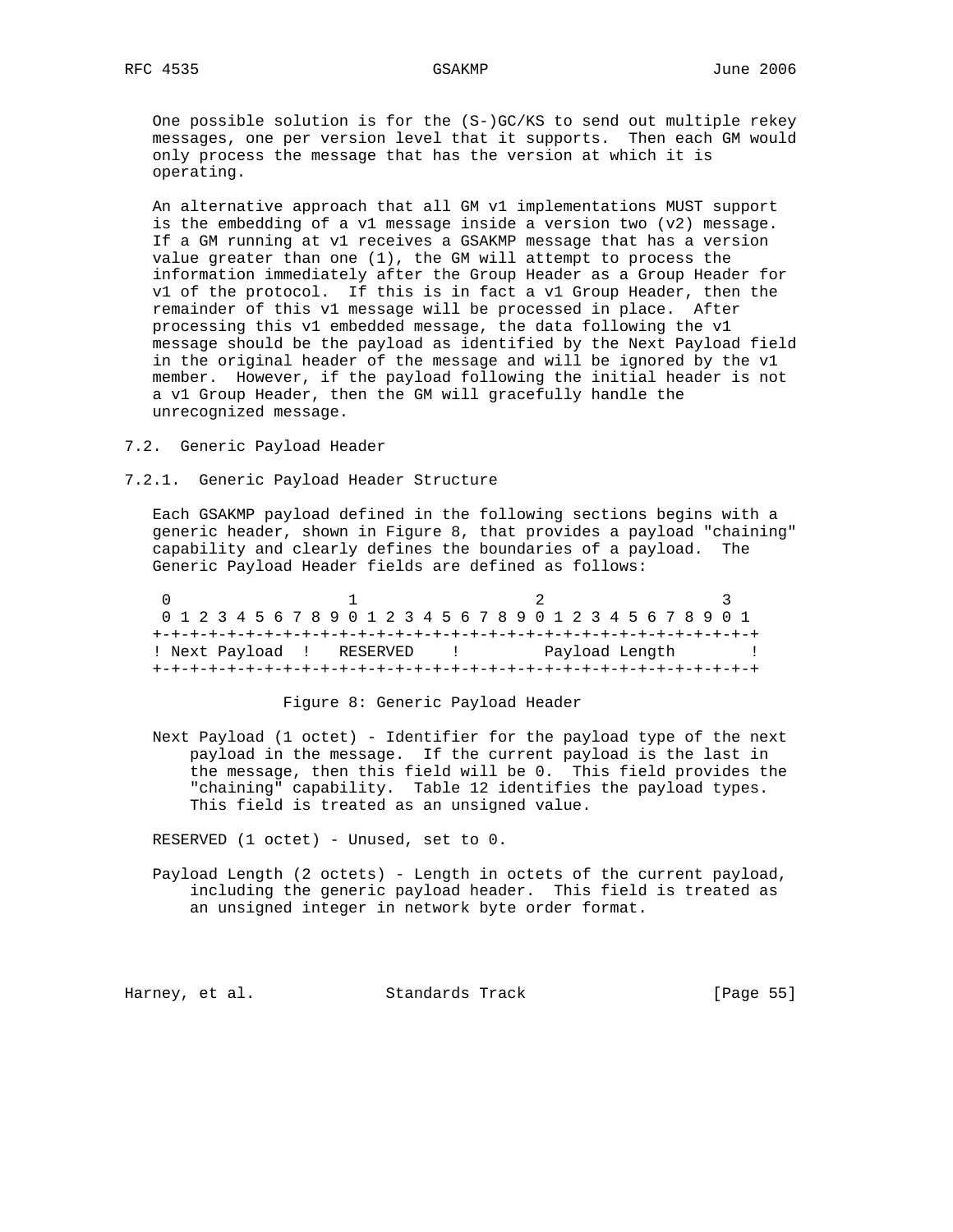One possible solution is for the (S-)GC/KS to send out multiple rekey messages, one per version level that it supports. Then each GM would only process the message that has the version at which it is operating.

 An alternative approach that all GM v1 implementations MUST support is the embedding of a v1 message inside a version two (v2) message. If a GM running at v1 receives a GSAKMP message that has a version value greater than one (1), the GM will attempt to process the information immediately after the Group Header as a Group Header for v1 of the protocol. If this is in fact a v1 Group Header, then the remainder of this v1 message will be processed in place. After processing this v1 embedded message, the data following the v1 message should be the payload as identified by the Next Payload field in the original header of the message and will be ignored by the v1 member. However, if the payload following the initial header is not a v1 Group Header, then the GM will gracefully handle the unrecognized message.

7.2. Generic Payload Header

7.2.1. Generic Payload Header Structure

 Each GSAKMP payload defined in the following sections begins with a generic header, shown in Figure 8, that provides a payload "chaining" capability and clearly defines the boundaries of a payload. The Generic Payload Header fields are defined as follows:

|                           | 0 1 2 3 4 5 6 7 8 9 0 1 2 3 4 5 6 7 8 9 0 1 2 3 4 5 6 7 8 9 0 1 |  |  |  |  |  |  |  |  |  |                |  |  |  |  |  |
|---------------------------|-----------------------------------------------------------------|--|--|--|--|--|--|--|--|--|----------------|--|--|--|--|--|
|                           |                                                                 |  |  |  |  |  |  |  |  |  |                |  |  |  |  |  |
| ! Next Payload ! RESERVED |                                                                 |  |  |  |  |  |  |  |  |  | Payload Length |  |  |  |  |  |
|                           |                                                                 |  |  |  |  |  |  |  |  |  |                |  |  |  |  |  |

### Figure 8: Generic Payload Header

 Next Payload (1 octet) - Identifier for the payload type of the next payload in the message. If the current payload is the last in the message, then this field will be 0. This field provides the "chaining" capability. Table 12 identifies the payload types. This field is treated as an unsigned value.

RESERVED (1 octet) - Unused, set to 0.

 Payload Length (2 octets) - Length in octets of the current payload, including the generic payload header. This field is treated as an unsigned integer in network byte order format.

Harney, et al. Standards Track [Page 55]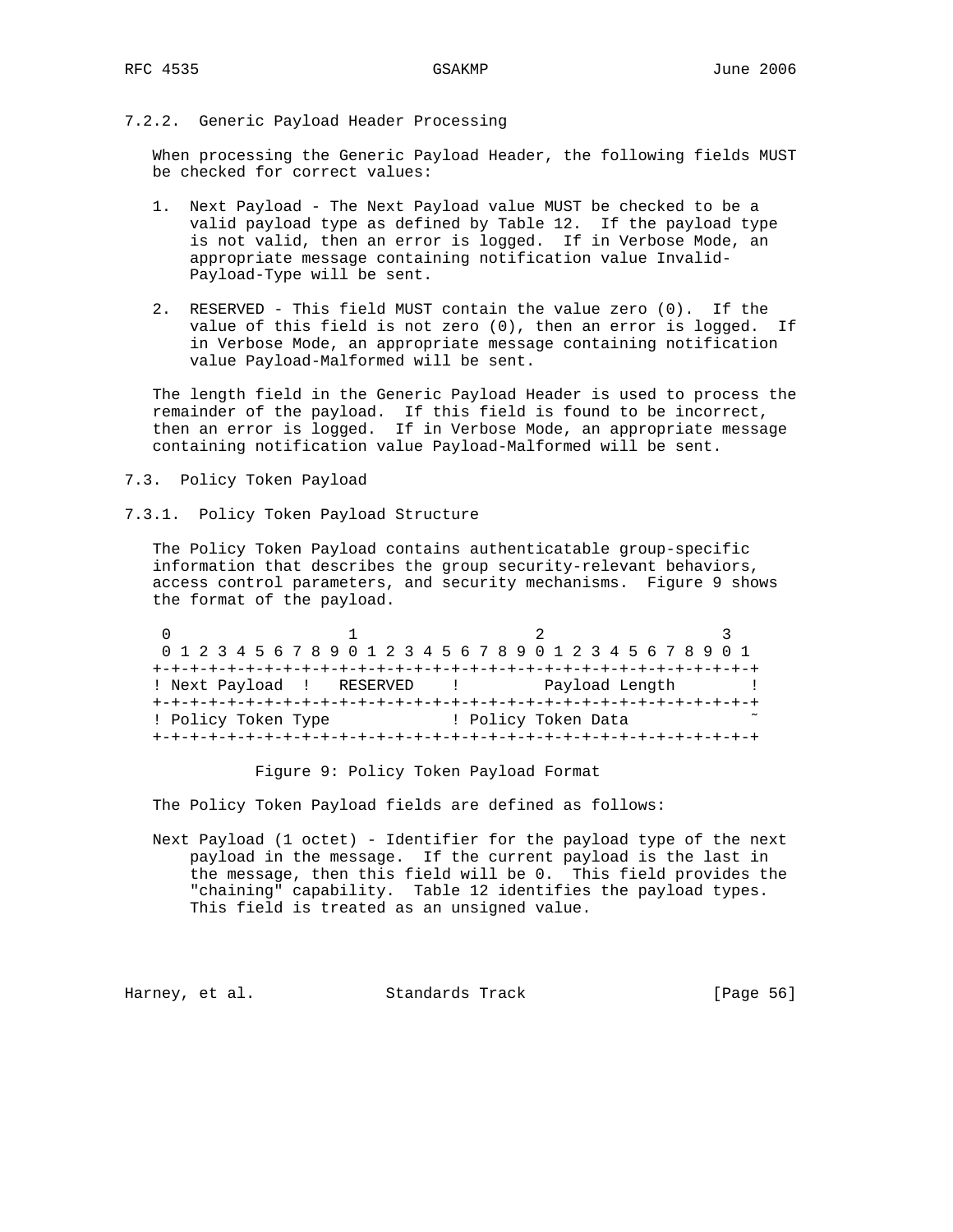## 7.2.2. Generic Payload Header Processing

 When processing the Generic Payload Header, the following fields MUST be checked for correct values:

- 1. Next Payload The Next Payload value MUST be checked to be a valid payload type as defined by Table 12. If the payload type is not valid, then an error is logged. If in Verbose Mode, an appropriate message containing notification value Invalid- Payload-Type will be sent.
- 2. RESERVED This field MUST contain the value zero (0). If the value of this field is not zero (0), then an error is logged. If in Verbose Mode, an appropriate message containing notification value Payload-Malformed will be sent.

 The length field in the Generic Payload Header is used to process the remainder of the payload. If this field is found to be incorrect, then an error is logged. If in Verbose Mode, an appropriate message containing notification value Payload-Malformed will be sent.

- 7.3. Policy Token Payload
- 7.3.1. Policy Token Payload Structure

 The Policy Token Payload contains authenticatable group-specific information that describes the group security-relevant behaviors, access control parameters, and security mechanisms. Figure 9 shows the format of the payload.

0  $1$  2 3 0 1 2 3 4 5 6 7 8 9 0 1 2 3 4 5 6 7 8 9 0 1 2 3 4 5 6 7 8 9 0 1 +-+-+-+-+-+-+-+-+-+-+-+-+-+-+-+-+-+-+-+-+-+-+-+-+-+-+-+-+-+-+-+-+ ! Next Payload ! RESERVED ! Payload Length ! +-+-+-+-+-+-+-+-+-+-+-+-+-+-+-+-+-+-+-+-+-+-+-+-+-+-+-+-+-+-+-+-+ ! Policy Token Type  $\qquad$  ! Policy Token Data +-+-+-+-+-+-+-+-+-+-+-+-+-+-+-+-+-+-+-+-+-+-+-+-+-+-+-+-+-+-+-+-+

Figure 9: Policy Token Payload Format

The Policy Token Payload fields are defined as follows:

 Next Payload (1 octet) - Identifier for the payload type of the next payload in the message. If the current payload is the last in the message, then this field will be 0. This field provides the "chaining" capability. Table 12 identifies the payload types. This field is treated as an unsigned value.

Harney, et al. Standards Track [Page 56]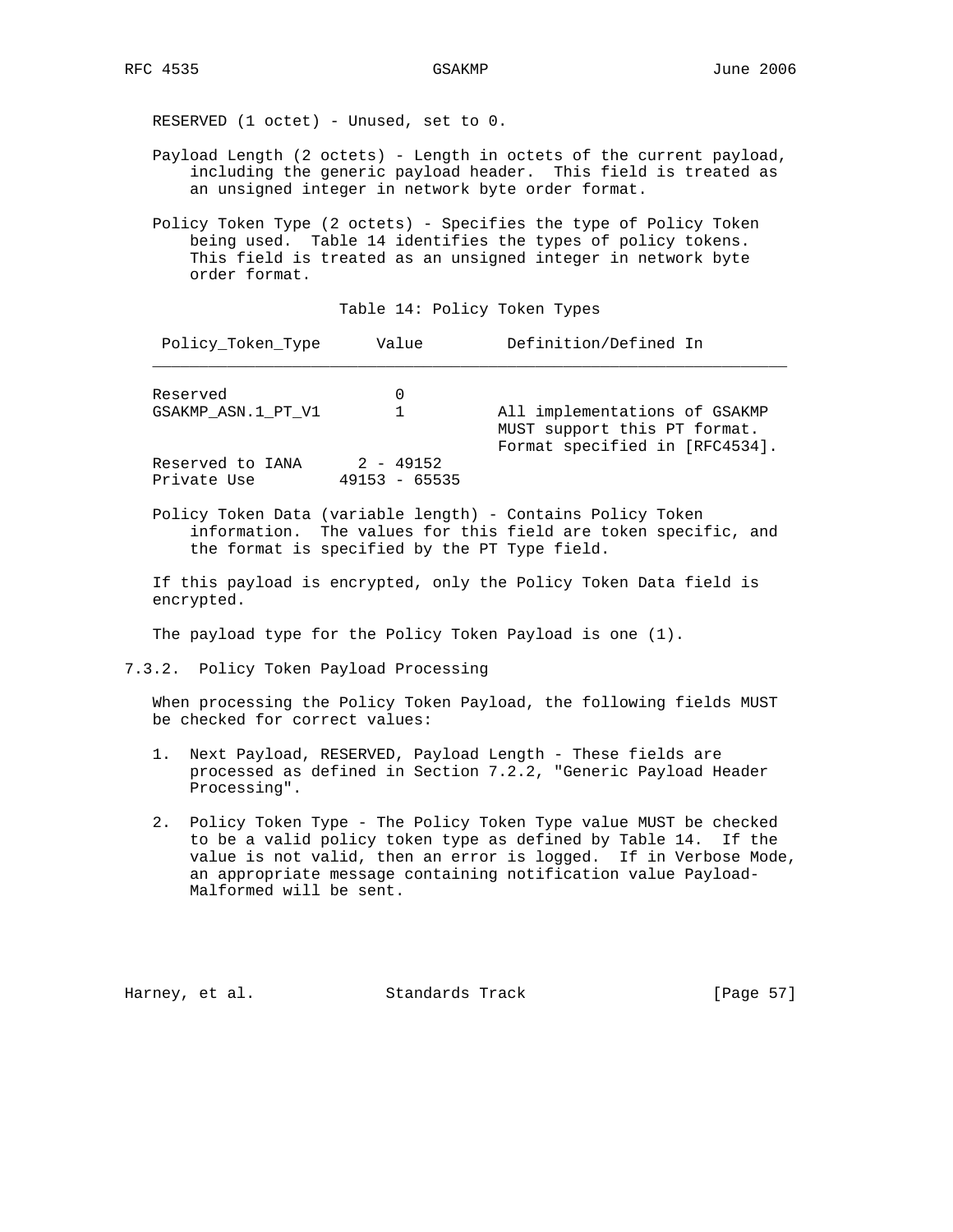RESERVED (1 octet) - Unused, set to 0.

- Payload Length (2 octets) Length in octets of the current payload, including the generic payload header. This field is treated as an unsigned integer in network byte order format.
- Policy Token Type (2 octets) Specifies the type of Policy Token being used. Table 14 identifies the types of policy tokens. This field is treated as an unsigned integer in network byte order format.

### Table 14: Policy Token Types

| Policy Token Type               | Value                          | Definition/Defined In                                                                           |
|---------------------------------|--------------------------------|-------------------------------------------------------------------------------------------------|
| Reserved                        |                                |                                                                                                 |
| GSAKMP ASN.1 PT V1              |                                | All implementations of GSAKMP<br>MUST support this PT format.<br>Format specified in [RFC4534]. |
| Reserved to IANA<br>Private Use | $2 - 49152$<br>$49153 - 65535$ |                                                                                                 |

 Policy Token Data (variable length) - Contains Policy Token information. The values for this field are token specific, and the format is specified by the PT Type field.

 If this payload is encrypted, only the Policy Token Data field is encrypted.

The payload type for the Policy Token Payload is one (1).

7.3.2. Policy Token Payload Processing

 When processing the Policy Token Payload, the following fields MUST be checked for correct values:

- 1. Next Payload, RESERVED, Payload Length These fields are processed as defined in Section 7.2.2, "Generic Payload Header Processing".
- 2. Policy Token Type The Policy Token Type value MUST be checked to be a valid policy token type as defined by Table 14. If the value is not valid, then an error is logged. If in Verbose Mode, an appropriate message containing notification value Payload- Malformed will be sent.

Harney, et al. Standards Track [Page 57]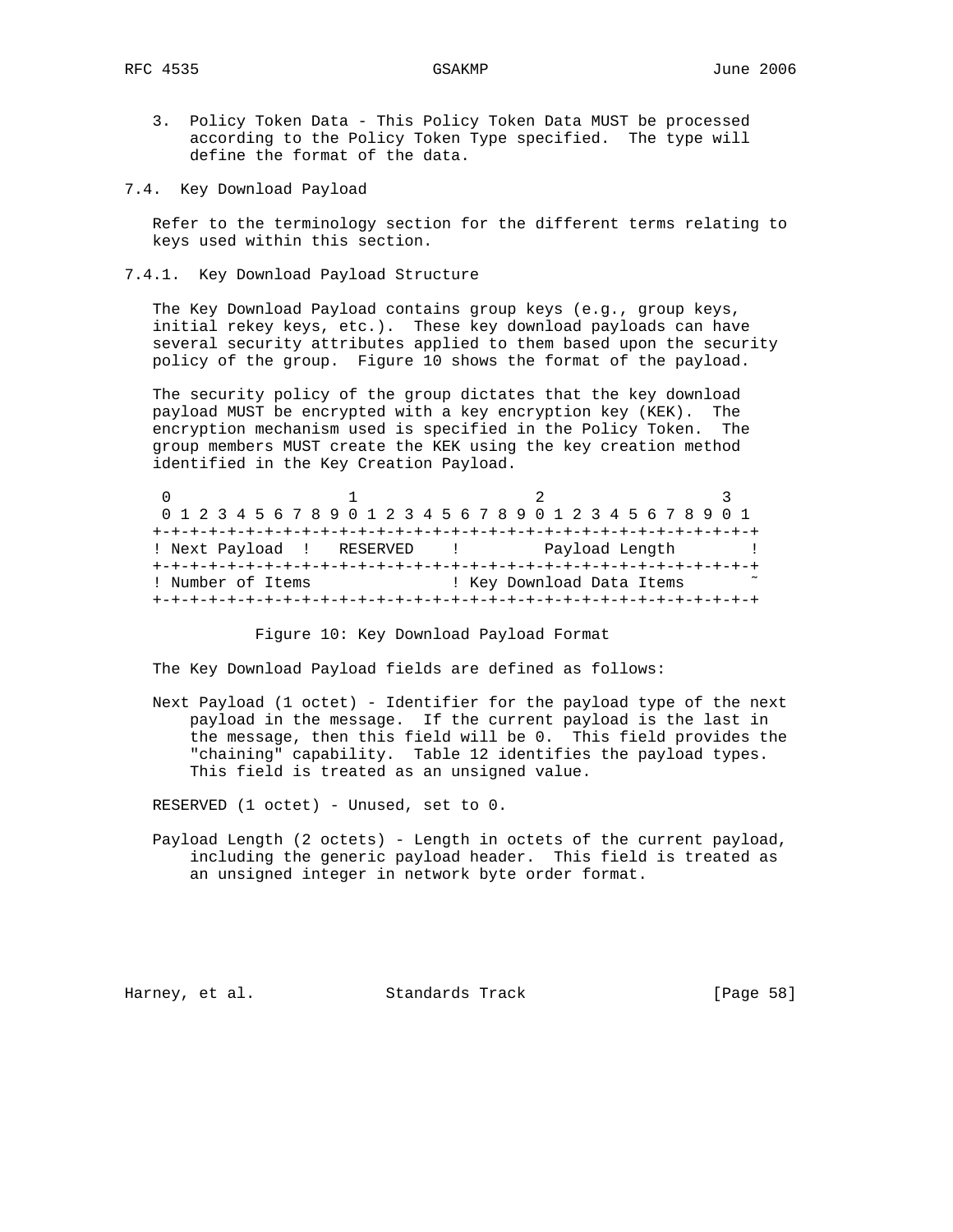- 3. Policy Token Data This Policy Token Data MUST be processed according to the Policy Token Type specified. The type will define the format of the data.
- 7.4. Key Download Payload

 Refer to the terminology section for the different terms relating to keys used within this section.

7.4.1. Key Download Payload Structure

 The Key Download Payload contains group keys (e.g., group keys, initial rekey keys, etc.). These key download payloads can have several security attributes applied to them based upon the security policy of the group. Figure 10 shows the format of the payload.

 The security policy of the group dictates that the key download payload MUST be encrypted with a key encryption key (KEK). The encryption mechanism used is specified in the Policy Token. The group members MUST create the KEK using the key creation method identified in the Key Creation Payload.

| 0 1 2 3 4 5 6 7 8 9 0 1 2 3 4 5 6 7 8 9 0 1 2 3 4 5 6 7 8 9 0 1 |  |  |  |  |  |  |  |  |  |  |  |  |                |  |  |  |  |  |  |  |  |                           |  |  |  |  |  |
|-----------------------------------------------------------------|--|--|--|--|--|--|--|--|--|--|--|--|----------------|--|--|--|--|--|--|--|--|---------------------------|--|--|--|--|--|
|                                                                 |  |  |  |  |  |  |  |  |  |  |  |  |                |  |  |  |  |  |  |  |  |                           |  |  |  |  |  |
| ! Next Payload ! RESERVED                                       |  |  |  |  |  |  |  |  |  |  |  |  | Payload Length |  |  |  |  |  |  |  |  |                           |  |  |  |  |  |
|                                                                 |  |  |  |  |  |  |  |  |  |  |  |  |                |  |  |  |  |  |  |  |  |                           |  |  |  |  |  |
| ! Number of Items                                               |  |  |  |  |  |  |  |  |  |  |  |  |                |  |  |  |  |  |  |  |  | ! Key Download Data Items |  |  |  |  |  |
|                                                                 |  |  |  |  |  |  |  |  |  |  |  |  |                |  |  |  |  |  |  |  |  |                           |  |  |  |  |  |

Figure 10: Key Download Payload Format

The Key Download Payload fields are defined as follows:

 Next Payload (1 octet) - Identifier for the payload type of the next payload in the message. If the current payload is the last in the message, then this field will be 0. This field provides the "chaining" capability. Table 12 identifies the payload types. This field is treated as an unsigned value.

RESERVED (1 octet) - Unused, set to 0.

 Payload Length (2 octets) - Length in octets of the current payload, including the generic payload header. This field is treated as an unsigned integer in network byte order format.

Harney, et al. Standards Track [Page 58]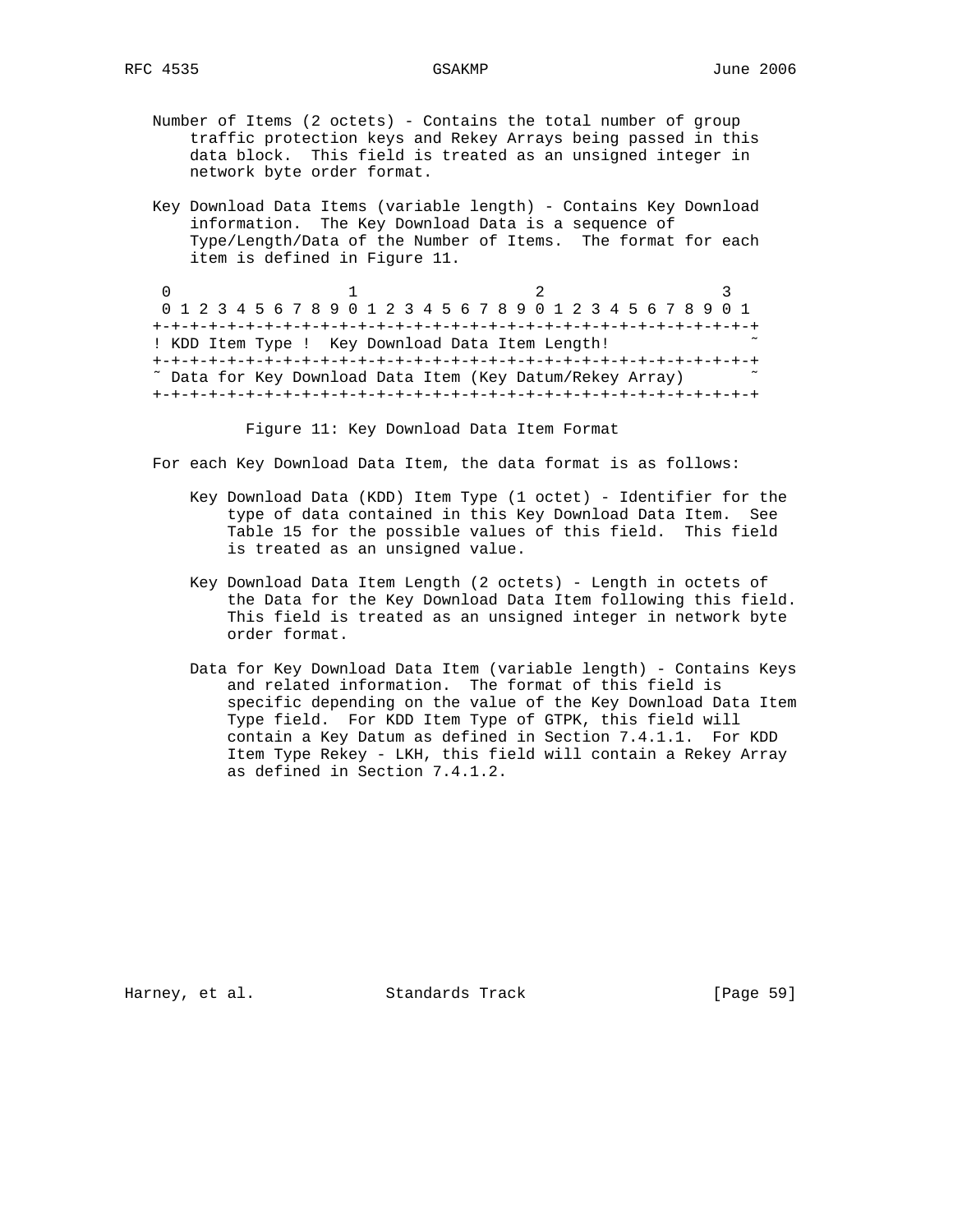- Number of Items (2 octets) Contains the total number of group traffic protection keys and Rekey Arrays being passed in this data block. This field is treated as an unsigned integer in network byte order format.
- Key Download Data Items (variable length) Contains Key Download information. The Key Download Data is a sequence of Type/Length/Data of the Number of Items. The format for each item is defined in Figure 11.

0  $1$  2 3 0 1 2 3 4 5 6 7 8 9 0 1 2 3 4 5 6 7 8 9 0 1 2 3 4 5 6 7 8 9 0 1 +-+-+-+-+-+-+-+-+-+-+-+-+-+-+-+-+-+-+-+-+-+-+-+-+-+-+-+-+-+-+-+-+ ! KDD Item Type ! Key Download Data Item Length! +-+-+-+-+-+-+-+-+-+-+-+-+-+-+-+-+-+-+-+-+-+-+-+-+-+-+-+-+-+-+-+-+ ˜ Data for Key Download Data Item (Key Datum/Rekey Array) ˜ +-+-+-+-+-+-+-+-+-+-+-+-+-+-+-+-+-+-+-+-+-+-+-+-+-+-+-+-+-+-+-+-+

Figure 11: Key Download Data Item Format

For each Key Download Data Item, the data format is as follows:

- Key Download Data (KDD) Item Type (1 octet) Identifier for the type of data contained in this Key Download Data Item. See Table 15 for the possible values of this field. This field is treated as an unsigned value.
- Key Download Data Item Length (2 octets) Length in octets of the Data for the Key Download Data Item following this field. This field is treated as an unsigned integer in network byte order format.
- Data for Key Download Data Item (variable length) Contains Keys and related information. The format of this field is specific depending on the value of the Key Download Data Item Type field. For KDD Item Type of GTPK, this field will contain a Key Datum as defined in Section 7.4.1.1. For KDD Item Type Rekey - LKH, this field will contain a Rekey Array as defined in Section 7.4.1.2.

Harney, et al. Standards Track [Page 59]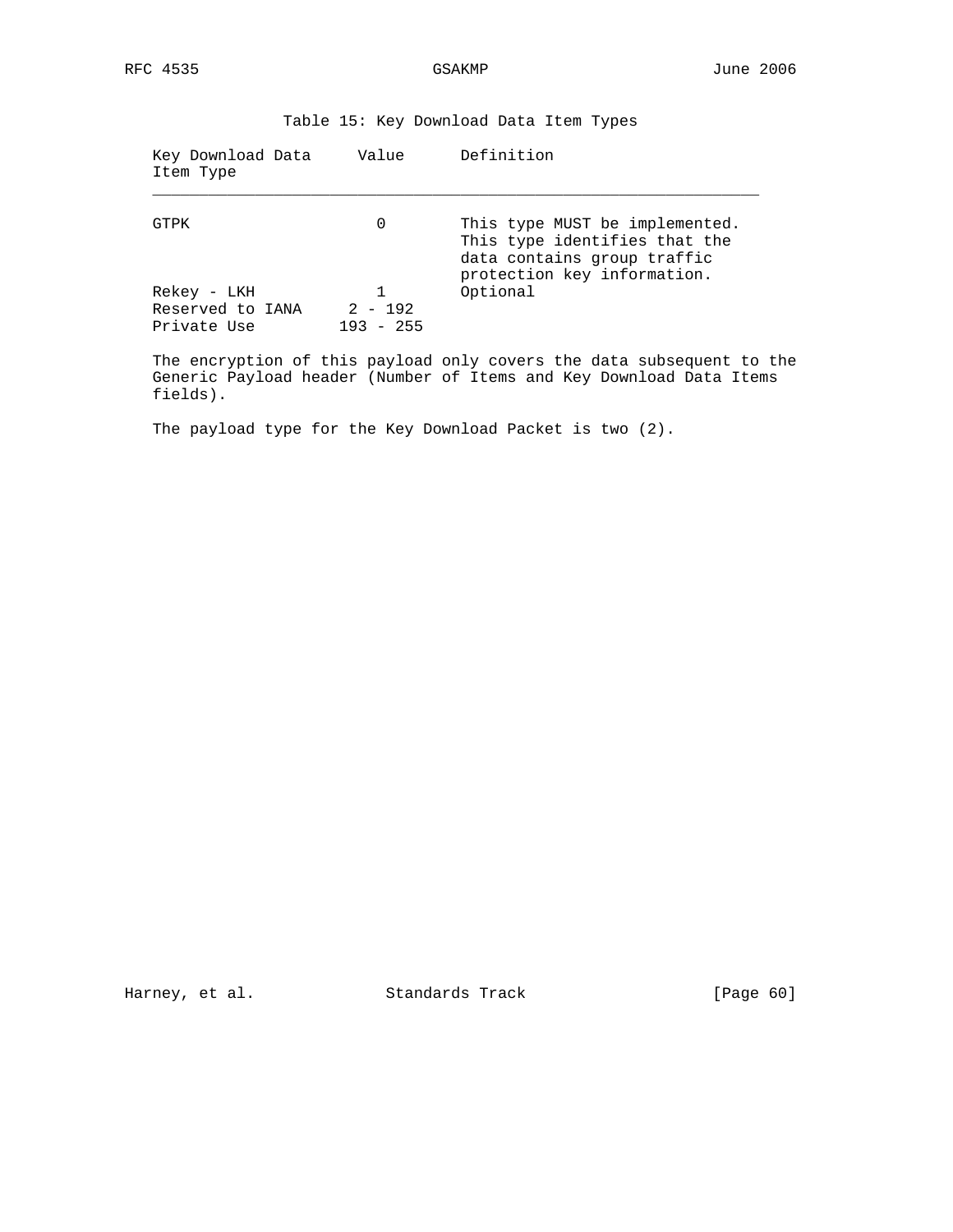| Key Download Data<br>Item Type                 | Value                    | Definition                                                                                                                    |
|------------------------------------------------|--------------------------|-------------------------------------------------------------------------------------------------------------------------------|
| GTPK                                           | 0                        | This type MUST be implemented.<br>This type identifies that the<br>data contains group traffic<br>protection key information. |
| Rekey - LKH<br>Reserved to IANA<br>Private Use | $2 - 192$<br>$193 - 255$ | Optional                                                                                                                      |

Table 15: Key Download Data Item Types

 The encryption of this payload only covers the data subsequent to the Generic Payload header (Number of Items and Key Download Data Items fields).

The payload type for the Key Download Packet is two (2).

Harney, et al. Standards Track [Page 60]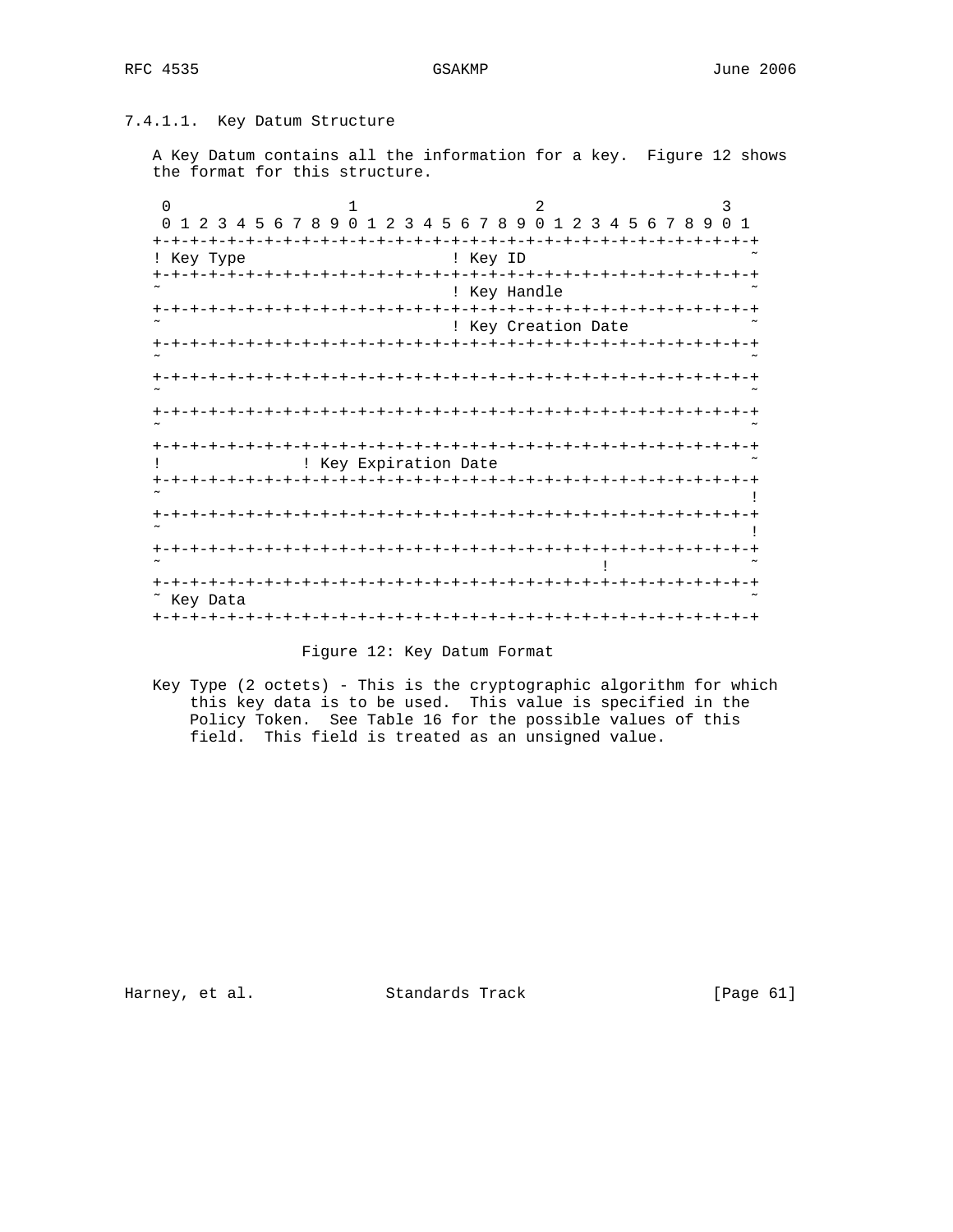# 7.4.1.1. Key Datum Structure

 A Key Datum contains all the information for a key. Figure 12 shows the format for this structure.

| $\Omega$                                   | 1                                   | $\overline{2}$             |                              | 3                                         |
|--------------------------------------------|-------------------------------------|----------------------------|------------------------------|-------------------------------------------|
| $\Omega$<br>78<br>2 3<br>.5<br>6<br>4<br>1 | 9<br>$\Omega$<br>456<br>1<br>2<br>3 | 789<br>$\Omega$            | $\mathbf{1}$<br>2<br>45<br>3 | $\Omega$<br>78<br>-9<br>$\mathbf{1}$<br>6 |
| $+-+$<br>$- + - + -$                       |                                     |                            |                              |                                           |
| Key Type<br>$\mathbf{I}$                   |                                     | ! Key ID                   |                              |                                           |
| +-+-+-<br>+                                |                                     | -+-+-+-+-+-+-+-+-+-+-+-+-+ |                              |                                           |
|                                            |                                     | ! Key Handle               |                              |                                           |
|                                            |                                     | $-+ - + - +$               | -+-+-+-+-+-+                 |                                           |
|                                            |                                     | ! Key Creation Date        |                              |                                           |
|                                            |                                     | - +                        |                              |                                           |
|                                            |                                     |                            |                              |                                           |
|                                            |                                     |                            |                              |                                           |
|                                            |                                     |                            |                              |                                           |
|                                            |                                     |                            |                              |                                           |
|                                            |                                     |                            |                              |                                           |
|                                            |                                     |                            |                              |                                           |
|                                            | ! Key Expiration Date               |                            |                              |                                           |
|                                            |                                     |                            |                              |                                           |
|                                            |                                     |                            |                              |                                           |
|                                            |                                     |                            |                              |                                           |
|                                            |                                     |                            |                              |                                           |
|                                            |                                     |                            |                              |                                           |
| $\,{}^+$                                   |                                     |                            |                              |                                           |
|                                            |                                     |                            |                              |                                           |
| $\,{}^+$                                   |                                     |                            |                              |                                           |
| $\tilde{\phantom{a}}$<br>Key Data          |                                     |                            |                              |                                           |
| <b>+-+-+-+-+-</b>                          |                                     |                            |                              |                                           |

## Figure 12: Key Datum Format

 Key Type (2 octets) - This is the cryptographic algorithm for which this key data is to be used. This value is specified in the Policy Token. See Table 16 for the possible values of this field. This field is treated as an unsigned value.

Harney, et al. Standards Track [Page 61]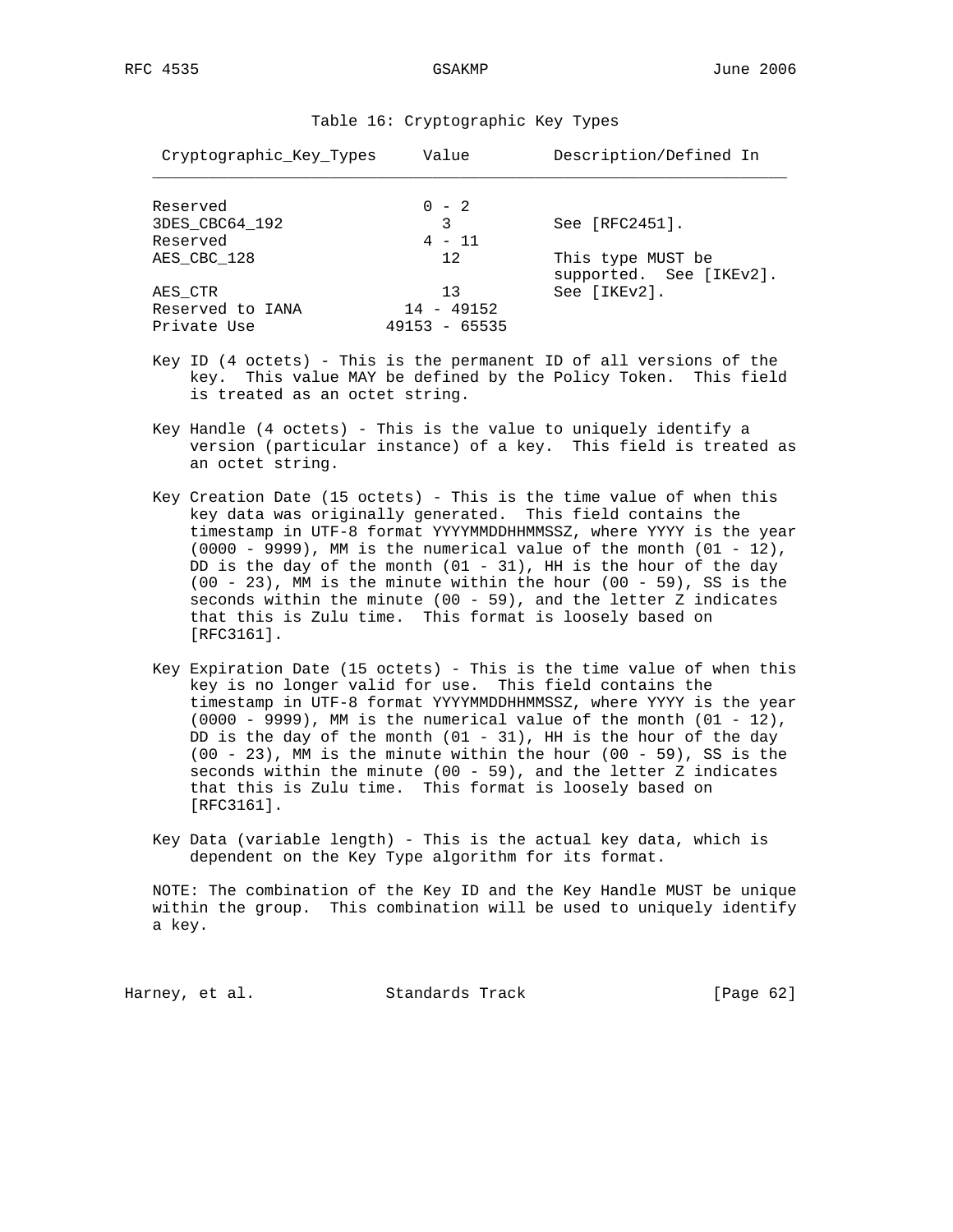| Cryptographic Key Types | Value             | Description/Defined In                       |
|-------------------------|-------------------|----------------------------------------------|
| Reserved                | $0 - 2$           |                                              |
| 3DES_CBC64_192          | 3                 | See $[RFC2451]$ .                            |
| Reserved                | $4 - 11$          |                                              |
| AES CBC 128             | 12.               | This type MUST be<br>supported. See [IKEv2]. |
| AES CTR                 | 13                | See [IKEv2].                                 |
| Reserved to IANA        | $14 - 49152$      |                                              |
| Private Use             | $-65535$<br>49153 |                                              |

Table 16: Cryptographic Key Types

- Key ID (4 octets) This is the permanent ID of all versions of the key. This value MAY be defined by the Policy Token. This field is treated as an octet string.
- Key Handle (4 octets) This is the value to uniquely identify a version (particular instance) of a key. This field is treated as an octet string.
- Key Creation Date (15 octets) This is the time value of when this key data was originally generated. This field contains the timestamp in UTF-8 format YYYYMMDDHHMMSSZ, where YYYY is the year  $(0000 - 9999)$ , MM is the numerical value of the month  $(01 - 12)$ , DD is the day of the month  $(01 - 31)$ , HH is the hour of the day (00 - 23), MM is the minute within the hour (00 - 59), SS is the seconds within the minute (00 - 59), and the letter  $Z$  indicates that this is Zulu time. This format is loosely based on [RFC3161].
- Key Expiration Date (15 octets) This is the time value of when this key is no longer valid for use. This field contains the timestamp in UTF-8 format YYYYMMDDHHMMSSZ, where YYYY is the year  $(0000 - 9999)$ , MM is the numerical value of the month  $(01 - 12)$ , DD is the day of the month  $(01 - 31)$ , HH is the hour of the day  $(00 - 23)$ , MM is the minute within the hour  $(00 - 59)$ , SS is the seconds within the minute  $(00 - 59)$ , and the letter Z indicates that this is Zulu time. This format is loosely based on [RFC3161].
- Key Data (variable length) This is the actual key data, which is dependent on the Key Type algorithm for its format.

 NOTE: The combination of the Key ID and the Key Handle MUST be unique within the group. This combination will be used to uniquely identify a key.

Harney, et al. Standards Track [Page 62]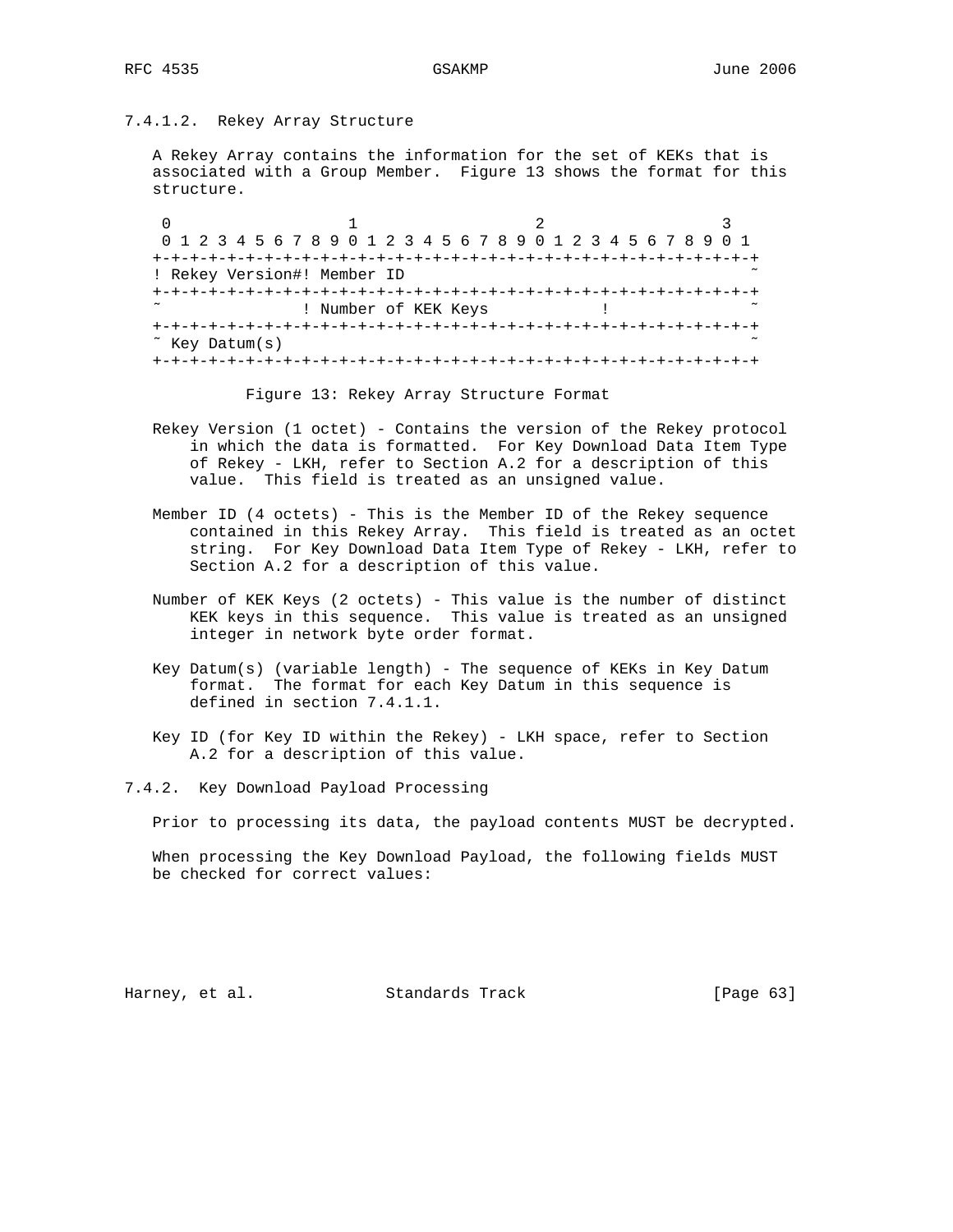# 7.4.1.2. Rekey Array Structure

 A Rekey Array contains the information for the set of KEKs that is associated with a Group Member. Figure 13 shows the format for this structure.

0  $1$  2 3 0 1 2 3 4 5 6 7 8 9 0 1 2 3 4 5 6 7 8 9 0 1 2 3 4 5 6 7 8 9 0 1 +-+-+-+-+-+-+-+-+-+-+-+-+-+-+-+-+-+-+-+-+-+-+-+-+-+-+-+-+-+-+-+-+ ! Rekey Version#! Member ID +-+-+-+-+-+-+-+-+-+-+-+-+-+-+-+-+-+-+-+-+-+-+-+-+-+-+-+-+-+-+-+-+ ! Number of KEK Keys ! +-+-+-+-+-+-+-+-+-+-+-+-+-+-+-+-+-+-+-+-+-+-+-+-+-+-+-+-+-+-+-+-+ ˜ Key Datum(s) ˜ +-+-+-+-+-+-+-+-+-+-+-+-+-+-+-+-+-+-+-+-+-+-+-+-+-+-+-+-+-+-+-+-+

Figure 13: Rekey Array Structure Format

- Rekey Version (1 octet) Contains the version of the Rekey protocol in which the data is formatted. For Key Download Data Item Type of Rekey - LKH, refer to Section A.2 for a description of this value. This field is treated as an unsigned value.
- Member ID (4 octets) This is the Member ID of the Rekey sequence contained in this Rekey Array. This field is treated as an octet string. For Key Download Data Item Type of Rekey - LKH, refer to Section A.2 for a description of this value.
- Number of KEK Keys (2 octets) This value is the number of distinct KEK keys in this sequence. This value is treated as an unsigned integer in network byte order format.
- Key Datum(s) (variable length) The sequence of KEKs in Key Datum format. The format for each Key Datum in this sequence is defined in section 7.4.1.1.
- Key ID (for Key ID within the Rekey) LKH space, refer to Section A.2 for a description of this value.
- 7.4.2. Key Download Payload Processing

Prior to processing its data, the payload contents MUST be decrypted.

 When processing the Key Download Payload, the following fields MUST be checked for correct values:

Harney, et al. Standards Track [Page 63]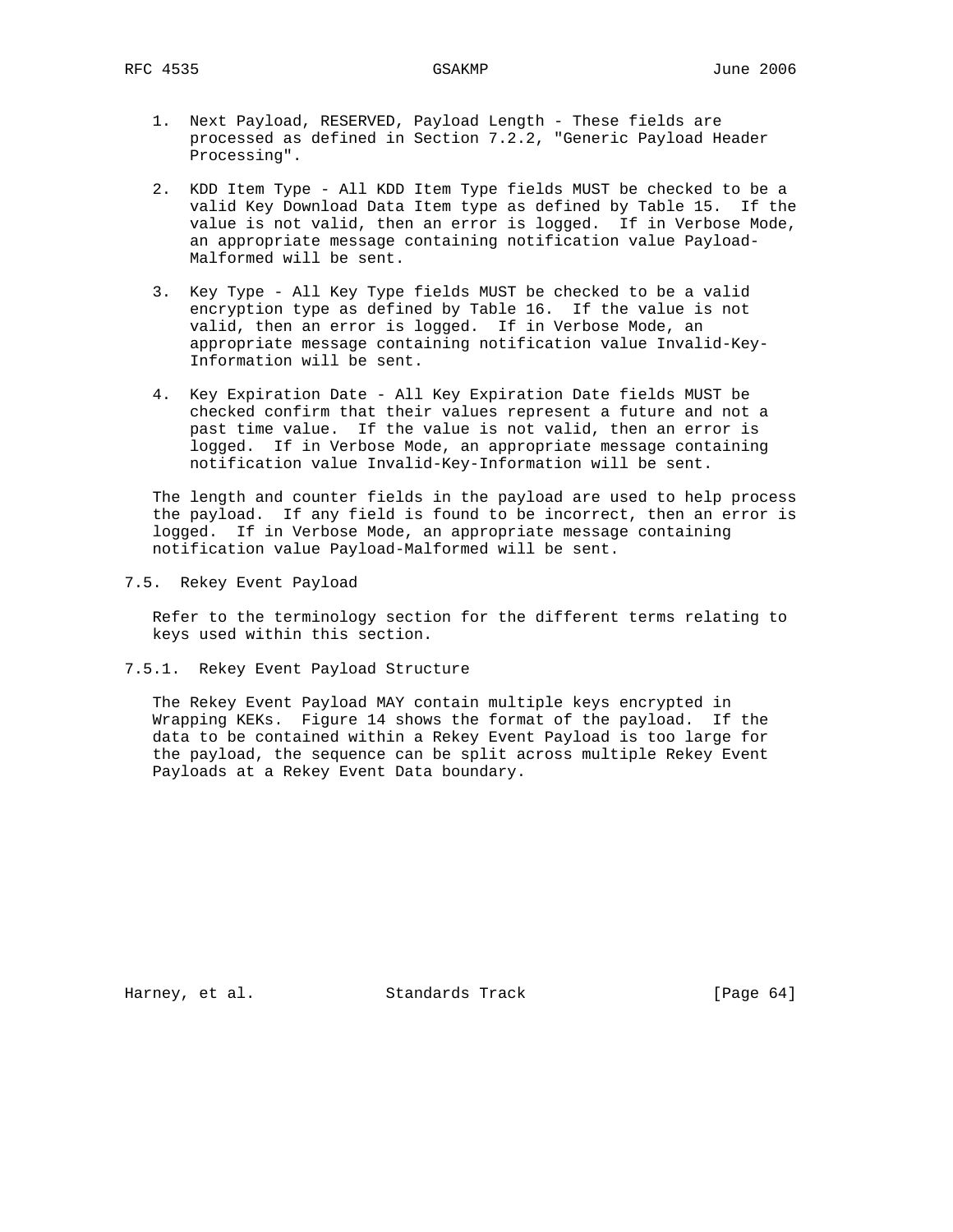- 1. Next Payload, RESERVED, Payload Length These fields are processed as defined in Section 7.2.2, "Generic Payload Header Processing".
- 2. KDD Item Type All KDD Item Type fields MUST be checked to be a valid Key Download Data Item type as defined by Table 15. If the value is not valid, then an error is logged. If in Verbose Mode, an appropriate message containing notification value Payload- Malformed will be sent.
- 3. Key Type All Key Type fields MUST be checked to be a valid encryption type as defined by Table 16. If the value is not valid, then an error is logged. If in Verbose Mode, an appropriate message containing notification value Invalid-Key- Information will be sent.
- 4. Key Expiration Date All Key Expiration Date fields MUST be checked confirm that their values represent a future and not a past time value. If the value is not valid, then an error is logged. If in Verbose Mode, an appropriate message containing notification value Invalid-Key-Information will be sent.

 The length and counter fields in the payload are used to help process the payload. If any field is found to be incorrect, then an error is logged. If in Verbose Mode, an appropriate message containing notification value Payload-Malformed will be sent.

7.5. Rekey Event Payload

 Refer to the terminology section for the different terms relating to keys used within this section.

7.5.1. Rekey Event Payload Structure

 The Rekey Event Payload MAY contain multiple keys encrypted in Wrapping KEKs. Figure 14 shows the format of the payload. If the data to be contained within a Rekey Event Payload is too large for the payload, the sequence can be split across multiple Rekey Event Payloads at a Rekey Event Data boundary.

Harney, et al. Standards Track [Page 64]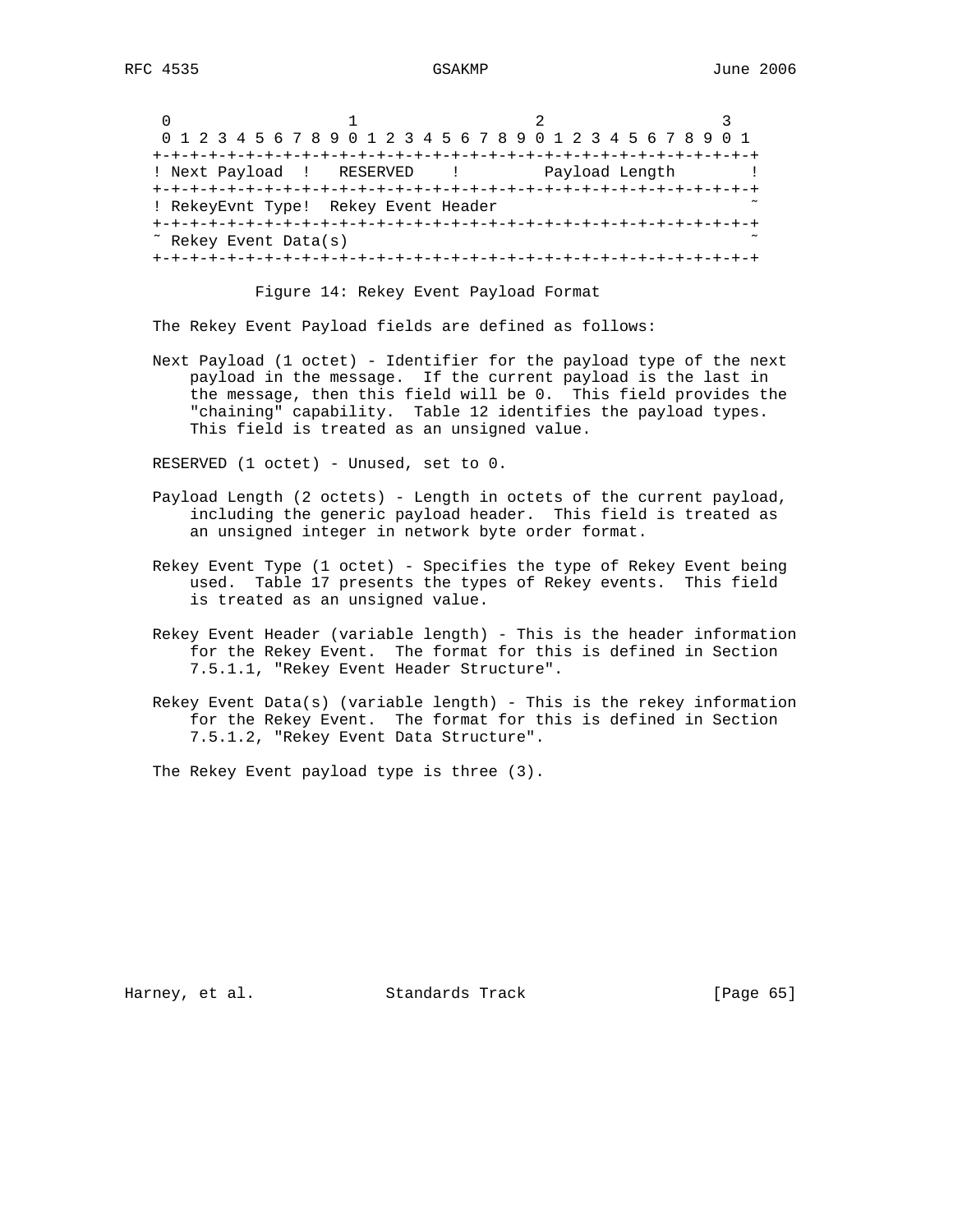|                                 | 0 1 2 3 4 5 6 7 8 9 0 1 2 3 4 5 6 7 8 9 0 1 2 3 4 5 6 7 8 9 0 1 |                |
|---------------------------------|-----------------------------------------------------------------|----------------|
|                                 |                                                                 |                |
|                                 | ! Next Payload ! RESERVED !                                     | Payload Length |
|                                 |                                                                 |                |
|                                 | ! RekeyEvnt Type! Rekey Event Header                            |                |
|                                 |                                                                 |                |
| $\tilde{ }$ Rekey Event Data(s) |                                                                 |                |
|                                 |                                                                 |                |

#### Figure 14: Rekey Event Payload Format

The Rekey Event Payload fields are defined as follows:

 Next Payload (1 octet) - Identifier for the payload type of the next payload in the message. If the current payload is the last in the message, then this field will be 0. This field provides the "chaining" capability. Table 12 identifies the payload types. This field is treated as an unsigned value.

RESERVED (1 octet) - Unused, set to 0.

- Payload Length (2 octets) Length in octets of the current payload, including the generic payload header. This field is treated as an unsigned integer in network byte order format.
- Rekey Event Type (1 octet) Specifies the type of Rekey Event being used. Table 17 presents the types of Rekey events. This field is treated as an unsigned value.
- Rekey Event Header (variable length) This is the header information for the Rekey Event. The format for this is defined in Section 7.5.1.1, "Rekey Event Header Structure".
- Rekey Event Data(s) (variable length) This is the rekey information for the Rekey Event. The format for this is defined in Section 7.5.1.2, "Rekey Event Data Structure".

The Rekey Event payload type is three (3).

Harney, et al. Standards Track [Page 65]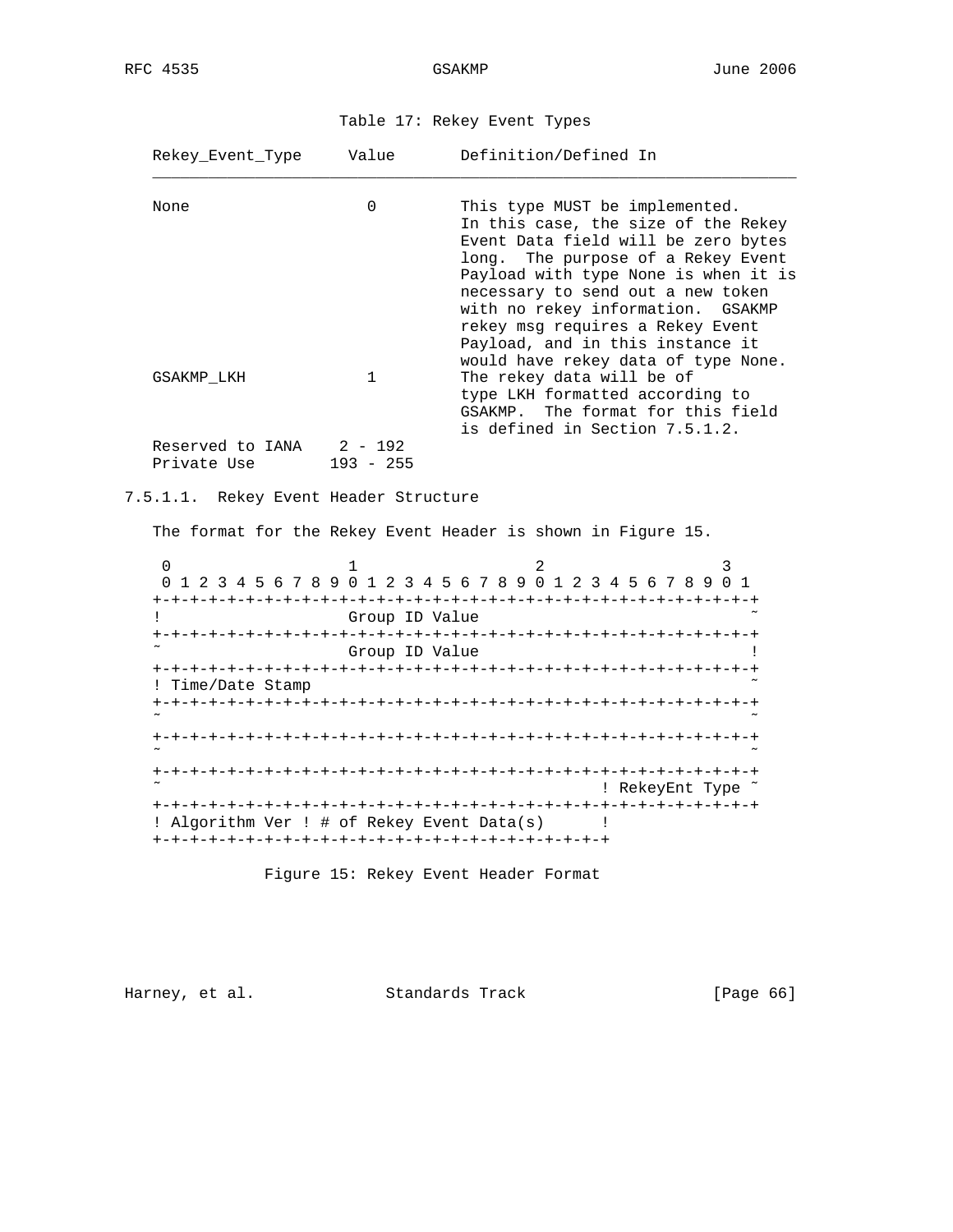| Table 17: Rekey Event Types |  |  |  |  |
|-----------------------------|--|--|--|--|
|-----------------------------|--|--|--|--|

| Rekey Event Type                           | Value                                 | Definition/Defined In                                                                                                                                                                                                                                                                                    |
|--------------------------------------------|---------------------------------------|----------------------------------------------------------------------------------------------------------------------------------------------------------------------------------------------------------------------------------------------------------------------------------------------------------|
| None                                       | $\Omega$                              | This type MUST be implemented.<br>In this case, the size of the Rekey<br>Event Data field will be zero bytes<br>long. The purpose of a Rekey Event<br>Payload with type None is when it is<br>necessary to send out a new token<br>with no rekey information. GSAKMP<br>rekey msg requires a Rekey Event |
| GSAKMP LKH                                 | $\mathbf{1}$                          | Payload, and in this instance it<br>would have rekey data of type None.<br>The rekey data will be of<br>type LKH formatted according to<br>GSAKMP. The format for this field<br>is defined in Section 7.5.1.2.                                                                                           |
| Reserved to IANA $2 - 192$<br>Private Use  | $193 - 255$                           |                                                                                                                                                                                                                                                                                                          |
| 7.5.1.1. Rekey Event Header Structure      |                                       |                                                                                                                                                                                                                                                                                                          |
|                                            |                                       | The format for the Rekey Event Header is shown in Figure 15.                                                                                                                                                                                                                                             |
| 0<br>$\mathbf{I}$<br>! Time/Date Stamp     | 1<br>Group ID Value<br>Group ID Value | 2<br>3<br>0 1 2 3 4 5 6 7 8 9 0 1 2 3 4 5 6 7 8 9 0 1 2 3 4 5 6 7 8 9 0 1<br>Ţ                                                                                                                                                                                                                           |
|                                            |                                       |                                                                                                                                                                                                                                                                                                          |
|                                            |                                       | : RekeyEnt Type ~                                                                                                                                                                                                                                                                                        |
| ! Algorithm Ver ! # of Rekey Event Data(s) |                                       |                                                                                                                                                                                                                                                                                                          |

Figure 15: Rekey Event Header Format

Harney, et al. Standards Track [Page 66]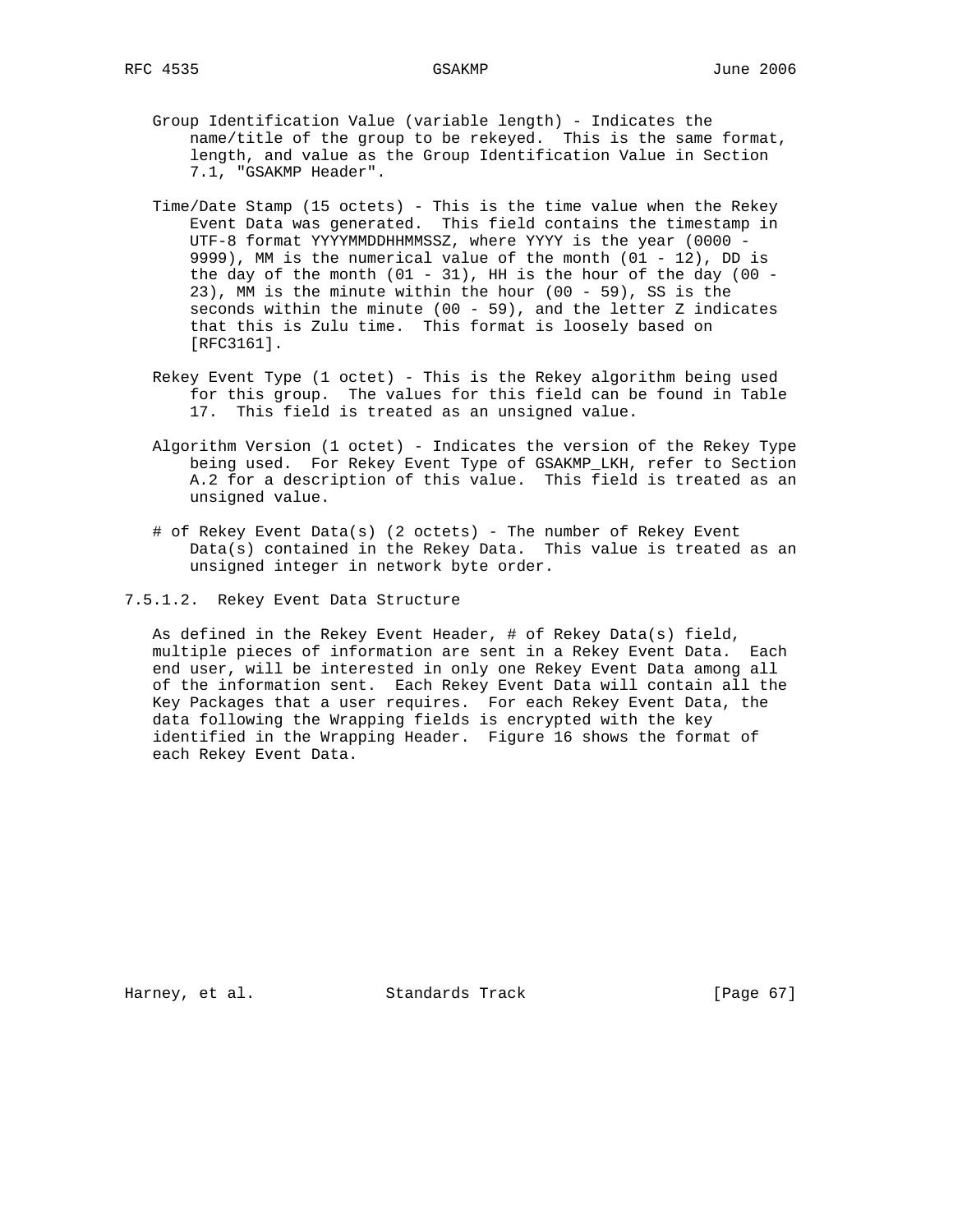- - Group Identification Value (variable length) Indicates the name/title of the group to be rekeyed. This is the same format, length, and value as the Group Identification Value in Section 7.1, "GSAKMP Header".
	- Time/Date Stamp (15 octets) This is the time value when the Rekey Event Data was generated. This field contains the timestamp in UTF-8 format YYYYMMDDHHMMSSZ, where YYYY is the year (0000 - 9999), MM is the numerical value of the month (01 - 12), DD is the day of the month  $(01 - 31)$ , HH is the hour of the day  $(00 -$  23), MM is the minute within the hour (00 - 59), SS is the seconds within the minute (00 - 59), and the letter Z indicates that this is Zulu time. This format is loosely based on [RFC3161].
	- Rekey Event Type (1 octet) This is the Rekey algorithm being used for this group. The values for this field can be found in Table 17. This field is treated as an unsigned value.
	- Algorithm Version (1 octet) Indicates the version of the Rekey Type being used. For Rekey Event Type of GSAKMP\_LKH, refer to Section A.2 for a description of this value. This field is treated as an unsigned value.
	- # of Rekey Event Data(s) (2 octets) The number of Rekey Event Data(s) contained in the Rekey Data. This value is treated as an unsigned integer in network byte order.
- 7.5.1.2. Rekey Event Data Structure

 As defined in the Rekey Event Header, # of Rekey Data(s) field, multiple pieces of information are sent in a Rekey Event Data. Each end user, will be interested in only one Rekey Event Data among all of the information sent. Each Rekey Event Data will contain all the Key Packages that a user requires. For each Rekey Event Data, the data following the Wrapping fields is encrypted with the key identified in the Wrapping Header. Figure 16 shows the format of each Rekey Event Data.

Harney, et al. Standards Track [Page 67]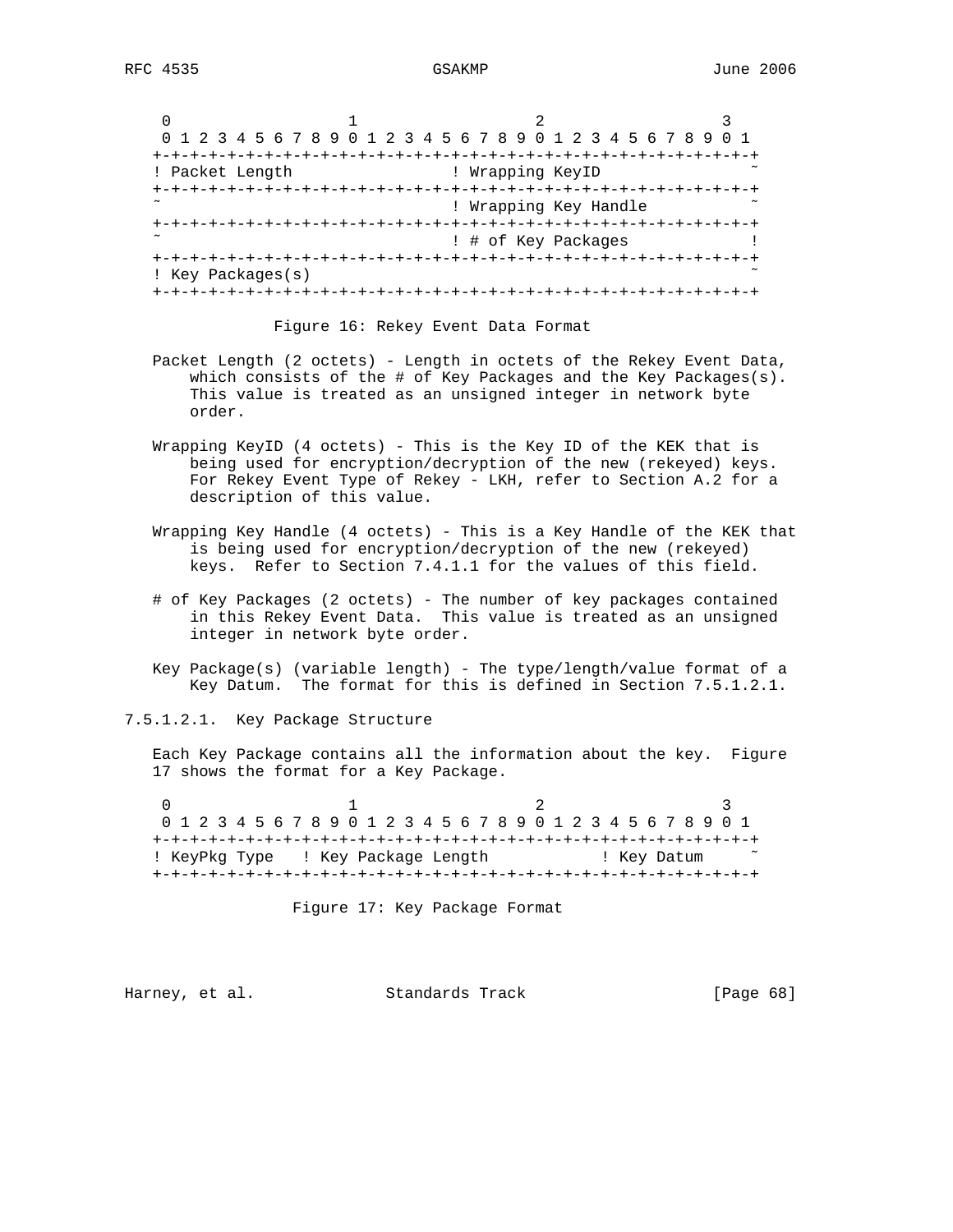| 0 1 2 3 4 5 6 7 8 9 0 1 2 3 4 5 6 7 8 9 0 1 2 3 4 5 6 7 8 9 0 1 |                                   |  |  |
|-----------------------------------------------------------------|-----------------------------------|--|--|
|                                                                 |                                   |  |  |
| ! Packet Length                                                 | ! Wrapping KeyID                  |  |  |
|                                                                 | +-+-+-+-+-+-+-+-+-+-+             |  |  |
|                                                                 | ! Wrapping Key Handle             |  |  |
|                                                                 | +-+-+-+-+-+-+-+-+-+-+-+-+-+-+-+-+ |  |  |
|                                                                 | ! # of Key Packages               |  |  |
|                                                                 |                                   |  |  |
| ! Key Packages(s)                                               |                                   |  |  |
|                                                                 |                                   |  |  |

Figure 16: Rekey Event Data Format

- Packet Length (2 octets) Length in octets of the Rekey Event Data, which consists of the # of Key Packages and the Key Packages(s). This value is treated as an unsigned integer in network byte order.
- Wrapping KeyID (4 octets) This is the Key ID of the KEK that is being used for encryption/decryption of the new (rekeyed) keys. For Rekey Event Type of Rekey - LKH, refer to Section A.2 for a description of this value.
- Wrapping Key Handle (4 octets) This is a Key Handle of the KEK that is being used for encryption/decryption of the new (rekeyed) keys. Refer to Section 7.4.1.1 for the values of this field.
- # of Key Packages (2 octets) The number of key packages contained in this Rekey Event Data. This value is treated as an unsigned integer in network byte order.
- Key Package(s) (variable length) The type/length/value format of a Key Datum. The format for this is defined in Section 7.5.1.2.1.

7.5.1.2.1. Key Package Structure

 Each Key Package contains all the information about the key. Figure 17 shows the format for a Key Package.

0  $1$  2 3 0 1 2 3 4 5 6 7 8 9 0 1 2 3 4 5 6 7 8 9 0 1 2 3 4 5 6 7 8 9 0 1 +-+-+-+-+-+-+-+-+-+-+-+-+-+-+-+-+-+-+-+-+-+-+-+-+-+-+-+-+-+-+-+-+ ! KeyPkg Type ! Key Package Length ! Key Datum ˜ +-+-+-+-+-+-+-+-+-+-+-+-+-+-+-+-+-+-+-+-+-+-+-+-+-+-+-+-+-+-+-+-+

Figure 17: Key Package Format

Harney, et al. Standards Track [Page 68]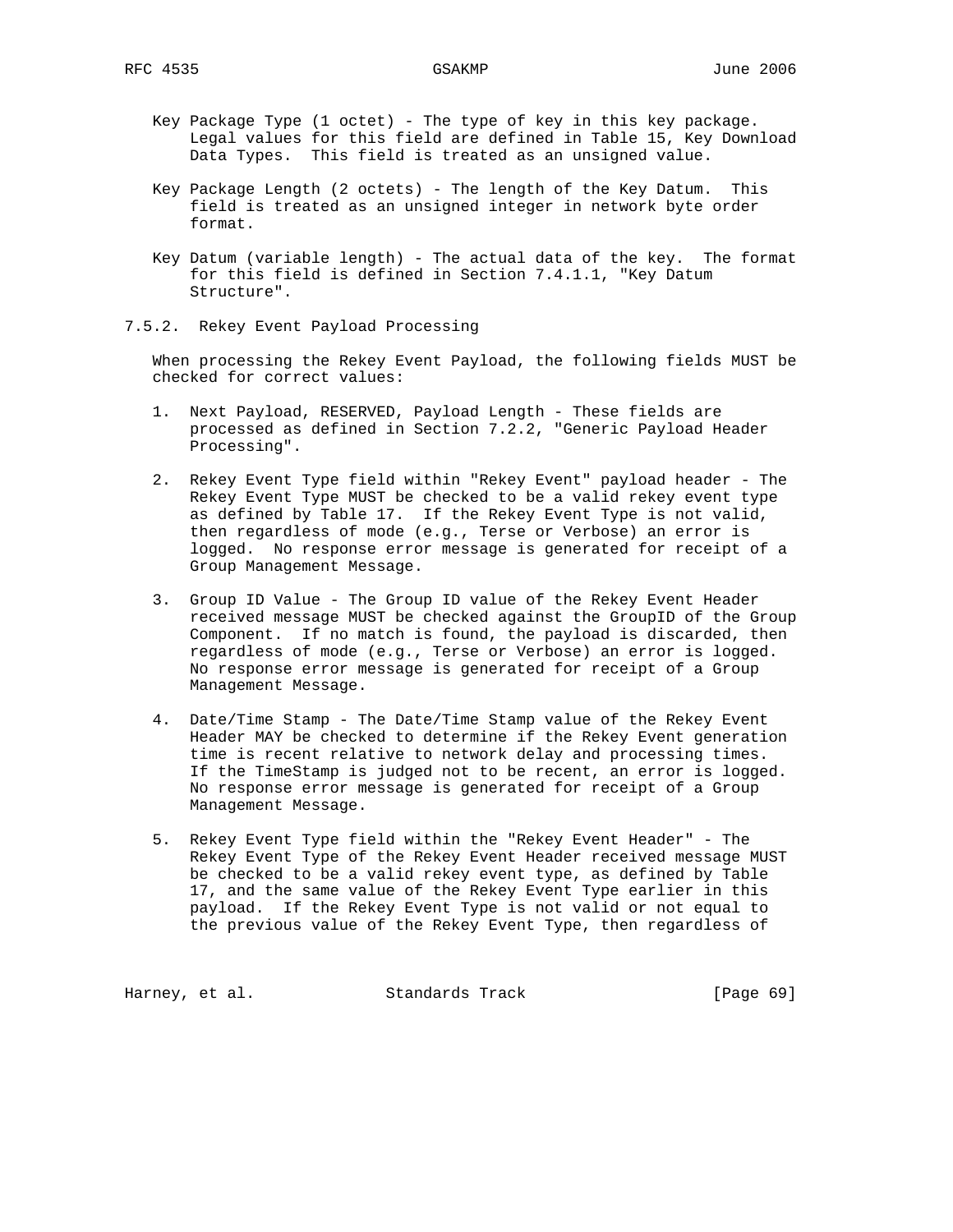- Key Package Type (1 octet) The type of key in this key package. Legal values for this field are defined in Table 15, Key Download Data Types. This field is treated as an unsigned value.
- Key Package Length (2 octets) The length of the Key Datum. This field is treated as an unsigned integer in network byte order format.
- Key Datum (variable length) The actual data of the key. The format for this field is defined in Section 7.4.1.1, "Key Datum Structure".
- 7.5.2. Rekey Event Payload Processing

 When processing the Rekey Event Payload, the following fields MUST be checked for correct values:

- 1. Next Payload, RESERVED, Payload Length These fields are processed as defined in Section 7.2.2, "Generic Payload Header Processing".
- 2. Rekey Event Type field within "Rekey Event" payload header The Rekey Event Type MUST be checked to be a valid rekey event type as defined by Table 17. If the Rekey Event Type is not valid, then regardless of mode (e.g., Terse or Verbose) an error is logged. No response error message is generated for receipt of a Group Management Message.
- 3. Group ID Value The Group ID value of the Rekey Event Header received message MUST be checked against the GroupID of the Group Component. If no match is found, the payload is discarded, then regardless of mode (e.g., Terse or Verbose) an error is logged. No response error message is generated for receipt of a Group Management Message.
- 4. Date/Time Stamp The Date/Time Stamp value of the Rekey Event Header MAY be checked to determine if the Rekey Event generation time is recent relative to network delay and processing times. If the TimeStamp is judged not to be recent, an error is logged. No response error message is generated for receipt of a Group Management Message.
- 5. Rekey Event Type field within the "Rekey Event Header" The Rekey Event Type of the Rekey Event Header received message MUST be checked to be a valid rekey event type, as defined by Table 17, and the same value of the Rekey Event Type earlier in this payload. If the Rekey Event Type is not valid or not equal to the previous value of the Rekey Event Type, then regardless of

Harney, et al. Standards Track [Page 69]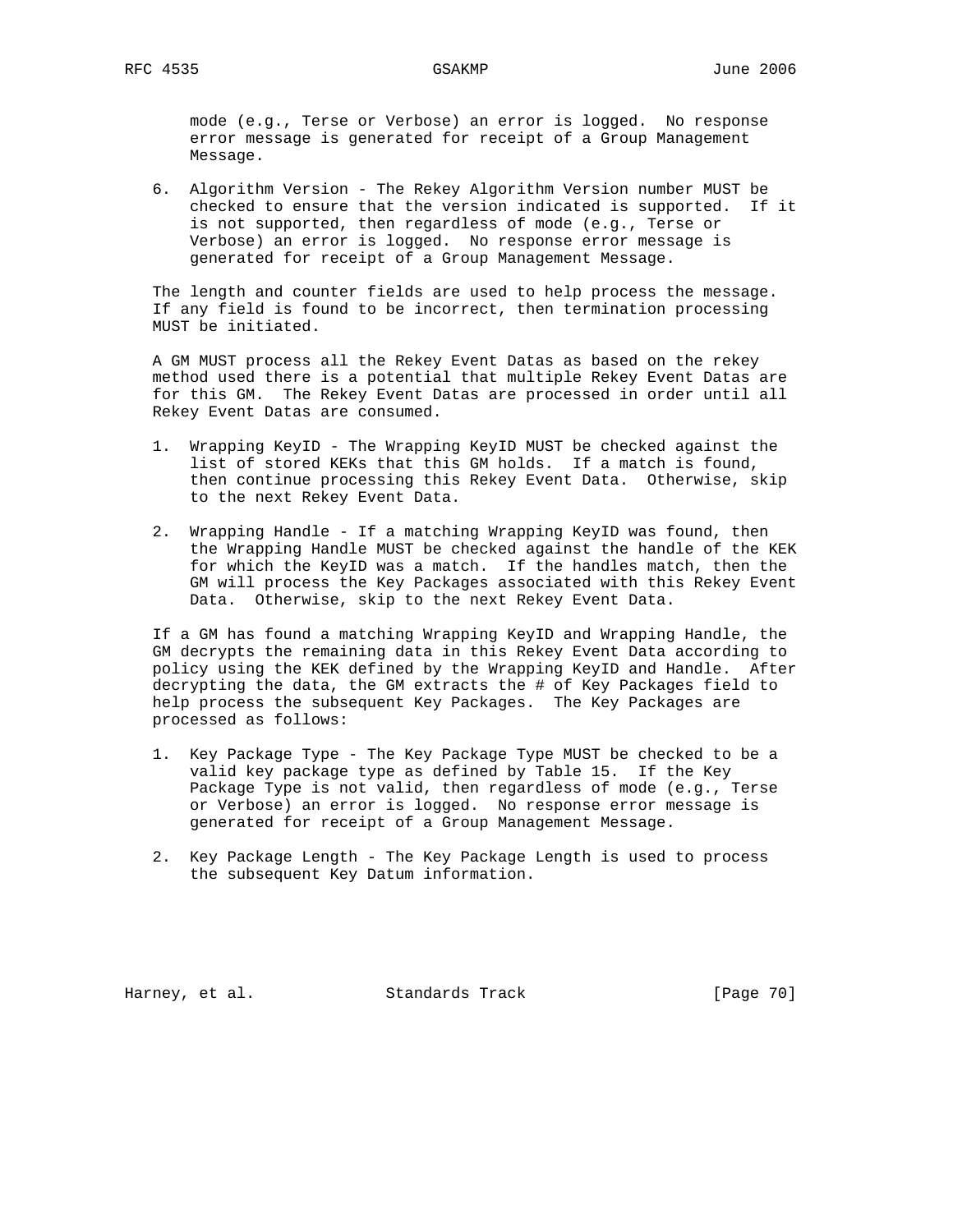mode (e.g., Terse or Verbose) an error is logged. No response error message is generated for receipt of a Group Management Message.

 6. Algorithm Version - The Rekey Algorithm Version number MUST be checked to ensure that the version indicated is supported. If it is not supported, then regardless of mode (e.g., Terse or Verbose) an error is logged. No response error message is generated for receipt of a Group Management Message.

 The length and counter fields are used to help process the message. If any field is found to be incorrect, then termination processing MUST be initiated.

 A GM MUST process all the Rekey Event Datas as based on the rekey method used there is a potential that multiple Rekey Event Datas are for this GM. The Rekey Event Datas are processed in order until all Rekey Event Datas are consumed.

- 1. Wrapping KeyID The Wrapping KeyID MUST be checked against the list of stored KEKs that this GM holds. If a match is found, then continue processing this Rekey Event Data. Otherwise, skip to the next Rekey Event Data.
- 2. Wrapping Handle If a matching Wrapping KeyID was found, then the Wrapping Handle MUST be checked against the handle of the KEK for which the KeyID was a match. If the handles match, then the GM will process the Key Packages associated with this Rekey Event Data. Otherwise, skip to the next Rekey Event Data.

 If a GM has found a matching Wrapping KeyID and Wrapping Handle, the GM decrypts the remaining data in this Rekey Event Data according to policy using the KEK defined by the Wrapping KeyID and Handle. After decrypting the data, the GM extracts the # of Key Packages field to help process the subsequent Key Packages. The Key Packages are processed as follows:

- 1. Key Package Type The Key Package Type MUST be checked to be a valid key package type as defined by Table 15. If the Key Package Type is not valid, then regardless of mode (e.g., Terse or Verbose) an error is logged. No response error message is generated for receipt of a Group Management Message.
- 2. Key Package Length The Key Package Length is used to process the subsequent Key Datum information.

Harney, et al. Standards Track [Page 70]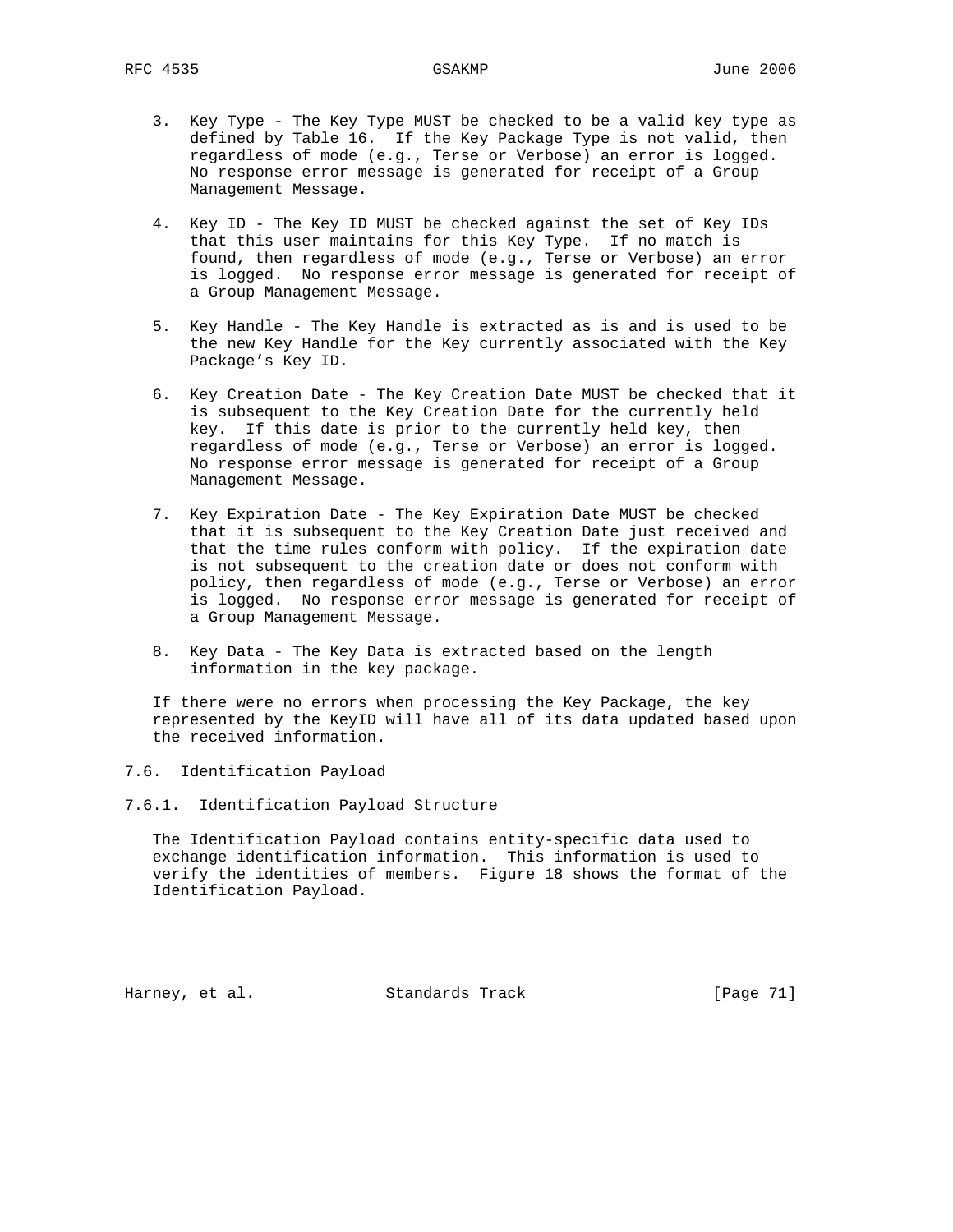- 3. Key Type The Key Type MUST be checked to be a valid key type as defined by Table 16. If the Key Package Type is not valid, then regardless of mode (e.g., Terse or Verbose) an error is logged. No response error message is generated for receipt of a Group Management Message.
- 4. Key ID The Key ID MUST be checked against the set of Key IDs that this user maintains for this Key Type. If no match is found, then regardless of mode (e.g., Terse or Verbose) an error is logged. No response error message is generated for receipt of a Group Management Message.
- 5. Key Handle The Key Handle is extracted as is and is used to be the new Key Handle for the Key currently associated with the Key Package's Key ID.
- 6. Key Creation Date The Key Creation Date MUST be checked that it is subsequent to the Key Creation Date for the currently held key. If this date is prior to the currently held key, then regardless of mode (e.g., Terse or Verbose) an error is logged. No response error message is generated for receipt of a Group Management Message.
- 7. Key Expiration Date The Key Expiration Date MUST be checked that it is subsequent to the Key Creation Date just received and that the time rules conform with policy. If the expiration date is not subsequent to the creation date or does not conform with policy, then regardless of mode (e.g., Terse or Verbose) an error is logged. No response error message is generated for receipt of a Group Management Message.
	- 8. Key Data The Key Data is extracted based on the length information in the key package.

 If there were no errors when processing the Key Package, the key represented by the KeyID will have all of its data updated based upon the received information.

7.6. Identification Payload

7.6.1. Identification Payload Structure

 The Identification Payload contains entity-specific data used to exchange identification information. This information is used to verify the identities of members. Figure 18 shows the format of the Identification Payload.

Harney, et al. Standards Track [Page 71]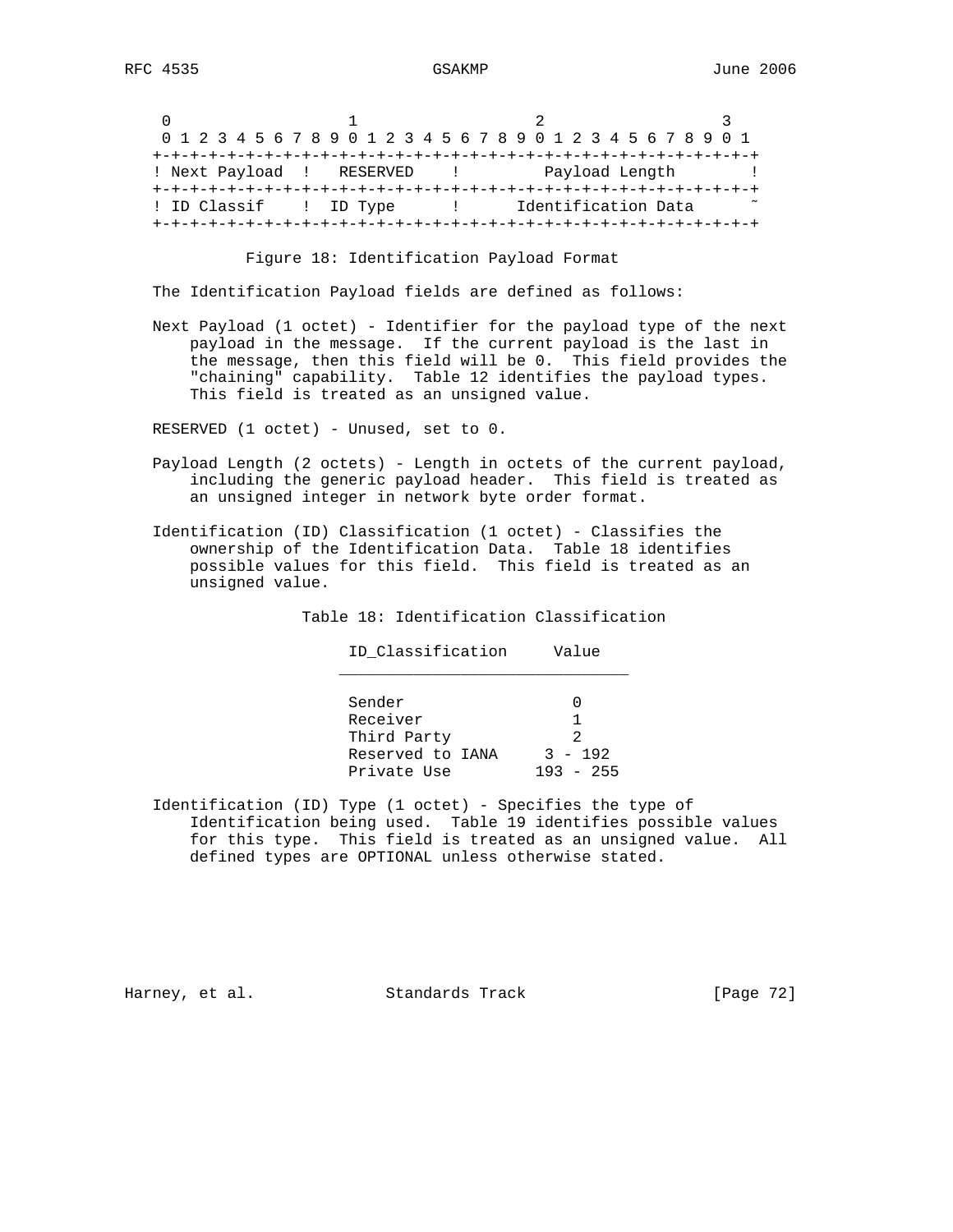|                          | 0 1 2 3 4 5 6 7 8 9 0 1 2 3 4 5 6 7 8 9 0 1 2 3 4 5 6 7 8 9 0 1 |  |  |  |  |  |  |  |  |  |  |  |  |  |  |  |  |  |                |  |  |  |                     |  |  |  |  |  |  |  |  |
|--------------------------|-----------------------------------------------------------------|--|--|--|--|--|--|--|--|--|--|--|--|--|--|--|--|--|----------------|--|--|--|---------------------|--|--|--|--|--|--|--|--|
|                          |                                                                 |  |  |  |  |  |  |  |  |  |  |  |  |  |  |  |  |  |                |  |  |  |                     |  |  |  |  |  |  |  |  |
|                          | ! Next Payload ! RESERVED                                       |  |  |  |  |  |  |  |  |  |  |  |  |  |  |  |  |  | Payload Length |  |  |  |                     |  |  |  |  |  |  |  |  |
|                          |                                                                 |  |  |  |  |  |  |  |  |  |  |  |  |  |  |  |  |  |                |  |  |  |                     |  |  |  |  |  |  |  |  |
| ! ID Classif (1) ID Type |                                                                 |  |  |  |  |  |  |  |  |  |  |  |  |  |  |  |  |  |                |  |  |  | Identification Data |  |  |  |  |  |  |  |  |
|                          |                                                                 |  |  |  |  |  |  |  |  |  |  |  |  |  |  |  |  |  |                |  |  |  |                     |  |  |  |  |  |  |  |  |

Figure 18: Identification Payload Format

The Identification Payload fields are defined as follows:

 Next Payload (1 octet) - Identifier for the payload type of the next payload in the message. If the current payload is the last in the message, then this field will be 0. This field provides the "chaining" capability. Table 12 identifies the payload types. This field is treated as an unsigned value.

RESERVED (1 octet) - Unused, set to 0.

- Payload Length (2 octets) Length in octets of the current payload, including the generic payload header. This field is treated as an unsigned integer in network byte order format.
- Identification (ID) Classification (1 octet) Classifies the ownership of the Identification Data. Table 18 identifies possible values for this field. This field is treated as an unsigned value.

Table 18: Identification Classification

ID\_Classification Value

 $\overline{\phantom{a}}$  ,  $\overline{\phantom{a}}$  ,  $\overline{\phantom{a}}$  ,  $\overline{\phantom{a}}$  ,  $\overline{\phantom{a}}$  ,  $\overline{\phantom{a}}$  ,  $\overline{\phantom{a}}$  ,  $\overline{\phantom{a}}$  ,  $\overline{\phantom{a}}$  ,  $\overline{\phantom{a}}$  ,  $\overline{\phantom{a}}$  ,  $\overline{\phantom{a}}$  ,  $\overline{\phantom{a}}$  ,  $\overline{\phantom{a}}$  ,  $\overline{\phantom{a}}$  ,  $\overline{\phantom{a}}$  Sender 0 Receiver 1 Third Party 2 Reserved to IANA 3 - 192 Private Use 193 - 255

 Identification (ID) Type (1 octet) - Specifies the type of Identification being used. Table 19 identifies possible values for this type. This field is treated as an unsigned value. All defined types are OPTIONAL unless otherwise stated.

Harney, et al. Standards Track [Page 72]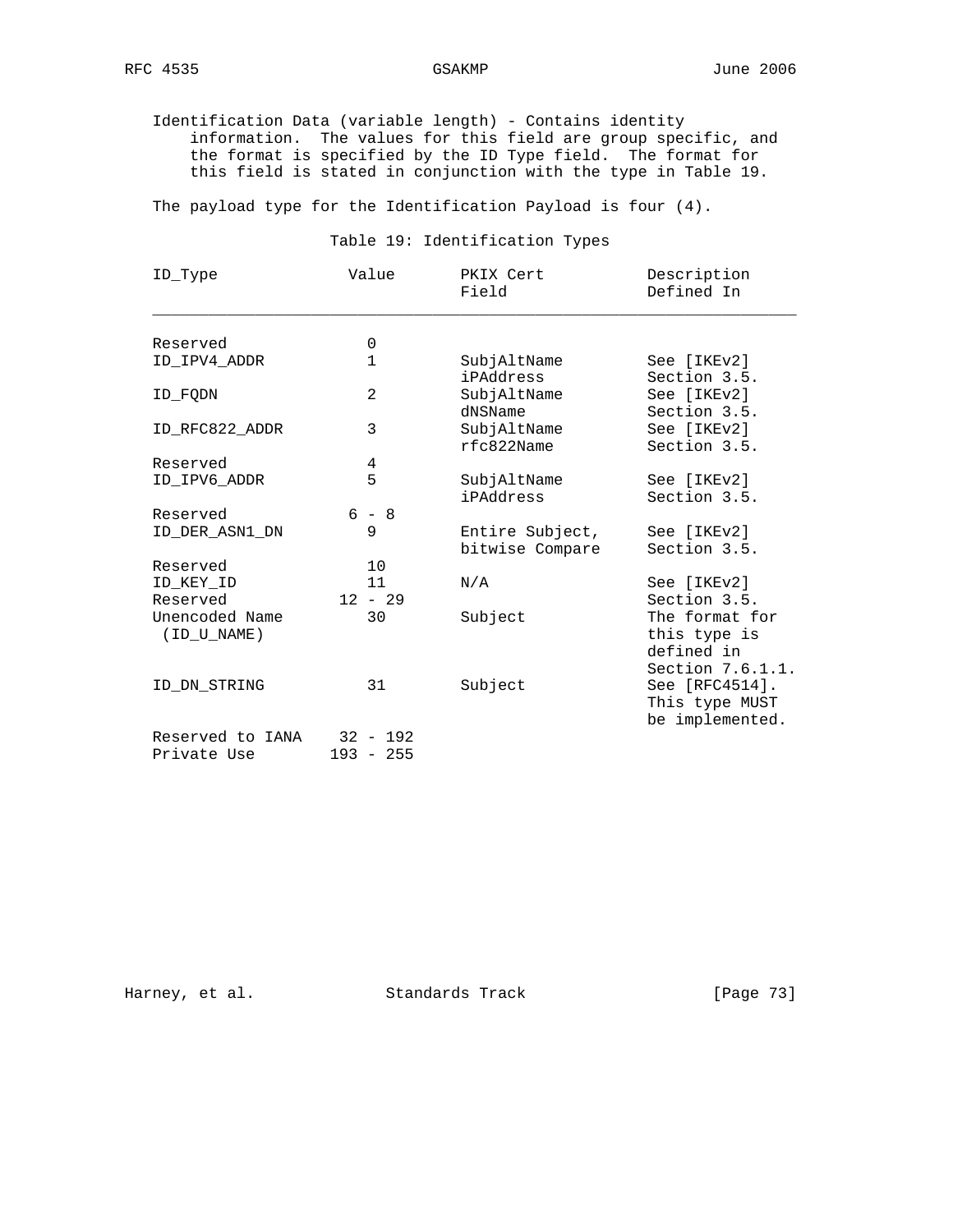Identification Data (variable length) - Contains identity information. The values for this field are group specific, and the format is specified by the ID Type field. The format for this field is stated in conjunction with the type in Table 19.

The payload type for the Identification Payload is four (4).

Table 19: Identification Types

| ID_Type                       | Value          | PKIX Cert<br>Field                 | Description<br>Defined In                                        |
|-------------------------------|----------------|------------------------------------|------------------------------------------------------------------|
| Reserved                      | 0              |                                    |                                                                  |
| ID IPV4 ADDR                  | $\mathbf{1}$   | SubjAltName<br>iPAddress           | See [IKEv2]<br>Section 3.5.                                      |
| ID FODN                       | $\mathfrak{D}$ | SubjAltName<br>dNSName             | See [IKEv2]<br>Section 3.5.                                      |
| ID RFC822 ADDR                | 3              | SubjAltName<br>rfc822Name          | See [IKEv2]<br>Section 3.5.                                      |
| Reserved                      | 4              |                                    |                                                                  |
| ID IPV6 ADDR                  | 5              | SubjAltName<br>iPAddress           | See [IKEv2]<br>Section 3.5.                                      |
| Reserved                      | $6 - 8$        |                                    |                                                                  |
| ID DER ASN1 DN                | 9              | Entire Subject,<br>bitwise Compare | See [IKEv2]<br>Section 3.5.                                      |
| Reserved                      | 10             |                                    |                                                                  |
| ID_KEY_ID                     | 11             | N/A                                | See [IKEv2]                                                      |
| Reserved                      | $12 - 29$      |                                    | Section 3.5.                                                     |
| Unencoded Name<br>(ID U NAME) | 30             | Subject                            | The format for<br>this type is<br>defined in<br>Section 7.6.1.1. |
| ID DN STRING                  | 31             | Subject                            | See [RFC4514].<br>This type MUST<br>be implemented.              |
| Reserved to IANA              | $32 - 192$     |                                    |                                                                  |
| Private Use                   | $193 - 255$    |                                    |                                                                  |

Harney, et al. Standards Track [Page 73]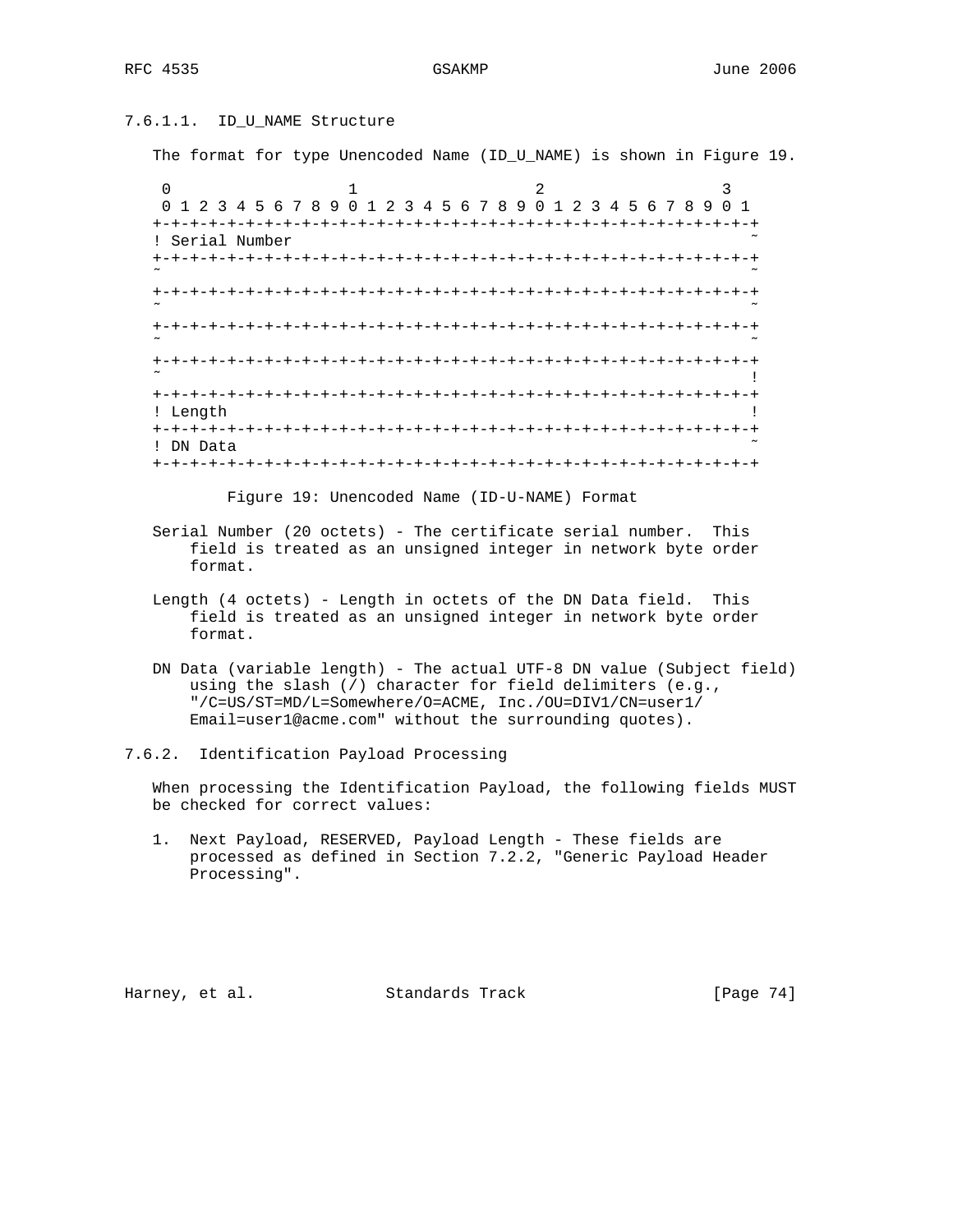# 7.6.1.1. ID\_U\_NAME Structure

The format for type Unencoded Name (ID\_U\_NAME) is shown in Figure 19.

| 0<br>2<br>3                                                                              |      |
|------------------------------------------------------------------------------------------|------|
| 0 1 2 3 4 5 6 7 8 9<br>2 3 4 5 6 7 8 9<br>4 5 6 7 8<br>2 3<br>$\Omega$<br>-9<br>$\Omega$ |      |
| $+$                                                                                      |      |
| Serial Number<br>I.                                                                      |      |
| +-+-+-+-+-+-+-+-+-+-+<br>$\sim$                                                          |      |
| +-+-+-+-+-+-<br>$+$<br>~                                                                 |      |
| -+-+-+-+-+-+-<br>$\sim$                                                                  |      |
| -+-+-+-+-+-+-+-+-+-+-+-+-+-<br>$\tilde{}$                                                |      |
| $+ - + - + - + - +$<br>-+-+-+-+-+-+-+-+-+-+-+                                            |      |
| ! Length                                                                                 |      |
| <b>+-+-+-+-+-+</b>                                                                       |      |
| DN Data                                                                                  |      |
| +-+-+-+-+-+-+<br>-+-+-+-+-+                                                              | $-+$ |

Figure 19: Unencoded Name (ID-U-NAME) Format

- Serial Number (20 octets) The certificate serial number. This field is treated as an unsigned integer in network byte order format.
- Length (4 octets) Length in octets of the DN Data field. This field is treated as an unsigned integer in network byte order format.
- DN Data (variable length) The actual UTF-8 DN value (Subject field) using the slash (/) character for field delimiters (e.g., "/C=US/ST=MD/L=Somewhere/O=ACME, Inc./OU=DIV1/CN=user1/ Email=user1@acme.com" without the surrounding quotes).

7.6.2. Identification Payload Processing

 When processing the Identification Payload, the following fields MUST be checked for correct values:

 1. Next Payload, RESERVED, Payload Length - These fields are processed as defined in Section 7.2.2, "Generic Payload Header Processing".

Harney, et al. Standards Track [Page 74]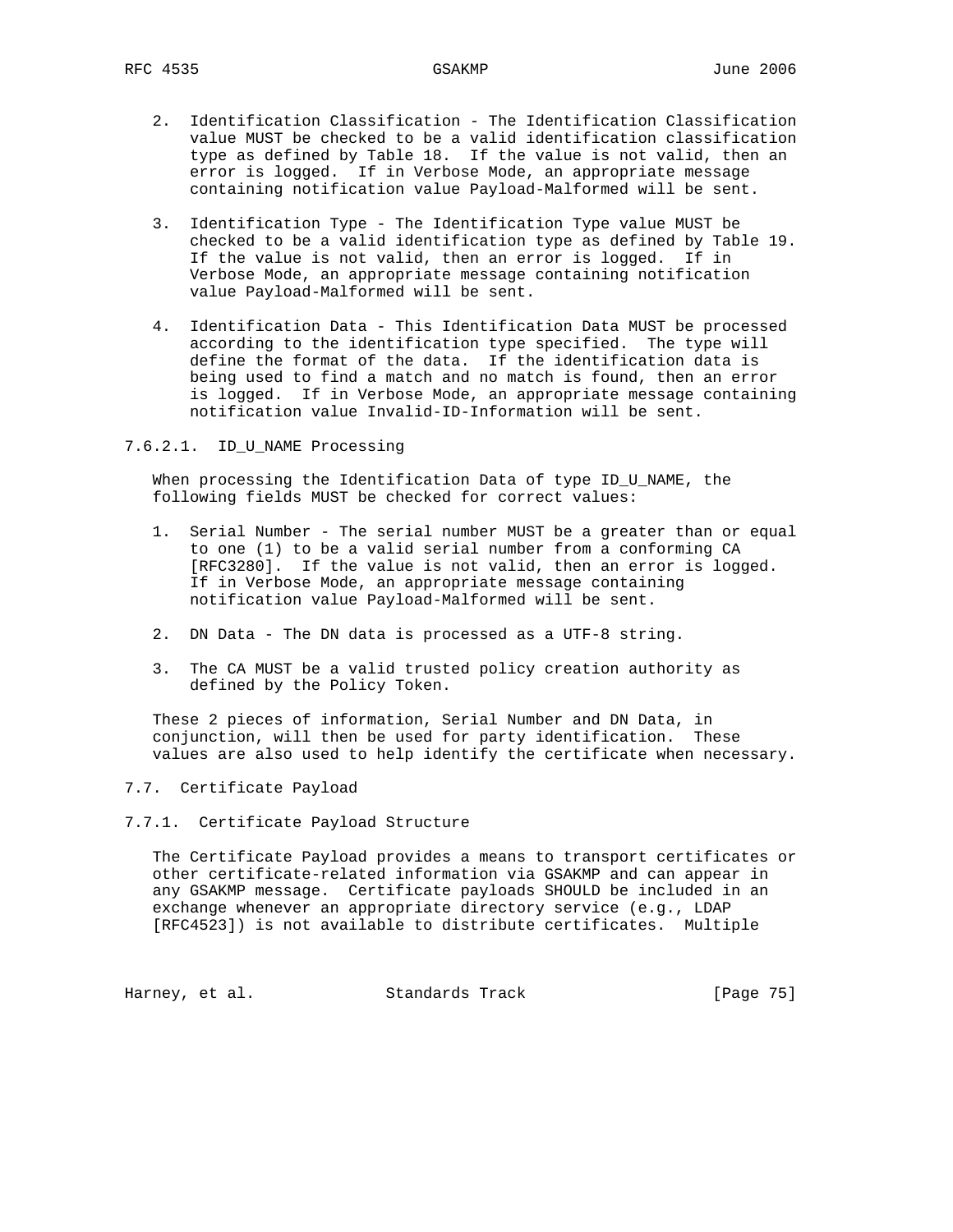- 2. Identification Classification The Identification Classification value MUST be checked to be a valid identification classification type as defined by Table 18. If the value is not valid, then an error is logged. If in Verbose Mode, an appropriate message containing notification value Payload-Malformed will be sent.
- 3. Identification Type The Identification Type value MUST be checked to be a valid identification type as defined by Table 19. If the value is not valid, then an error is logged. If in Verbose Mode, an appropriate message containing notification value Payload-Malformed will be sent.
- 4. Identification Data This Identification Data MUST be processed according to the identification type specified. The type will define the format of the data. If the identification data is being used to find a match and no match is found, then an error is logged. If in Verbose Mode, an appropriate message containing notification value Invalid-ID-Information will be sent.
- 7.6.2.1. ID\_U\_NAME Processing

 When processing the Identification Data of type ID\_U\_NAME, the following fields MUST be checked for correct values:

- 1. Serial Number The serial number MUST be a greater than or equal to one (1) to be a valid serial number from a conforming CA [RFC3280]. If the value is not valid, then an error is logged. If in Verbose Mode, an appropriate message containing notification value Payload-Malformed will be sent.
- 2. DN Data The DN data is processed as a UTF-8 string.
- 3. The CA MUST be a valid trusted policy creation authority as defined by the Policy Token.

 These 2 pieces of information, Serial Number and DN Data, in conjunction, will then be used for party identification. These values are also used to help identify the certificate when necessary.

- 7.7. Certificate Payload
- 7.7.1. Certificate Payload Structure

 The Certificate Payload provides a means to transport certificates or other certificate-related information via GSAKMP and can appear in any GSAKMP message. Certificate payloads SHOULD be included in an exchange whenever an appropriate directory service (e.g., LDAP [RFC4523]) is not available to distribute certificates. Multiple

Harney, et al. Standards Track [Page 75]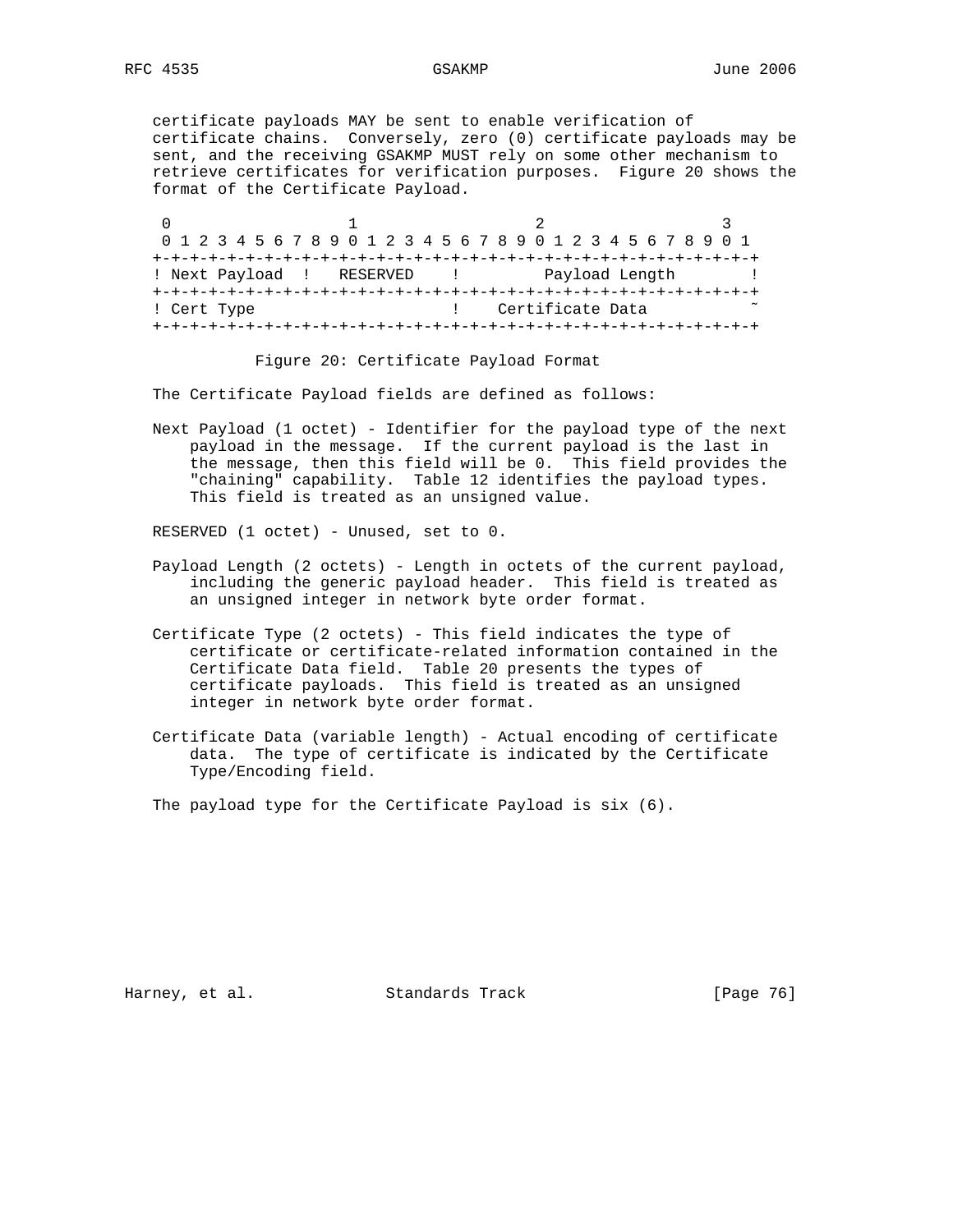certificate payloads MAY be sent to enable verification of certificate chains. Conversely, zero (0) certificate payloads may be sent, and the receiving GSAKMP MUST rely on some other mechanism to retrieve certificates for verification purposes. Figure 20 shows the format of the Certificate Payload.

0  $1$  2 3 0 1 2 3 4 5 6 7 8 9 0 1 2 3 4 5 6 7 8 9 0 1 2 3 4 5 6 7 8 9 0 1 +-+-+-+-+-+-+-+-+-+-+-+-+-+-+-+-+-+-+-+-+-+-+-+-+-+-+-+-+-+-+-+-+ ! Next Payload ! RESERVED ! Payload Length ! +-+-+-+-+-+-+-+-+-+-+-+-+-+-+-+-+-+-+-+-+-+-+-+-+-+-+-+-+-+-+-+-+ ! Cert Type  $\qquad \qquad$  ! Certificate Data +-+-+-+-+-+-+-+-+-+-+-+-+-+-+-+-+-+-+-+-+-+-+-+-+-+-+-+-+-+-+-+-+

Figure 20: Certificate Payload Format

The Certificate Payload fields are defined as follows:

 Next Payload (1 octet) - Identifier for the payload type of the next payload in the message. If the current payload is the last in the message, then this field will be 0. This field provides the "chaining" capability. Table 12 identifies the payload types. This field is treated as an unsigned value.

RESERVED (1 octet) - Unused, set to 0.

- Payload Length (2 octets) Length in octets of the current payload, including the generic payload header. This field is treated as an unsigned integer in network byte order format.
- Certificate Type (2 octets) This field indicates the type of certificate or certificate-related information contained in the Certificate Data field. Table 20 presents the types of certificate payloads. This field is treated as an unsigned integer in network byte order format.
- Certificate Data (variable length) Actual encoding of certificate data. The type of certificate is indicated by the Certificate Type/Encoding field.

The payload type for the Certificate Payload is six (6).

Harney, et al. Standards Track [Page 76]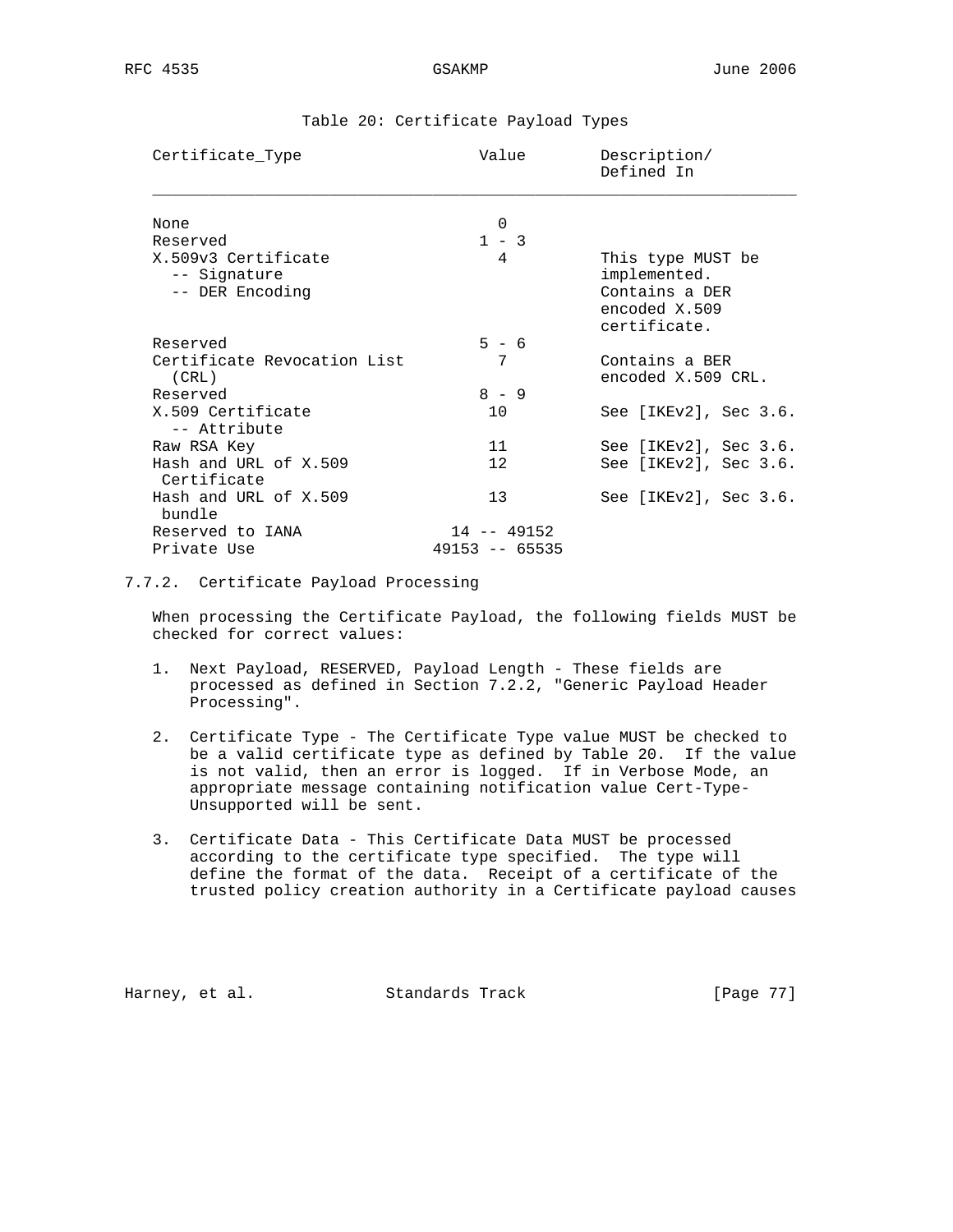| Certificate_Type                                       | Value                             | Description/<br>Defined In                                                           |
|--------------------------------------------------------|-----------------------------------|--------------------------------------------------------------------------------------|
| None                                                   | $\Omega$                          |                                                                                      |
| Reserved                                               | $1 - 3$                           |                                                                                      |
| X.509v3 Certificate<br>-- Signature<br>-- DER Encoding | $\overline{4}$                    | This type MUST be<br>implemented.<br>Contains a DER<br>encoded X.509<br>certificate. |
| Reserved                                               | $5 - 6$                           |                                                                                      |
| Certificate Revocation List<br>(CRL)                   | 7                                 | Contains a BER<br>encoded X.509 CRL.                                                 |
| Reserved                                               | $8 - 9$                           |                                                                                      |
| X.509 Certificate<br>-- Attribute                      | 10                                | See [IKEv2], Sec 3.6.                                                                |
| Raw RSA Key                                            | 11                                | See $[IKEv2]$ , Sec 3.6.                                                             |
| Hash and URL of X.509<br>Certificate                   | 12                                | See [IKEv2], Sec 3.6.                                                                |
| Hash and URL of X.509<br>bundle                        | 13                                | See $[IKEv2]$ , Sec 3.6.                                                             |
| Reserved to IANA<br>Private Use                        | $14 - 49152$<br>$49153 - - 65535$ |                                                                                      |

## Table 20: Certificate Payload Types

## 7.7.2. Certificate Payload Processing

 When processing the Certificate Payload, the following fields MUST be checked for correct values:

- 1. Next Payload, RESERVED, Payload Length These fields are processed as defined in Section 7.2.2, "Generic Payload Header Processing".
- 2. Certificate Type The Certificate Type value MUST be checked to be a valid certificate type as defined by Table 20. If the value is not valid, then an error is logged. If in Verbose Mode, an appropriate message containing notification value Cert-Type- Unsupported will be sent.
- 3. Certificate Data This Certificate Data MUST be processed according to the certificate type specified. The type will define the format of the data. Receipt of a certificate of the trusted policy creation authority in a Certificate payload causes

Harney, et al. Standards Track [Page 77]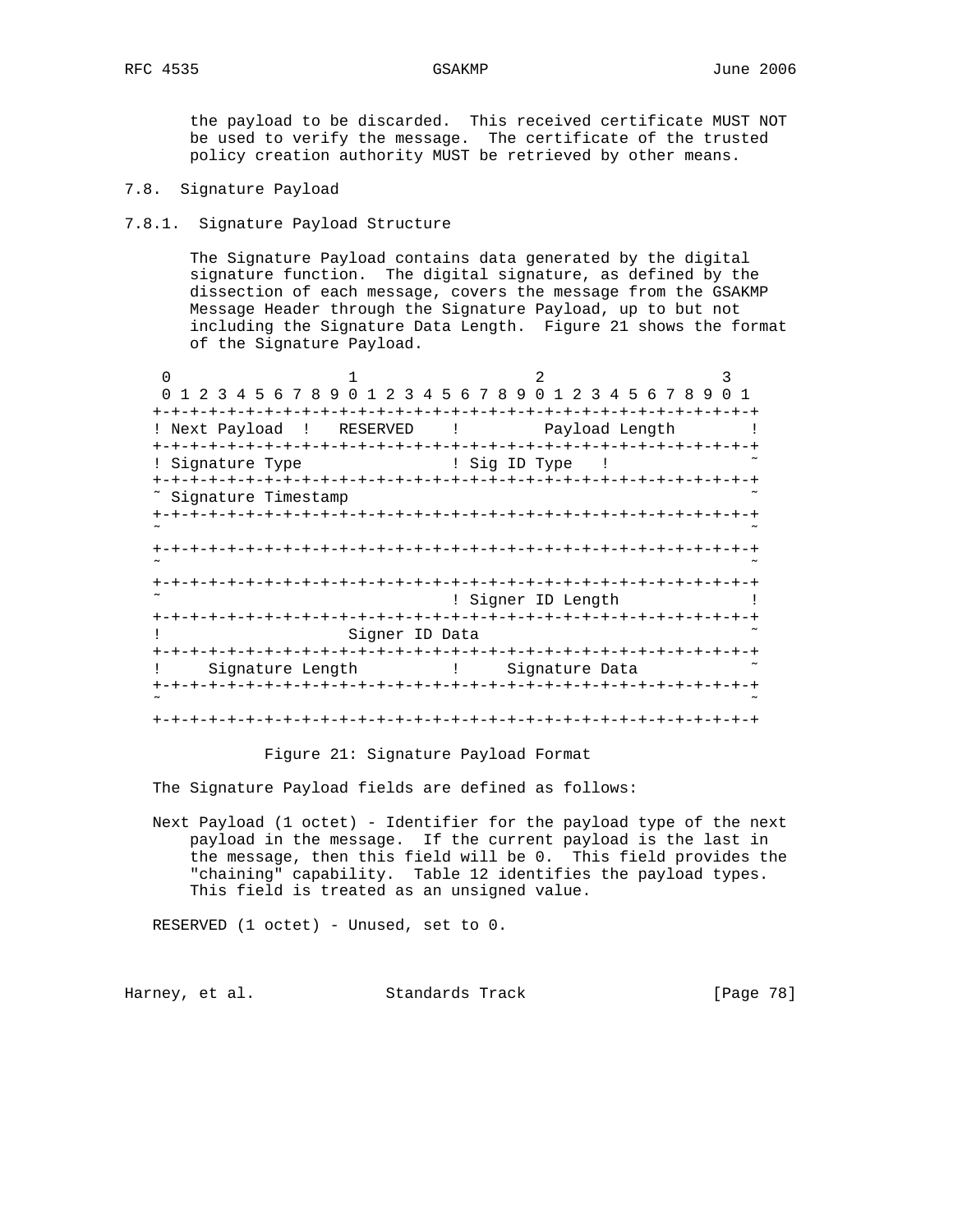the payload to be discarded. This received certificate MUST NOT be used to verify the message. The certificate of the trusted policy creation authority MUST be retrieved by other means.

7.8. Signature Payload

## 7.8.1. Signature Payload Structure

 The Signature Payload contains data generated by the digital signature function. The digital signature, as defined by the dissection of each message, covers the message from the GSAKMP Message Header through the Signature Payload, up to but not including the Signature Data Length. Figure 21 shows the format of the Signature Payload.

0  $1$  2 3 0 1 2 3 4 5 6 7 8 9 0 1 2 3 4 5 6 7 8 9 0 1 2 3 4 5 6 7 8 9 0 1 +-+-+-+-+-+-+-+-+-+-+-+-+-+-+-+-+-+-+-+-+-+-+-+-+-+-+-+-+-+-+-+-+ ! Next Payload ! RESERVED ! Payload Length ! +-+-+-+-+-+-+-+-+-+-+-+-+-+-+-+-+-+-+-+-+-+-+-+-+-+-+-+-+-+-+-+-+ ! Signature Type : 1 Sig ID Type ! +-+-+-+-+-+-+-+-+-+-+-+-+-+-+-+-+-+-+-+-+-+-+-+-+-+-+-+-+-+-+-+-+ ~ Signature Timestamp +-+-+-+-+-+-+-+-+-+-+-+-+-+-+-+-+-+-+-+-+-+-+-+-+-+-+-+-+-+-+-+-+ ˜ ˜ +-+-+-+-+-+-+-+-+-+-+-+-+-+-+-+-+-+-+-+-+-+-+-+-+-+-+-+-+-+-+-+-+ ˜ ˜ +-+-+-+-+-+-+-+-+-+-+-+-+-+-+-+-+-+-+-+-+-+-+-+-+-+-+-+-+-+-+-+-+  $\tilde{\phantom{a}}$  . The set of the set of the set of the Signer ID Length  $\phantom{a}$  ! +-+-+-+-+-+-+-+-+-+-+-+-+-+-+-+-+-+-+-+-+-+-+-+-+-+-+-+-+-+-+-+-+ ! Signer ID Data ˜ +-+-+-+-+-+-+-+-+-+-+-+-+-+-+-+-+-+-+-+-+-+-+-+-+-+-+-+-+-+-+-+-+ ! Signature Length (1) Signature Data +-+-+-+-+-+-+-+-+-+-+-+-+-+-+-+-+-+-+-+-+-+-+-+-+-+-+-+-+-+-+-+-+ ˜ ˜ +-+-+-+-+-+-+-+-+-+-+-+-+-+-+-+-+-+-+-+-+-+-+-+-+-+-+-+-+-+-+-+-+

### Figure 21: Signature Payload Format

The Signature Payload fields are defined as follows:

 Next Payload (1 octet) - Identifier for the payload type of the next payload in the message. If the current payload is the last in the message, then this field will be 0. This field provides the "chaining" capability. Table 12 identifies the payload types. This field is treated as an unsigned value.

RESERVED (1 octet) - Unused, set to 0.

Harney, et al. Standards Track [Page 78]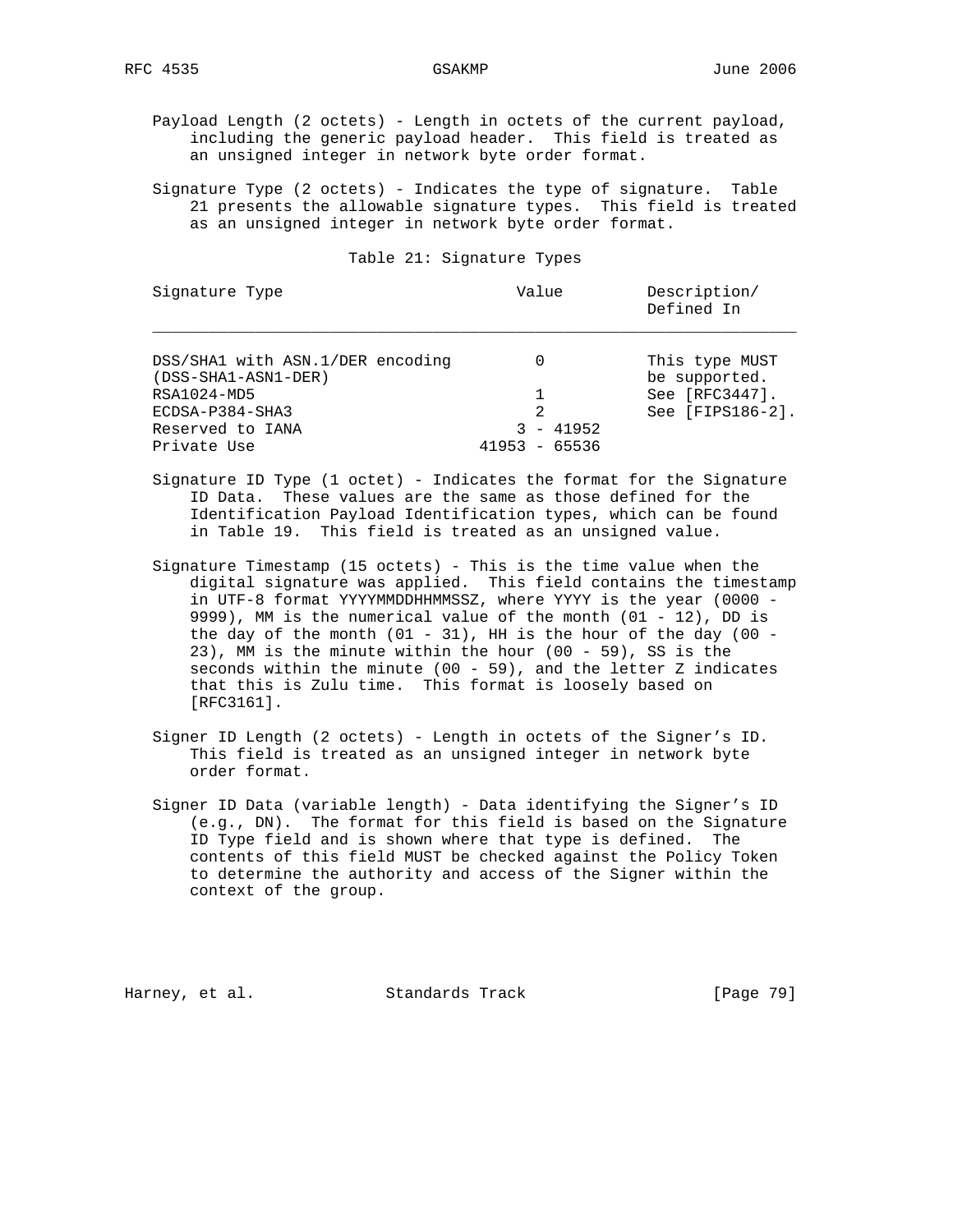Payload Length (2 octets) - Length in octets of the current payload, including the generic payload header. This field is treated as an unsigned integer in network byte order format.

 Signature Type (2 octets) - Indicates the type of signature. Table 21 presents the allowable signature types. This field is treated as an unsigned integer in network byte order format.

### Table 21: Signature Types

| Signature Type                                          | Value            | Description/<br>Defined In      |
|---------------------------------------------------------|------------------|---------------------------------|
| DSS/SHA1 with ASN.1/DER encoding<br>(DSS-SHA1-ASN1-DER) | 0                | This type MUST<br>be supported. |
| RSA1024-MD5                                             |                  | See $[RFC3447]$ .               |
| ECDSA-P384-SHA3                                         | 2                | See [FIPS186-2].                |
| Reserved to IANA                                        | - 41952          |                                 |
| Private Use                                             | 41953<br>- 65536 |                                 |

- Signature ID Type (1 octet) Indicates the format for the Signature ID Data. These values are the same as those defined for the Identification Payload Identification types, which can be found in Table 19. This field is treated as an unsigned value.
- Signature Timestamp (15 octets) This is the time value when the digital signature was applied. This field contains the timestamp in UTF-8 format YYYYMMDDHHMMSSZ, where YYYY is the year (0000 - 9999), MM is the numerical value of the month (01 - 12), DD is the day of the month  $(01 - 31)$ , HH is the hour of the day  $(00 -$  23), MM is the minute within the hour (00 - 59), SS is the seconds within the minute  $(00 - 59)$ , and the letter Z indicates that this is Zulu time. This format is loosely based on [RFC3161].
- Signer ID Length (2 octets) Length in octets of the Signer's ID. This field is treated as an unsigned integer in network byte order format.
- Signer ID Data (variable length) Data identifying the Signer's ID (e.g., DN). The format for this field is based on the Signature ID Type field and is shown where that type is defined. The contents of this field MUST be checked against the Policy Token to determine the authority and access of the Signer within the context of the group.

Harney, et al. Standards Track [Page 79]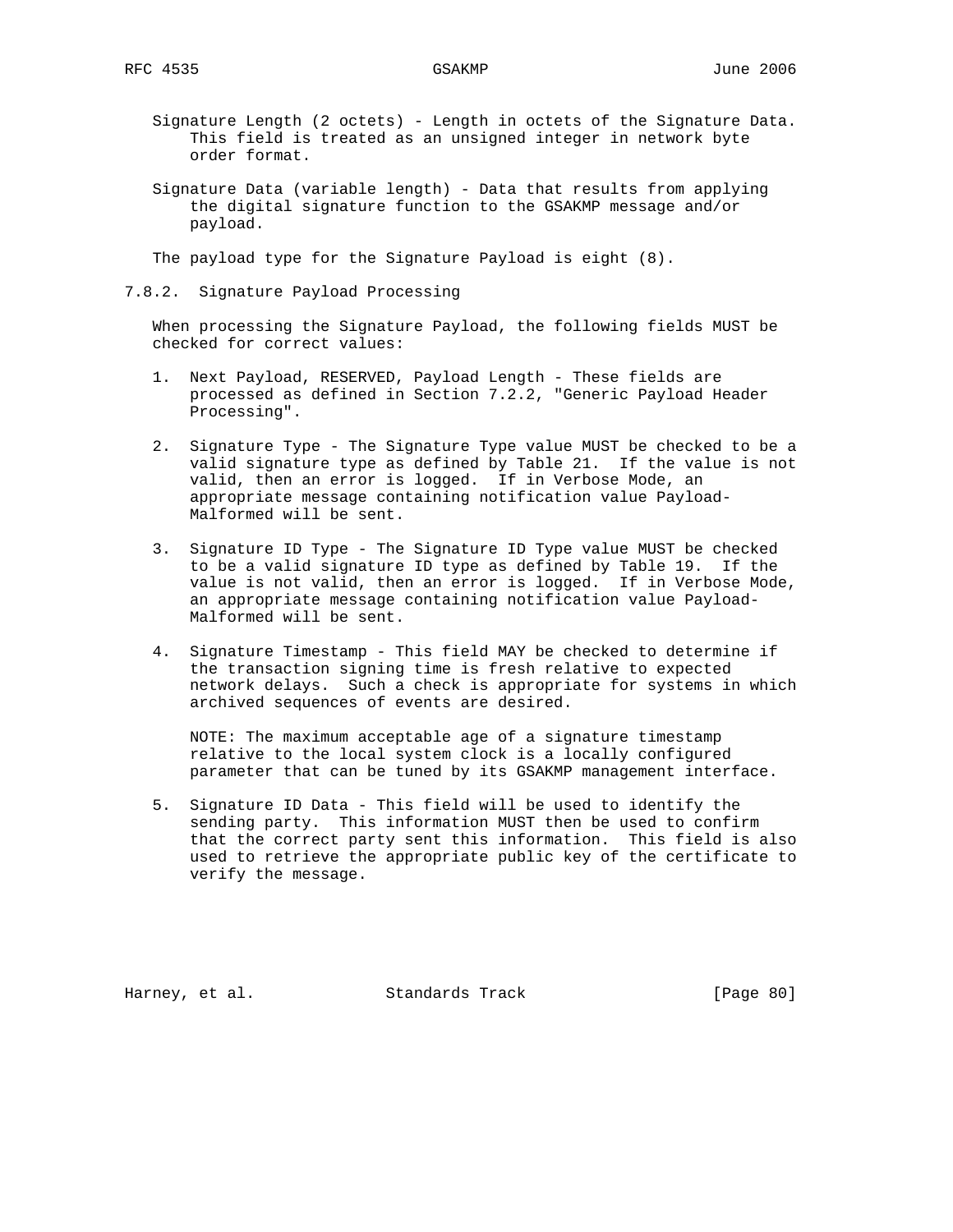- Signature Length (2 octets) Length in octets of the Signature Data. This field is treated as an unsigned integer in network byte order format.
- Signature Data (variable length) Data that results from applying the digital signature function to the GSAKMP message and/or payload.

The payload type for the Signature Payload is eight (8).

7.8.2. Signature Payload Processing

 When processing the Signature Payload, the following fields MUST be checked for correct values:

- 1. Next Payload, RESERVED, Payload Length These fields are processed as defined in Section 7.2.2, "Generic Payload Header Processing".
- 2. Signature Type The Signature Type value MUST be checked to be a valid signature type as defined by Table 21. If the value is not valid, then an error is logged. If in Verbose Mode, an appropriate message containing notification value Payload- Malformed will be sent.
- 3. Signature ID Type The Signature ID Type value MUST be checked to be a valid signature ID type as defined by Table 19. If the value is not valid, then an error is logged. If in Verbose Mode, an appropriate message containing notification value Payload- Malformed will be sent.
- 4. Signature Timestamp This field MAY be checked to determine if the transaction signing time is fresh relative to expected network delays. Such a check is appropriate for systems in which archived sequences of events are desired.

 NOTE: The maximum acceptable age of a signature timestamp relative to the local system clock is a locally configured parameter that can be tuned by its GSAKMP management interface.

 5. Signature ID Data - This field will be used to identify the sending party. This information MUST then be used to confirm that the correct party sent this information. This field is also used to retrieve the appropriate public key of the certificate to verify the message.

Harney, et al. Standards Track [Page 80]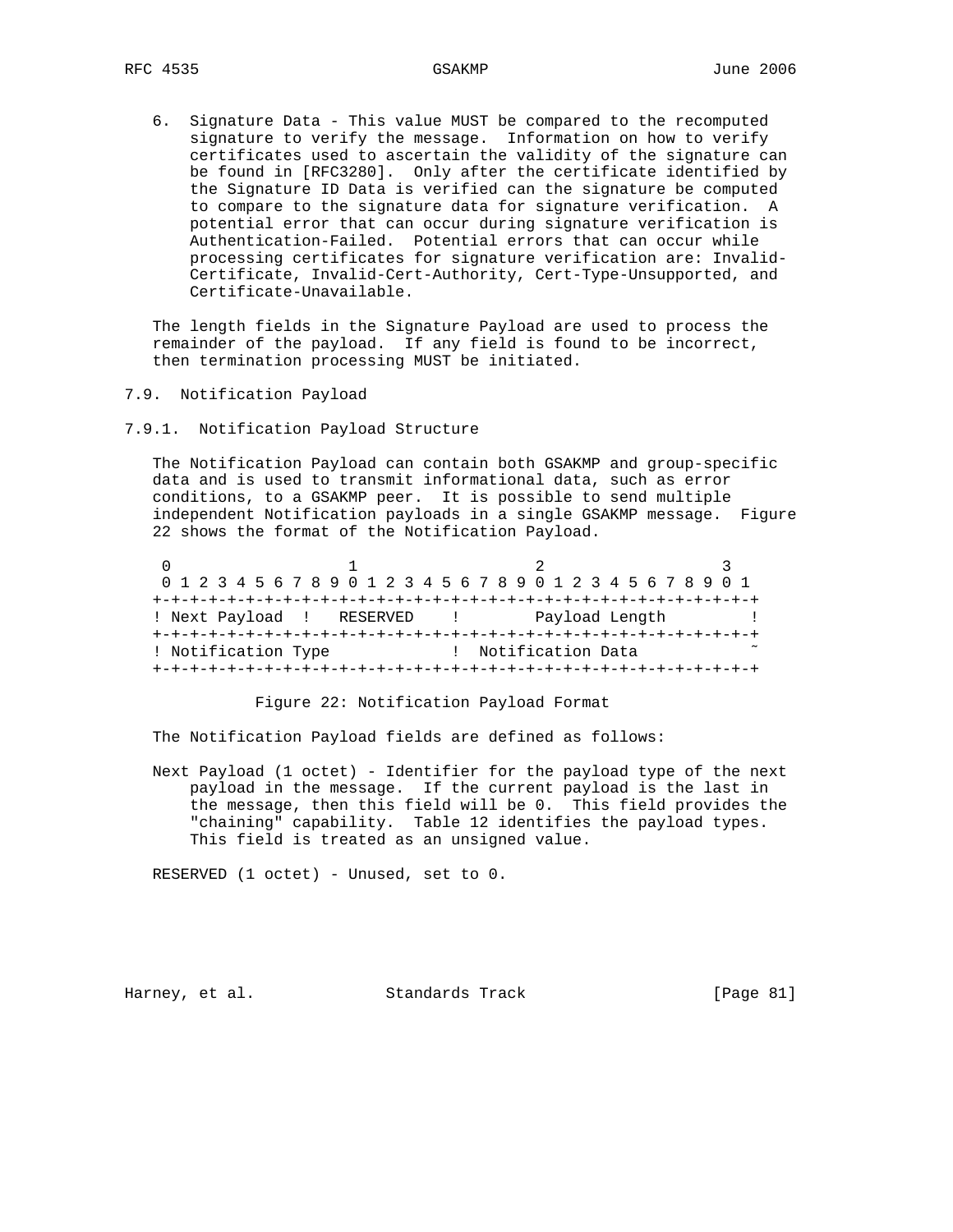6. Signature Data - This value MUST be compared to the recomputed signature to verify the message. Information on how to verify certificates used to ascertain the validity of the signature can be found in [RFC3280]. Only after the certificate identified by the Signature ID Data is verified can the signature be computed to compare to the signature data for signature verification. A potential error that can occur during signature verification is Authentication-Failed. Potential errors that can occur while processing certificates for signature verification are: Invalid- Certificate, Invalid-Cert-Authority, Cert-Type-Unsupported, and Certificate-Unavailable.

 The length fields in the Signature Payload are used to process the remainder of the payload. If any field is found to be incorrect, then termination processing MUST be initiated.

- 7.9. Notification Payload
- 7.9.1. Notification Payload Structure

 The Notification Payload can contain both GSAKMP and group-specific data and is used to transmit informational data, such as error conditions, to a GSAKMP peer. It is possible to send multiple independent Notification payloads in a single GSAKMP message. Figure 22 shows the format of the Notification Payload.

|                     |                           | 0 1 2 3 4 5 6 7 8 9 0 1 2 3 4 5 6 7 8 9 0 1 2 3 4 5 6 7 8 9 0 1 |  |
|---------------------|---------------------------|-----------------------------------------------------------------|--|
|                     |                           |                                                                 |  |
|                     | ! Next Payload ! RESERVED | Payload Length                                                  |  |
|                     |                           |                                                                 |  |
| ! Notification Type |                           | Notification Data                                               |  |
|                     |                           | +-+-+-+-+-+-+-+-+-+                                             |  |

Figure 22: Notification Payload Format

The Notification Payload fields are defined as follows:

 Next Payload (1 octet) - Identifier for the payload type of the next payload in the message. If the current payload is the last in the message, then this field will be 0. This field provides the "chaining" capability. Table 12 identifies the payload types. This field is treated as an unsigned value.

RESERVED (1 octet) - Unused, set to 0.

Harney, et al. Standards Track [Page 81]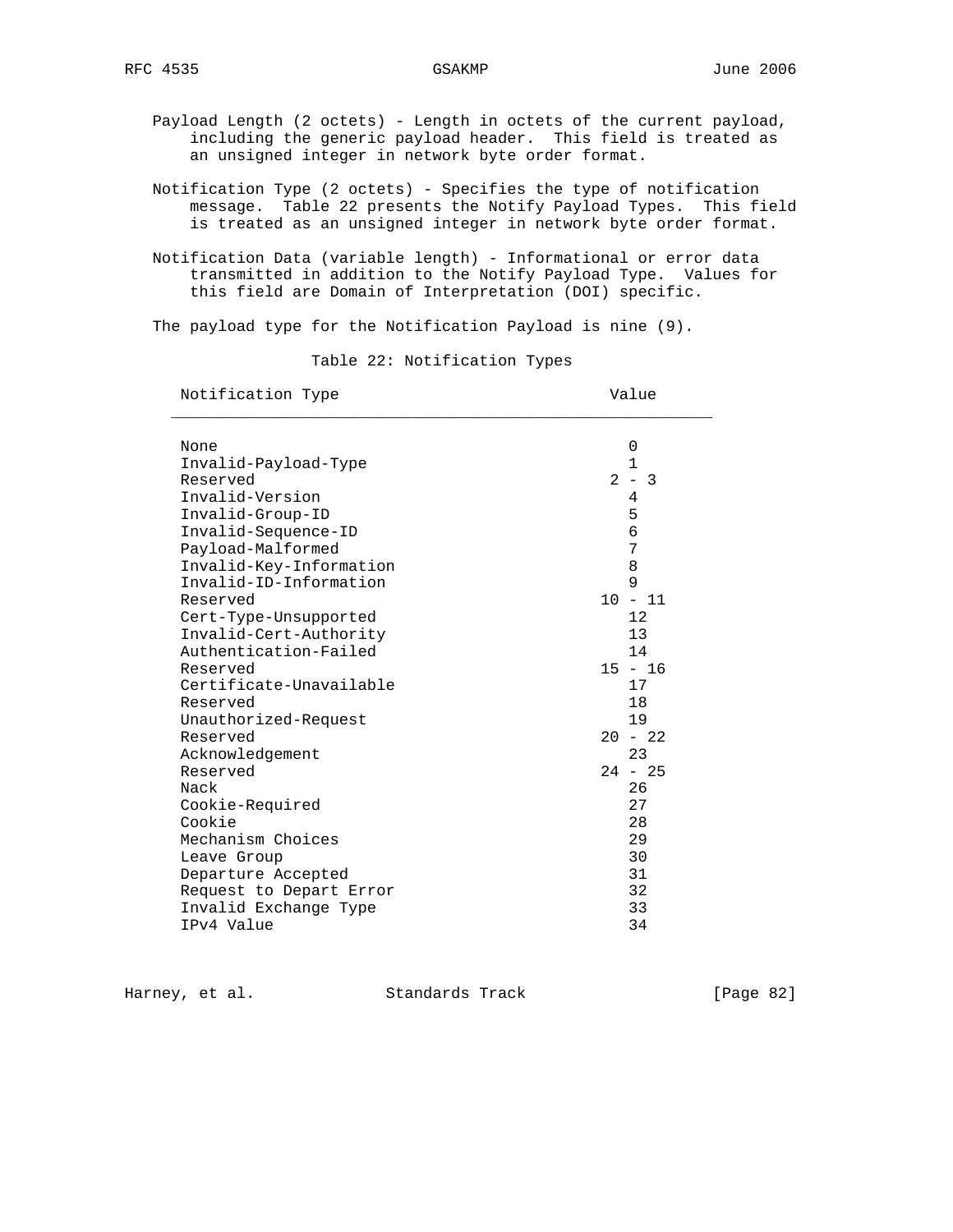Payload Length (2 octets) - Length in octets of the current payload, including the generic payload header. This field is treated as an unsigned integer in network byte order format.

- Notification Type (2 octets) Specifies the type of notification message. Table 22 presents the Notify Payload Types. This field is treated as an unsigned integer in network byte order format.
- Notification Data (variable length) Informational or error data transmitted in addition to the Notify Payload Type. Values for this field are Domain of Interpretation (DOI) specific.

The payload type for the Notification Payload is nine (9).

Table 22: Notification Types

Notification Type  $V$ alue

| None                    | 0           |
|-------------------------|-------------|
| Invalid-Payload-Type    | $\mathbf 1$ |
| Reserved                | $-3$<br>2   |
| Invalid-Version         | 4           |
| Invalid-Group-ID        | 5           |
| Invalid-Sequence-ID     | 6           |
| Payload-Malformed       | 7           |
| Invalid-Key-Information | 8           |
| Invalid-ID-Information  | 9           |
| Reserved                | $10 - 11$   |
| Cert-Type-Unsupported   | 12          |
| Invalid-Cert-Authority  | 13          |
| Authentication-Failed   | 14          |
| Reserved                | $15 - 16$   |
| Certificate-Unavailable | 17          |
| Reserved                | 18          |
| Unauthorized-Request    | 19          |
| Reserved                | $20 - 22$   |
| Acknowledgement         | 23          |
| Reserved                | $24 - 25$   |
| Nack                    | 26          |
| Cookie-Required         | 27          |
| Cookie                  | 28          |
| Mechanism Choices       | 29          |
| Leave Group             | 30          |
| Departure Accepted      | 31          |
| Request to Depart Error | 32          |
| Invalid Exchange Type   | 33          |
| IPv4 Value              | 34          |

Harney, et al. Standards Track [Page 82]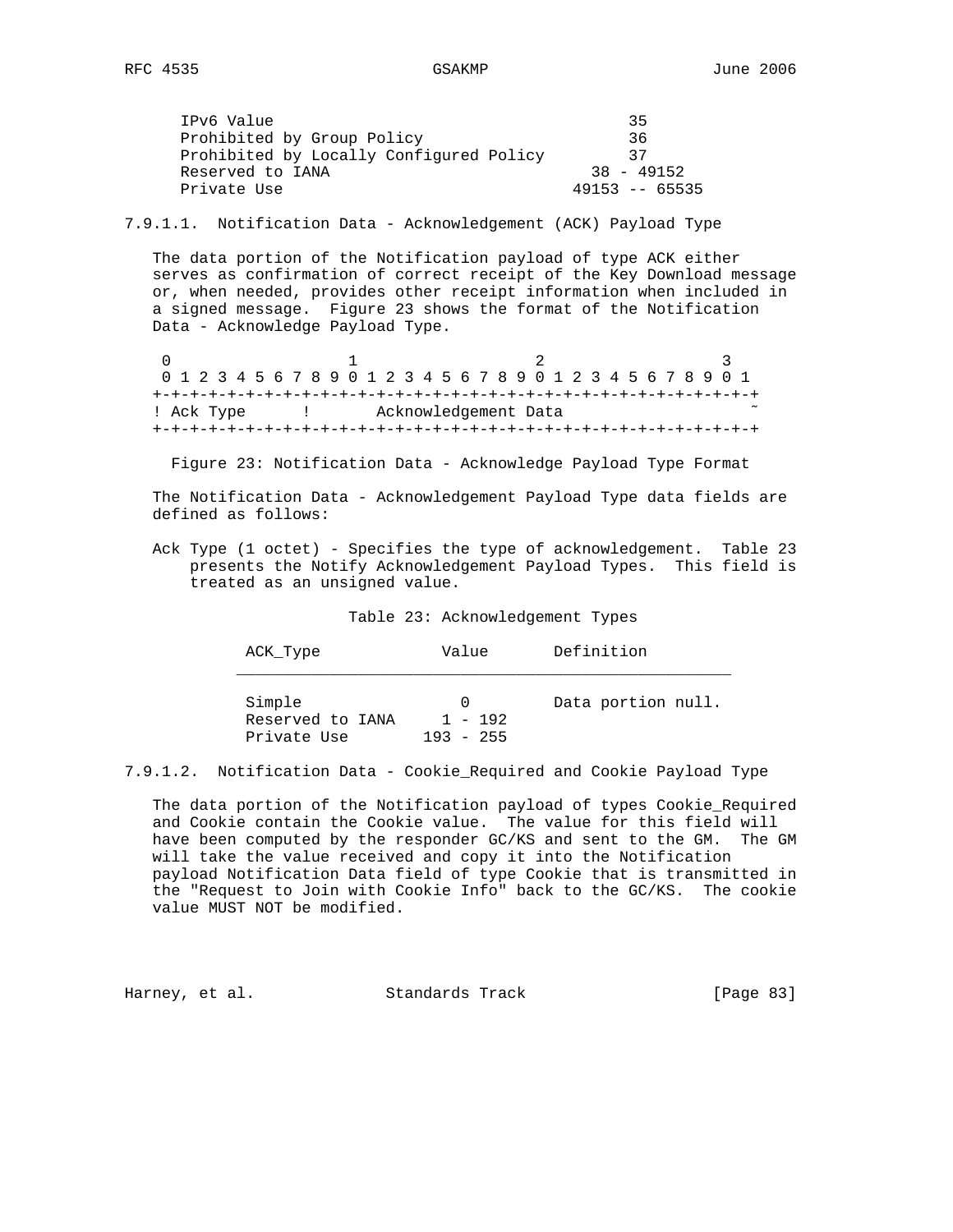| IPv6 Value                              | 35              |
|-----------------------------------------|-----------------|
| Prohibited by Group Policy              | 36              |
| Prohibited by Locally Configured Policy | - 27            |
| Reserved to IANA                        | $38 - 49152$    |
| Private Use                             | $49153 - 65535$ |
|                                         |                 |

7.9.1.1. Notification Data - Acknowledgement (ACK) Payload Type

 The data portion of the Notification payload of type ACK either serves as confirmation of correct receipt of the Key Download message or, when needed, provides other receipt information when included in a signed message. Figure 23 shows the format of the Notification Data - Acknowledge Payload Type.

0  $1$  2 3 0 1 2 3 4 5 6 7 8 9 0 1 2 3 4 5 6 7 8 9 0 1 2 3 4 5 6 7 8 9 0 1 +-+-+-+-+-+-+-+-+-+-+-+-+-+-+-+-+-+-+-+-+-+-+-+-+-+-+-+-+-+-+-+-+ ! Ack Type : 1 . Acknowledgement Data +-+-+-+-+-+-+-+-+-+-+-+-+-+-+-+-+-+-+-+-+-+-+-+-+-+-+-+-+-+-+-+-+

Figure 23: Notification Data - Acknowledge Payload Type Format

 The Notification Data - Acknowledgement Payload Type data fields are defined as follows:

 Ack Type (1 octet) - Specifies the type of acknowledgement. Table 23 presents the Notify Acknowledgement Payload Types. This field is treated as an unsigned value.

Table 23: Acknowledgement Types

| ACK Type                                  | Value                                | Definition         |
|-------------------------------------------|--------------------------------------|--------------------|
| Simple<br>Reserved to IANA<br>Private Use | $\Omega$<br>$1 - 192$<br>$193 - 255$ | Data portion null. |

<sup>7.9.1.2.</sup> Notification Data - Cookie\_Required and Cookie Payload Type

 The data portion of the Notification payload of types Cookie\_Required and Cookie contain the Cookie value. The value for this field will have been computed by the responder GC/KS and sent to the GM. The GM will take the value received and copy it into the Notification payload Notification Data field of type Cookie that is transmitted in the "Request to Join with Cookie Info" back to the GC/KS. The cookie value MUST NOT be modified.

Harney, et al. Standards Track [Page 83]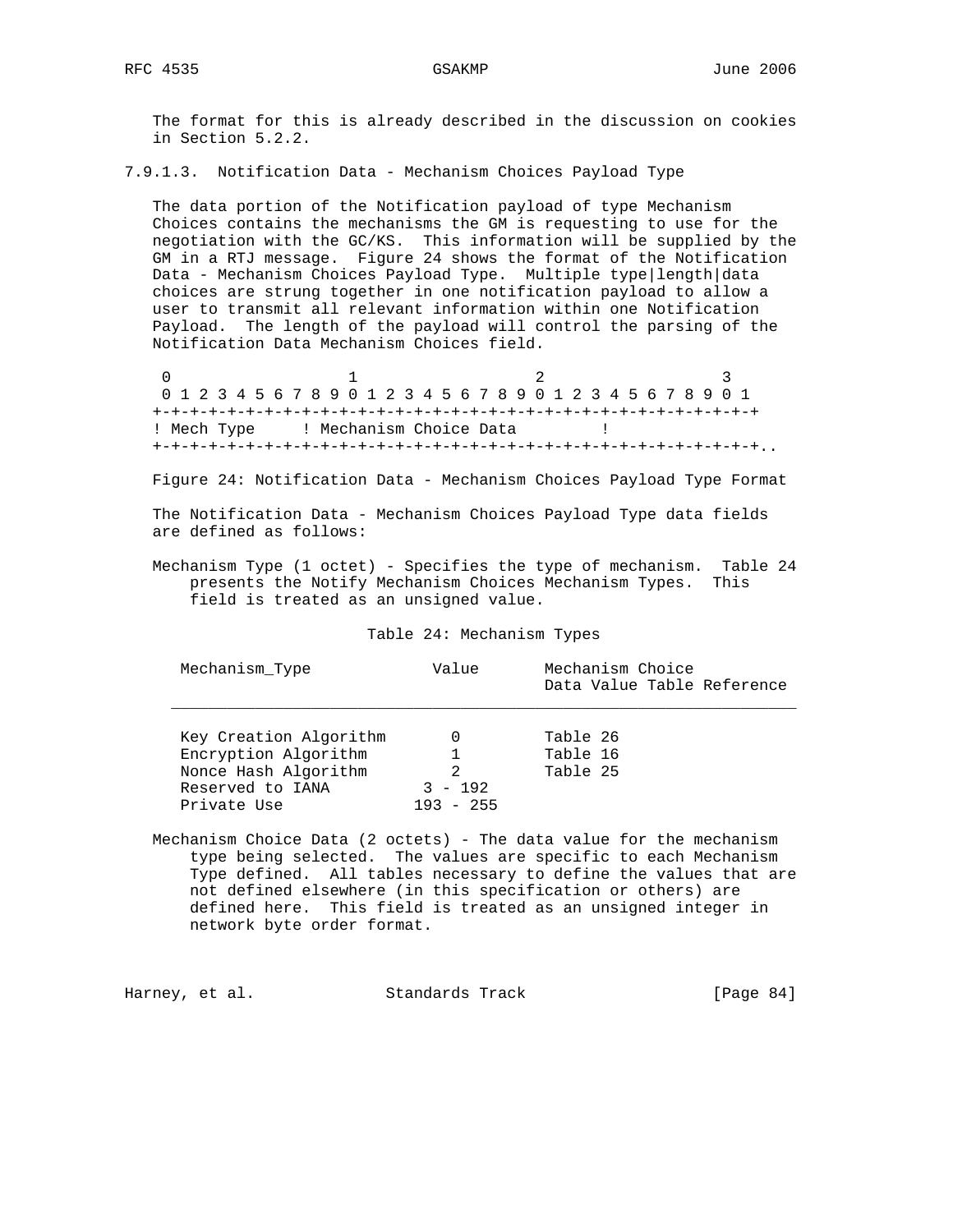The format for this is already described in the discussion on cookies in Section 5.2.2.

7.9.1.3. Notification Data - Mechanism Choices Payload Type

 The data portion of the Notification payload of type Mechanism Choices contains the mechanisms the GM is requesting to use for the negotiation with the GC/KS. This information will be supplied by the GM in a RTJ message. Figure 24 shows the format of the Notification Data - Mechanism Choices Payload Type. Multiple type|length|data choices are strung together in one notification payload to allow a user to transmit all relevant information within one Notification Payload. The length of the payload will control the parsing of the Notification Data Mechanism Choices field.

0  $1$  2 3 0 1 2 3 4 5 6 7 8 9 0 1 2 3 4 5 6 7 8 9 0 1 2 3 4 5 6 7 8 9 0 1 +-+-+-+-+-+-+-+-+-+-+-+-+-+-+-+-+-+-+-+-+-+-+-+-+-+-+-+-+-+-+-+-+ ! Mech Type ! Mechanism Choice Data ! +-+-+-+-+-+-+-+-+-+-+-+-+-+-+-+-+-+-+-+-+-+-+-+-+-+-+-+-+-+-+-+-+..

Figure 24: Notification Data - Mechanism Choices Payload Type Format

 The Notification Data - Mechanism Choices Payload Type data fields are defined as follows:

 Mechanism Type (1 octet) - Specifies the type of mechanism. Table 24 presents the Notify Mechanism Choices Mechanism Types. This field is treated as an unsigned value.

Table 24: Mechanism Types

| Mechanism Type         | Value       | Mechanism Choice<br>Data Value Table Reference |
|------------------------|-------------|------------------------------------------------|
| Key Creation Algorithm |             | Table 26                                       |
| Encryption Algorithm   |             | Table 16                                       |
| Nonce Hash Algorithm   | 2           | Table 25                                       |
| Reserved to IANA       | $3 - 192$   |                                                |
| Private Use            | $193 - 255$ |                                                |

 Mechanism Choice Data (2 octets) - The data value for the mechanism type being selected. The values are specific to each Mechanism Type defined. All tables necessary to define the values that are not defined elsewhere (in this specification or others) are defined here. This field is treated as an unsigned integer in network byte order format.

Harney, et al. Standards Track [Page 84]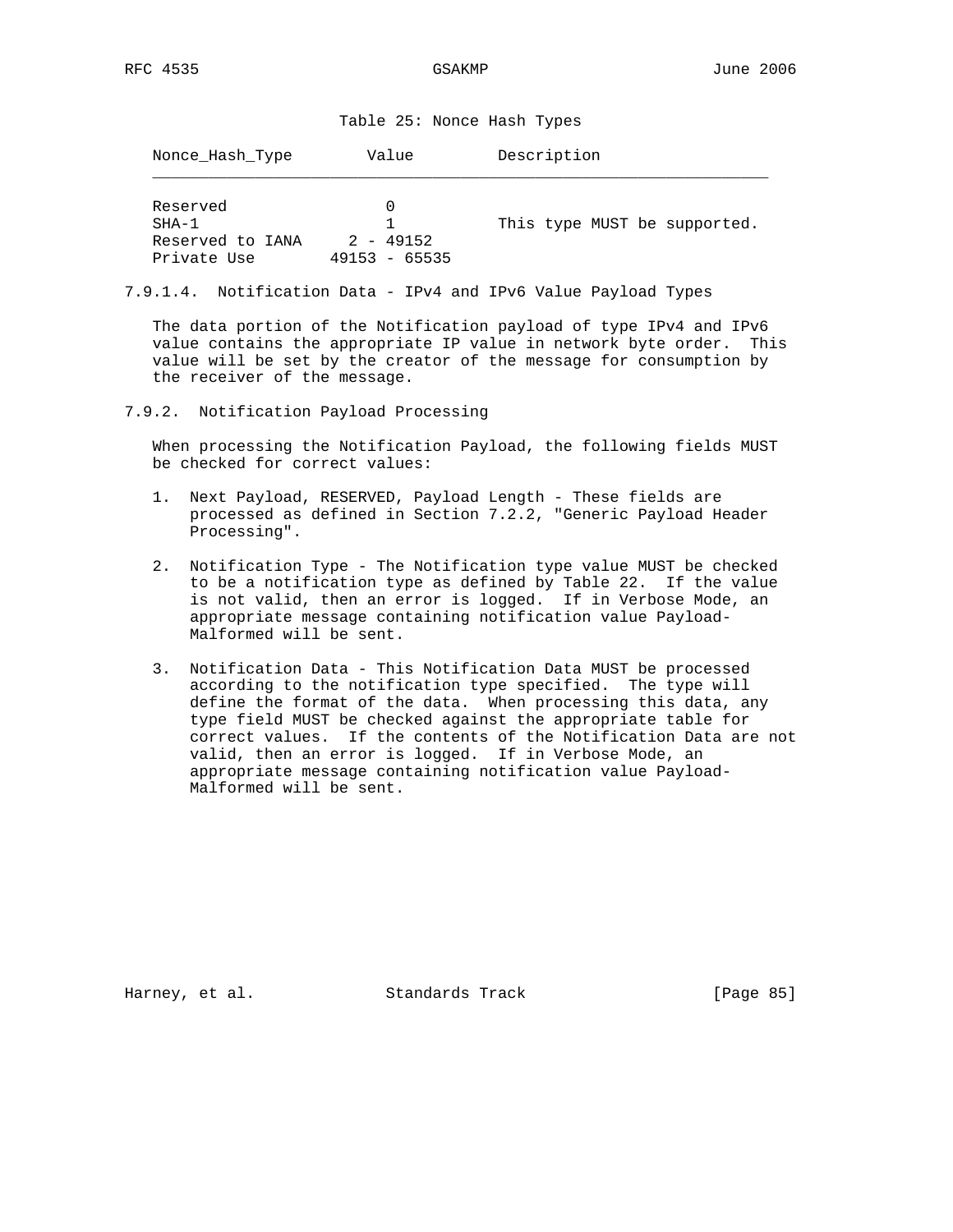Table 25: Nonce Hash Types

| Nonce Hash Type                                        | Value                            | Description                  |
|--------------------------------------------------------|----------------------------------|------------------------------|
| Reserved<br>$SHA-1$<br>Reserved to IANA<br>Private Use | $2 - 49152$<br>49153<br>$-65535$ | This type MUST be supported. |

7.9.1.4. Notification Data - IPv4 and IPv6 Value Payload Types

 The data portion of the Notification payload of type IPv4 and IPv6 value contains the appropriate IP value in network byte order. This value will be set by the creator of the message for consumption by the receiver of the message.

7.9.2. Notification Payload Processing

 When processing the Notification Payload, the following fields MUST be checked for correct values:

- 1. Next Payload, RESERVED, Payload Length These fields are processed as defined in Section 7.2.2, "Generic Payload Header Processing".
- 2. Notification Type The Notification type value MUST be checked to be a notification type as defined by Table 22. If the value is not valid, then an error is logged. If in Verbose Mode, an appropriate message containing notification value Payload- Malformed will be sent.
- 3. Notification Data This Notification Data MUST be processed according to the notification type specified. The type will define the format of the data. When processing this data, any type field MUST be checked against the appropriate table for correct values. If the contents of the Notification Data are not valid, then an error is logged. If in Verbose Mode, an appropriate message containing notification value Payload- Malformed will be sent.

Harney, et al. Standards Track [Page 85]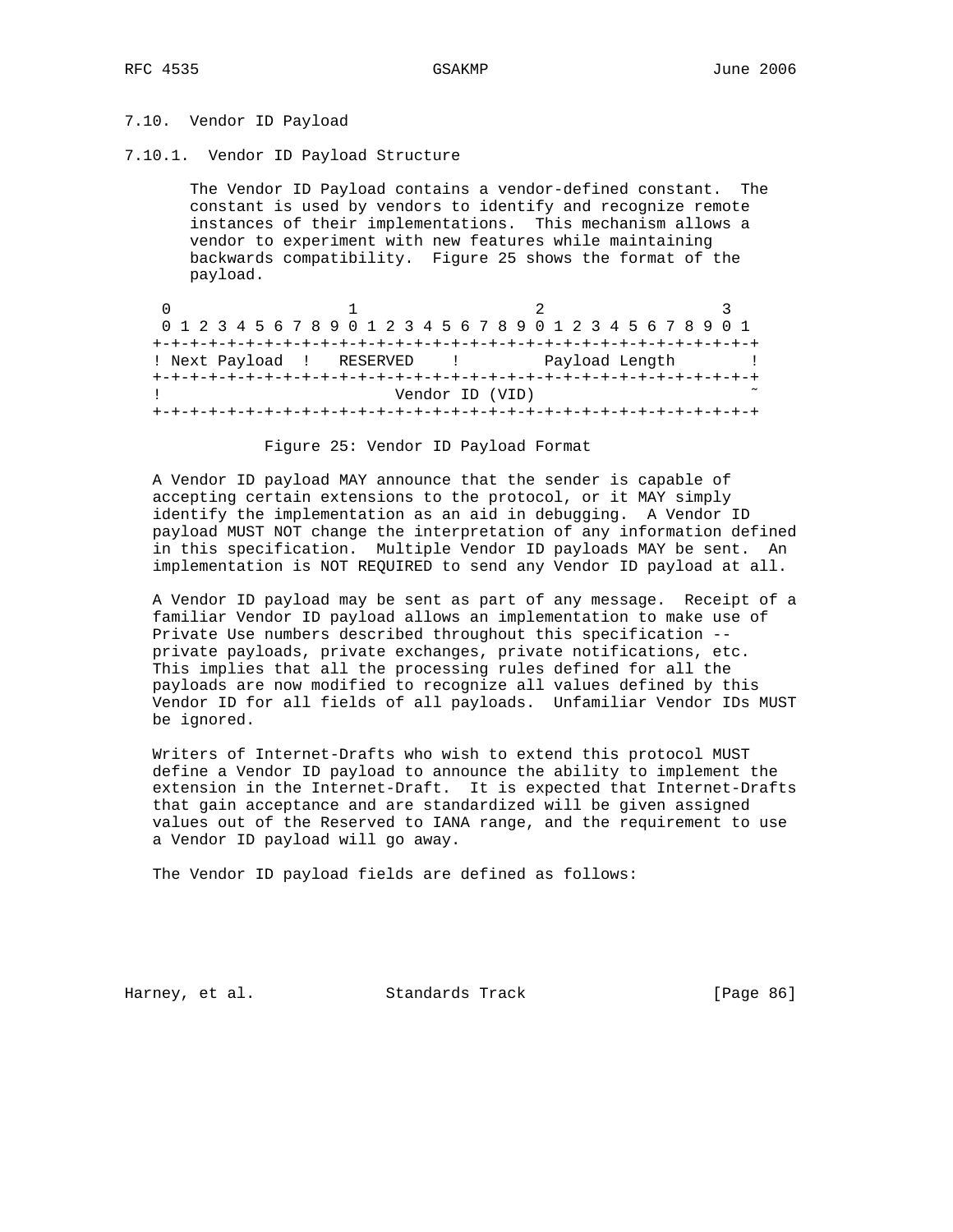# 7.10. Vendor ID Payload

7.10.1. Vendor ID Payload Structure

 The Vendor ID Payload contains a vendor-defined constant. The constant is used by vendors to identify and recognize remote instances of their implementations. This mechanism allows a vendor to experiment with new features while maintaining backwards compatibility. Figure 25 shows the format of the payload.

|                           | 0 1 2 3 4 5 6 7 8 9 0 1 2 3 4 5 6 7 8 9 0 1 2 3 4 5 6 7 8 9 0 1 |  |
|---------------------------|-----------------------------------------------------------------|--|
|                           |                                                                 |  |
| ! Next Payload ! RESERVED | Payload Length                                                  |  |
|                           |                                                                 |  |
|                           | Vendor ID (VID)                                                 |  |
|                           |                                                                 |  |

### Figure 25: Vendor ID Payload Format

 A Vendor ID payload MAY announce that the sender is capable of accepting certain extensions to the protocol, or it MAY simply identify the implementation as an aid in debugging. A Vendor ID payload MUST NOT change the interpretation of any information defined in this specification. Multiple Vendor ID payloads MAY be sent. An implementation is NOT REQUIRED to send any Vendor ID payload at all.

 A Vendor ID payload may be sent as part of any message. Receipt of a familiar Vendor ID payload allows an implementation to make use of Private Use numbers described throughout this specification - private payloads, private exchanges, private notifications, etc. This implies that all the processing rules defined for all the payloads are now modified to recognize all values defined by this Vendor ID for all fields of all payloads. Unfamiliar Vendor IDs MUST be ignored.

 Writers of Internet-Drafts who wish to extend this protocol MUST define a Vendor ID payload to announce the ability to implement the extension in the Internet-Draft. It is expected that Internet-Drafts that gain acceptance and are standardized will be given assigned values out of the Reserved to IANA range, and the requirement to use a Vendor ID payload will go away.

The Vendor ID payload fields are defined as follows:

Harney, et al. Standards Track [Page 86]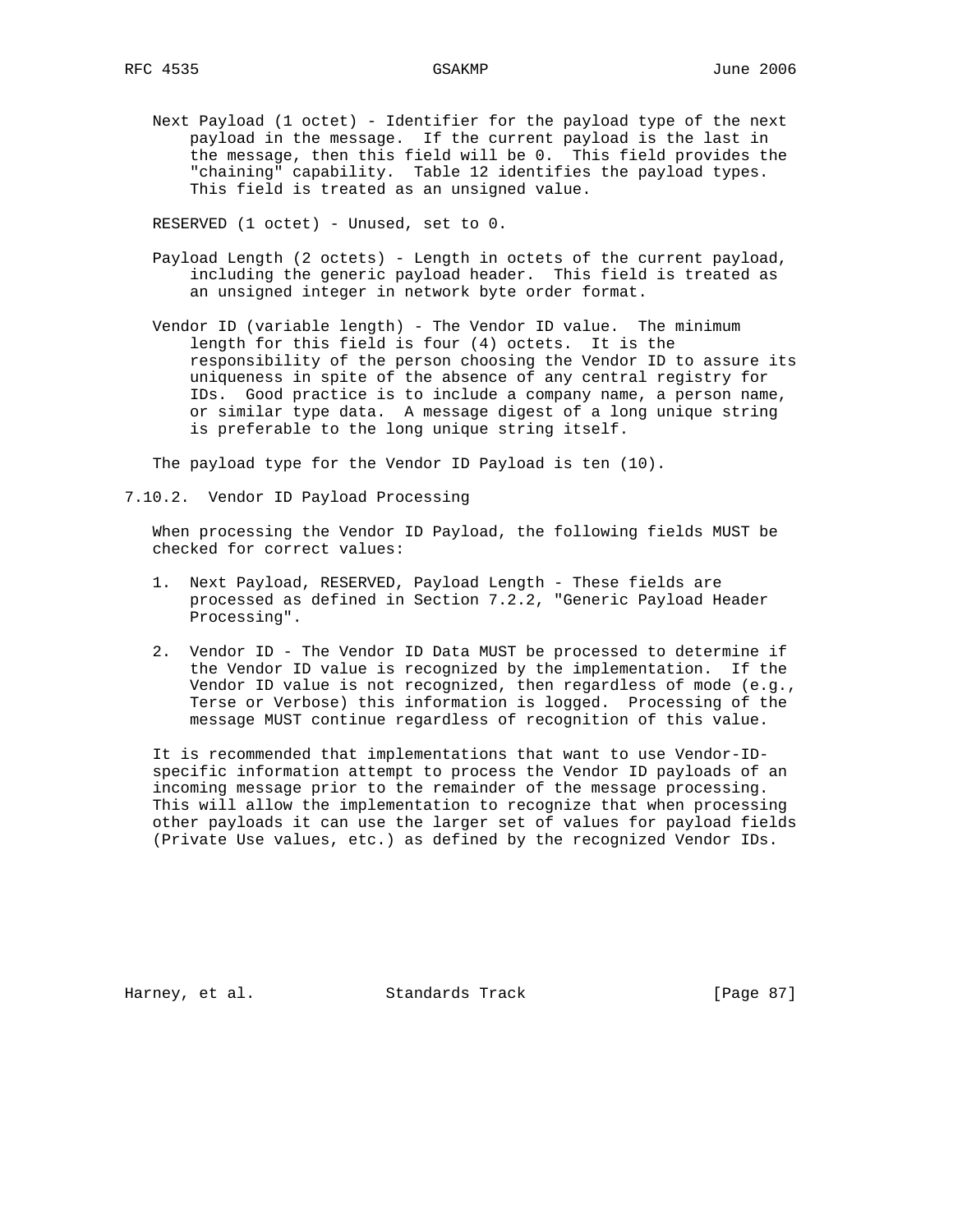Next Payload (1 octet) - Identifier for the payload type of the next payload in the message. If the current payload is the last in the message, then this field will be 0. This field provides the "chaining" capability. Table 12 identifies the payload types. This field is treated as an unsigned value.

RESERVED (1 octet) - Unused, set to 0.

- Payload Length (2 octets) Length in octets of the current payload, including the generic payload header. This field is treated as an unsigned integer in network byte order format.
- Vendor ID (variable length) The Vendor ID value. The minimum length for this field is four (4) octets. It is the responsibility of the person choosing the Vendor ID to assure its uniqueness in spite of the absence of any central registry for IDs. Good practice is to include a company name, a person name, or similar type data. A message digest of a long unique string is preferable to the long unique string itself.

The payload type for the Vendor ID Payload is ten (10).

7.10.2. Vendor ID Payload Processing

 When processing the Vendor ID Payload, the following fields MUST be checked for correct values:

- 1. Next Payload, RESERVED, Payload Length These fields are processed as defined in Section 7.2.2, "Generic Payload Header Processing".
- 2. Vendor ID The Vendor ID Data MUST be processed to determine if the Vendor ID value is recognized by the implementation. If the Vendor ID value is not recognized, then regardless of mode (e.g., Terse or Verbose) this information is logged. Processing of the message MUST continue regardless of recognition of this value.

 It is recommended that implementations that want to use Vendor-ID specific information attempt to process the Vendor ID payloads of an incoming message prior to the remainder of the message processing. This will allow the implementation to recognize that when processing other payloads it can use the larger set of values for payload fields (Private Use values, etc.) as defined by the recognized Vendor IDs.

Harney, et al. Standards Track [Page 87]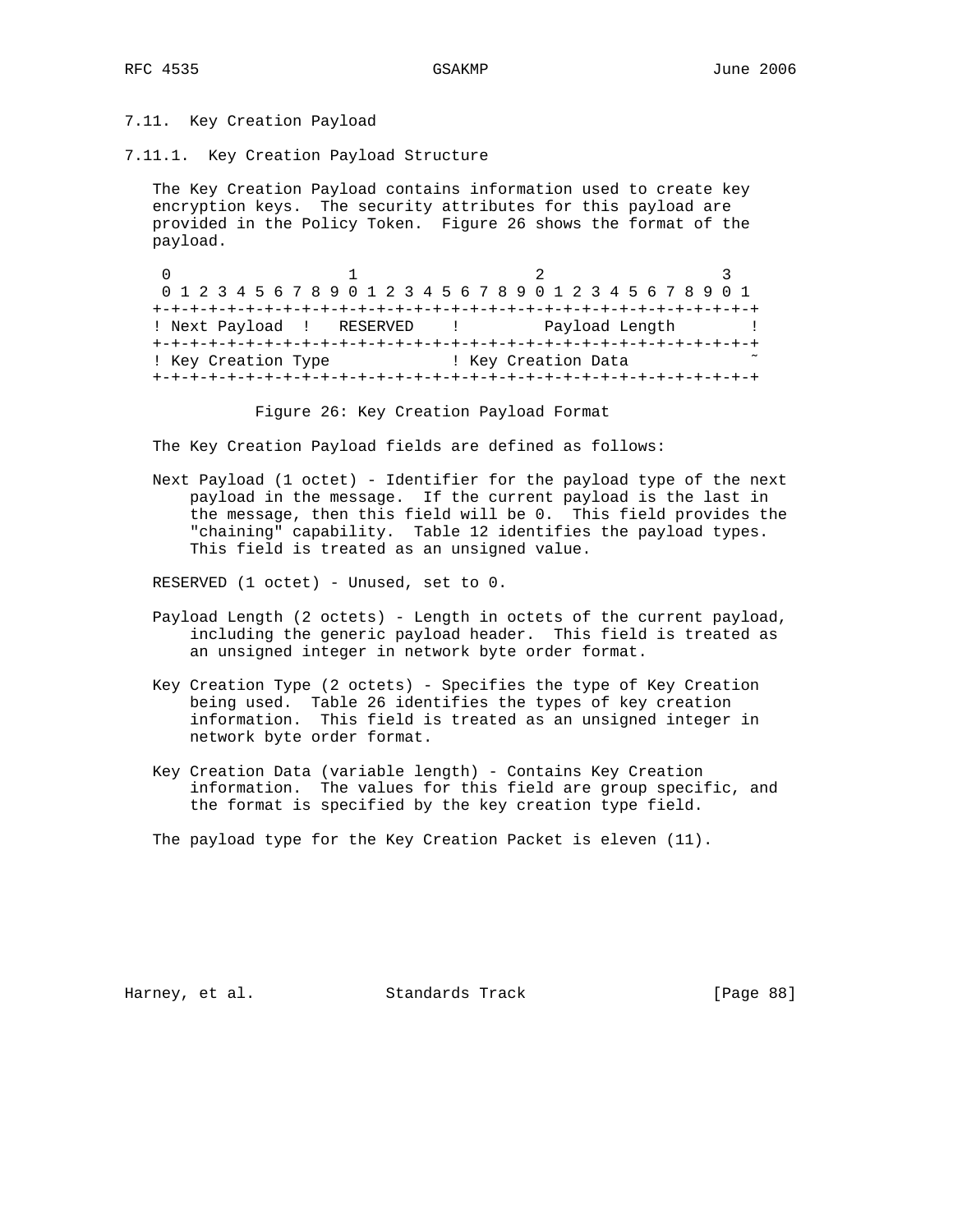# 7.11. Key Creation Payload

7.11.1. Key Creation Payload Structure

 The Key Creation Payload contains information used to create key encryption keys. The security attributes for this payload are provided in the Policy Token. Figure 26 shows the format of the payload.

0  $1$  2 3 0 1 2 3 4 5 6 7 8 9 0 1 2 3 4 5 6 7 8 9 0 1 2 3 4 5 6 7 8 9 0 1 +-+-+-+-+-+-+-+-+-+-+-+-+-+-+-+-+-+-+-+-+-+-+-+-+-+-+-+-+-+-+-+-+ ! Next Payload ! RESERVED ! Payload Length ! +-+-+-+-+-+-+-+-+-+-+-+-+-+-+-+-+-+-+-+-+-+-+-+-+-+-+-+-+-+-+-+-+ ! Key Creation Type  $\qquad$  ! Key Creation Data +-+-+-+-+-+-+-+-+-+-+-+-+-+-+-+-+-+-+-+-+-+-+-+-+-+-+-+-+-+-+-+-+

Figure 26: Key Creation Payload Format

The Key Creation Payload fields are defined as follows:

 Next Payload (1 octet) - Identifier for the payload type of the next payload in the message. If the current payload is the last in the message, then this field will be 0. This field provides the "chaining" capability. Table 12 identifies the payload types. This field is treated as an unsigned value.

RESERVED (1 octet) - Unused, set to 0.

- Payload Length (2 octets) Length in octets of the current payload, including the generic payload header. This field is treated as an unsigned integer in network byte order format.
- Key Creation Type (2 octets) Specifies the type of Key Creation being used. Table 26 identifies the types of key creation information. This field is treated as an unsigned integer in network byte order format.
	- Key Creation Data (variable length) Contains Key Creation information. The values for this field are group specific, and the format is specified by the key creation type field.

The payload type for the Key Creation Packet is eleven (11).

Harney, et al. Standards Track [Page 88]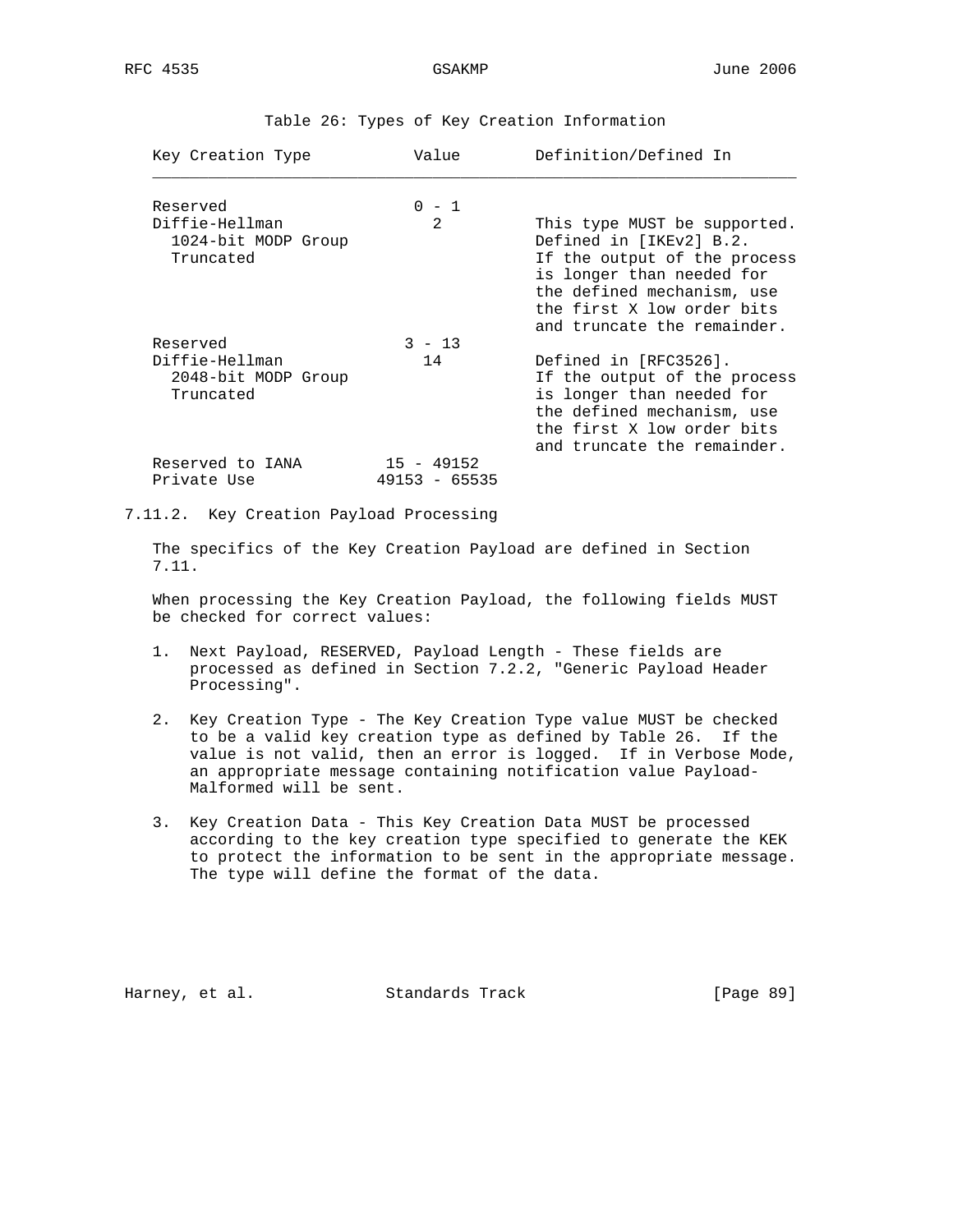| Key Creation Type                                  | Value                             | Definition/Defined In                                                                                                                                                                                           |
|----------------------------------------------------|-----------------------------------|-----------------------------------------------------------------------------------------------------------------------------------------------------------------------------------------------------------------|
| Reserved                                           | $0 - 1$                           |                                                                                                                                                                                                                 |
| Diffie-Hellman<br>1024-bit MODP Group<br>Truncated | $\mathfrak{D}$                    | This type MUST be supported.<br>Defined in [IKEv2] B.2.<br>If the output of the process<br>is longer than needed for<br>the defined mechanism, use<br>the first X low order bits<br>and truncate the remainder. |
| Reserved                                           | $3 - 13$                          |                                                                                                                                                                                                                 |
| Diffie-Hellman<br>2048-bit MODP Group<br>Truncated | 14                                | Defined in [RFC3526].<br>If the output of the process<br>is longer than needed for<br>the defined mechanism, use<br>the first X low order bits<br>and truncate the remainder.                                   |
| Reserved to IANA<br>Private Use                    | $15 - 49152$<br>49153<br>$-65535$ |                                                                                                                                                                                                                 |

Table 26: Types of Key Creation Information

7.11.2. Key Creation Payload Processing

 The specifics of the Key Creation Payload are defined in Section 7.11.

 When processing the Key Creation Payload, the following fields MUST be checked for correct values:

- 1. Next Payload, RESERVED, Payload Length These fields are processed as defined in Section 7.2.2, "Generic Payload Header Processing".
- 2. Key Creation Type The Key Creation Type value MUST be checked to be a valid key creation type as defined by Table 26. If the value is not valid, then an error is logged. If in Verbose Mode, an appropriate message containing notification value Payload- Malformed will be sent.
- 3. Key Creation Data This Key Creation Data MUST be processed according to the key creation type specified to generate the KEK to protect the information to be sent in the appropriate message. The type will define the format of the data.

Harney, et al. Standards Track [Page 89]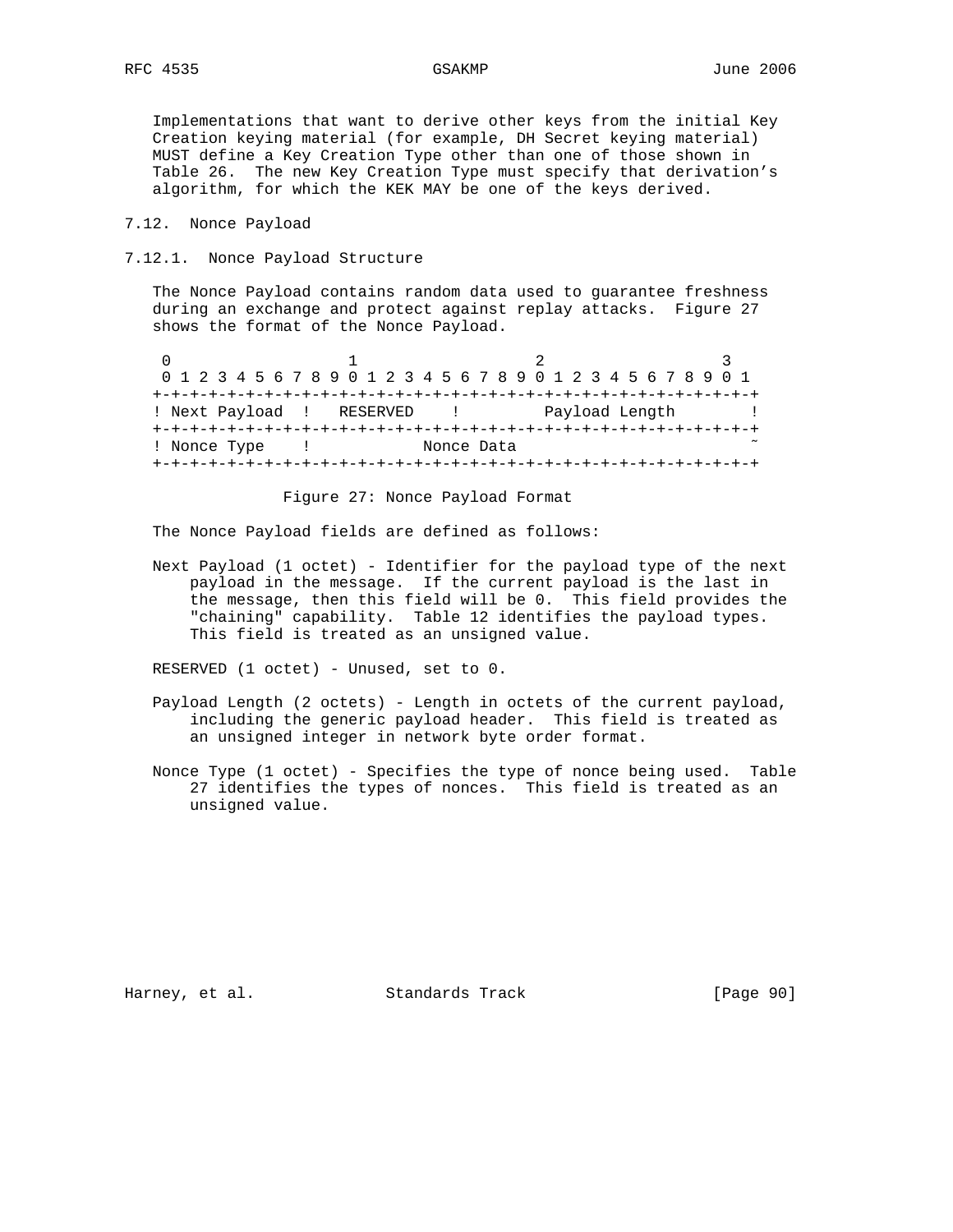Implementations that want to derive other keys from the initial Key Creation keying material (for example, DH Secret keying material) MUST define a Key Creation Type other than one of those shown in Table 26. The new Key Creation Type must specify that derivation's algorithm, for which the KEK MAY be one of the keys derived.

7.12. Nonce Payload

7.12.1. Nonce Payload Structure

 The Nonce Payload contains random data used to guarantee freshness during an exchange and protect against replay attacks. Figure 27 shows the format of the Nonce Payload.

|                           | 0 1 2 3 4 5 6 7 8 9 0 1 2 3 4 5 6 7 8 9 0 1 2 3 4 5 6 7 8 9 0 1 |  |
|---------------------------|-----------------------------------------------------------------|--|
|                           |                                                                 |  |
| ! Next Payload ! RESERVED | Payload Length                                                  |  |
|                           |                                                                 |  |
| ! Nonce Type              | Nonce Data                                                      |  |
|                           |                                                                 |  |

Figure 27: Nonce Payload Format

The Nonce Payload fields are defined as follows:

 Next Payload (1 octet) - Identifier for the payload type of the next payload in the message. If the current payload is the last in the message, then this field will be 0. This field provides the "chaining" capability. Table 12 identifies the payload types. This field is treated as an unsigned value.

RESERVED (1 octet) - Unused, set to 0.

- Payload Length (2 octets) Length in octets of the current payload, including the generic payload header. This field is treated as an unsigned integer in network byte order format.
- Nonce Type (1 octet) Specifies the type of nonce being used. Table 27 identifies the types of nonces. This field is treated as an unsigned value.

Harney, et al. Standards Track [Page 90]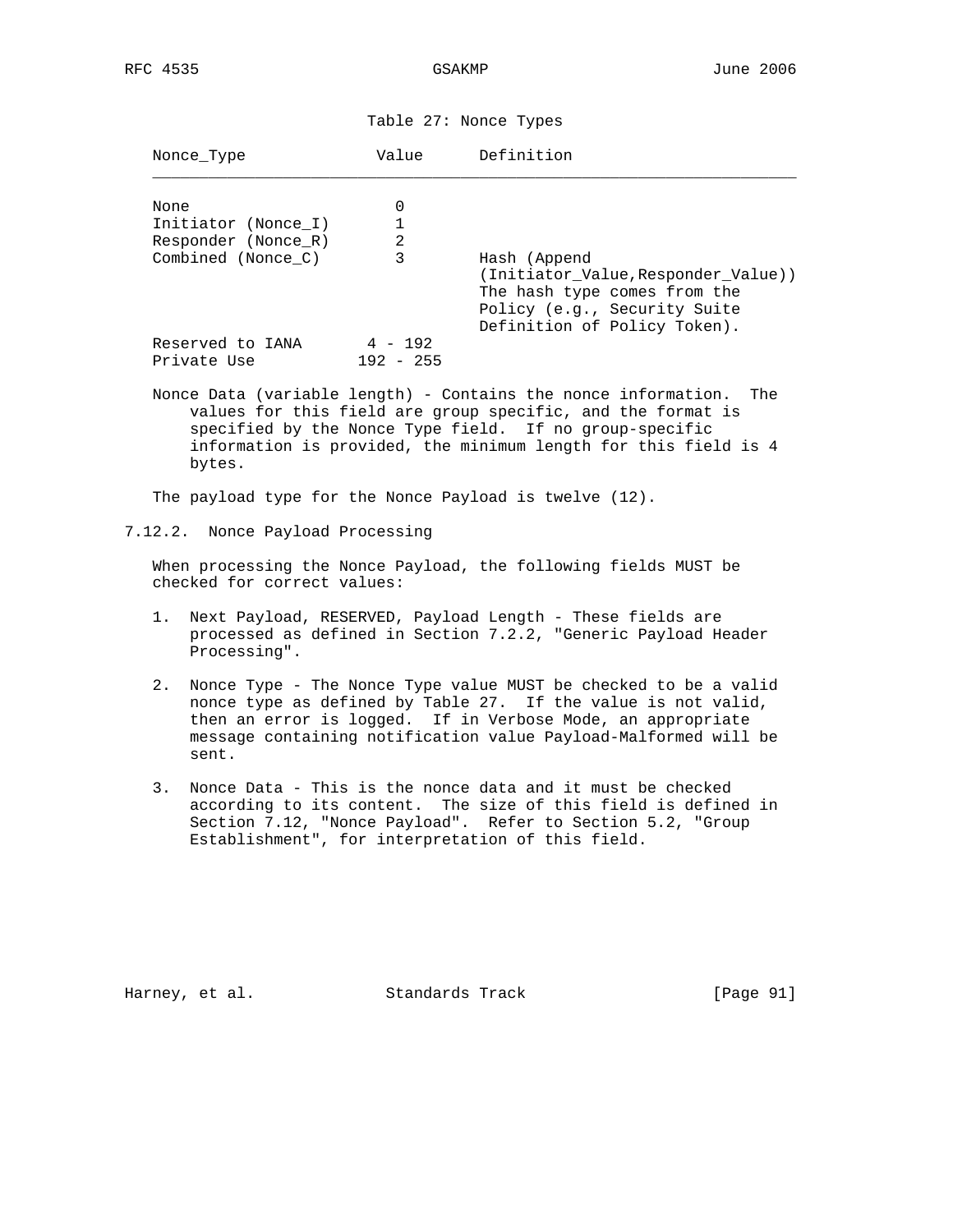Table 27: Nonce Types

| Nonce Type                                         | Value                    | Definition                                                                                                                                          |
|----------------------------------------------------|--------------------------|-----------------------------------------------------------------------------------------------------------------------------------------------------|
| None<br>Initiator (Nonce I)<br>Responder (Nonce R) | 0<br>1<br>$\overline{2}$ |                                                                                                                                                     |
| Combined (Nonce C)                                 | 3                        | Hash (Append<br>(Initiator Value, Responder Value))<br>The hash type comes from the<br>Policy (e.g., Security Suite<br>Definition of Policy Token). |
| Reserved to IANA<br>Private Use                    | $4 - 192$<br>$192 - 255$ |                                                                                                                                                     |
|                                                    |                          | Nonce Data (variable length) - Contains the nonce information.<br>The                                                                               |

 values for this field are group specific, and the format is specified by the Nonce Type field. If no group-specific information is provided, the minimum length for this field is 4 bytes.

The payload type for the Nonce Payload is twelve (12).

7.12.2. Nonce Payload Processing

 When processing the Nonce Payload, the following fields MUST be checked for correct values:

- 1. Next Payload, RESERVED, Payload Length These fields are processed as defined in Section 7.2.2, "Generic Payload Header Processing".
- 2. Nonce Type The Nonce Type value MUST be checked to be a valid nonce type as defined by Table 27. If the value is not valid, then an error is logged. If in Verbose Mode, an appropriate message containing notification value Payload-Malformed will be sent.
- 3. Nonce Data This is the nonce data and it must be checked according to its content. The size of this field is defined in Section 7.12, "Nonce Payload". Refer to Section 5.2, "Group Establishment", for interpretation of this field.

Harney, et al. Standards Track [Page 91]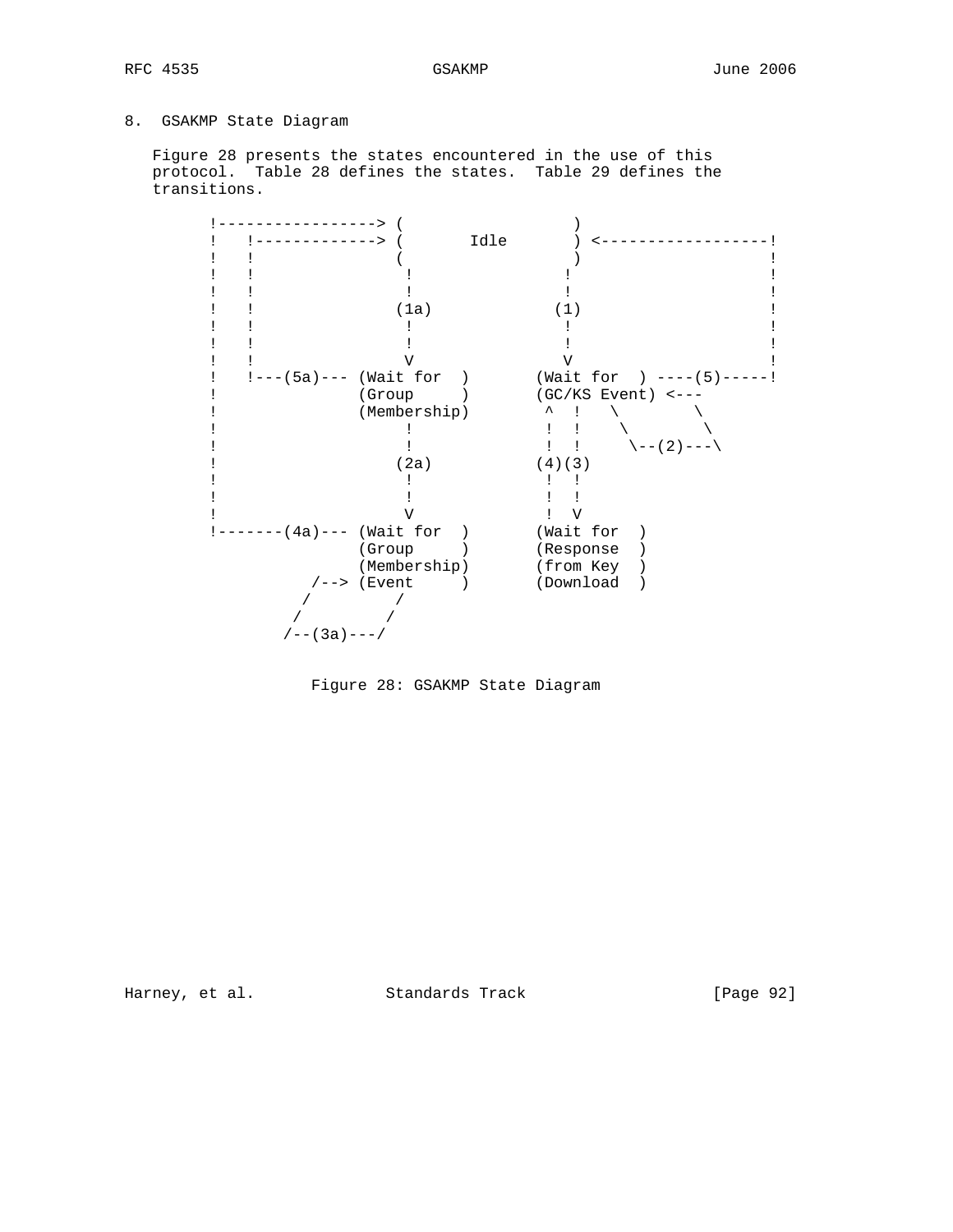# 8. GSAKMP State Diagram

 Figure 28 presents the states encountered in the use of this protocol. Table 28 defines the states. Table 29 defines the transitions.

|                        | Idle                 |                            |
|------------------------|----------------------|----------------------------|
|                        |                      |                            |
|                        |                      |                            |
|                        |                      |                            |
|                        | (1a)                 | (1)                        |
|                        |                      |                            |
|                        |                      |                            |
|                        |                      |                            |
| $!---(5a)---(Wait for$ |                      | (Wait for ) $---(5)$ ----! |
| (Group                 |                      | $(GC/KS$ Event) <---       |
|                        | (Membership)         |                            |
|                        |                      |                            |
|                        |                      | \--(2)---\                 |
|                        | (2a)                 | (4)(3)                     |
|                        |                      |                            |
|                        |                      |                            |
|                        |                      |                            |
| $---(4a)---(Wait for$  |                      | (Wait for                  |
| (Group                 |                      | (Response                  |
|                        | (Membership)         | (from Key                  |
|                        | $\sqrt{---}$ (Event) | (Download                  |
|                        |                      |                            |
|                        |                      |                            |
| $/ - - (3a) - - - /$   |                      |                            |



Harney, et al. Standards Track [Page 92]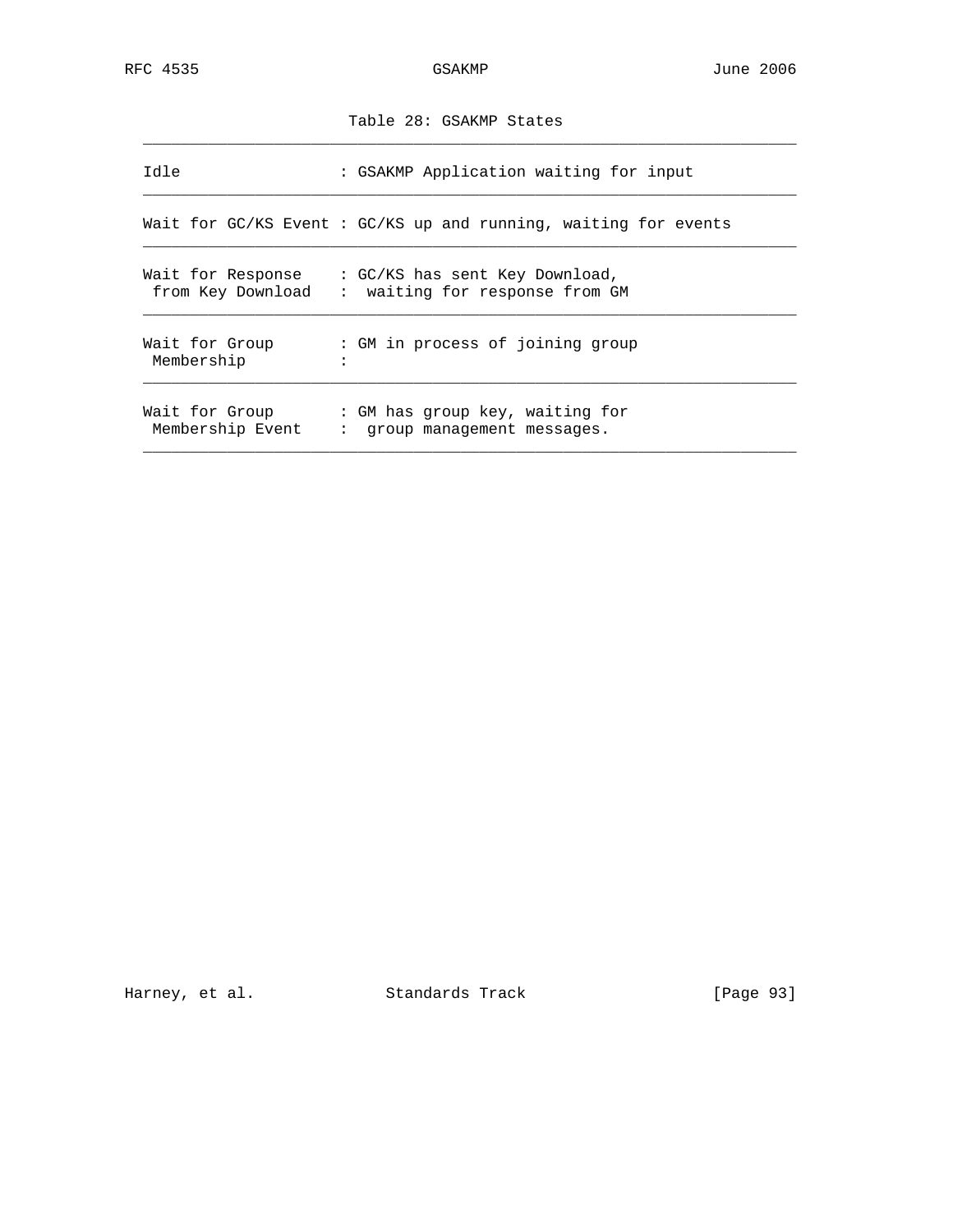|                              | Table 28: GSAKMP States                                                                             |
|------------------------------|-----------------------------------------------------------------------------------------------------|
| Idle                         | : GSAKMP Application waiting for input                                                              |
|                              | Wait for GC/KS Event: GC/KS up and running, waiting for events                                      |
| from Key Download            | Wait for Response $\;\; : \; \text{GC/KS}$ has sent Key Download,<br>: waiting for response from GM |
| Wait for Group<br>Membership | : GM in process of joining group                                                                    |
| Membership Event             | Wait for Group : GM has group key, waiting for<br>: group management messages.                      |

Harney, et al. Standards Track [Page 93]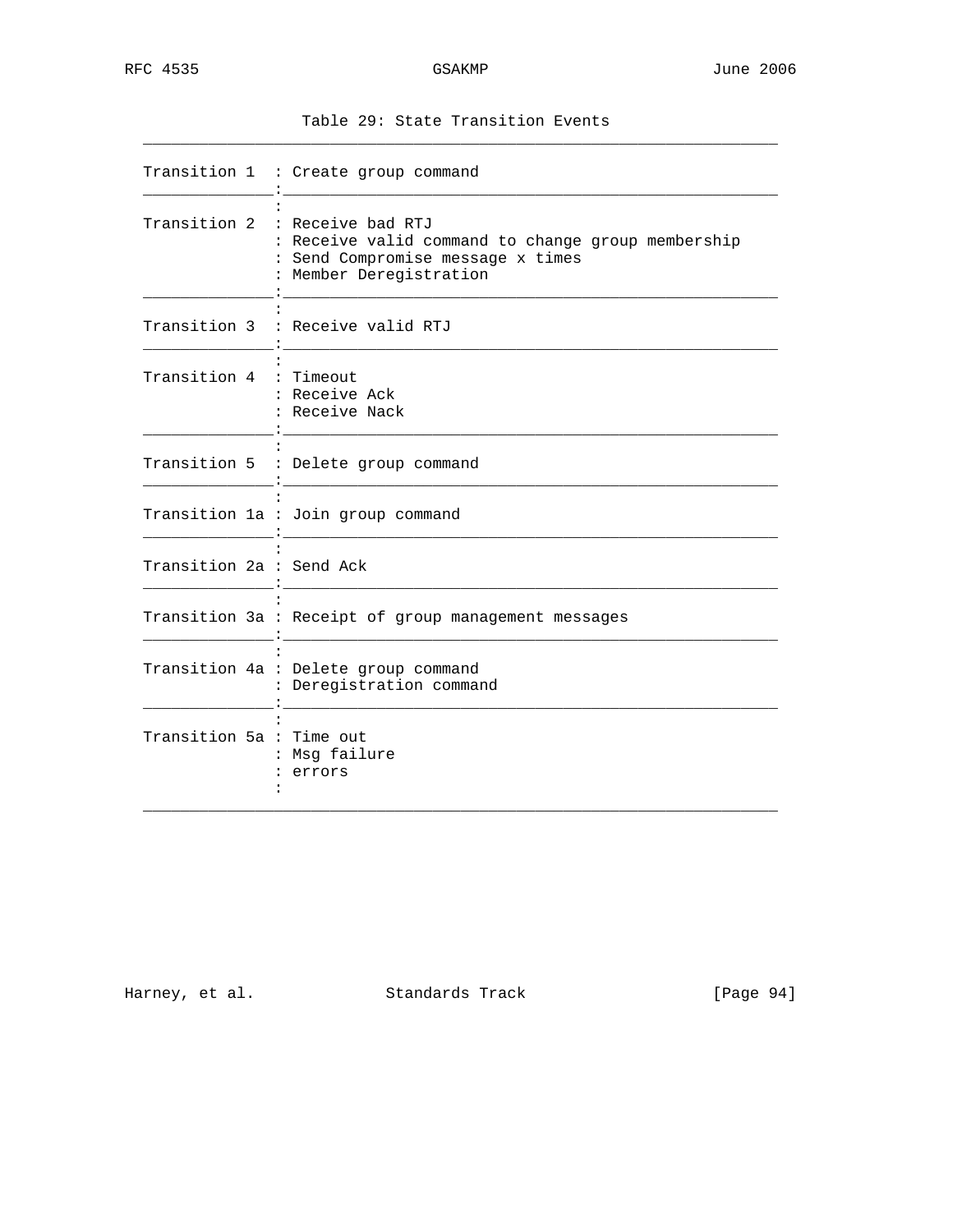| $-$<br>$\sim$ |  | . |  |
|---------------|--|---|--|
|               |  |   |  |

|                          | Transition 1 : Create group command                                                                                                                  |
|--------------------------|------------------------------------------------------------------------------------------------------------------------------------------------------|
|                          | Transition 2 : Receive bad RTJ<br>: Receive valid command to change group membership<br>: Send Compromise message x times<br>: Member Deregistration |
|                          | Transition 3 : Receive valid RTJ                                                                                                                     |
| Transition 4 : Timeout   | : Receive Ack<br>: Receive Nack                                                                                                                      |
|                          | Transition 5 : Delete group command                                                                                                                  |
|                          | Transition 1a : Join group command                                                                                                                   |
| Transition 2a : Send Ack |                                                                                                                                                      |
|                          | Transition 3a : Receipt of group management messages                                                                                                 |
|                          | Transition 4a : Delete group command<br>: Deregistration command                                                                                     |
| Transition 5a : Time out | : Msg failure<br>: errors                                                                                                                            |

Harney, et al. Standards Track [Page 94]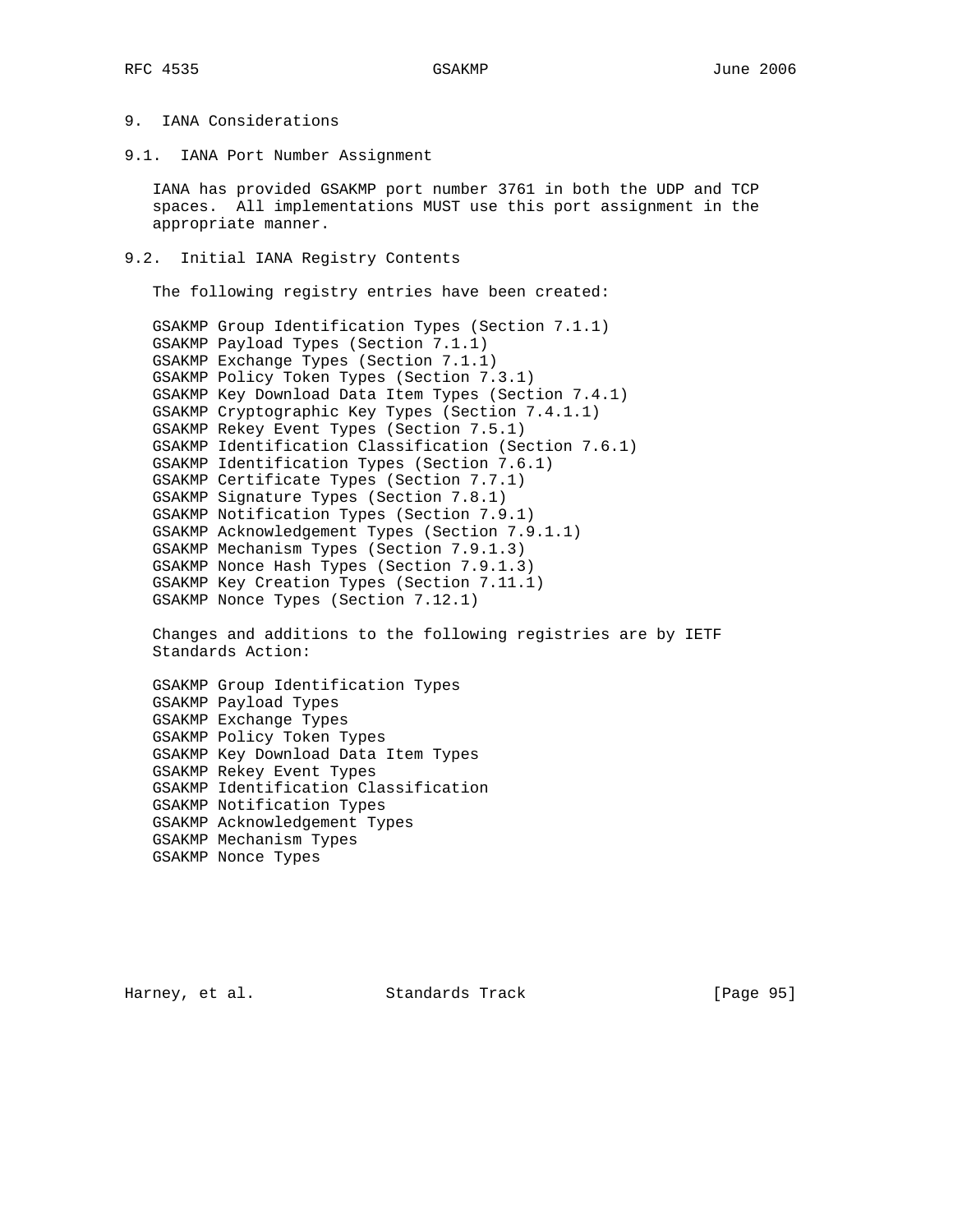# 9. IANA Considerations

9.1. IANA Port Number Assignment

 IANA has provided GSAKMP port number 3761 in both the UDP and TCP spaces. All implementations MUST use this port assignment in the appropriate manner.

9.2. Initial IANA Registry Contents

The following registry entries have been created:

 GSAKMP Group Identification Types (Section 7.1.1) GSAKMP Payload Types (Section 7.1.1) GSAKMP Exchange Types (Section 7.1.1) GSAKMP Policy Token Types (Section 7.3.1) GSAKMP Key Download Data Item Types (Section 7.4.1) GSAKMP Cryptographic Key Types (Section 7.4.1.1) GSAKMP Rekey Event Types (Section 7.5.1) GSAKMP Identification Classification (Section 7.6.1) GSAKMP Identification Types (Section 7.6.1) GSAKMP Certificate Types (Section 7.7.1) GSAKMP Signature Types (Section 7.8.1) GSAKMP Notification Types (Section 7.9.1) GSAKMP Acknowledgement Types (Section 7.9.1.1) GSAKMP Mechanism Types (Section 7.9.1.3) GSAKMP Nonce Hash Types (Section 7.9.1.3) GSAKMP Key Creation Types (Section 7.11.1) GSAKMP Nonce Types (Section 7.12.1)

 Changes and additions to the following registries are by IETF Standards Action:

 GSAKMP Group Identification Types GSAKMP Payload Types GSAKMP Exchange Types GSAKMP Policy Token Types GSAKMP Key Download Data Item Types GSAKMP Rekey Event Types GSAKMP Identification Classification GSAKMP Notification Types GSAKMP Acknowledgement Types GSAKMP Mechanism Types GSAKMP Nonce Types

Harney, et al. Standards Track [Page 95]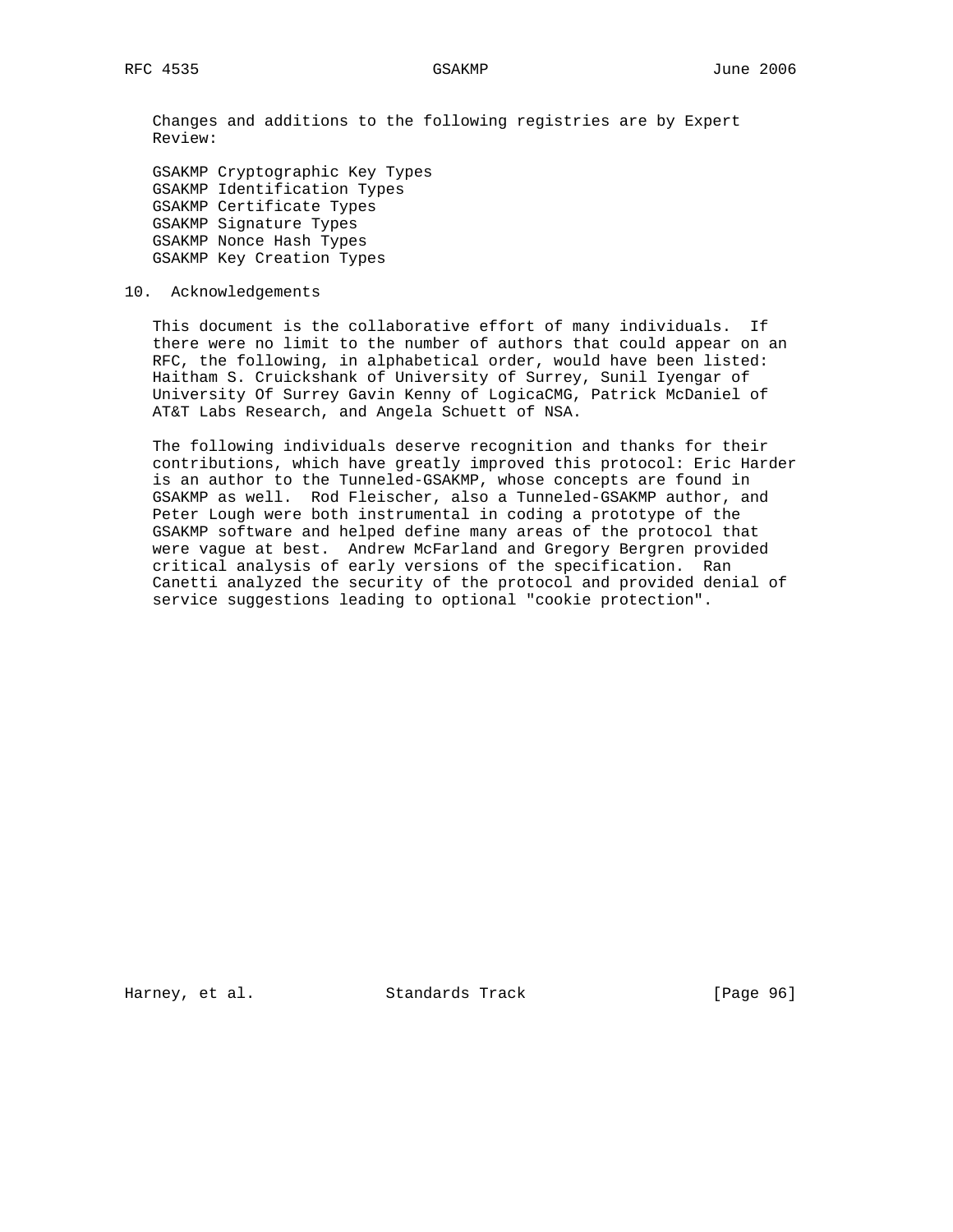Changes and additions to the following registries are by Expert Review:

 GSAKMP Cryptographic Key Types GSAKMP Identification Types GSAKMP Certificate Types GSAKMP Signature Types GSAKMP Nonce Hash Types GSAKMP Key Creation Types

10. Acknowledgements

 This document is the collaborative effort of many individuals. If there were no limit to the number of authors that could appear on an RFC, the following, in alphabetical order, would have been listed: Haitham S. Cruickshank of University of Surrey, Sunil Iyengar of University Of Surrey Gavin Kenny of LogicaCMG, Patrick McDaniel of AT&T Labs Research, and Angela Schuett of NSA.

 The following individuals deserve recognition and thanks for their contributions, which have greatly improved this protocol: Eric Harder is an author to the Tunneled-GSAKMP, whose concepts are found in GSAKMP as well. Rod Fleischer, also a Tunneled-GSAKMP author, and Peter Lough were both instrumental in coding a prototype of the GSAKMP software and helped define many areas of the protocol that were vague at best. Andrew McFarland and Gregory Bergren provided critical analysis of early versions of the specification. Ran Canetti analyzed the security of the protocol and provided denial of service suggestions leading to optional "cookie protection".

Harney, et al. Standards Track [Page 96]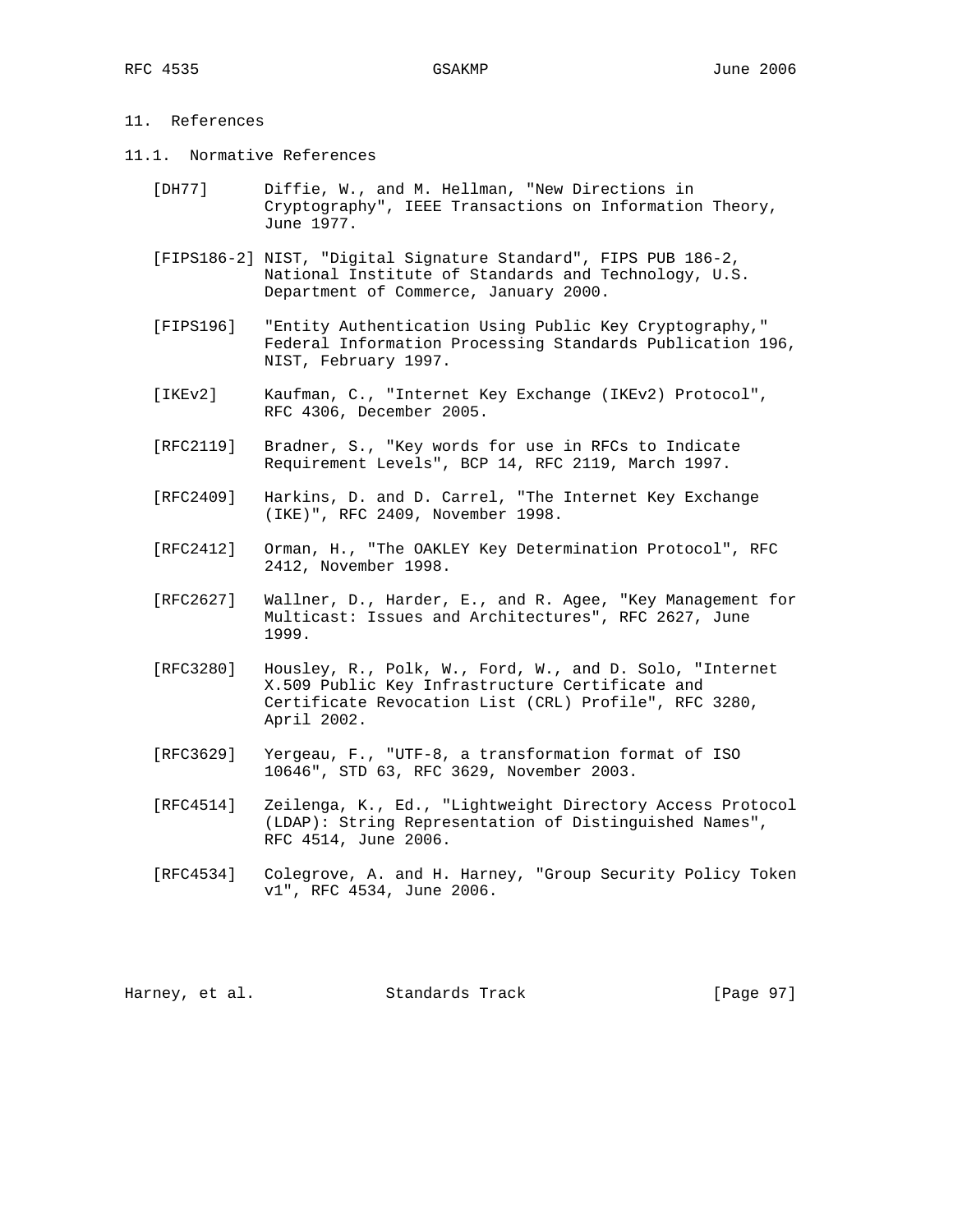# 11. References

- 11.1. Normative References
	- [DH77] Diffie, W., and M. Hellman, "New Directions in Cryptography", IEEE Transactions on Information Theory, June 1977.
	- [FIPS186-2] NIST, "Digital Signature Standard", FIPS PUB 186-2, National Institute of Standards and Technology, U.S. Department of Commerce, January 2000.
	- [FIPS196] "Entity Authentication Using Public Key Cryptography," Federal Information Processing Standards Publication 196, NIST, February 1997.
	- [IKEv2] Kaufman, C., "Internet Key Exchange (IKEv2) Protocol", RFC 4306, December 2005.
	- [RFC2119] Bradner, S., "Key words for use in RFCs to Indicate Requirement Levels", BCP 14, RFC 2119, March 1997.
	- [RFC2409] Harkins, D. and D. Carrel, "The Internet Key Exchange (IKE)", RFC 2409, November 1998.
	- [RFC2412] Orman, H., "The OAKLEY Key Determination Protocol", RFC 2412, November 1998.
	- [RFC2627] Wallner, D., Harder, E., and R. Agee, "Key Management for Multicast: Issues and Architectures", RFC 2627, June 1999.
	- [RFC3280] Housley, R., Polk, W., Ford, W., and D. Solo, "Internet X.509 Public Key Infrastructure Certificate and Certificate Revocation List (CRL) Profile", RFC 3280, April 2002.
	- [RFC3629] Yergeau, F., "UTF-8, a transformation format of ISO 10646", STD 63, RFC 3629, November 2003.
	- [RFC4514] Zeilenga, K., Ed., "Lightweight Directory Access Protocol (LDAP): String Representation of Distinguished Names", RFC 4514, June 2006.
	- [RFC4534] Colegrove, A. and H. Harney, "Group Security Policy Token v1", RFC 4534, June 2006.

Harney, et al. Standards Track [Page 97]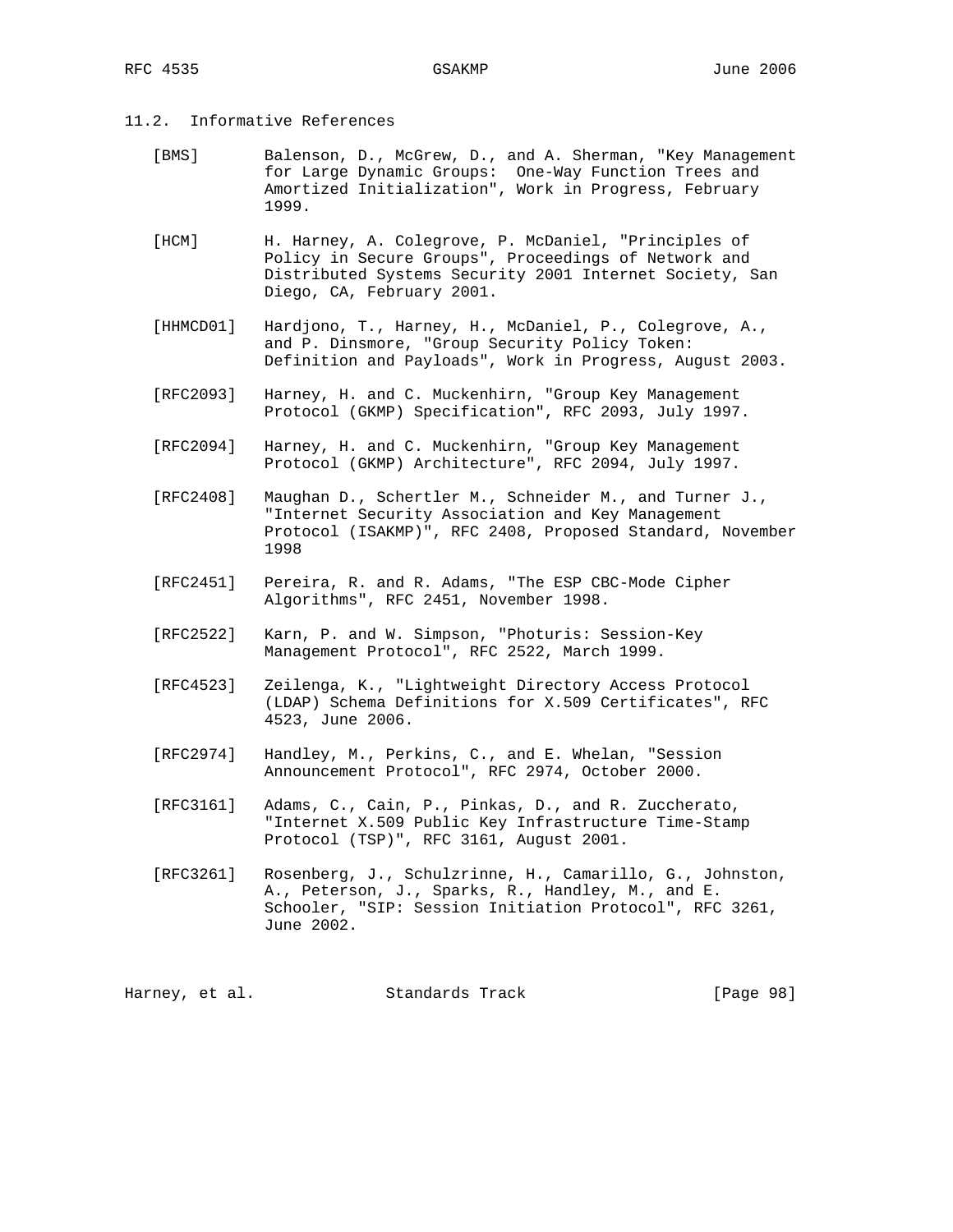- 11.2. Informative References
	- [BMS] Balenson, D., McGrew, D., and A. Sherman, "Key Management for Large Dynamic Groups: One-Way Function Trees and Amortized Initialization", Work in Progress, February 1999.
	- [HCM] H. Harney, A. Colegrove, P. McDaniel, "Principles of Policy in Secure Groups", Proceedings of Network and Distributed Systems Security 2001 Internet Society, San Diego, CA, February 2001.
	- [HHMCD01] Hardjono, T., Harney, H., McDaniel, P., Colegrove, A., and P. Dinsmore, "Group Security Policy Token: Definition and Payloads", Work in Progress, August 2003.
	- [RFC2093] Harney, H. and C. Muckenhirn, "Group Key Management Protocol (GKMP) Specification", RFC 2093, July 1997.
	- [RFC2094] Harney, H. and C. Muckenhirn, "Group Key Management Protocol (GKMP) Architecture", RFC 2094, July 1997.
	- [RFC2408] Maughan D., Schertler M., Schneider M., and Turner J., "Internet Security Association and Key Management Protocol (ISAKMP)", RFC 2408, Proposed Standard, November 1998
	- [RFC2451] Pereira, R. and R. Adams, "The ESP CBC-Mode Cipher Algorithms", RFC 2451, November 1998.
	- [RFC2522] Karn, P. and W. Simpson, "Photuris: Session-Key Management Protocol", RFC 2522, March 1999.
	- [RFC4523] Zeilenga, K., "Lightweight Directory Access Protocol (LDAP) Schema Definitions for X.509 Certificates", RFC 4523, June 2006.
	- [RFC2974] Handley, M., Perkins, C., and E. Whelan, "Session Announcement Protocol", RFC 2974, October 2000.
	- [RFC3161] Adams, C., Cain, P., Pinkas, D., and R. Zuccherato, "Internet X.509 Public Key Infrastructure Time-Stamp Protocol (TSP)", RFC 3161, August 2001.
	- [RFC3261] Rosenberg, J., Schulzrinne, H., Camarillo, G., Johnston, A., Peterson, J., Sparks, R., Handley, M., and E. Schooler, "SIP: Session Initiation Protocol", RFC 3261, June 2002.

Harney, et al. Standards Track [Page 98]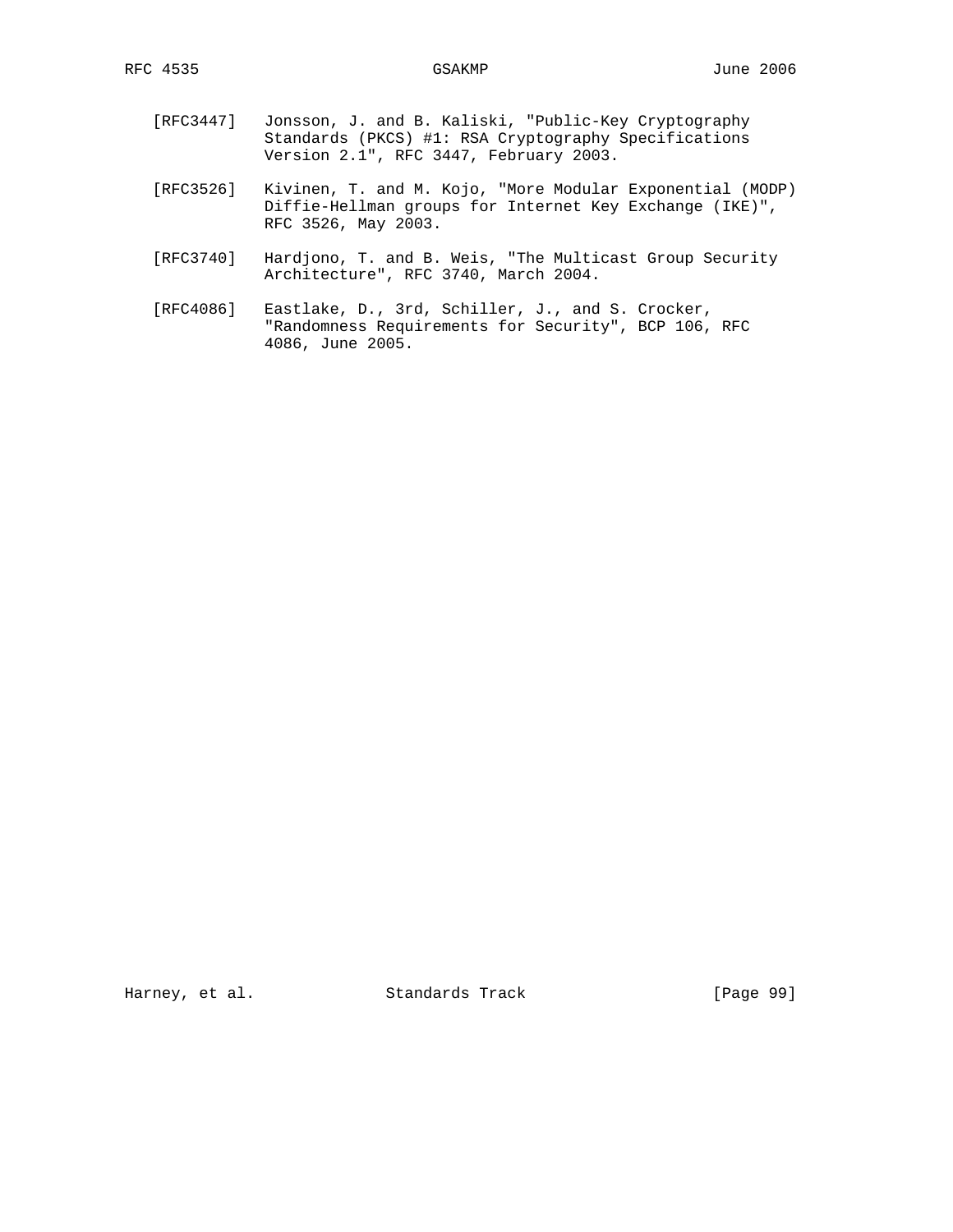- [RFC3447] Jonsson, J. and B. Kaliski, "Public-Key Cryptography Standards (PKCS) #1: RSA Cryptography Specifications Version 2.1", RFC 3447, February 2003.
- [RFC3526] Kivinen, T. and M. Kojo, "More Modular Exponential (MODP) Diffie-Hellman groups for Internet Key Exchange (IKE)", RFC 3526, May 2003.
- [RFC3740] Hardjono, T. and B. Weis, "The Multicast Group Security Architecture", RFC 3740, March 2004.
- [RFC4086] Eastlake, D., 3rd, Schiller, J., and S. Crocker, "Randomness Requirements for Security", BCP 106, RFC 4086, June 2005.

Harney, et al. Standards Track [Page 99]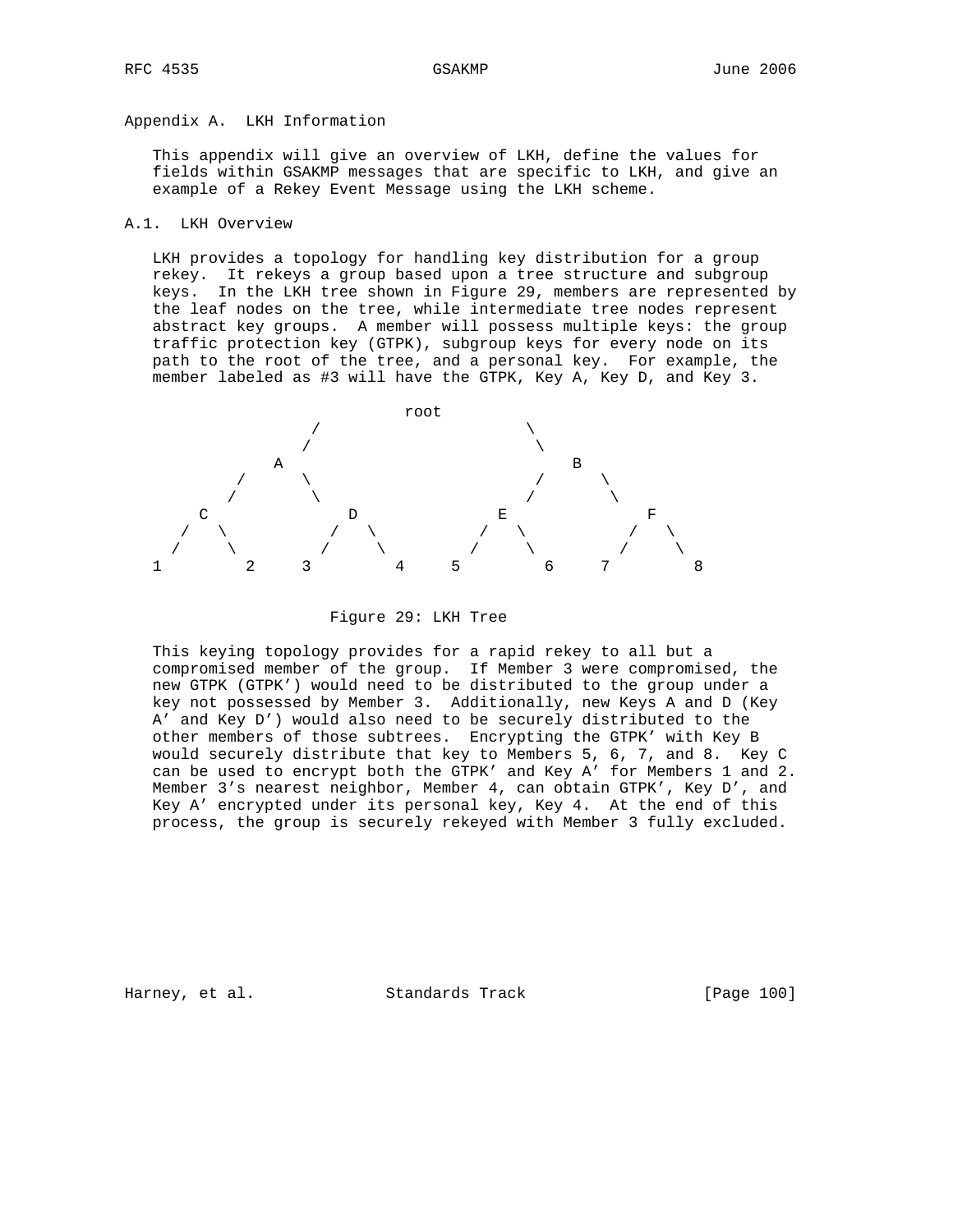# Appendix A. LKH Information

 This appendix will give an overview of LKH, define the values for fields within GSAKMP messages that are specific to LKH, and give an example of a Rekey Event Message using the LKH scheme.

## A.1. LKH Overview

 LKH provides a topology for handling key distribution for a group rekey. It rekeys a group based upon a tree structure and subgroup keys. In the LKH tree shown in Figure 29, members are represented by the leaf nodes on the tree, while intermediate tree nodes represent abstract key groups. A member will possess multiple keys: the group traffic protection key (GTPK), subgroup keys for every node on its path to the root of the tree, and a personal key. For example, the member labeled as #3 will have the GTPK, Key A, Key D, and Key 3.



Figure 29: LKH Tree

 This keying topology provides for a rapid rekey to all but a compromised member of the group. If Member 3 were compromised, the new GTPK (GTPK') would need to be distributed to the group under a key not possessed by Member 3. Additionally, new Keys A and D (Key A' and Key D') would also need to be securely distributed to the other members of those subtrees. Encrypting the GTPK' with Key B would securely distribute that key to Members 5, 6, 7, and 8. Key C can be used to encrypt both the GTPK' and Key A' for Members 1 and 2. Member 3's nearest neighbor, Member 4, can obtain GTPK', Key D', and Key A' encrypted under its personal key, Key 4. At the end of this process, the group is securely rekeyed with Member 3 fully excluded.

Harney, et al. Standards Track [Page 100]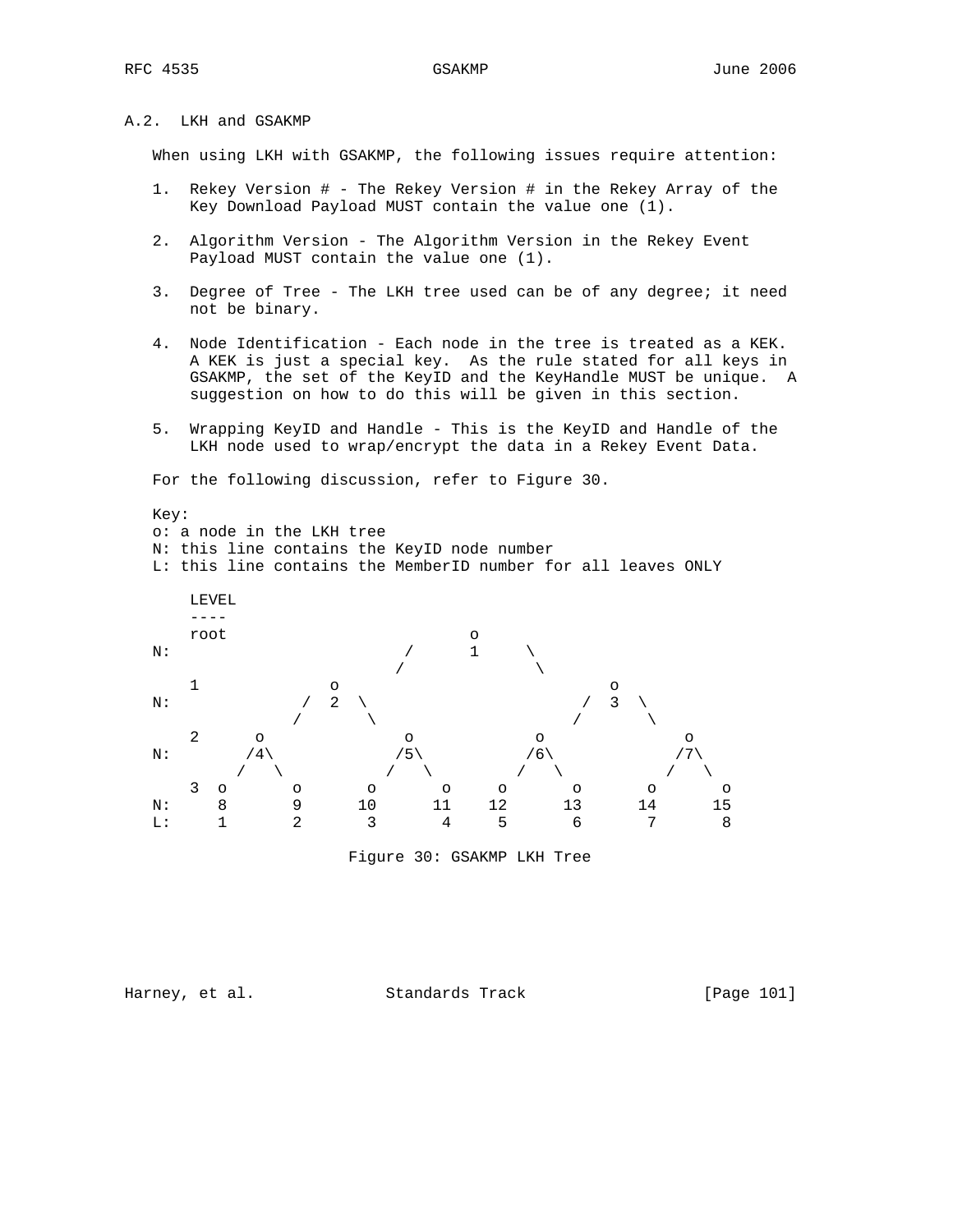# A.2. LKH and GSAKMP

When using LKH with GSAKMP, the following issues require attention:

- 1. Rekey Version # The Rekey Version # in the Rekey Array of the Key Download Payload MUST contain the value one (1).
- 2. Algorithm Version The Algorithm Version in the Rekey Event Payload MUST contain the value one (1).
- 3. Degree of Tree The LKH tree used can be of any degree; it need not be binary.
- 4. Node Identification Each node in the tree is treated as a KEK. A KEK is just a special key. As the rule stated for all keys in GSAKMP, the set of the KeyID and the KeyHandle MUST be unique. A suggestion on how to do this will be given in this section.
- 5. Wrapping KeyID and Handle This is the KeyID and Handle of the LKH node used to wrap/encrypt the data in a Rekey Event Data.

For the following discussion, refer to Figure 30.

 Key: o: a node in the LKH tree N: this line contains the KeyID node number L: this line contains the MemberID number for all leaves ONLY LEVEL  $$ root on the contract of  $\sim$ N:  $\qquad \qquad / \qquad 1 \qquad \backslash$  $\sqrt{2}$  $1$  o o o N:  $\qquad \qquad / \quad 2 \quad \backslash \qquad \qquad / \quad 3 \quad \backslash$  $\qquad \qquad \qquad / \qquad \qquad / \qquad \qquad / \qquad \qquad / \qquad \qquad \qquad / \qquad \qquad / \qquad \qquad$  $2$  o o o o o N:  $/4\left\langle \begin{array}{ccc} & /5 \\ & & /5 \end{array} \right\rangle$  /6\ /7\  $\prime$  / \  $\prime$  / \  $\prime$  / \  $\prime$  / \ 3 o o o o o o o o N: 8 9 10 11 12 13 14 15 L: 1 2 3 4 5 6 7 8 Figure 30: GSAKMP LKH Tree

Harney, et al. Standards Track [Page 101]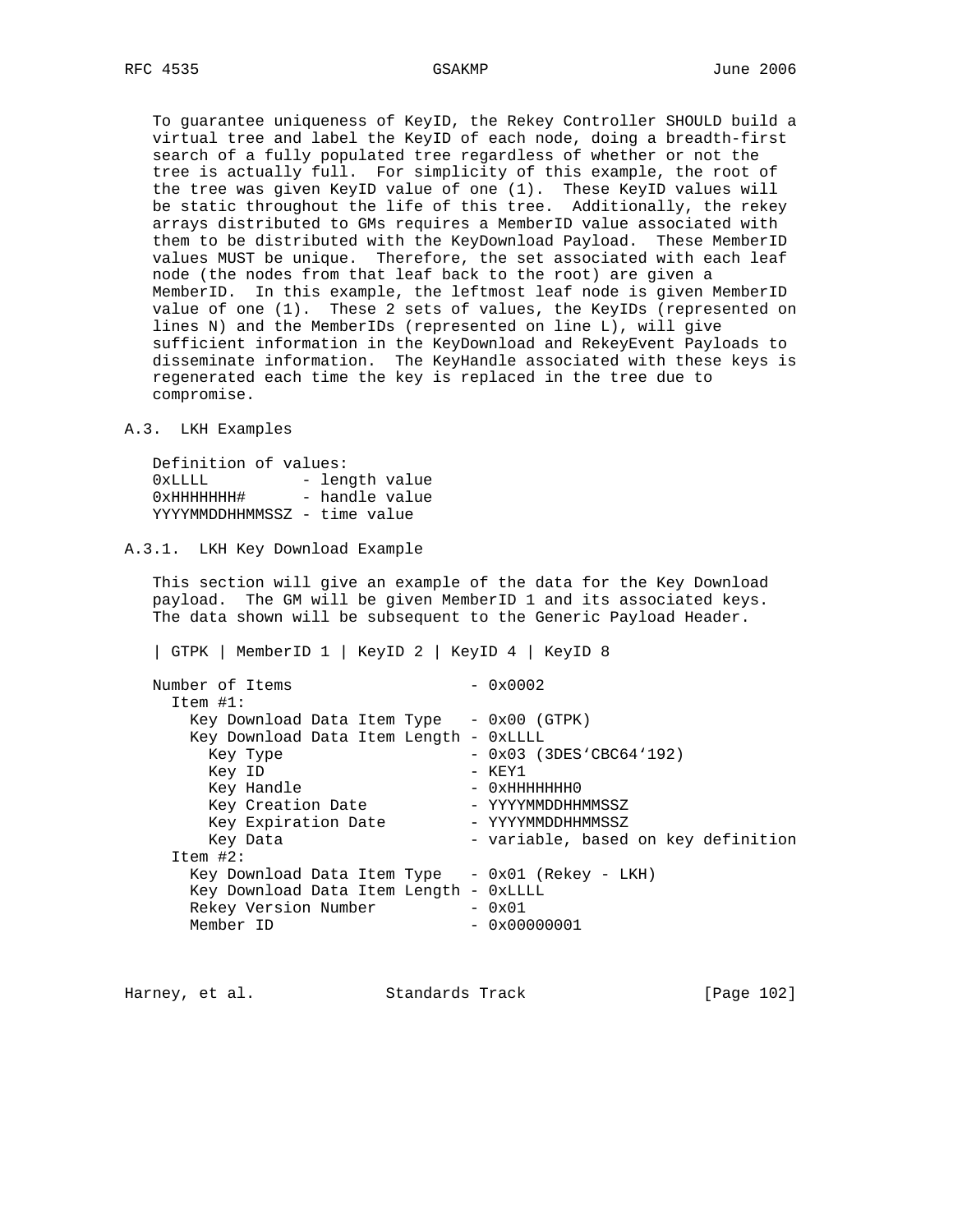To guarantee uniqueness of KeyID, the Rekey Controller SHOULD build a virtual tree and label the KeyID of each node, doing a breadth-first search of a fully populated tree regardless of whether or not the tree is actually full. For simplicity of this example, the root of the tree was given KeyID value of one (1). These KeyID values will be static throughout the life of this tree. Additionally, the rekey arrays distributed to GMs requires a MemberID value associated with them to be distributed with the KeyDownload Payload. These MemberID values MUST be unique. Therefore, the set associated with each leaf node (the nodes from that leaf back to the root) are given a MemberID. In this example, the leftmost leaf node is given MemberID value of one (1). These 2 sets of values, the KeyIDs (represented on lines N) and the MemberIDs (represented on line L), will give sufficient information in the KeyDownload and RekeyEvent Payloads to disseminate information. The KeyHandle associated with these keys is regenerated each time the key is replaced in the tree due to compromise.

### A.3. LKH Examples

 Definition of values: 0xLLLL - length value 0xHHHHHHH# - handle value YYYYMMDDHHMMSSZ - time value

## A.3.1. LKH Key Download Example

 This section will give an example of the data for the Key Download payload. The GM will be given MemberID 1 and its associated keys. The data shown will be subsequent to the Generic Payload Header.

| GTPK | MemberID 1 | KeyID 2 | KeyID 4 | KeyID 8

Number of Items  $-0x0002$  Item #1: Key Download Data Item Type - 0x00 (GTPK) Key Download Data Item Length - 0xLLLL Key Type  $-0x03$  (3DES'CBC64'192)<br>Key ID  $-$  KEY1 - KEY1 Key Handle - 0xHHHHHHH0 Key Creation Date - YYYYMMDDHHMMSSZ Key Expiration Date - YYYYMMDDHHMMSSZ Key Data - variable, based on key definition Item #2: Key Download Data Item Type - 0x01 (Rekey - LKH) Key Download Data Item Length - 0xLLLL Rekey Version Number  $-0x01$ <br>Member ID  $-0x000$  $- 0x00000001$ 

Harney, et al. Standards Track [Page 102]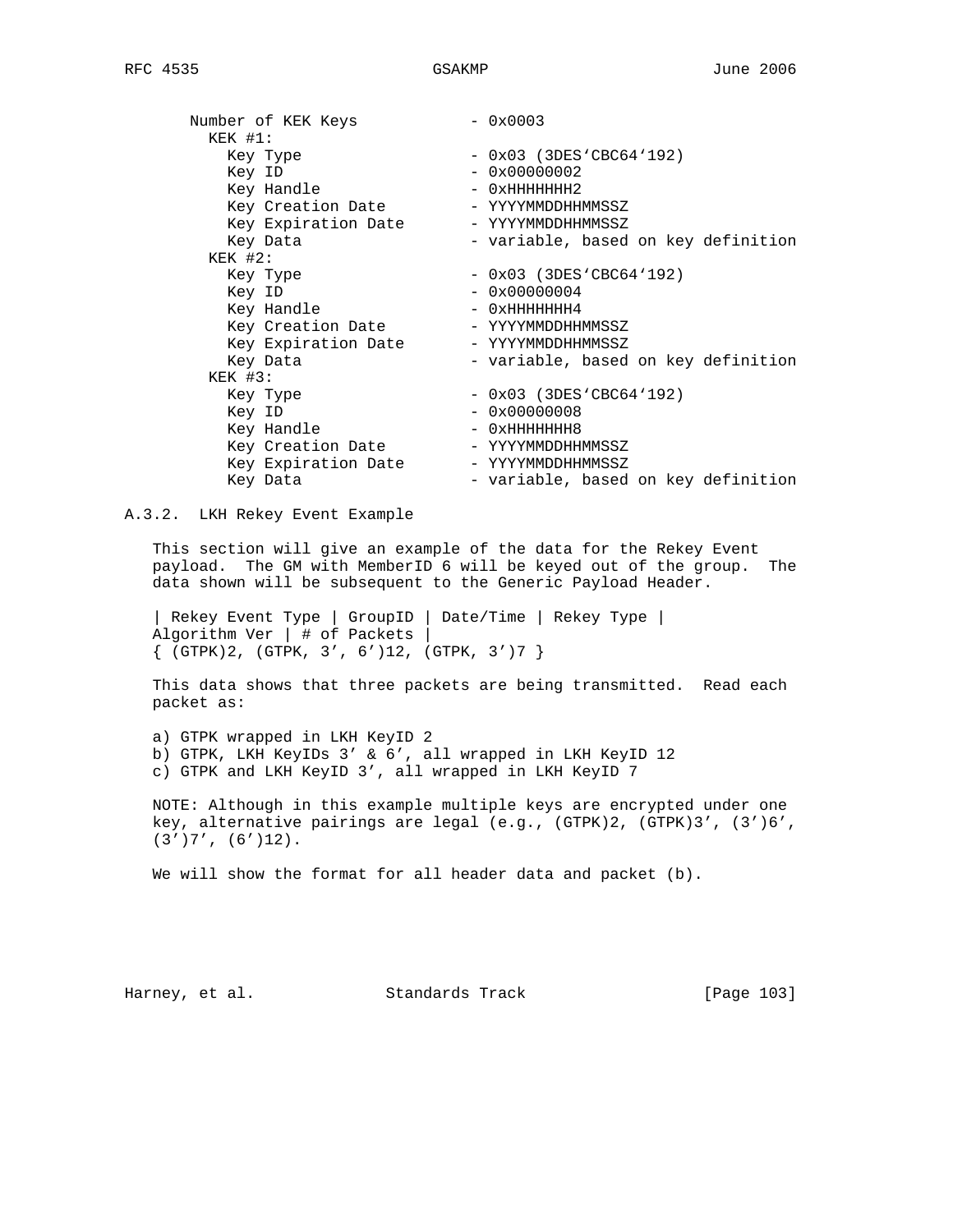| Number of KEK Keys  | $-0x0003$                           |
|---------------------|-------------------------------------|
| $KEK$ #1:           |                                     |
| Key Type            | $-$ 0x03 (3DES'CBC64'192)           |
| Key ID              | $-0x00000002$                       |
| Key Handle          | $-$ 0xHHHHHHH2                      |
| Key Creation Date   | - YYYYMMDDHHMMSSZ                   |
| Key Expiration Date | - YYYYMMDDHHMMSSZ                   |
| Key Data            | - variable, based on key definition |
| $KEK$ #2:           |                                     |
| Key Type            | $-$ 0x03 (3DES'CBC64'192)           |
| Key ID              | $-0x00000004$                       |
| Key Handle          | $-$ 0xHHHHHHH4                      |
| Key Creation Date   | - YYYYMMDDHHMMSSZ                   |
| Key Expiration Date | - YYYYMMDDHHMMSSZ                   |
| Key Data            | - variable, based on key definition |
| $KEK$ #3:           |                                     |
| Key Type            | $-$ 0x03 (3DES'CBC64'192)           |
| Key ID              | $-0x00000008$                       |
| Key Handle          | $-$ 0xHHHHHHH8                      |
| Key Creation Date   | - YYYYMMDDHHMMSSZ                   |
| Key Expiration Date | - YYYYMMDDHHMMSSZ                   |
| Key Data            | - variable, based on key definition |

A.3.2. LKH Rekey Event Example

 This section will give an example of the data for the Rekey Event payload. The GM with MemberID 6 will be keyed out of the group. The data shown will be subsequent to the Generic Payload Header.

 | Rekey Event Type | GroupID | Date/Time | Rekey Type | Algorithm Ver | # of Packets |  $\{$  (GTPK)2, (GTPK, 3', 6')12, (GTPK, 3')7  $\}$ 

 This data shows that three packets are being transmitted. Read each packet as:

 a) GTPK wrapped in LKH KeyID 2 b) GTPK, LKH KeyIDs 3' & 6', all wrapped in LKH KeyID 12 c) GTPK and LKH KeyID 3', all wrapped in LKH KeyID 7

 NOTE: Although in this example multiple keys are encrypted under one key, alternative pairings are legal (e.g., (GTPK)2, (GTPK)3', (3')6',  $(3')7', (6')12$ .

We will show the format for all header data and packet (b).

Harney, et al. Standards Track [Page 103]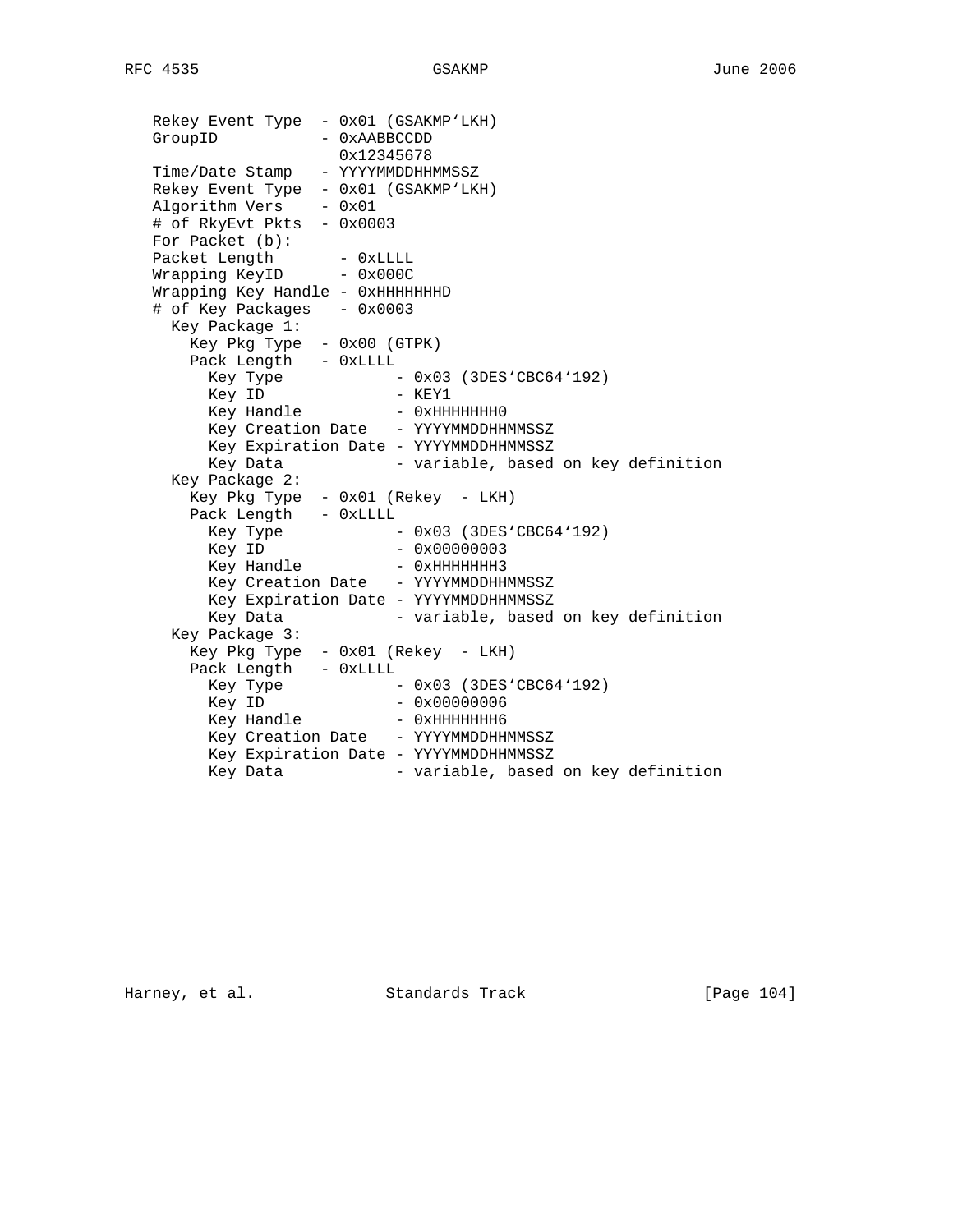| Rekey Event Type - 0x01 (GSAKMP'LKH) |                                                                       |
|--------------------------------------|-----------------------------------------------------------------------|
| GroupID                              | - 0xAABBCCDD                                                          |
|                                      | 0x12345678                                                            |
| Time/Date Stamp - YYYYMMDDHHMMSSZ    |                                                                       |
| Rekey Event Type - 0x01 (GSAKMP'LKH) |                                                                       |
| $Algorithm Vers - 0x01$              |                                                                       |
| # of RkyEvt Pkts - 0x0003            |                                                                       |
| For Packet (b):                      |                                                                       |
| Packet Length - 0xLLLL               |                                                                       |
| Wrapping KeyID - 0x000C              |                                                                       |
| Wrapping Key Handle - 0xHHHHHHHD     |                                                                       |
| # of Key Packages - 0x0003           |                                                                       |
| Key Package 1:                       |                                                                       |
| Key Pkg Type - 0x00 (GTPK)           |                                                                       |
| Pack Length - OxLLLL                 |                                                                       |
|                                      | ney Type $-$ 0x03 (3DES'CBC64'192)<br>Key ID $ \kappa$ <sup>FV1</sup> |
|                                      |                                                                       |
|                                      | Key Handle - 0xHHHHHHHO                                               |
|                                      | Key Creation Date - YYYYMMDDHHMMSSZ                                   |
|                                      | Key Expiration Date - YYYYMMDDHHMMSSZ                                 |
| Key Data                             | - variable, based on key definition                                   |
| Key Package 2:                       |                                                                       |
|                                      | Key Pkg Type - 0x01 (Rekey - LKH)                                     |
| Pack Length - OxLLLL                 |                                                                       |
|                                      | Key Type $-0x03$ (3DES'CBC64'192)<br>Key ID $-0x00000003$             |
|                                      |                                                                       |
|                                      | Key Handle - 0xHHHHHHH3                                               |
|                                      | Key Creation Date - YYYYMMDDHHMMSSZ                                   |
|                                      | Key Expiration Date - YYYYMMDDHHMMSSZ                                 |
| Key Data                             | - variable, based on key definition                                   |
| Key Package 3:                       |                                                                       |
|                                      | Key Pkg Type - 0x01 (Rekey - LKH)                                     |
| Pack Length - OxLLLL                 |                                                                       |
| Key Type<br>$\sim$                   | $-$ 0x03 (3DES'CBC64'192)                                             |
| Key ID                               | $-0x00000006$                                                         |
|                                      | Key Handle - 0xHHHHHHH6                                               |
|                                      | Key Creation Date - YYYYMMDDHHMMSSZ                                   |
|                                      | Key Expiration Date - YYYYMMDDHHMMSSZ                                 |
| Key Data                             | - variable, based on key definition                                   |

Harney, et al. Standards Track [Page 104]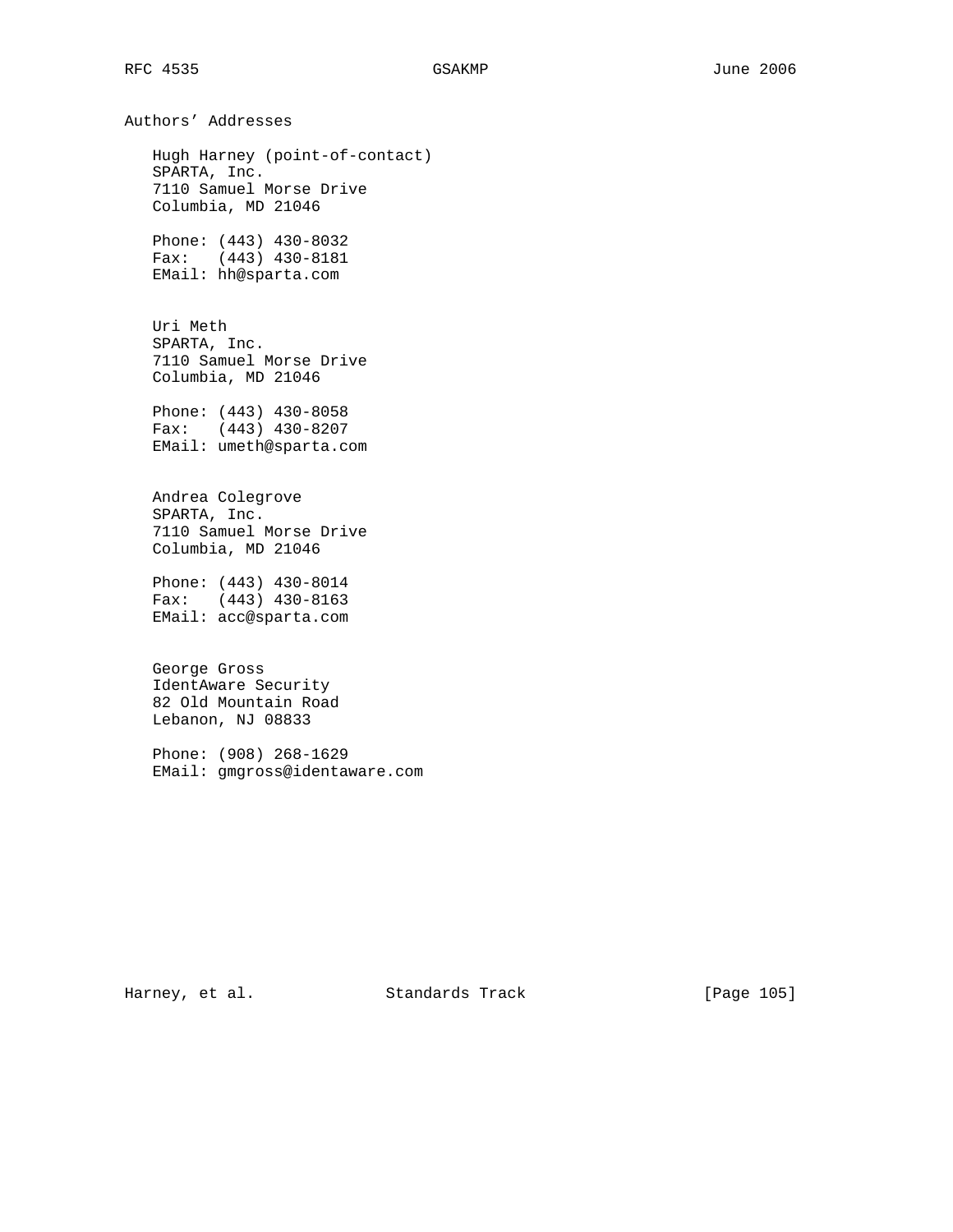Authors' Addresses Hugh Harney (point-of-contact) SPARTA, Inc. 7110 Samuel Morse Drive Columbia, MD 21046 Phone: (443) 430-8032 Fax: (443) 430-8181 EMail: hh@sparta.com Uri Meth SPARTA, Inc. 7110 Samuel Morse Drive Columbia, MD 21046 Phone: (443) 430-8058 Fax: (443) 430-8207 EMail: umeth@sparta.com Andrea Colegrove SPARTA, Inc. 7110 Samuel Morse Drive Columbia, MD 21046 Phone: (443) 430-8014 Fax: (443) 430-8163 EMail: acc@sparta.com George Gross IdentAware Security 82 Old Mountain Road Lebanon, NJ 08833 Phone: (908) 268-1629 EMail: gmgross@identaware.com

Harney, et al. Standards Track [Page 105]